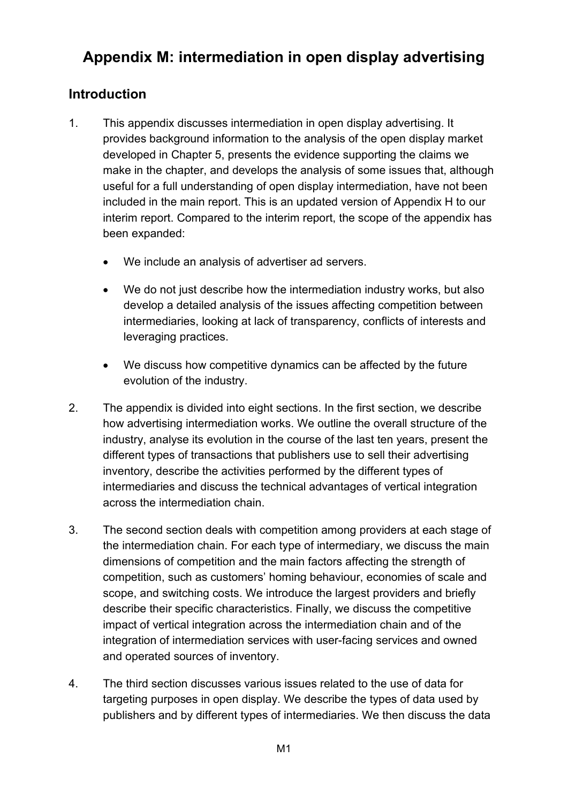# **Appendix M: intermediation in open display advertising**

# **Introduction**

- 1. This appendix discusses intermediation in open display advertising. It provides background information to the analysis of the open display market developed in Chapter 5, presents the evidence supporting the claims we make in the chapter, and develops the analysis of some issues that, although useful for a full understanding of open display intermediation, have not been included in the main report. This is an updated version of Appendix H to our interim report. Compared to the interim report, the scope of the appendix has been expanded:
	- We include an analysis of advertiser ad servers.
	- We do not just describe how the intermediation industry works, but also develop a detailed analysis of the issues affecting competition between intermediaries, looking at lack of transparency, conflicts of interests and leveraging practices.
	- We discuss how competitive dynamics can be affected by the future evolution of the industry.
- 2. The appendix is divided into eight sections. In the first section, we describe how advertising intermediation works. We outline the overall structure of the industry, analyse its evolution in the course of the last ten years, present the different types of transactions that publishers use to sell their advertising inventory, describe the activities performed by the different types of intermediaries and discuss the technical advantages of vertical integration across the intermediation chain.
- 3. The second section deals with competition among providers at each stage of the intermediation chain. For each type of intermediary, we discuss the main dimensions of competition and the main factors affecting the strength of competition, such as customers' homing behaviour, economies of scale and scope, and switching costs. We introduce the largest providers and briefly describe their specific characteristics. Finally, we discuss the competitive impact of vertical integration across the intermediation chain and of the integration of intermediation services with user-facing services and owned and operated sources of inventory.
- 4. The third section discusses various issues related to the use of data for targeting purposes in open display. We describe the types of data used by publishers and by different types of intermediaries. We then discuss the data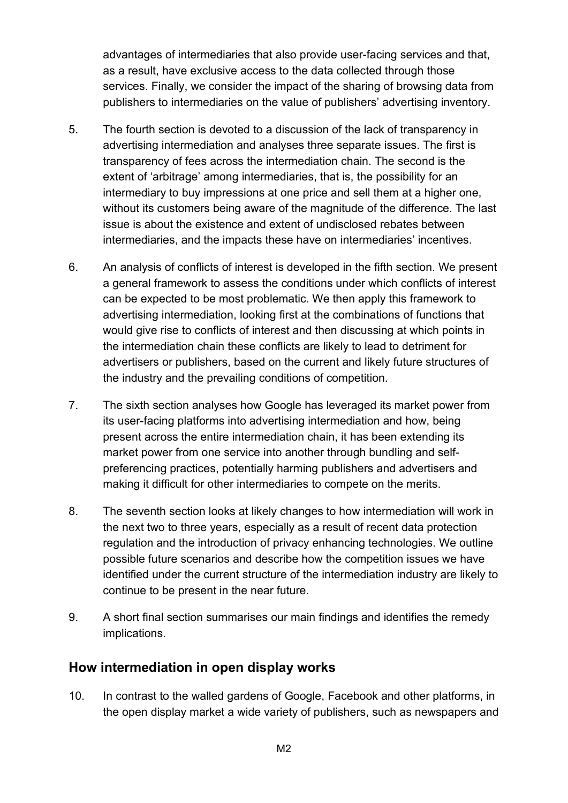advantages of intermediaries that also provide user-facing services and that, as a result, have exclusive access to the data collected through those services. Finally, we consider the impact of the sharing of browsing data from publishers to intermediaries on the value of publishers' advertising inventory.

- 5. The fourth section is devoted to a discussion of the lack of transparency in advertising intermediation and analyses three separate issues. The first is transparency of fees across the intermediation chain. The second is the extent of 'arbitrage' among intermediaries, that is, the possibility for an intermediary to buy impressions at one price and sell them at a higher one, without its customers being aware of the magnitude of the difference. The last issue is about the existence and extent of undisclosed rebates between intermediaries, and the impacts these have on intermediaries' incentives.
- 6. An analysis of conflicts of interest is developed in the fifth section. We present a general framework to assess the conditions under which conflicts of interest can be expected to be most problematic. We then apply this framework to advertising intermediation, looking first at the combinations of functions that would give rise to conflicts of interest and then discussing at which points in the intermediation chain these conflicts are likely to lead to detriment for advertisers or publishers, based on the current and likely future structures of the industry and the prevailing conditions of competition.
- 7. The sixth section analyses how Google has leveraged its market power from its user-facing platforms into advertising intermediation and how, being present across the entire intermediation chain, it has been extending its market power from one service into another through bundling and selfpreferencing practices, potentially harming publishers and advertisers and making it difficult for other intermediaries to compete on the merits.
- 8. The seventh section looks at likely changes to how intermediation will work in the next two to three years, especially as a result of recent data protection regulation and the introduction of privacy enhancing technologies. We outline possible future scenarios and describe how the competition issues we have identified under the current structure of the intermediation industry are likely to continue to be present in the near future.
- 9. A short final section summarises our main findings and identifies the remedy implications.

# **How intermediation in open display works**

10. In contrast to the walled gardens of Google, Facebook and other platforms, in the open display market a wide variety of publishers, such as newspapers and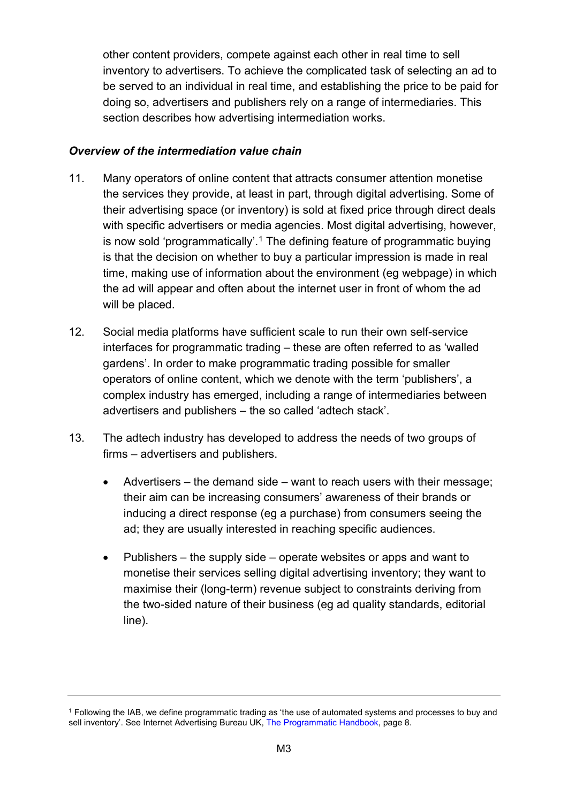other content providers, compete against each other in real time to sell inventory to advertisers. To achieve the complicated task of selecting an ad to be served to an individual in real time, and establishing the price to be paid for doing so, advertisers and publishers rely on a range of intermediaries. This section describes how advertising intermediation works.

#### *Overview of the intermediation value chain*

- 11. Many operators of online content that attracts consumer attention monetise the services they provide, at least in part, through digital advertising. Some of their advertising space (or inventory) is sold at fixed price through direct deals with specific advertisers or media agencies. Most digital advertising, however, is now sold 'programmatically'.<sup>[1](#page-2-0)</sup> The defining feature of programmatic buying is that the decision on whether to buy a particular impression is made in real time, making use of information about the environment (eg webpage) in which the ad will appear and often about the internet user in front of whom the ad will be placed.
- 12. Social media platforms have sufficient scale to run their own self-service interfaces for programmatic trading – these are often referred to as 'walled gardens'. In order to make programmatic trading possible for smaller operators of online content, which we denote with the term 'publishers', a complex industry has emerged, including a range of intermediaries between advertisers and publishers – the so called 'adtech stack'.
- 13. The adtech industry has developed to address the needs of two groups of firms – advertisers and publishers.
	- Advertisers the demand side want to reach users with their message; their aim can be increasing consumers' awareness of their brands or inducing a direct response (eg a purchase) from consumers seeing the ad; they are usually interested in reaching specific audiences.
	- Publishers the supply side operate websites or apps and want to monetise their services selling digital advertising inventory; they want to maximise their (long-term) revenue subject to constraints deriving from the two-sided nature of their business (eg ad quality standards, editorial line).

<span id="page-2-0"></span><sup>1</sup> Following the IAB, we define programmatic trading as 'the use of automated systems and processes to buy and sell inventory'. See Internet Advertising Bureau UK, [The Programmatic Handbook,](https://www.iabuk.com/sites/default/files/The%20Programmatic%20Handbook.pdf) page 8.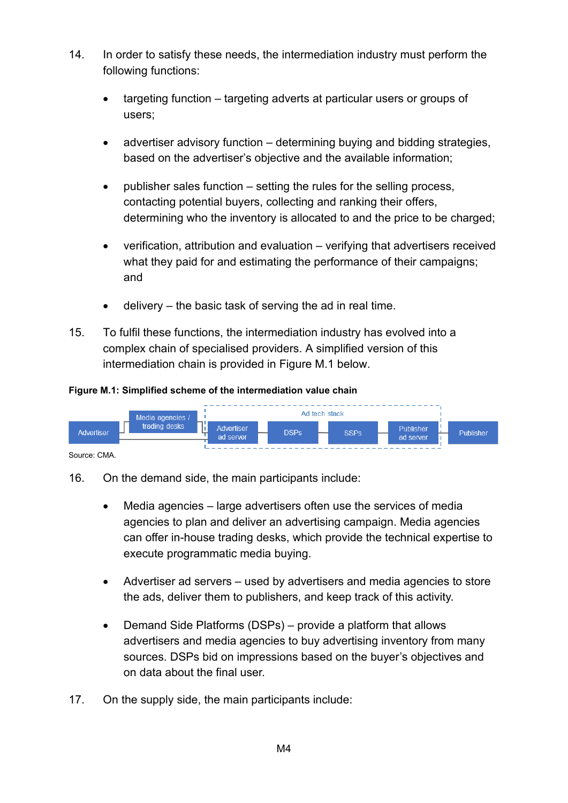- 14. In order to satisfy these needs, the intermediation industry must perform the following functions:
	- targeting function targeting adverts at particular users or groups of users;
	- advertiser advisory function determining buying and bidding strategies, based on the advertiser's objective and the available information;
	- publisher sales function setting the rules for the selling process, contacting potential buyers, collecting and ranking their offers, determining who the inventory is allocated to and the price to be charged;
	- verification, attribution and evaluation verifying that advertisers received what they paid for and estimating the performance of their campaigns; and
	- delivery  $-$  the basic task of serving the ad in real time.
- 15. To fulfil these functions, the intermediation industry has evolved into a complex chain of specialised providers. A simplified version of this intermediation chain is provided in Figure M.1 below.

#### **Figure M.1: Simplified scheme of the intermediation value chain**



Source: CMA.

- 16. On the demand side, the main participants include:
	- Media agencies large advertisers often use the services of media agencies to plan and deliver an advertising campaign. Media agencies can offer in-house trading desks, which provide the technical expertise to execute programmatic media buying.
	- Advertiser ad servers used by advertisers and media agencies to store the ads, deliver them to publishers, and keep track of this activity.
	- Demand Side Platforms (DSPs) provide a platform that allows advertisers and media agencies to buy advertising inventory from many sources. DSPs bid on impressions based on the buyer's objectives and on data about the final user.
- 17. On the supply side, the main participants include: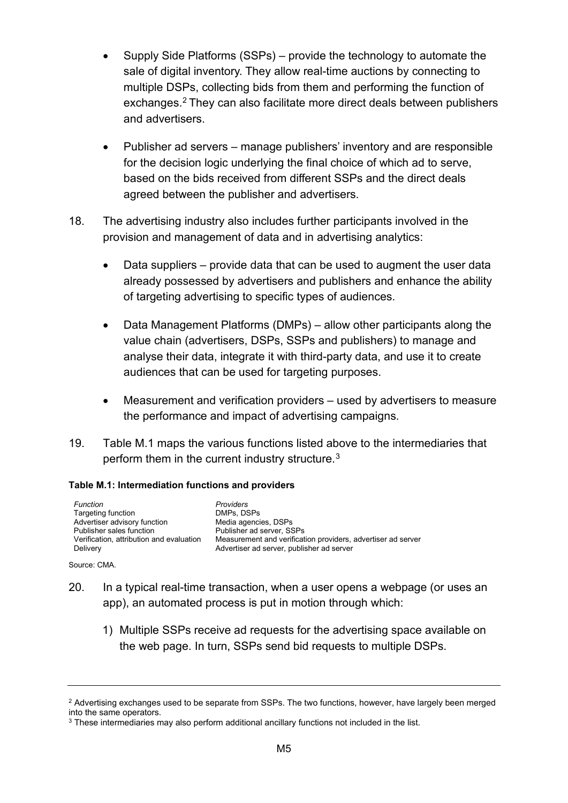- Supply Side Platforms (SSPs) provide the technology to automate the sale of digital inventory. They allow real-time auctions by connecting to multiple DSPs, collecting bids from them and performing the function of exchanges. [2](#page-4-0) They can also facilitate more direct deals between publishers and advertisers.
- Publisher ad servers manage publishers' inventory and are responsible for the decision logic underlying the final choice of which ad to serve, based on the bids received from different SSPs and the direct deals agreed between the publisher and advertisers.
- 18. The advertising industry also includes further participants involved in the provision and management of data and in advertising analytics:
	- Data suppliers provide data that can be used to augment the user data already possessed by advertisers and publishers and enhance the ability of targeting advertising to specific types of audiences.
	- Data Management Platforms (DMPs) allow other participants along the value chain (advertisers, DSPs, SSPs and publishers) to manage and analyse their data, integrate it with third-party data, and use it to create audiences that can be used for targeting purposes.
	- Measurement and verification providers used by advertisers to measure the performance and impact of advertising campaigns.
- 19. Table M.1 maps the various functions listed above to the intermediaries that perform them in the current industry structure.<sup>[3](#page-4-1)</sup>

#### **Table M.1: Intermediation functions and providers**

*Function Providers* Targeting function **DMPs**, DSPs<br> **Advertiser advisory function** Media agencies, DSPs Advertiser advisory function<br>Publisher sales function Publisher sales function Publisher ad server, SSPs<br>Verification, attribution and evaluation Measurement and verificat Delivery **Delivers** Advertiser ad server, publisher ad server

Measurement and verification providers, advertiser ad server

Source: CMA.

- 20. In a typical real-time transaction, when a user opens a webpage (or uses an app), an automated process is put in motion through which:
	- 1) Multiple SSPs receive ad requests for the advertising space available on the web page. In turn, SSPs send bid requests to multiple DSPs.

<span id="page-4-0"></span><sup>&</sup>lt;sup>2</sup> Advertising exchanges used to be separate from SSPs. The two functions, however, have largely been merged into the same operators.

<span id="page-4-1"></span><sup>&</sup>lt;sup>3</sup> These intermediaries may also perform additional ancillary functions not included in the list.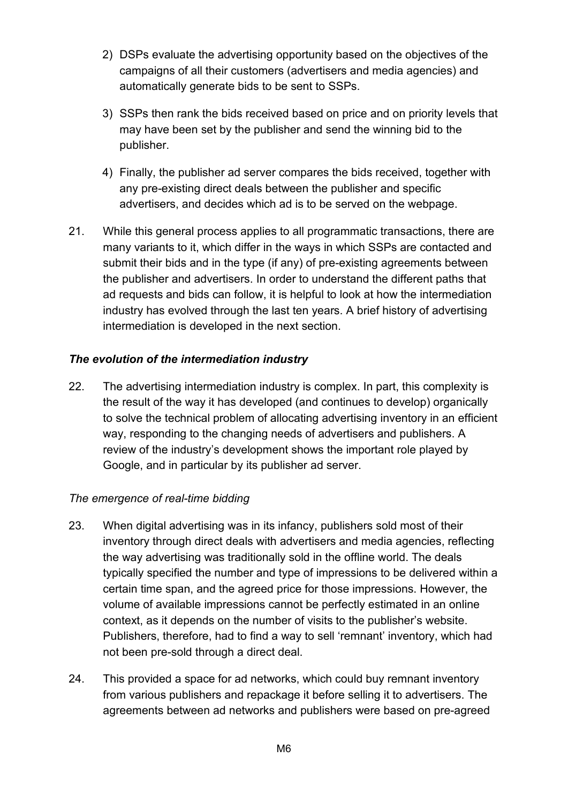- 2) DSPs evaluate the advertising opportunity based on the objectives of the campaigns of all their customers (advertisers and media agencies) and automatically generate bids to be sent to SSPs.
- 3) SSPs then rank the bids received based on price and on priority levels that may have been set by the publisher and send the winning bid to the publisher.
- 4) Finally, the publisher ad server compares the bids received, together with any pre-existing direct deals between the publisher and specific advertisers, and decides which ad is to be served on the webpage.
- 21. While this general process applies to all programmatic transactions, there are many variants to it, which differ in the ways in which SSPs are contacted and submit their bids and in the type (if any) of pre-existing agreements between the publisher and advertisers. In order to understand the different paths that ad requests and bids can follow, it is helpful to look at how the intermediation industry has evolved through the last ten years. A brief history of advertising intermediation is developed in the next section.

#### *The evolution of the intermediation industry*

22. The advertising intermediation industry is complex. In part, this complexity is the result of the way it has developed (and continues to develop) organically to solve the technical problem of allocating advertising inventory in an efficient way, responding to the changing needs of advertisers and publishers. A review of the industry's development shows the important role played by Google, and in particular by its publisher ad server.

#### *The emergence of real-time bidding*

- 23. When digital advertising was in its infancy, publishers sold most of their inventory through direct deals with advertisers and media agencies, reflecting the way advertising was traditionally sold in the offline world. The deals typically specified the number and type of impressions to be delivered within a certain time span, and the agreed price for those impressions. However, the volume of available impressions cannot be perfectly estimated in an online context, as it depends on the number of visits to the publisher's website. Publishers, therefore, had to find a way to sell 'remnant' inventory, which had not been pre-sold through a direct deal.
- 24. This provided a space for ad networks, which could buy remnant inventory from various publishers and repackage it before selling it to advertisers. The agreements between ad networks and publishers were based on pre-agreed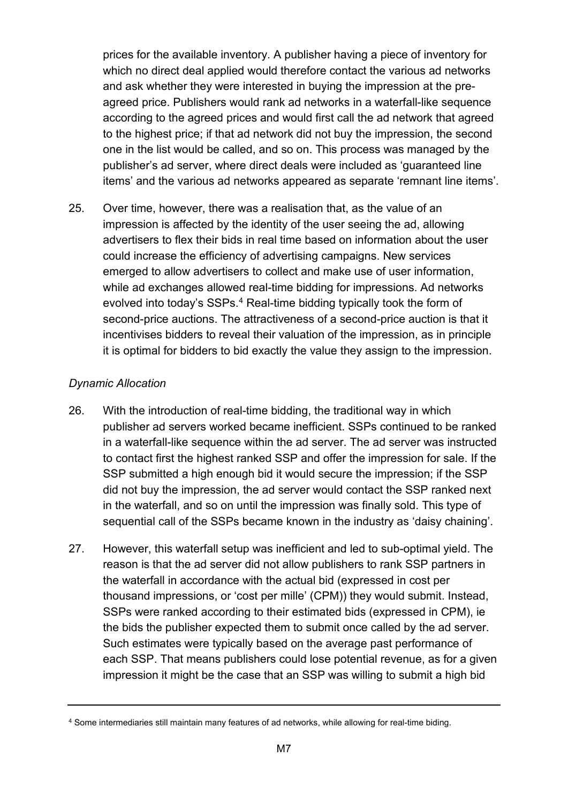prices for the available inventory. A publisher having a piece of inventory for which no direct deal applied would therefore contact the various ad networks and ask whether they were interested in buying the impression at the preagreed price. Publishers would rank ad networks in a waterfall-like sequence according to the agreed prices and would first call the ad network that agreed to the highest price; if that ad network did not buy the impression, the second one in the list would be called, and so on. This process was managed by the publisher's ad server, where direct deals were included as 'guaranteed line items' and the various ad networks appeared as separate 'remnant line items'.

25. Over time, however, there was a realisation that, as the value of an impression is affected by the identity of the user seeing the ad, allowing advertisers to flex their bids in real time based on information about the user could increase the efficiency of advertising campaigns. New services emerged to allow advertisers to collect and make use of user information, while ad exchanges allowed real-time bidding for impressions. Ad networks evolved into today's SSPs. [4](#page-6-0) Real-time bidding typically took the form of second-price auctions. The attractiveness of a second-price auction is that it incentivises bidders to reveal their valuation of the impression, as in principle it is optimal for bidders to bid exactly the value they assign to the impression.

## *Dynamic Allocation*

- 26. With the introduction of real-time bidding, the traditional way in which publisher ad servers worked became inefficient. SSPs continued to be ranked in a waterfall-like sequence within the ad server. The ad server was instructed to contact first the highest ranked SSP and offer the impression for sale. If the SSP submitted a high enough bid it would secure the impression; if the SSP did not buy the impression, the ad server would contact the SSP ranked next in the waterfall, and so on until the impression was finally sold. This type of sequential call of the SSPs became known in the industry as 'daisy chaining'.
- 27. However, this waterfall setup was inefficient and led to sub-optimal yield. The reason is that the ad server did not allow publishers to rank SSP partners in the waterfall in accordance with the actual bid (expressed in cost per thousand impressions, or 'cost per mille' (CPM)) they would submit. Instead, SSPs were ranked according to their estimated bids (expressed in CPM), ie the bids the publisher expected them to submit once called by the ad server. Such estimates were typically based on the average past performance of each SSP. That means publishers could lose potential revenue, as for a given impression it might be the case that an SSP was willing to submit a high bid

<span id="page-6-0"></span><sup>4</sup> Some intermediaries still maintain many features of ad networks, while allowing for real-time biding.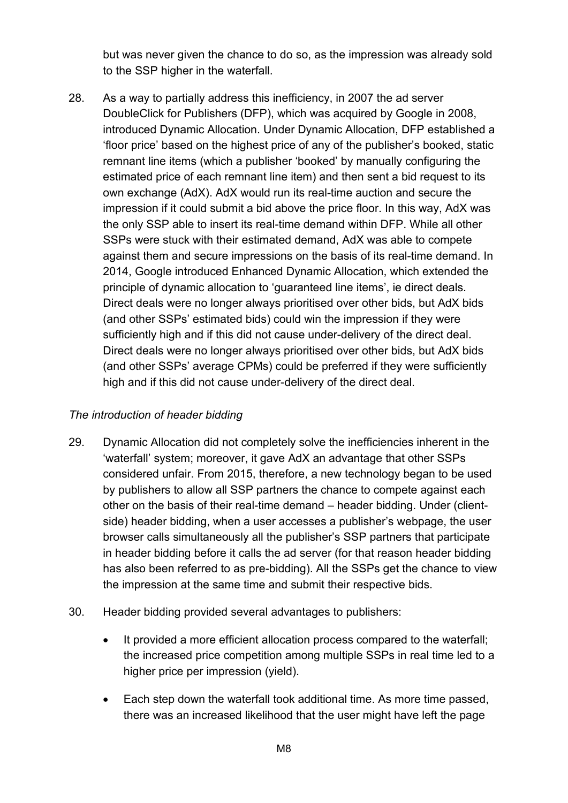but was never given the chance to do so, as the impression was already sold to the SSP higher in the waterfall.

28. As a way to partially address this inefficiency, in 2007 the ad server DoubleClick for Publishers (DFP), which was acquired by Google in 2008, introduced Dynamic Allocation. Under Dynamic Allocation, DFP established a 'floor price' based on the highest price of any of the publisher's booked, static remnant line items (which a publisher 'booked' by manually configuring the estimated price of each remnant line item) and then sent a bid request to its own exchange (AdX). AdX would run its real-time auction and secure the impression if it could submit a bid above the price floor. In this way, AdX was the only SSP able to insert its real-time demand within DFP. While all other SSPs were stuck with their estimated demand, AdX was able to compete against them and secure impressions on the basis of its real-time demand. In 2014, Google introduced Enhanced Dynamic Allocation, which extended the principle of dynamic allocation to 'guaranteed line items', ie direct deals. Direct deals were no longer always prioritised over other bids, but AdX bids (and other SSPs' estimated bids) could win the impression if they were sufficiently high and if this did not cause under-delivery of the direct deal. Direct deals were no longer always prioritised over other bids, but AdX bids (and other SSPs' average CPMs) could be preferred if they were sufficiently high and if this did not cause under-delivery of the direct deal.

#### *The introduction of header bidding*

- 29. Dynamic Allocation did not completely solve the inefficiencies inherent in the 'waterfall' system; moreover, it gave AdX an advantage that other SSPs considered unfair. From 2015, therefore, a new technology began to be used by publishers to allow all SSP partners the chance to compete against each other on the basis of their real-time demand – header bidding. Under (clientside) header bidding, when a user accesses a publisher's webpage, the user browser calls simultaneously all the publisher's SSP partners that participate in header bidding before it calls the ad server (for that reason header bidding has also been referred to as pre-bidding). All the SSPs get the chance to view the impression at the same time and submit their respective bids.
- 30. Header bidding provided several advantages to publishers:
	- It provided a more efficient allocation process compared to the waterfall; the increased price competition among multiple SSPs in real time led to a higher price per impression (yield).
	- Each step down the waterfall took additional time. As more time passed, there was an increased likelihood that the user might have left the page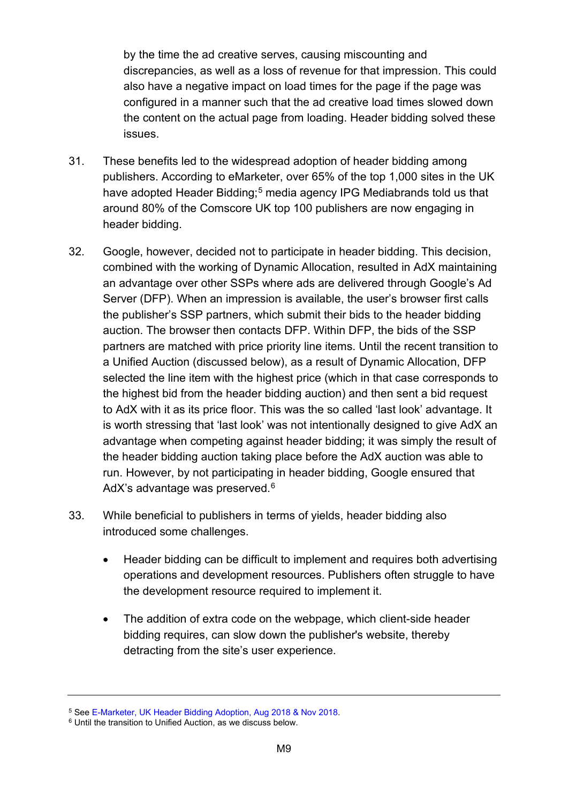by the time the ad creative serves, causing miscounting and discrepancies, as well as a loss of revenue for that impression. This could also have a negative impact on load times for the page if the page was configured in a manner such that the ad creative load times slowed down the content on the actual page from loading. Header bidding solved these issues.

- 31. These benefits led to the widespread adoption of header bidding among publishers. According to eMarketer, over 65% of the top 1,000 sites in the UK have adopted Header Bidding; [5](#page-8-0) media agency IPG Mediabrands told us that around 80% of the Comscore UK top 100 publishers are now engaging in header bidding.
- 32. Google, however, decided not to participate in header bidding. This decision, combined with the working of Dynamic Allocation, resulted in AdX maintaining an advantage over other SSPs where ads are delivered through Google's Ad Server (DFP). When an impression is available, the user's browser first calls the publisher's SSP partners, which submit their bids to the header bidding auction. The browser then contacts DFP. Within DFP, the bids of the SSP partners are matched with price priority line items. Until the recent transition to a Unified Auction (discussed below), as a result of Dynamic Allocation, DFP selected the line item with the highest price (which in that case corresponds to the highest bid from the header bidding auction) and then sent a bid request to AdX with it as its price floor. This was the so called 'last look' advantage. It is worth stressing that 'last look' was not intentionally designed to give AdX an advantage when competing against header bidding; it was simply the result of the header bidding auction taking place before the AdX auction was able to run. However, by not participating in header bidding, Google ensured that AdX's advantage was preserved.<sup>[6](#page-8-1)</sup>
- 33. While beneficial to publishers in terms of yields, header bidding also introduced some challenges.
	- Header bidding can be difficult to implement and requires both advertising operations and development resources. Publishers often struggle to have the development resource required to implement it.
	- The addition of extra code on the webpage, which client-side header bidding requires, can slow down the publisher's website, thereby detracting from the site's user experience.

<span id="page-8-0"></span><sup>&</sup>lt;sup>5</sup> See [E-Marketer, UK Header Bidding Adoption, Aug 2018 & Nov 2018.](https://www.emarketer.com/chart/224545/uk-header-bidding-adoption-aug-2018-nov-2018-of-total-hbix-sites)<br><sup>6</sup> Until the transition to Unified Auction, as we discuss below.

<span id="page-8-1"></span>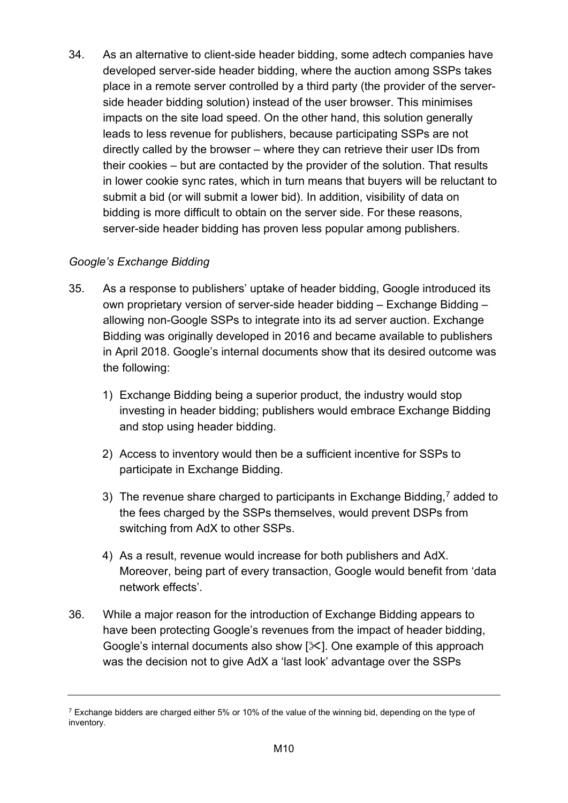34. As an alternative to client-side header bidding, some adtech companies have developed server-side header bidding, where the auction among SSPs takes place in a remote server controlled by a third party (the provider of the serverside header bidding solution) instead of the user browser. This minimises impacts on the site load speed. On the other hand, this solution generally leads to less revenue for publishers, because participating SSPs are not directly called by the browser – where they can retrieve their user IDs from their cookies – but are contacted by the provider of the solution. That results in lower cookie sync rates, which in turn means that buyers will be reluctant to submit a bid (or will submit a lower bid). In addition, visibility of data on bidding is more difficult to obtain on the server side. For these reasons, server-side header bidding has proven less popular among publishers.

## *Google's Exchange Bidding*

- 35. As a response to publishers' uptake of header bidding, Google introduced its own proprietary version of server-side header bidding – Exchange Bidding – allowing non-Google SSPs to integrate into its ad server auction. Exchange Bidding was originally developed in 2016 and became available to publishers in April 2018. Google's internal documents show that its desired outcome was the following:
	- 1) Exchange Bidding being a superior product, the industry would stop investing in header bidding; publishers would embrace Exchange Bidding and stop using header bidding.
	- 2) Access to inventory would then be a sufficient incentive for SSPs to participate in Exchange Bidding.
	- 3) The revenue share charged to participants in Exchange Bidding, $<sup>7</sup>$  $<sup>7</sup>$  $<sup>7</sup>$  added to</sup> the fees charged by the SSPs themselves, would prevent DSPs from switching from AdX to other SSPs.
	- 4) As a result, revenue would increase for both publishers and AdX. Moreover, being part of every transaction, Google would benefit from 'data network effects'.
- 36. While a major reason for the introduction of Exchange Bidding appears to have been protecting Google's revenues from the impact of header bidding, Google's internal documents also show [ $\angle$ ]. One example of this approach was the decision not to give AdX a 'last look' advantage over the SSPs

<span id="page-9-0"></span> $7$  Exchange bidders are charged either 5% or 10% of the value of the winning bid, depending on the type of inventory.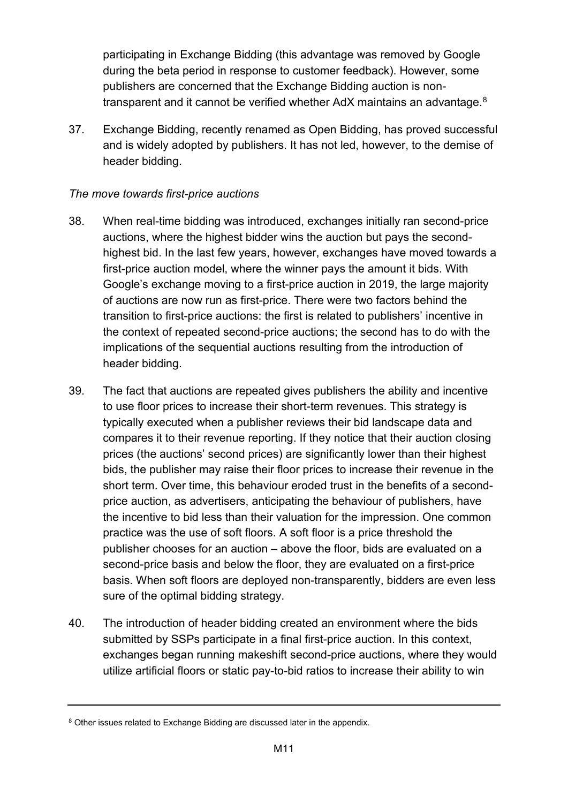participating in Exchange Bidding (this advantage was removed by Google during the beta period in response to customer feedback). However, some publishers are concerned that the Exchange Bidding auction is non-transparent and it cannot be verified whether AdX maintains an advantage.<sup>[8](#page-10-0)</sup>

37. Exchange Bidding, recently renamed as Open Bidding, has proved successful and is widely adopted by publishers. It has not led, however, to the demise of header bidding.

## *The move towards first-price auctions*

- 38. When real-time bidding was introduced, exchanges initially ran second-price auctions, where the highest bidder wins the auction but pays the secondhighest bid. In the last few years, however, exchanges have moved towards a first-price auction model, where the winner pays the amount it bids. With Google's exchange moving to a first-price auction in 2019, the large majority of auctions are now run as first-price. There were two factors behind the transition to first-price auctions: the first is related to publishers' incentive in the context of repeated second-price auctions; the second has to do with the implications of the sequential auctions resulting from the introduction of header bidding.
- 39. The fact that auctions are repeated gives publishers the ability and incentive to use floor prices to increase their short-term revenues. This strategy is typically executed when a publisher reviews their bid landscape data and compares it to their revenue reporting. If they notice that their auction closing prices (the auctions' second prices) are significantly lower than their highest bids, the publisher may raise their floor prices to increase their revenue in the short term. Over time, this behaviour eroded trust in the benefits of a secondprice auction, as advertisers, anticipating the behaviour of publishers, have the incentive to bid less than their valuation for the impression. One common practice was the use of soft floors. A soft floor is a price threshold the publisher chooses for an auction – above the floor, bids are evaluated on a second-price basis and below the floor, they are evaluated on a first-price basis. When soft floors are deployed non-transparently, bidders are even less sure of the optimal bidding strategy.
- 40. The introduction of header bidding created an environment where the bids submitted by SSPs participate in a final first-price auction. In this context, exchanges began running makeshift second-price auctions, where they would utilize artificial floors or static pay-to-bid ratios to increase their ability to win

<span id="page-10-0"></span><sup>&</sup>lt;sup>8</sup> Other issues related to Exchange Bidding are discussed later in the appendix.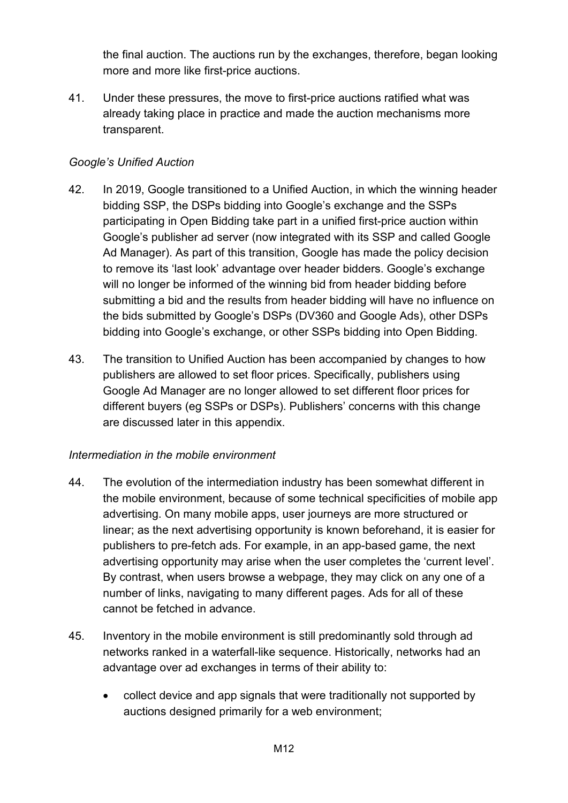the final auction. The auctions run by the exchanges, therefore, began looking more and more like first-price auctions.

41. Under these pressures, the move to first-price auctions ratified what was already taking place in practice and made the auction mechanisms more transparent.

### *Google's Unified Auction*

- 42. In 2019, Google transitioned to a Unified Auction, in which the winning header bidding SSP, the DSPs bidding into Google's exchange and the SSPs participating in Open Bidding take part in a unified first-price auction within Google's publisher ad server (now integrated with its SSP and called Google Ad Manager). As part of this transition, Google has made the policy decision to remove its 'last look' advantage over header bidders. Google's exchange will no longer be informed of the winning bid from header bidding before submitting a bid and the results from header bidding will have no influence on the bids submitted by Google's DSPs (DV360 and Google Ads), other DSPs bidding into Google's exchange, or other SSPs bidding into Open Bidding.
- 43. The transition to Unified Auction has been accompanied by changes to how publishers are allowed to set floor prices. Specifically, publishers using Google Ad Manager are no longer allowed to set different floor prices for different buyers (eg SSPs or DSPs). Publishers' concerns with this change are discussed later in this appendix.

#### *Intermediation in the mobile environment*

- 44. The evolution of the intermediation industry has been somewhat different in the mobile environment, because of some technical specificities of mobile app advertising. On many mobile apps, user journeys are more structured or linear; as the next advertising opportunity is known beforehand, it is easier for publishers to pre-fetch ads. For example, in an app-based game, the next advertising opportunity may arise when the user completes the 'current level'. By contrast, when users browse a webpage, they may click on any one of a number of links, navigating to many different pages. Ads for all of these cannot be fetched in advance.
- 45. Inventory in the mobile environment is still predominantly sold through ad networks ranked in a waterfall-like sequence. Historically, networks had an advantage over ad exchanges in terms of their ability to:
	- collect device and app signals that were traditionally not supported by auctions designed primarily for a web environment;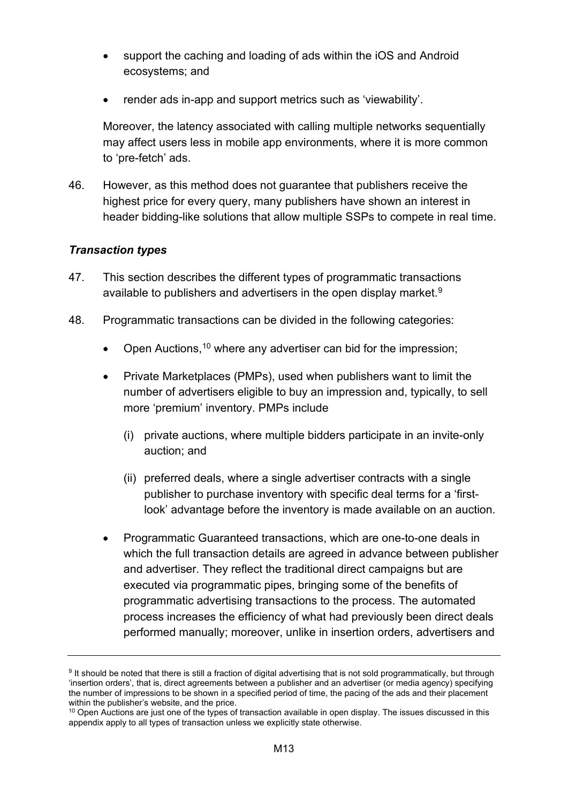- support the caching and loading of ads within the iOS and Android ecosystems; and
- render ads in-app and support metrics such as 'viewability'.

Moreover, the latency associated with calling multiple networks sequentially may affect users less in mobile app environments, where it is more common to 'pre-fetch' ads.

46. However, as this method does not guarantee that publishers receive the highest price for every query, many publishers have shown an interest in header bidding-like solutions that allow multiple SSPs to compete in real time.

#### *Transaction types*

- 47. This section describes the different types of programmatic transactions available to publishers and advertisers in the open display market. $9$
- 48. Programmatic transactions can be divided in the following categories:
	- Open Auctions,<sup>[10](#page-12-1)</sup> where any advertiser can bid for the impression;
	- Private Marketplaces (PMPs), used when publishers want to limit the number of advertisers eligible to buy an impression and, typically, to sell more 'premium' inventory. PMPs include
		- (i) private auctions, where multiple bidders participate in an invite-only auction; and
		- (ii) preferred deals, where a single advertiser contracts with a single publisher to purchase inventory with specific deal terms for a 'firstlook' advantage before the inventory is made available on an auction.
	- Programmatic Guaranteed transactions, which are one-to-one deals in which the full transaction details are agreed in advance between publisher and advertiser. They reflect the traditional direct campaigns but are executed via programmatic pipes, bringing some of the benefits of programmatic advertising transactions to the process. The automated process increases the efficiency of what had previously been direct deals performed manually; moreover, unlike in insertion orders, advertisers and

<span id="page-12-0"></span><sup>9</sup> It should be noted that there is still a fraction of digital advertising that is not sold programmatically, but through 'insertion orders', that is, direct agreements between a publisher and an advertiser (or media agency) specifying the number of impressions to be shown in a specified period of time, the pacing of the ads and their placement within the publisher's website, and the price.

<span id="page-12-1"></span> $10$  Open Auctions are just one of the types of transaction available in open display. The issues discussed in this appendix apply to all types of transaction unless we explicitly state otherwise.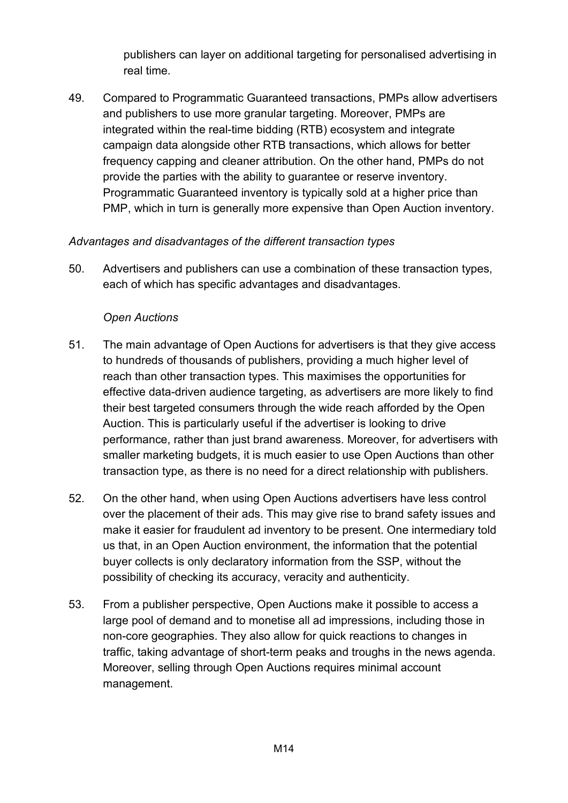publishers can layer on additional targeting for personalised advertising in real time.

49. Compared to Programmatic Guaranteed transactions, PMPs allow advertisers and publishers to use more granular targeting. Moreover, PMPs are integrated within the real-time bidding (RTB) ecosystem and integrate campaign data alongside other RTB transactions, which allows for better frequency capping and cleaner attribution. On the other hand, PMPs do not provide the parties with the ability to guarantee or reserve inventory. Programmatic Guaranteed inventory is typically sold at a higher price than PMP, which in turn is generally more expensive than Open Auction inventory.

#### *Advantages and disadvantages of the different transaction types*

50. Advertisers and publishers can use a combination of these transaction types, each of which has specific advantages and disadvantages.

#### *Open Auctions*

- 51. The main advantage of Open Auctions for advertisers is that they give access to hundreds of thousands of publishers, providing a much higher level of reach than other transaction types. This maximises the opportunities for effective data-driven audience targeting, as advertisers are more likely to find their best targeted consumers through the wide reach afforded by the Open Auction. This is particularly useful if the advertiser is looking to drive performance, rather than just brand awareness. Moreover, for advertisers with smaller marketing budgets, it is much easier to use Open Auctions than other transaction type, as there is no need for a direct relationship with publishers.
- 52. On the other hand, when using Open Auctions advertisers have less control over the placement of their ads. This may give rise to brand safety issues and make it easier for fraudulent ad inventory to be present. One intermediary told us that, in an Open Auction environment, the information that the potential buyer collects is only declaratory information from the SSP, without the possibility of checking its accuracy, veracity and authenticity.
- 53. From a publisher perspective, Open Auctions make it possible to access a large pool of demand and to monetise all ad impressions, including those in non-core geographies. They also allow for quick reactions to changes in traffic, taking advantage of short-term peaks and troughs in the news agenda. Moreover, selling through Open Auctions requires minimal account management.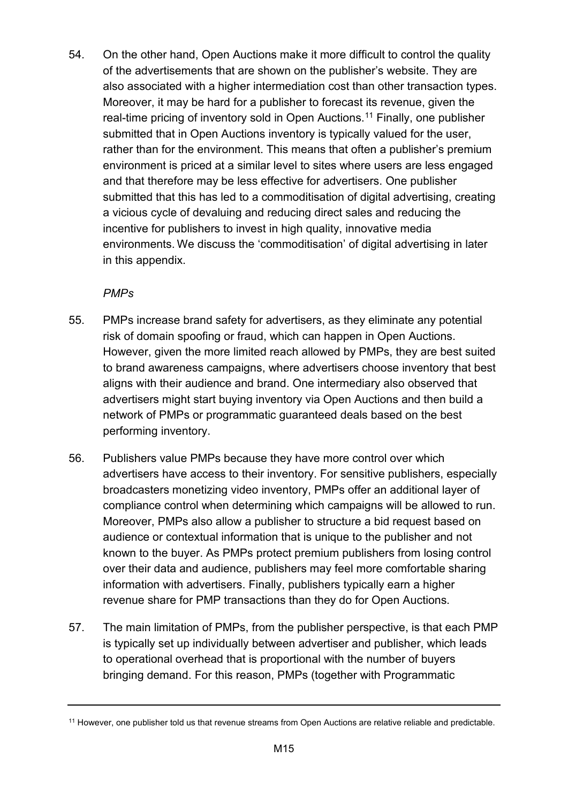54. On the other hand, Open Auctions make it more difficult to control the quality of the advertisements that are shown on the publisher's website. They are also associated with a higher intermediation cost than other transaction types. Moreover, it may be hard for a publisher to forecast its revenue, given the real-time pricing of inventory sold in Open Auctions. [11](#page-14-0) Finally, one publisher submitted that in Open Auctions inventory is typically valued for the user, rather than for the environment. This means that often a publisher's premium environment is priced at a similar level to sites where users are less engaged and that therefore may be less effective for advertisers. One publisher submitted that this has led to a commoditisation of digital advertising, creating a vicious cycle of devaluing and reducing direct sales and reducing the incentive for publishers to invest in high quality, innovative media environments. We discuss the 'commoditisation' of digital advertising in later in this appendix.

#### *PMPs*

- 55. PMPs increase brand safety for advertisers, as they eliminate any potential risk of domain spoofing or fraud, which can happen in Open Auctions. However, given the more limited reach allowed by PMPs, they are best suited to brand awareness campaigns, where advertisers choose inventory that best aligns with their audience and brand. One intermediary also observed that advertisers might start buying inventory via Open Auctions and then build a network of PMPs or programmatic guaranteed deals based on the best performing inventory.
- 56. Publishers value PMPs because they have more control over which advertisers have access to their inventory. For sensitive publishers, especially broadcasters monetizing video inventory, PMPs offer an additional layer of compliance control when determining which campaigns will be allowed to run. Moreover, PMPs also allow a publisher to structure a bid request based on audience or contextual information that is unique to the publisher and not known to the buyer. As PMPs protect premium publishers from losing control over their data and audience, publishers may feel more comfortable sharing information with advertisers. Finally, publishers typically earn a higher revenue share for PMP transactions than they do for Open Auctions.
- 57. The main limitation of PMPs, from the publisher perspective, is that each PMP is typically set up individually between advertiser and publisher, which leads to operational overhead that is proportional with the number of buyers bringing demand. For this reason, PMPs (together with Programmatic

<span id="page-14-0"></span><sup>&</sup>lt;sup>11</sup> However, one publisher told us that revenue streams from Open Auctions are relative reliable and predictable.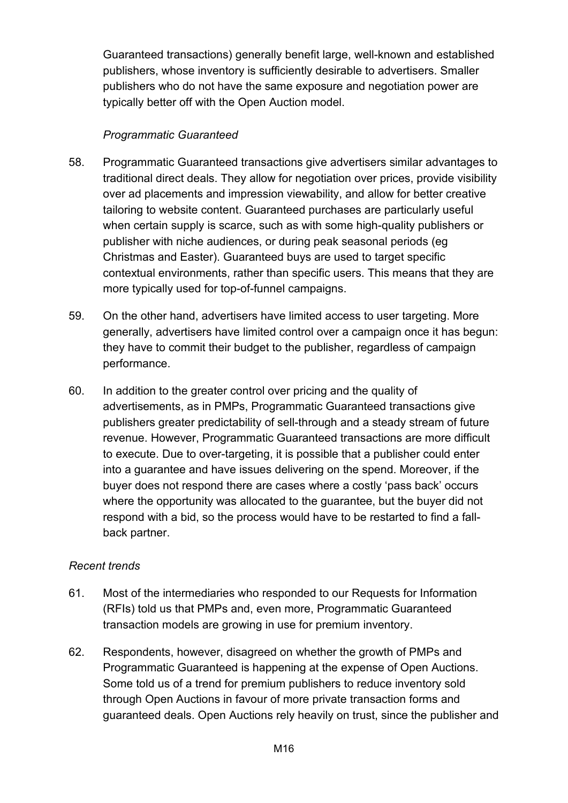Guaranteed transactions) generally benefit large, well-known and established publishers, whose inventory is sufficiently desirable to advertisers. Smaller publishers who do not have the same exposure and negotiation power are typically better off with the Open Auction model.

#### *Programmatic Guaranteed*

- 58. Programmatic Guaranteed transactions give advertisers similar advantages to traditional direct deals. They allow for negotiation over prices, provide visibility over ad placements and impression viewability, and allow for better creative tailoring to website content. Guaranteed purchases are particularly useful when certain supply is scarce, such as with some high-quality publishers or publisher with niche audiences, or during peak seasonal periods (eg Christmas and Easter). Guaranteed buys are used to target specific contextual environments, rather than specific users. This means that they are more typically used for top-of-funnel campaigns.
- 59. On the other hand, advertisers have limited access to user targeting. More generally, advertisers have limited control over a campaign once it has begun: they have to commit their budget to the publisher, regardless of campaign performance.
- 60. In addition to the greater control over pricing and the quality of advertisements, as in PMPs, Programmatic Guaranteed transactions give publishers greater predictability of sell-through and a steady stream of future revenue. However, Programmatic Guaranteed transactions are more difficult to execute. Due to over-targeting, it is possible that a publisher could enter into a guarantee and have issues delivering on the spend. Moreover, if the buyer does not respond there are cases where a costly 'pass back' occurs where the opportunity was allocated to the guarantee, but the buyer did not respond with a bid, so the process would have to be restarted to find a fallback partner.

#### *Recent trends*

- 61. Most of the intermediaries who responded to our Requests for Information (RFIs) told us that PMPs and, even more, Programmatic Guaranteed transaction models are growing in use for premium inventory.
- 62. Respondents, however, disagreed on whether the growth of PMPs and Programmatic Guaranteed is happening at the expense of Open Auctions. Some told us of a trend for premium publishers to reduce inventory sold through Open Auctions in favour of more private transaction forms and guaranteed deals. Open Auctions rely heavily on trust, since the publisher and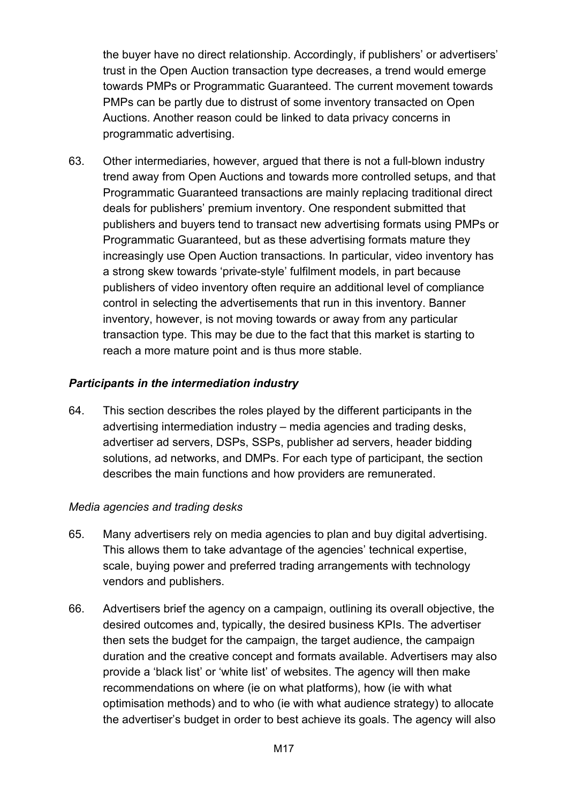the buyer have no direct relationship. Accordingly, if publishers' or advertisers' trust in the Open Auction transaction type decreases, a trend would emerge towards PMPs or Programmatic Guaranteed. The current movement towards PMPs can be partly due to distrust of some inventory transacted on Open Auctions. Another reason could be linked to data privacy concerns in programmatic advertising.

63. Other intermediaries, however, argued that there is not a full-blown industry trend away from Open Auctions and towards more controlled setups, and that Programmatic Guaranteed transactions are mainly replacing traditional direct deals for publishers' premium inventory. One respondent submitted that publishers and buyers tend to transact new advertising formats using PMPs or Programmatic Guaranteed, but as these advertising formats mature they increasingly use Open Auction transactions. In particular, video inventory has a strong skew towards 'private-style' fulfilment models, in part because publishers of video inventory often require an additional level of compliance control in selecting the advertisements that run in this inventory. Banner inventory, however, is not moving towards or away from any particular transaction type. This may be due to the fact that this market is starting to reach a more mature point and is thus more stable.

#### *Participants in the intermediation industry*

64. This section describes the roles played by the different participants in the advertising intermediation industry – media agencies and trading desks, advertiser ad servers, DSPs, SSPs, publisher ad servers, header bidding solutions, ad networks, and DMPs. For each type of participant, the section describes the main functions and how providers are remunerated.

#### *Media agencies and trading desks*

- 65. Many advertisers rely on media agencies to plan and buy digital advertising. This allows them to take advantage of the agencies' technical expertise, scale, buying power and preferred trading arrangements with technology vendors and publishers.
- 66. Advertisers brief the agency on a campaign, outlining its overall objective, the desired outcomes and, typically, the desired business KPIs. The advertiser then sets the budget for the campaign, the target audience, the campaign duration and the creative concept and formats available. Advertisers may also provide a 'black list' or 'white list' of websites. The agency will then make recommendations on where (ie on what platforms), how (ie with what optimisation methods) and to who (ie with what audience strategy) to allocate the advertiser's budget in order to best achieve its goals. The agency will also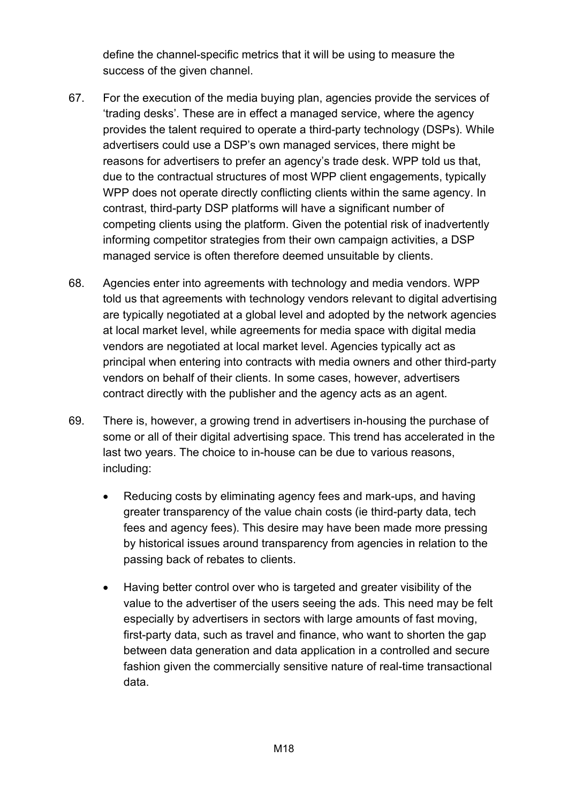define the channel-specific metrics that it will be using to measure the success of the given channel.

- 67. For the execution of the media buying plan, agencies provide the services of 'trading desks'. These are in effect a managed service, where the agency provides the talent required to operate a third-party technology (DSPs). While advertisers could use a DSP's own managed services, there might be reasons for advertisers to prefer an agency's trade desk. WPP told us that, due to the contractual structures of most WPP client engagements, typically WPP does not operate directly conflicting clients within the same agency. In contrast, third-party DSP platforms will have a significant number of competing clients using the platform. Given the potential risk of inadvertently informing competitor strategies from their own campaign activities, a DSP managed service is often therefore deemed unsuitable by clients.
- 68. Agencies enter into agreements with technology and media vendors. WPP told us that agreements with technology vendors relevant to digital advertising are typically negotiated at a global level and adopted by the network agencies at local market level, while agreements for media space with digital media vendors are negotiated at local market level. Agencies typically act as principal when entering into contracts with media owners and other third-party vendors on behalf of their clients. In some cases, however, advertisers contract directly with the publisher and the agency acts as an agent.
- 69. There is, however, a growing trend in advertisers in-housing the purchase of some or all of their digital advertising space. This trend has accelerated in the last two years. The choice to in-house can be due to various reasons, including:
	- Reducing costs by eliminating agency fees and mark-ups, and having greater transparency of the value chain costs (ie third-party data, tech fees and agency fees). This desire may have been made more pressing by historical issues around transparency from agencies in relation to the passing back of rebates to clients.
	- Having better control over who is targeted and greater visibility of the value to the advertiser of the users seeing the ads. This need may be felt especially by advertisers in sectors with large amounts of fast moving, first-party data, such as travel and finance, who want to shorten the gap between data generation and data application in a controlled and secure fashion given the commercially sensitive nature of real-time transactional data.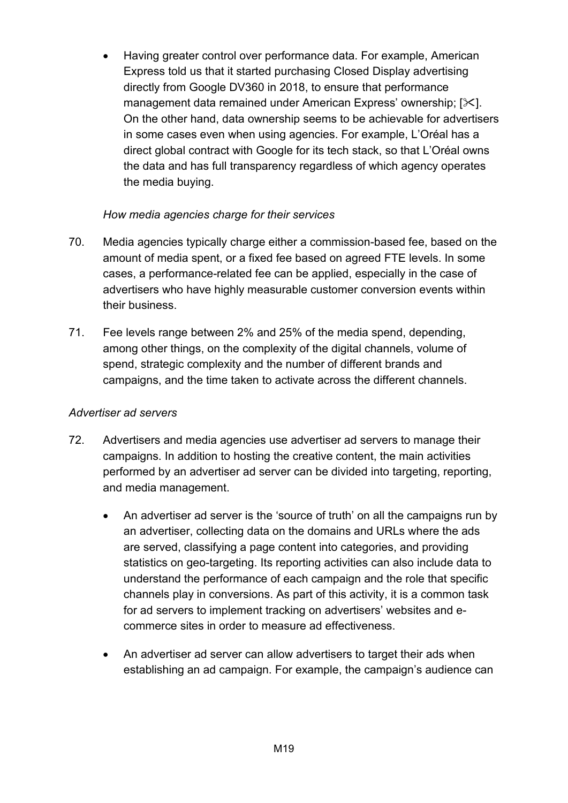• Having greater control over performance data. For example, American Express told us that it started purchasing Closed Display advertising directly from Google DV360 in 2018, to ensure that performance management data remained under American Express' ownership;  $[\times]$ . On the other hand, data ownership seems to be achievable for advertisers in some cases even when using agencies. For example, L'Oréal has a direct global contract with Google for its tech stack, so that L'Oréal owns the data and has full transparency regardless of which agency operates the media buying.

#### *How media agencies charge for their services*

- 70. Media agencies typically charge either a commission-based fee, based on the amount of media spent, or a fixed fee based on agreed FTE levels. In some cases, a performance-related fee can be applied, especially in the case of advertisers who have highly measurable customer conversion events within their business.
- 71. Fee levels range between 2% and 25% of the media spend, depending, among other things, on the complexity of the digital channels, volume of spend, strategic complexity and the number of different brands and campaigns, and the time taken to activate across the different channels.

#### *Advertiser ad servers*

- 72. Advertisers and media agencies use advertiser ad servers to manage their campaigns. In addition to hosting the creative content, the main activities performed by an advertiser ad server can be divided into targeting, reporting, and media management.
	- An advertiser ad server is the 'source of truth' on all the campaigns run by an advertiser, collecting data on the domains and URLs where the ads are served, classifying a page content into categories, and providing statistics on geo-targeting. Its reporting activities can also include data to understand the performance of each campaign and the role that specific channels play in conversions. As part of this activity, it is a common task for ad servers to implement tracking on advertisers' websites and ecommerce sites in order to measure ad effectiveness.
	- An advertiser ad server can allow advertisers to target their ads when establishing an ad campaign. For example, the campaign's audience can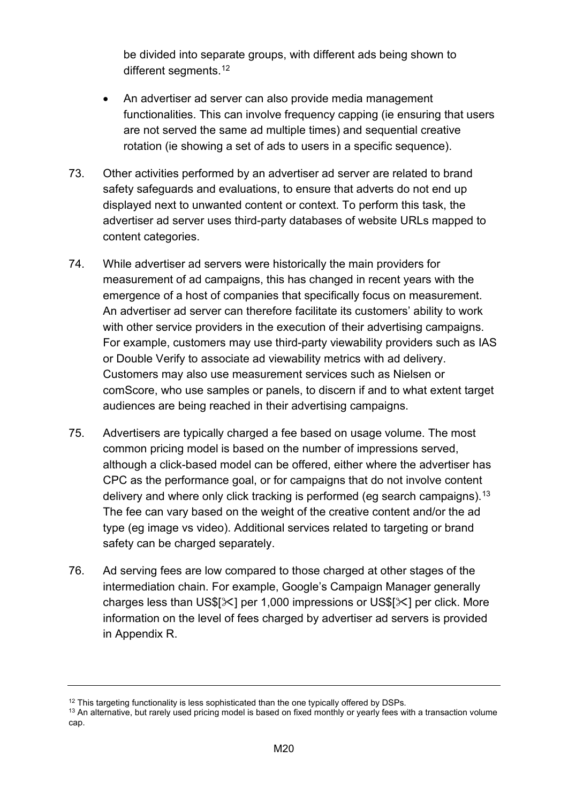be divided into separate groups, with different ads being shown to different segments.<sup>[12](#page-19-0)</sup>

- An advertiser ad server can also provide media management functionalities. This can involve frequency capping (ie ensuring that users are not served the same ad multiple times) and sequential creative rotation (ie showing a set of ads to users in a specific sequence).
- 73. Other activities performed by an advertiser ad server are related to brand safety safeguards and evaluations, to ensure that adverts do not end up displayed next to unwanted content or context. To perform this task, the advertiser ad server uses third-party databases of website URLs mapped to content categories.
- 74. While advertiser ad servers were historically the main providers for measurement of ad campaigns, this has changed in recent years with the emergence of a host of companies that specifically focus on measurement. An advertiser ad server can therefore facilitate its customers' ability to work with other service providers in the execution of their advertising campaigns. For example, customers may use third-party viewability providers such as IAS or Double Verify to associate ad viewability metrics with ad delivery. Customers may also use measurement services such as Nielsen or comScore, who use samples or panels, to discern if and to what extent target audiences are being reached in their advertising campaigns.
- 75. Advertisers are typically charged a fee based on usage volume. The most common pricing model is based on the number of impressions served, although a click-based model can be offered, either where the advertiser has CPC as the performance goal, or for campaigns that do not involve content delivery and where only click tracking is performed (eg search campaigns).<sup>[13](#page-19-1)</sup> The fee can vary based on the weight of the creative content and/or the ad type (eg image vs video). Additional services related to targeting or brand safety can be charged separately.
- 76. Ad serving fees are low compared to those charged at other stages of the intermediation chain. For example, Google's Campaign Manager generally charges less than US\$[ $\times$ ] per 1,000 impressions or US\$[ $\times$ ] per click. More information on the level of fees charged by advertiser ad servers is provided in Appendix R.

<span id="page-19-1"></span><span id="page-19-0"></span> $12$  This targeting functionality is less sophisticated than the one typically offered by DSPs.<br> $13$  An alternative, but rarely used pricing model is based on fixed monthly or yearly fees with a transaction volume cap.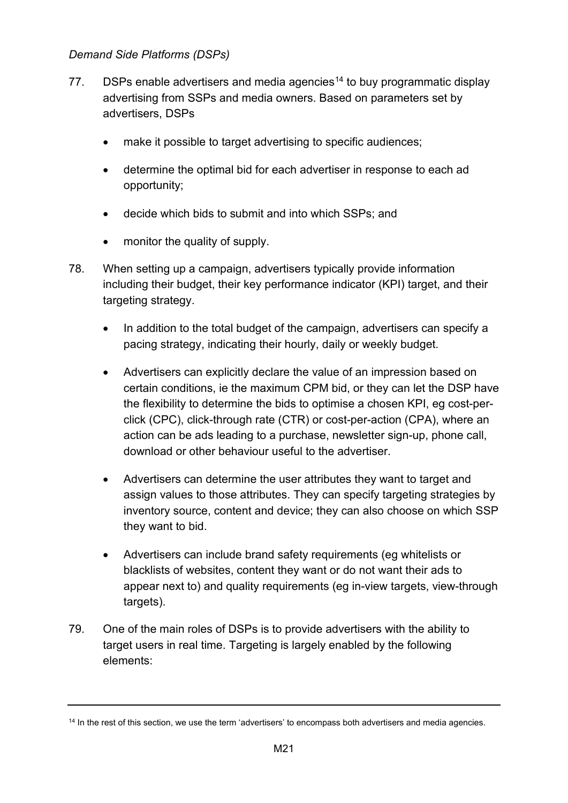#### *Demand Side Platforms (DSPs)*

- 77. DSPs enable advertisers and media agencies<sup>[14](#page-20-0)</sup> to buy programmatic display advertising from SSPs and media owners. Based on parameters set by advertisers, DSPs
	- make it possible to target advertising to specific audiences;
	- determine the optimal bid for each advertiser in response to each ad opportunity;
	- decide which bids to submit and into which SSPs; and
	- monitor the quality of supply.
- 78. When setting up a campaign, advertisers typically provide information including their budget, their key performance indicator (KPI) target, and their targeting strategy.
	- In addition to the total budget of the campaign, advertisers can specify a pacing strategy, indicating their hourly, daily or weekly budget.
	- Advertisers can explicitly declare the value of an impression based on certain conditions, ie the maximum CPM bid, or they can let the DSP have the flexibility to determine the bids to optimise a chosen KPI, eg cost-perclick (CPC), click-through rate (CTR) or cost-per-action (CPA), where an action can be ads leading to a purchase, newsletter sign-up, phone call, download or other behaviour useful to the advertiser.
	- Advertisers can determine the user attributes they want to target and assign values to those attributes. They can specify targeting strategies by inventory source, content and device; they can also choose on which SSP they want to bid.
	- Advertisers can include brand safety requirements (eg whitelists or blacklists of websites, content they want or do not want their ads to appear next to) and quality requirements (eg in-view targets, view-through targets).
- 79. One of the main roles of DSPs is to provide advertisers with the ability to target users in real time. Targeting is largely enabled by the following elements:

<span id="page-20-0"></span><sup>&</sup>lt;sup>14</sup> In the rest of this section, we use the term 'advertisers' to encompass both advertisers and media agencies.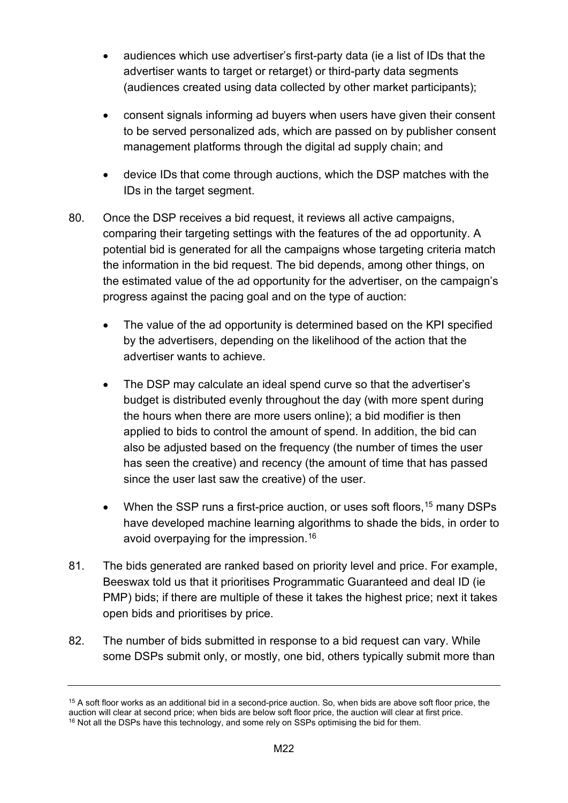- audiences which use advertiser's first-party data (ie a list of IDs that the advertiser wants to target or retarget) or third-party data segments (audiences created using data collected by other market participants);
- consent signals informing ad buyers when users have given their consent to be served personalized ads, which are passed on by publisher consent management platforms through the digital ad supply chain; and
- device IDs that come through auctions, which the DSP matches with the IDs in the target segment.
- 80. Once the DSP receives a bid request, it reviews all active campaigns, comparing their targeting settings with the features of the ad opportunity. A potential bid is generated for all the campaigns whose targeting criteria match the information in the bid request. The bid depends, among other things, on the estimated value of the ad opportunity for the advertiser, on the campaign's progress against the pacing goal and on the type of auction:
	- The value of the ad opportunity is determined based on the KPI specified by the advertisers, depending on the likelihood of the action that the advertiser wants to achieve.
	- The DSP may calculate an ideal spend curve so that the advertiser's budget is distributed evenly throughout the day (with more spent during the hours when there are more users online); a bid modifier is then applied to bids to control the amount of spend. In addition, the bid can also be adjusted based on the frequency (the number of times the user has seen the creative) and recency (the amount of time that has passed since the user last saw the creative) of the user.
	- When the SSP runs a first-price auction, or uses soft floors, <sup>[15](#page-21-0)</sup> many DSPs have developed machine learning algorithms to shade the bids, in order to avoid overpaying for the impression.[16](#page-21-1)
- 81. The bids generated are ranked based on priority level and price. For example, Beeswax told us that it prioritises Programmatic Guaranteed and deal ID (ie PMP) bids; if there are multiple of these it takes the highest price; next it takes open bids and prioritises by price.
- 82. The number of bids submitted in response to a bid request can vary. While some DSPs submit only, or mostly, one bid, others typically submit more than

<span id="page-21-1"></span><span id="page-21-0"></span> $15$  A soft floor works as an additional bid in a second-price auction. So, when bids are above soft floor price, the auction will clear at second price; when bids are below soft floor price, the auction will clear at first price.  $16$  Not all the DSPs have this technology, and some rely on SSPs optimising the bid for them.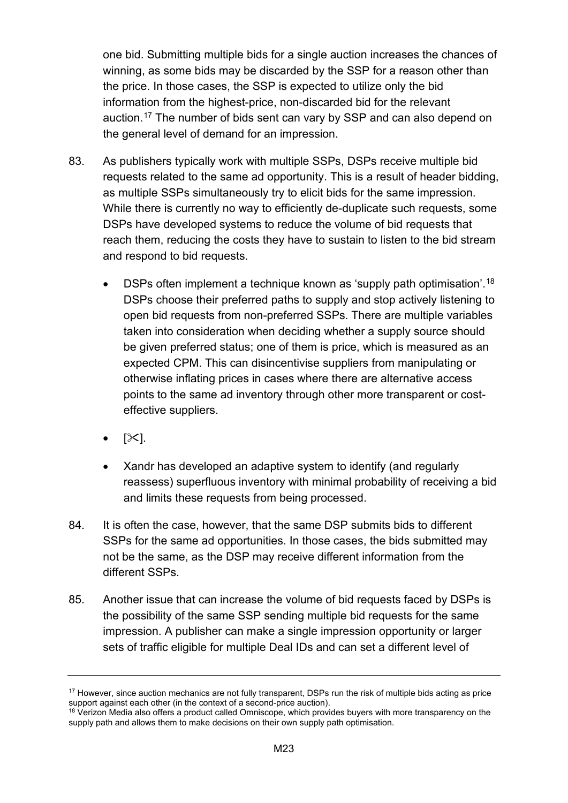one bid. Submitting multiple bids for a single auction increases the chances of winning, as some bids may be discarded by the SSP for a reason other than the price. In those cases, the SSP is expected to utilize only the bid information from the highest-price, non-discarded bid for the relevant auction.[17](#page-22-0) The number of bids sent can vary by SSP and can also depend on the general level of demand for an impression.

- 83. As publishers typically work with multiple SSPs, DSPs receive multiple bid requests related to the same ad opportunity. This is a result of header bidding, as multiple SSPs simultaneously try to elicit bids for the same impression. While there is currently no way to efficiently de-duplicate such requests, some DSPs have developed systems to reduce the volume of bid requests that reach them, reducing the costs they have to sustain to listen to the bid stream and respond to bid requests.
	- DSPs often implement a technique known as 'supply path optimisation'.[18](#page-22-1) DSPs choose their preferred paths to supply and stop actively listening to open bid requests from non-preferred SSPs. There are multiple variables taken into consideration when deciding whether a supply source should be given preferred status; one of them is price, which is measured as an expected CPM. This can disincentivise suppliers from manipulating or otherwise inflating prices in cases where there are alternative access points to the same ad inventory through other more transparent or costeffective suppliers.
	- $[\times]$ .
	- Xandr has developed an adaptive system to identify (and regularly reassess) superfluous inventory with minimal probability of receiving a bid and limits these requests from being processed.
- 84. It is often the case, however, that the same DSP submits bids to different SSPs for the same ad opportunities. In those cases, the bids submitted may not be the same, as the DSP may receive different information from the different SSPs.
- 85. Another issue that can increase the volume of bid requests faced by DSPs is the possibility of the same SSP sending multiple bid requests for the same impression. A publisher can make a single impression opportunity or larger sets of traffic eligible for multiple Deal IDs and can set a different level of

<span id="page-22-0"></span><sup>&</sup>lt;sup>17</sup> However, since auction mechanics are not fully transparent, DSPs run the risk of multiple bids acting as price support against each other (in the context of a second-price auction).

<span id="page-22-1"></span><sup>&</sup>lt;sup>18</sup> Verizon Media also offers a product called Omniscope, which provides buyers with more transparency on the supply path and allows them to make decisions on their own supply path optimisation.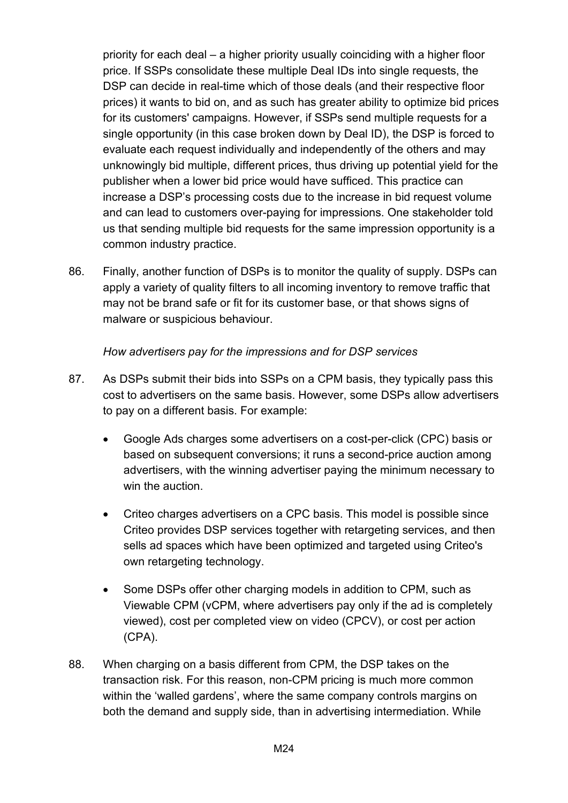priority for each deal – a higher priority usually coinciding with a higher floor price. If SSPs consolidate these multiple Deal IDs into single requests, the DSP can decide in real-time which of those deals (and their respective floor prices) it wants to bid on, and as such has greater ability to optimize bid prices for its customers' campaigns. However, if SSPs send multiple requests for a single opportunity (in this case broken down by Deal ID), the DSP is forced to evaluate each request individually and independently of the others and may unknowingly bid multiple, different prices, thus driving up potential yield for the publisher when a lower bid price would have sufficed. This practice can increase a DSP's processing costs due to the increase in bid request volume and can lead to customers over-paying for impressions. One stakeholder told us that sending multiple bid requests for the same impression opportunity is a common industry practice.

86. Finally, another function of DSPs is to monitor the quality of supply. DSPs can apply a variety of quality filters to all incoming inventory to remove traffic that may not be brand safe or fit for its customer base, or that shows signs of malware or suspicious behaviour.

#### *How advertisers pay for the impressions and for DSP services*

- 87. As DSPs submit their bids into SSPs on a CPM basis, they typically pass this cost to advertisers on the same basis. However, some DSPs allow advertisers to pay on a different basis. For example:
	- Google Ads charges some advertisers on a cost-per-click (CPC) basis or based on subsequent conversions; it runs a second-price auction among advertisers, with the winning advertiser paying the minimum necessary to win the auction.
	- Criteo charges advertisers on a CPC basis. This model is possible since Criteo provides DSP services together with retargeting services, and then sells ad spaces which have been optimized and targeted using Criteo's own retargeting technology.
	- Some DSPs offer other charging models in addition to CPM, such as Viewable CPM (vCPM, where advertisers pay only if the ad is completely viewed), cost per completed view on video (CPCV), or cost per action (CPA).
- 88. When charging on a basis different from CPM, the DSP takes on the transaction risk. For this reason, non-CPM pricing is much more common within the 'walled gardens', where the same company controls margins on both the demand and supply side, than in advertising intermediation. While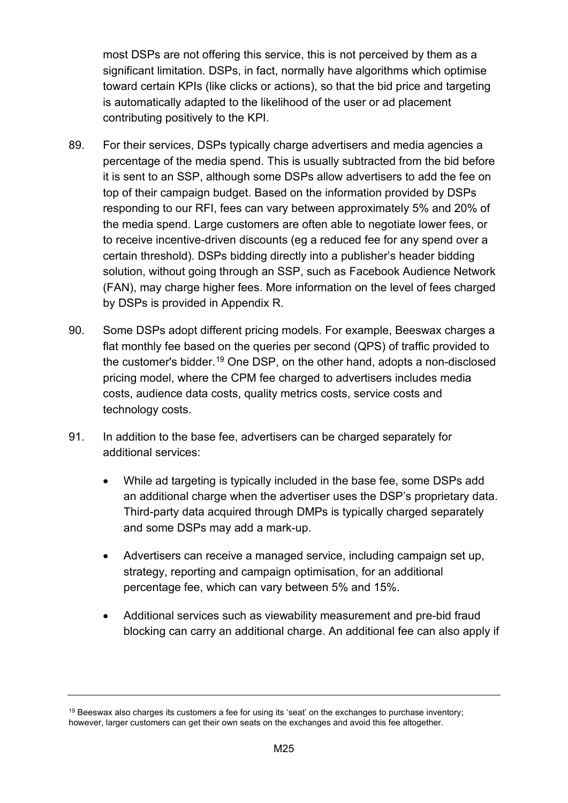most DSPs are not offering this service, this is not perceived by them as a significant limitation. DSPs, in fact, normally have algorithms which optimise toward certain KPIs (like clicks or actions), so that the bid price and targeting is automatically adapted to the likelihood of the user or ad placement contributing positively to the KPI.

- 89. For their services, DSPs typically charge advertisers and media agencies a percentage of the media spend. This is usually subtracted from the bid before it is sent to an SSP, although some DSPs allow advertisers to add the fee on top of their campaign budget. Based on the information provided by DSPs responding to our RFI, fees can vary between approximately 5% and 20% of the media spend. Large customers are often able to negotiate lower fees, or to receive incentive-driven discounts (eg a reduced fee for any spend over a certain threshold). DSPs bidding directly into a publisher's header bidding solution, without going through an SSP, such as Facebook Audience Network (FAN), may charge higher fees. More information on the level of fees charged by DSPs is provided in Appendix R.
- 90. Some DSPs adopt different pricing models. For example, Beeswax charges a flat monthly fee based on the queries per second (QPS) of traffic provided to the customer's bidder. [19](#page-24-0) One DSP, on the other hand, adopts a non-disclosed pricing model, where the CPM fee charged to advertisers includes media costs, audience data costs, quality metrics costs, service costs and technology costs.
- 91. In addition to the base fee, advertisers can be charged separately for additional services:
	- While ad targeting is typically included in the base fee, some DSPs add an additional charge when the advertiser uses the DSP's proprietary data. Third-party data acquired through DMPs is typically charged separately and some DSPs may add a mark-up.
	- Advertisers can receive a managed service, including campaign set up, strategy, reporting and campaign optimisation, for an additional percentage fee, which can vary between 5% and 15%.
	- Additional services such as viewability measurement and pre-bid fraud blocking can carry an additional charge. An additional fee can also apply if

<span id="page-24-0"></span> $19$  Beeswax also charges its customers a fee for using its 'seat' on the exchanges to purchase inventory; however, larger customers can get their own seats on the exchanges and avoid this fee altogether.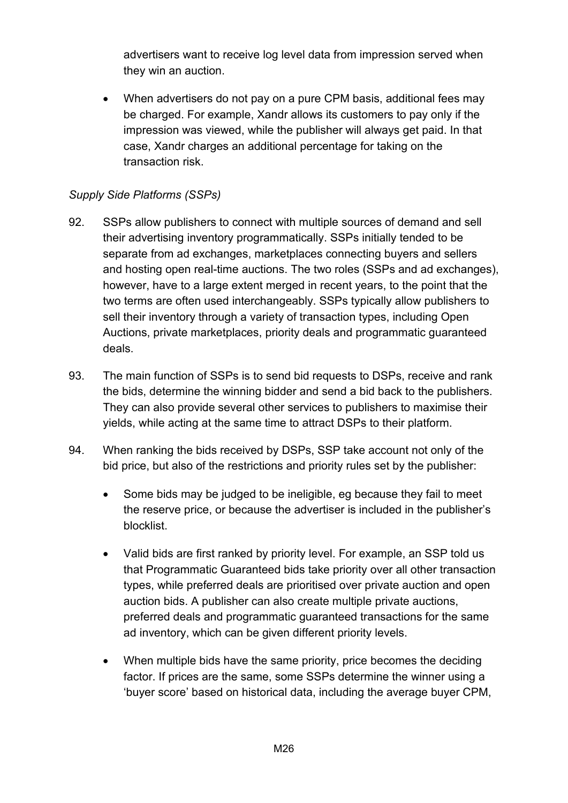advertisers want to receive log level data from impression served when they win an auction.

• When advertisers do not pay on a pure CPM basis, additional fees may be charged. For example, Xandr allows its customers to pay only if the impression was viewed, while the publisher will always get paid. In that case, Xandr charges an additional percentage for taking on the transaction risk.

# *Supply Side Platforms (SSPs)*

- 92. SSPs allow publishers to connect with multiple sources of demand and sell their advertising inventory programmatically. SSPs initially tended to be separate from ad exchanges, marketplaces connecting buyers and sellers and hosting open real-time auctions. The two roles (SSPs and ad exchanges), however, have to a large extent merged in recent years, to the point that the two terms are often used interchangeably. SSPs typically allow publishers to sell their inventory through a variety of transaction types, including Open Auctions, private marketplaces, priority deals and programmatic guaranteed deals.
- 93. The main function of SSPs is to send bid requests to DSPs, receive and rank the bids, determine the winning bidder and send a bid back to the publishers. They can also provide several other services to publishers to maximise their yields, while acting at the same time to attract DSPs to their platform.
- 94. When ranking the bids received by DSPs, SSP take account not only of the bid price, but also of the restrictions and priority rules set by the publisher:
	- Some bids may be judged to be ineligible, eg because they fail to meet the reserve price, or because the advertiser is included in the publisher's blocklist.
	- Valid bids are first ranked by priority level. For example, an SSP told us that Programmatic Guaranteed bids take priority over all other transaction types, while preferred deals are prioritised over private auction and open auction bids. A publisher can also create multiple private auctions, preferred deals and programmatic guaranteed transactions for the same ad inventory, which can be given different priority levels.
	- When multiple bids have the same priority, price becomes the deciding factor. If prices are the same, some SSPs determine the winner using a 'buyer score' based on historical data, including the average buyer CPM,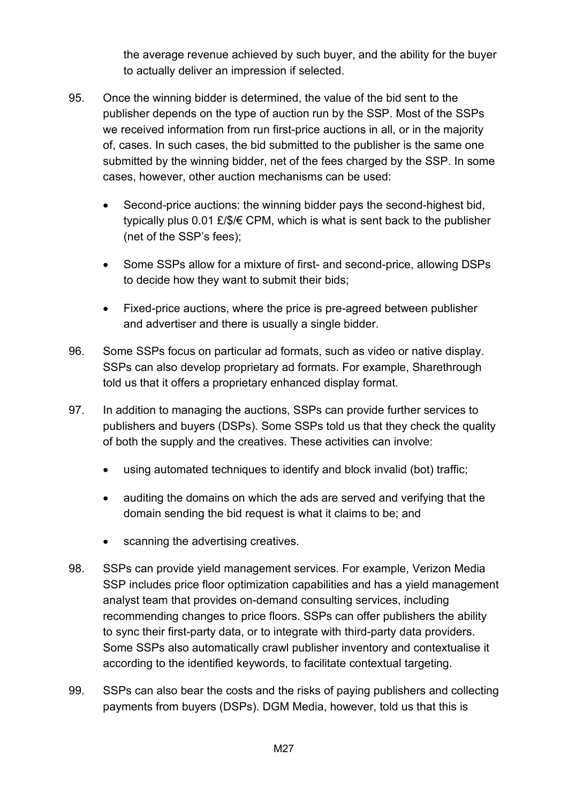the average revenue achieved by such buyer, and the ability for the buyer to actually deliver an impression if selected.

- 95. Once the winning bidder is determined, the value of the bid sent to the publisher depends on the type of auction run by the SSP. Most of the SSPs we received information from run first-price auctions in all, or in the majority of, cases. In such cases, the bid submitted to the publisher is the same one submitted by the winning bidder, net of the fees charged by the SSP. In some cases, however, other auction mechanisms can be used:
	- Second-price auctions: the winning bidder pays the second-highest bid, typically plus 0.01 £/\$/€ CPM, which is what is sent back to the publisher (net of the SSP's fees);
	- Some SSPs allow for a mixture of first- and second-price, allowing DSPs to decide how they want to submit their bids;
	- Fixed-price auctions, where the price is pre-agreed between publisher and advertiser and there is usually a single bidder.
- 96. Some SSPs focus on particular ad formats, such as video or native display. SSPs can also develop proprietary ad formats. For example, Sharethrough told us that it offers a proprietary enhanced display format.
- 97. In addition to managing the auctions, SSPs can provide further services to publishers and buyers (DSPs). Some SSPs told us that they check the quality of both the supply and the creatives. These activities can involve:
	- using automated techniques to identify and block invalid (bot) traffic;
	- auditing the domains on which the ads are served and verifying that the domain sending the bid request is what it claims to be; and
	- scanning the advertising creatives.
- 98. SSPs can provide yield management services. For example, Verizon Media SSP includes price floor optimization capabilities and has a yield management analyst team that provides on-demand consulting services, including recommending changes to price floors. SSPs can offer publishers the ability to sync their first-party data, or to integrate with third-party data providers. Some SSPs also automatically crawl publisher inventory and contextualise it according to the identified keywords, to facilitate contextual targeting.
- 99. SSPs can also bear the costs and the risks of paying publishers and collecting payments from buyers (DSPs). DGM Media, however, told us that this is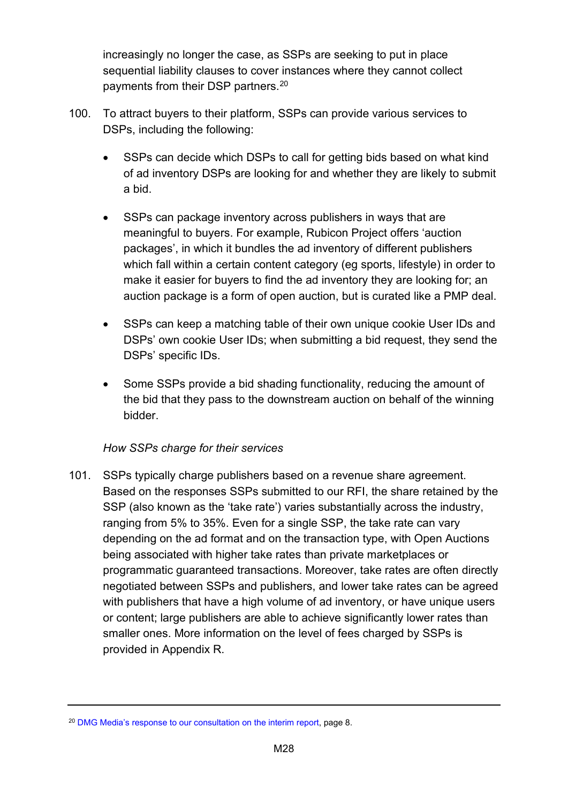increasingly no longer the case, as SSPs are seeking to put in place sequential liability clauses to cover instances where they cannot collect payments from their DSP partners.[20](#page-27-0)

- 100. To attract buyers to their platform, SSPs can provide various services to DSPs, including the following:
	- SSPs can decide which DSPs to call for getting bids based on what kind of ad inventory DSPs are looking for and whether they are likely to submit a bid.
	- SSPs can package inventory across publishers in ways that are meaningful to buyers. For example, Rubicon Project offers 'auction packages', in which it bundles the ad inventory of different publishers which fall within a certain content category (eg sports, lifestyle) in order to make it easier for buyers to find the ad inventory they are looking for; an auction package is a form of open auction, but is curated like a PMP deal.
	- SSPs can keep a matching table of their own unique cookie User IDs and DSPs' own cookie User IDs; when submitting a bid request, they send the DSPs' specific IDs.
	- Some SSPs provide a bid shading functionality, reducing the amount of the bid that they pass to the downstream auction on behalf of the winning bidder.

#### *How SSPs charge for their services*

101. SSPs typically charge publishers based on a revenue share agreement. Based on the responses SSPs submitted to our RFI, the share retained by the SSP (also known as the 'take rate') varies substantially across the industry, ranging from 5% to 35%. Even for a single SSP, the take rate can vary depending on the ad format and on the transaction type, with Open Auctions being associated with higher take rates than private marketplaces or programmatic guaranteed transactions. Moreover, take rates are often directly negotiated between SSPs and publishers, and lower take rates can be agreed with publishers that have a high volume of ad inventory, or have unique users or content; large publishers are able to achieve significantly lower rates than smaller ones. More information on the level of fees charged by SSPs is provided in Appendix R.

<span id="page-27-0"></span><sup>&</sup>lt;sup>20</sup> [DMG Media's response to our consultation on the interim report,](https://assets.publishing.service.gov.uk/media/5e8c80dbd3bf7f1fbbe1e30c/200219-_DMG_Media_Interim_Report_Response_-_Non-Confidential_Version.pdf) page 8.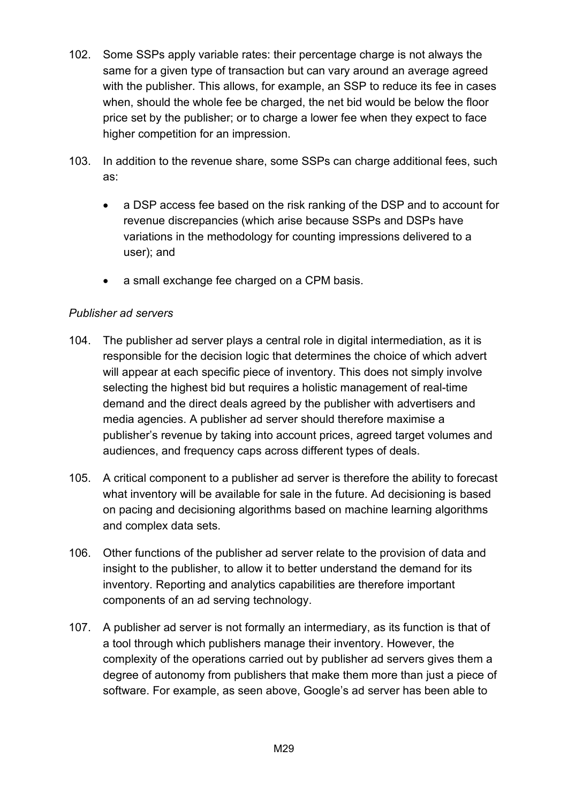- 102. Some SSPs apply variable rates: their percentage charge is not always the same for a given type of transaction but can vary around an average agreed with the publisher. This allows, for example, an SSP to reduce its fee in cases when, should the whole fee be charged, the net bid would be below the floor price set by the publisher; or to charge a lower fee when they expect to face higher competition for an impression.
- 103. In addition to the revenue share, some SSPs can charge additional fees, such as:
	- a DSP access fee based on the risk ranking of the DSP and to account for revenue discrepancies (which arise because SSPs and DSPs have variations in the methodology for counting impressions delivered to a user); and
	- a small exchange fee charged on a CPM basis.

## *Publisher ad servers*

- 104. The publisher ad server plays a central role in digital intermediation, as it is responsible for the decision logic that determines the choice of which advert will appear at each specific piece of inventory. This does not simply involve selecting the highest bid but requires a holistic management of real-time demand and the direct deals agreed by the publisher with advertisers and media agencies. A publisher ad server should therefore maximise a publisher's revenue by taking into account prices, agreed target volumes and audiences, and frequency caps across different types of deals.
- 105. A critical component to a publisher ad server is therefore the ability to forecast what inventory will be available for sale in the future. Ad decisioning is based on pacing and decisioning algorithms based on machine learning algorithms and complex data sets.
- 106. Other functions of the publisher ad server relate to the provision of data and insight to the publisher, to allow it to better understand the demand for its inventory. Reporting and analytics capabilities are therefore important components of an ad serving technology.
- 107. A publisher ad server is not formally an intermediary, as its function is that of a tool through which publishers manage their inventory. However, the complexity of the operations carried out by publisher ad servers gives them a degree of autonomy from publishers that make them more than just a piece of software. For example, as seen above, Google's ad server has been able to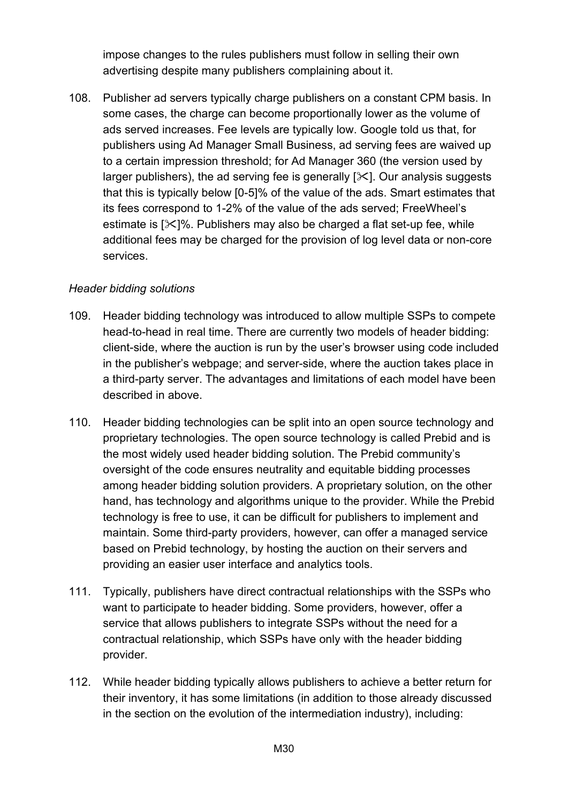impose changes to the rules publishers must follow in selling their own advertising despite many publishers complaining about it.

108. Publisher ad servers typically charge publishers on a constant CPM basis. In some cases, the charge can become proportionally lower as the volume of ads served increases. Fee levels are typically low. Google told us that, for publishers using Ad Manager Small Business, ad serving fees are waived up to a certain impression threshold; for Ad Manager 360 (the version used by larger publishers), the ad serving fee is generally  $[\times]$ . Our analysis suggests that this is typically below [0-5]% of the value of the ads. Smart estimates that its fees correspond to 1-2% of the value of the ads served; FreeWheel's estimate is  $[\times]$ %. Publishers may also be charged a flat set-up fee, while additional fees may be charged for the provision of log level data or non-core services.

#### *Header bidding solutions*

- 109. Header bidding technology was introduced to allow multiple SSPs to compete head-to-head in real time. There are currently two models of header bidding: client-side, where the auction is run by the user's browser using code included in the publisher's webpage; and server-side, where the auction takes place in a third-party server. The advantages and limitations of each model have been described in above.
- 110. Header bidding technologies can be split into an open source technology and proprietary technologies. The open source technology is called Prebid and is the most widely used header bidding solution. The Prebid community's oversight of the code ensures neutrality and equitable bidding processes among header bidding solution providers. A proprietary solution, on the other hand, has technology and algorithms unique to the provider. While the Prebid technology is free to use, it can be difficult for publishers to implement and maintain. Some third-party providers, however, can offer a managed service based on Prebid technology, by hosting the auction on their servers and providing an easier user interface and analytics tools.
- 111. Typically, publishers have direct contractual relationships with the SSPs who want to participate to header bidding. Some providers, however, offer a service that allows publishers to integrate SSPs without the need for a contractual relationship, which SSPs have only with the header bidding provider.
- 112. While header bidding typically allows publishers to achieve a better return for their inventory, it has some limitations (in addition to those already discussed in the section on the evolution of the intermediation industry), including: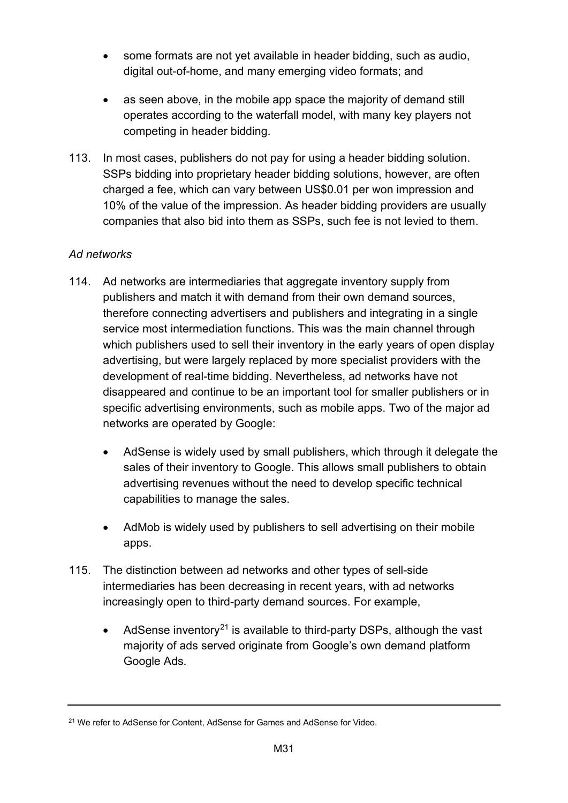- some formats are not yet available in header bidding, such as audio, digital out-of-home, and many emerging video formats; and
- as seen above, in the mobile app space the majority of demand still operates according to the waterfall model, with many key players not competing in header bidding.
- 113. In most cases, publishers do not pay for using a header bidding solution. SSPs bidding into proprietary header bidding solutions, however, are often charged a fee, which can vary between US\$0.01 per won impression and 10% of the value of the impression. As header bidding providers are usually companies that also bid into them as SSPs, such fee is not levied to them.

# *Ad networks*

- 114. Ad networks are intermediaries that aggregate inventory supply from publishers and match it with demand from their own demand sources, therefore connecting advertisers and publishers and integrating in a single service most intermediation functions. This was the main channel through which publishers used to sell their inventory in the early years of open display advertising, but were largely replaced by more specialist providers with the development of real-time bidding. Nevertheless, ad networks have not disappeared and continue to be an important tool for smaller publishers or in specific advertising environments, such as mobile apps. Two of the major ad networks are operated by Google:
	- AdSense is widely used by small publishers, which through it delegate the sales of their inventory to Google. This allows small publishers to obtain advertising revenues without the need to develop specific technical capabilities to manage the sales.
	- AdMob is widely used by publishers to sell advertising on their mobile apps.
- 115. The distinction between ad networks and other types of sell-side intermediaries has been decreasing in recent years, with ad networks increasingly open to third-party demand sources. For example,
	- AdSense inventory<sup>[21](#page-30-0)</sup> is available to third-party DSPs, although the vast majority of ads served originate from Google's own demand platform Google Ads.

<span id="page-30-0"></span><sup>21</sup> We refer to AdSense for Content, AdSense for Games and AdSense for Video.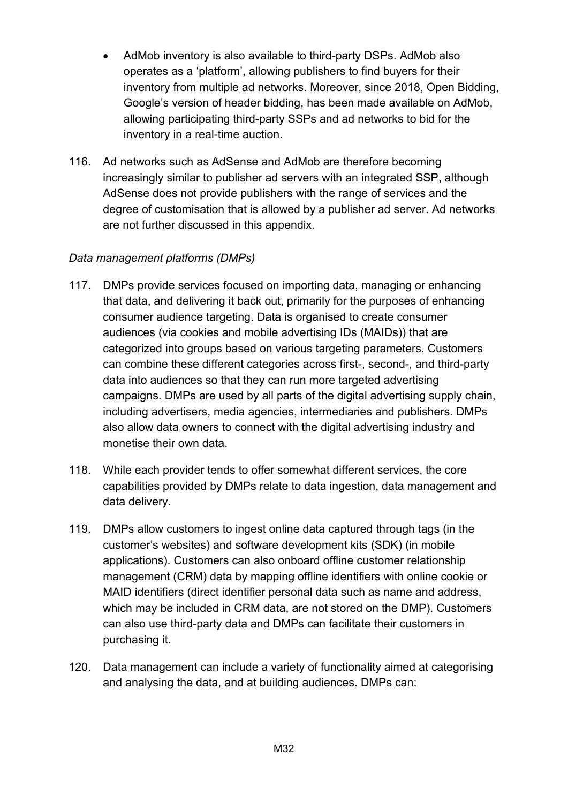- AdMob inventory is also available to third-party DSPs. AdMob also operates as a 'platform', allowing publishers to find buyers for their inventory from multiple ad networks. Moreover, since 2018, Open Bidding, Google's version of header bidding, has been made available on AdMob, allowing participating third-party SSPs and ad networks to bid for the inventory in a real-time auction.
- 116. Ad networks such as AdSense and AdMob are therefore becoming increasingly similar to publisher ad servers with an integrated SSP, although AdSense does not provide publishers with the range of services and the degree of customisation that is allowed by a publisher ad server. Ad networks are not further discussed in this appendix.

#### *Data management platforms (DMPs)*

- 117. DMPs provide services focused on importing data, managing or enhancing that data, and delivering it back out, primarily for the purposes of enhancing consumer audience targeting. Data is organised to create consumer audiences (via cookies and mobile advertising IDs (MAIDs)) that are categorized into groups based on various targeting parameters. Customers can combine these different categories across first-, second-, and third-party data into audiences so that they can run more targeted advertising campaigns. DMPs are used by all parts of the digital advertising supply chain, including advertisers, media agencies, intermediaries and publishers. DMPs also allow data owners to connect with the digital advertising industry and monetise their own data.
- 118. While each provider tends to offer somewhat different services, the core capabilities provided by DMPs relate to data ingestion, data management and data delivery.
- 119. DMPs allow customers to ingest online data captured through tags (in the customer's websites) and software development kits (SDK) (in mobile applications). Customers can also onboard offline customer relationship management (CRM) data by mapping offline identifiers with online cookie or MAID identifiers (direct identifier personal data such as name and address, which may be included in CRM data, are not stored on the DMP). Customers can also use third-party data and DMPs can facilitate their customers in purchasing it.
- 120. Data management can include a variety of functionality aimed at categorising and analysing the data, and at building audiences. DMPs can: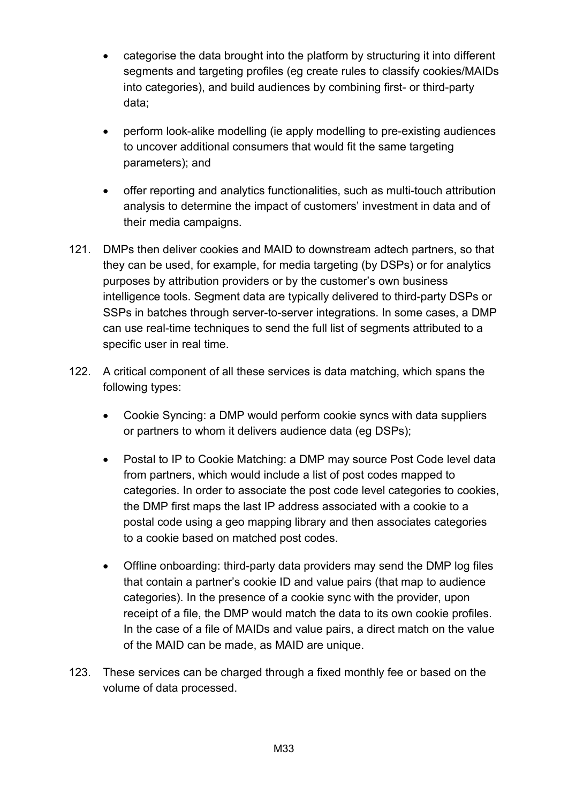- categorise the data brought into the platform by structuring it into different segments and targeting profiles (eg create rules to classify cookies/MAIDs into categories), and build audiences by combining first- or third-party data;
- perform look-alike modelling (ie apply modelling to pre-existing audiences to uncover additional consumers that would fit the same targeting parameters); and
- offer reporting and analytics functionalities, such as multi-touch attribution analysis to determine the impact of customers' investment in data and of their media campaigns.
- 121. DMPs then deliver cookies and MAID to downstream adtech partners, so that they can be used, for example, for media targeting (by DSPs) or for analytics purposes by attribution providers or by the customer's own business intelligence tools. Segment data are typically delivered to third-party DSPs or SSPs in batches through server-to-server integrations. In some cases, a DMP can use real-time techniques to send the full list of segments attributed to a specific user in real time.
- 122. A critical component of all these services is data matching, which spans the following types:
	- Cookie Syncing: a DMP would perform cookie syncs with data suppliers or partners to whom it delivers audience data (eg DSPs);
	- Postal to IP to Cookie Matching: a DMP may source Post Code level data from partners, which would include a list of post codes mapped to categories. In order to associate the post code level categories to cookies, the DMP first maps the last IP address associated with a cookie to a postal code using a geo mapping library and then associates categories to a cookie based on matched post codes.
	- Offline onboarding: third-party data providers may send the DMP log files that contain a partner's cookie ID and value pairs (that map to audience categories). In the presence of a cookie sync with the provider, upon receipt of a file, the DMP would match the data to its own cookie profiles. In the case of a file of MAIDs and value pairs, a direct match on the value of the MAID can be made, as MAID are unique.
- 123. These services can be charged through a fixed monthly fee or based on the volume of data processed.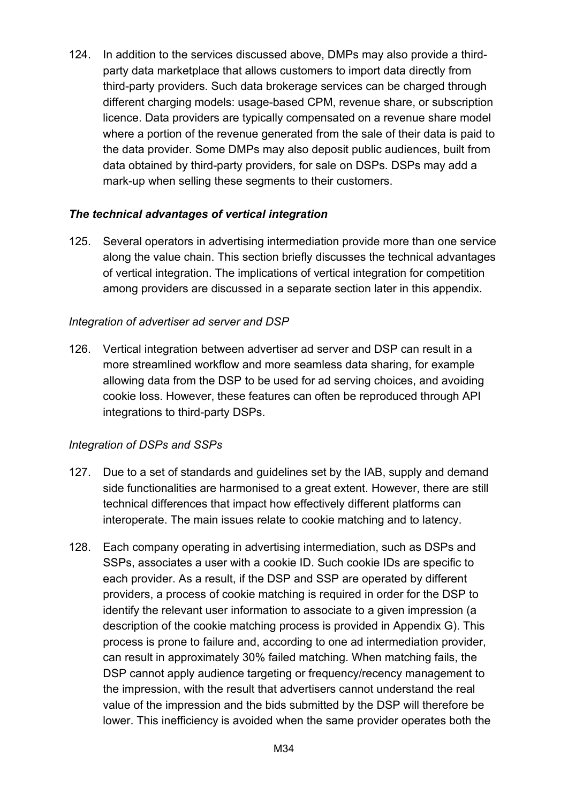124. In addition to the services discussed above, DMPs may also provide a thirdparty data marketplace that allows customers to import data directly from third-party providers. Such data brokerage services can be charged through different charging models: usage-based CPM, revenue share, or subscription licence. Data providers are typically compensated on a revenue share model where a portion of the revenue generated from the sale of their data is paid to the data provider. Some DMPs may also deposit public audiences, built from data obtained by third-party providers, for sale on DSPs. DSPs may add a mark-up when selling these segments to their customers.

#### *The technical advantages of vertical integration*

125. Several operators in advertising intermediation provide more than one service along the value chain. This section briefly discusses the technical advantages of vertical integration. The implications of vertical integration for competition among providers are discussed in a separate section later in this appendix.

#### *Integration of advertiser ad server and DSP*

126. Vertical integration between advertiser ad server and DSP can result in a more streamlined workflow and more seamless data sharing, for example allowing data from the DSP to be used for ad serving choices, and avoiding cookie loss. However, these features can often be reproduced through API integrations to third-party DSPs.

#### *Integration of DSPs and SSPs*

- 127. Due to a set of standards and guidelines set by the IAB, supply and demand side functionalities are harmonised to a great extent. However, there are still technical differences that impact how effectively different platforms can interoperate. The main issues relate to cookie matching and to latency.
- 128. Each company operating in advertising intermediation, such as DSPs and SSPs, associates a user with a cookie ID. Such cookie IDs are specific to each provider. As a result, if the DSP and SSP are operated by different providers, a process of cookie matching is required in order for the DSP to identify the relevant user information to associate to a given impression (a description of the cookie matching process is provided in Appendix G). This process is prone to failure and, according to one ad intermediation provider, can result in approximately 30% failed matching. When matching fails, the DSP cannot apply audience targeting or frequency/recency management to the impression, with the result that advertisers cannot understand the real value of the impression and the bids submitted by the DSP will therefore be lower. This inefficiency is avoided when the same provider operates both the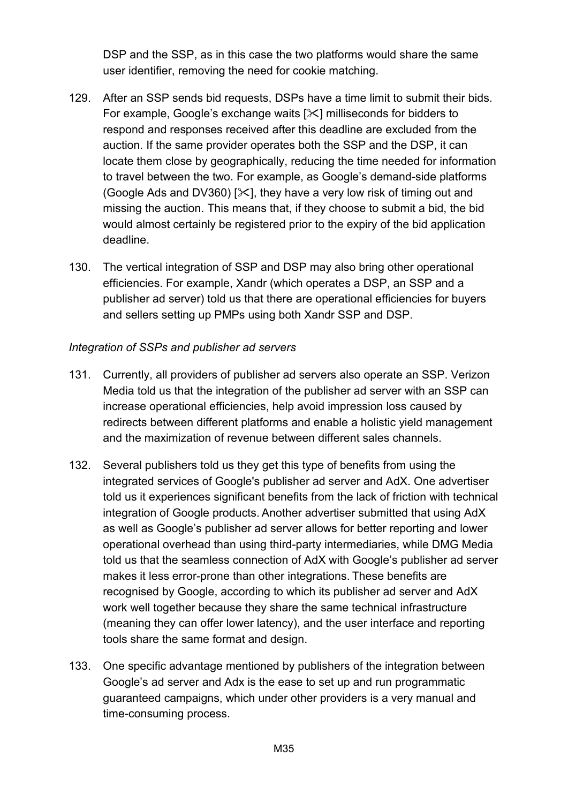DSP and the SSP, as in this case the two platforms would share the same user identifier, removing the need for cookie matching.

- 129. After an SSP sends bid requests, DSPs have a time limit to submit their bids. For example, Google's exchange waits  $[\times]$  milliseconds for bidders to respond and responses received after this deadline are excluded from the auction. If the same provider operates both the SSP and the DSP, it can locate them close by geographically, reducing the time needed for information to travel between the two. For example, as Google's demand-side platforms (Google Ads and DV360) [ $\angle$ ], they have a very low risk of timing out and missing the auction. This means that, if they choose to submit a bid, the bid would almost certainly be registered prior to the expiry of the bid application deadline.
- 130. The vertical integration of SSP and DSP may also bring other operational efficiencies. For example, Xandr (which operates a DSP, an SSP and a publisher ad server) told us that there are operational efficiencies for buyers and sellers setting up PMPs using both Xandr SSP and DSP.

#### *Integration of SSPs and publisher ad servers*

- 131. Currently, all providers of publisher ad servers also operate an SSP. Verizon Media told us that the integration of the publisher ad server with an SSP can increase operational efficiencies, help avoid impression loss caused by redirects between different platforms and enable a holistic yield management and the maximization of revenue between different sales channels.
- 132. Several publishers told us they get this type of benefits from using the integrated services of Google's publisher ad server and AdX. One advertiser told us it experiences significant benefits from the lack of friction with technical integration of Google products. Another advertiser submitted that using AdX as well as Google's publisher ad server allows for better reporting and lower operational overhead than using third-party intermediaries, while DMG Media told us that the seamless connection of AdX with Google's publisher ad server makes it less error-prone than other integrations. These benefits are recognised by Google, according to which its publisher ad server and AdX work well together because they share the same technical infrastructure (meaning they can offer lower latency), and the user interface and reporting tools share the same format and design.
- 133. One specific advantage mentioned by publishers of the integration between Google's ad server and Adx is the ease to set up and run programmatic guaranteed campaigns, which under other providers is a very manual and time-consuming process.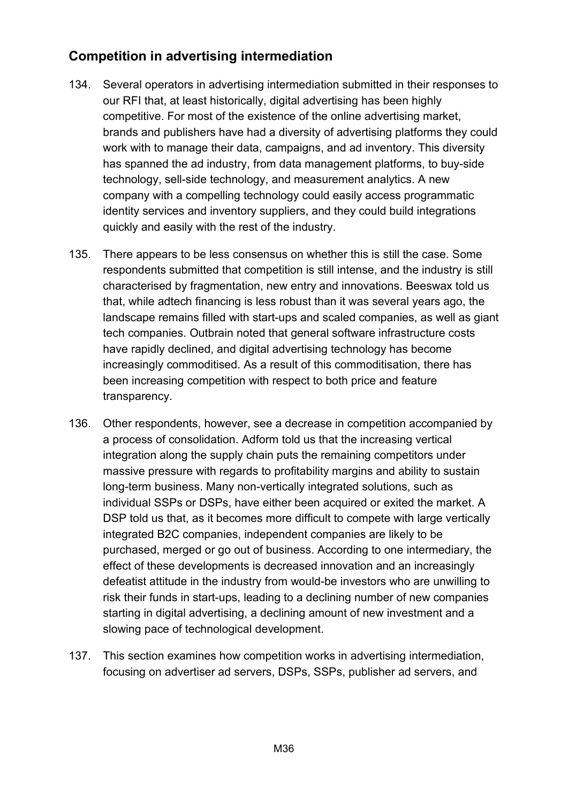# **Competition in advertising intermediation**

- 134. Several operators in advertising intermediation submitted in their responses to our RFI that, at least historically, digital advertising has been highly competitive. For most of the existence of the online advertising market, brands and publishers have had a diversity of advertising platforms they could work with to manage their data, campaigns, and ad inventory. This diversity has spanned the ad industry, from data management platforms, to buy-side technology, sell-side technology, and measurement analytics. A new company with a compelling technology could easily access programmatic identity services and inventory suppliers, and they could build integrations quickly and easily with the rest of the industry.
- 135. There appears to be less consensus on whether this is still the case. Some respondents submitted that competition is still intense, and the industry is still characterised by fragmentation, new entry and innovations. Beeswax told us that, while adtech financing is less robust than it was several years ago, the landscape remains filled with start-ups and scaled companies, as well as giant tech companies. Outbrain noted that general software infrastructure costs have rapidly declined, and digital advertising technology has become increasingly commoditised. As a result of this commoditisation, there has been increasing competition with respect to both price and feature transparency.
- 136. Other respondents, however, see a decrease in competition accompanied by a process of consolidation. Adform told us that the increasing vertical integration along the supply chain puts the remaining competitors under massive pressure with regards to profitability margins and ability to sustain long-term business. Many non-vertically integrated solutions, such as individual SSPs or DSPs, have either been acquired or exited the market. A DSP told us that, as it becomes more difficult to compete with large vertically integrated B2C companies, independent companies are likely to be purchased, merged or go out of business. According to one intermediary, the effect of these developments is decreased innovation and an increasingly defeatist attitude in the industry from would-be investors who are unwilling to risk their funds in start-ups, leading to a declining number of new companies starting in digital advertising, a declining amount of new investment and a slowing pace of technological development.
- 137. This section examines how competition works in advertising intermediation, focusing on advertiser ad servers, DSPs, SSPs, publisher ad servers, and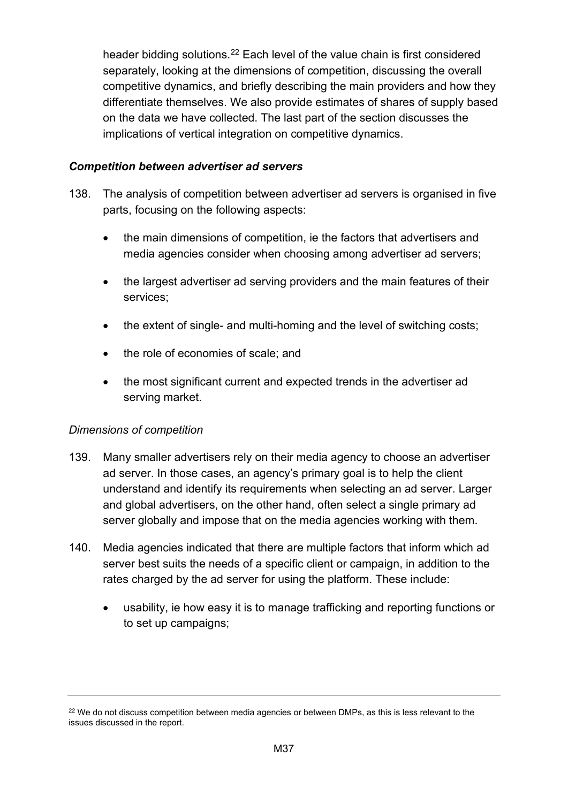header bidding solutions.<sup>[22](#page-36-0)</sup> Each level of the value chain is first considered separately, looking at the dimensions of competition, discussing the overall competitive dynamics, and briefly describing the main providers and how they differentiate themselves. We also provide estimates of shares of supply based on the data we have collected. The last part of the section discusses the implications of vertical integration on competitive dynamics.

## *Competition between advertiser ad servers*

- 138. The analysis of competition between advertiser ad servers is organised in five parts, focusing on the following aspects:
	- the main dimensions of competition, ie the factors that advertisers and media agencies consider when choosing among advertiser ad servers;
	- the largest advertiser ad serving providers and the main features of their services;
	- the extent of single- and multi-homing and the level of switching costs;
	- the role of economies of scale; and
	- the most significant current and expected trends in the advertiser ad serving market.

## *Dimensions of competition*

- 139. Many smaller advertisers rely on their media agency to choose an advertiser ad server. In those cases, an agency's primary goal is to help the client understand and identify its requirements when selecting an ad server. Larger and global advertisers, on the other hand, often select a single primary ad server globally and impose that on the media agencies working with them.
- 140. Media agencies indicated that there are multiple factors that inform which ad server best suits the needs of a specific client or campaign, in addition to the rates charged by the ad server for using the platform. These include:
	- usability, ie how easy it is to manage trafficking and reporting functions or to set up campaigns;

<span id="page-36-0"></span><sup>&</sup>lt;sup>22</sup> We do not discuss competition between media agencies or between DMPs, as this is less relevant to the issues discussed in the report.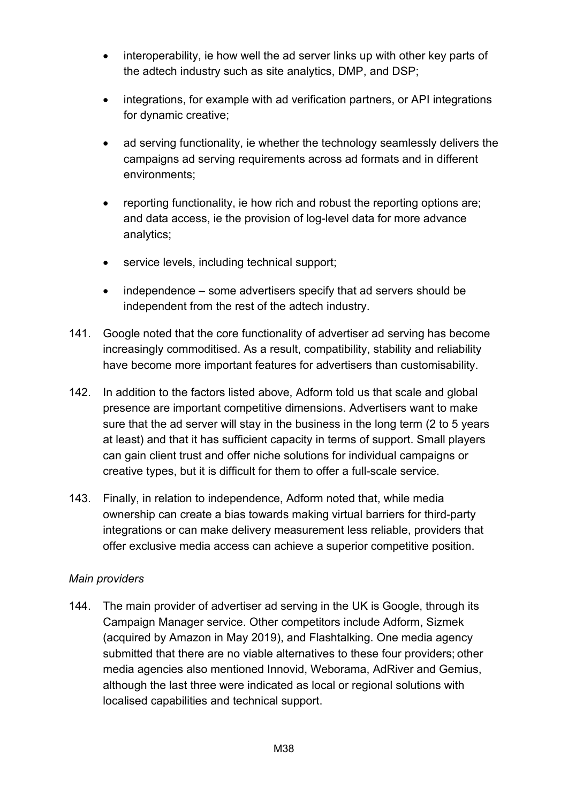- interoperability, ie how well the ad server links up with other key parts of the adtech industry such as site analytics, DMP, and DSP;
- integrations, for example with ad verification partners, or API integrations for dynamic creative;
- ad serving functionality, ie whether the technology seamlessly delivers the campaigns ad serving requirements across ad formats and in different environments;
- reporting functionality, ie how rich and robust the reporting options are; and data access, ie the provision of log-level data for more advance analytics;
- service levels, including technical support;
- independence some advertisers specify that ad servers should be independent from the rest of the adtech industry.
- 141. Google noted that the core functionality of advertiser ad serving has become increasingly commoditised. As a result, compatibility, stability and reliability have become more important features for advertisers than customisability.
- 142. In addition to the factors listed above, Adform told us that scale and global presence are important competitive dimensions. Advertisers want to make sure that the ad server will stay in the business in the long term (2 to 5 years at least) and that it has sufficient capacity in terms of support. Small players can gain client trust and offer niche solutions for individual campaigns or creative types, but it is difficult for them to offer a full-scale service.
- 143. Finally, in relation to independence, Adform noted that, while media ownership can create a bias towards making virtual barriers for third-party integrations or can make delivery measurement less reliable, providers that offer exclusive media access can achieve a superior competitive position.

## *Main providers*

144. The main provider of advertiser ad serving in the UK is Google, through its Campaign Manager service. Other competitors include Adform, Sizmek (acquired by Amazon in May 2019), and Flashtalking. One media agency submitted that there are no viable alternatives to these four providers; other media agencies also mentioned Innovid, Weborama, AdRiver and Gemius, although the last three were indicated as local or regional solutions with localised capabilities and technical support.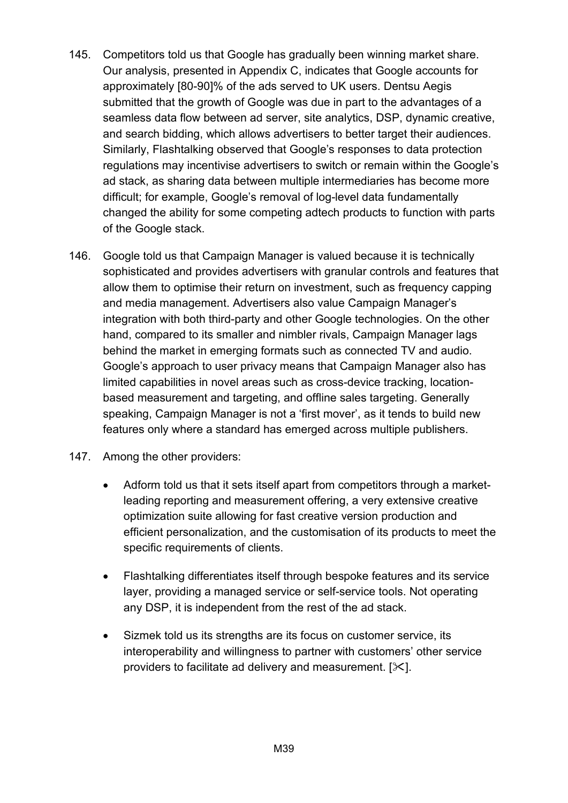- 145. Competitors told us that Google has gradually been winning market share. Our analysis, presented in Appendix C, indicates that Google accounts for approximately [80-90]% of the ads served to UK users. Dentsu Aegis submitted that the growth of Google was due in part to the advantages of a seamless data flow between ad server, site analytics, DSP, dynamic creative, and search bidding, which allows advertisers to better target their audiences. Similarly, Flashtalking observed that Google's responses to data protection regulations may incentivise advertisers to switch or remain within the Google's ad stack, as sharing data between multiple intermediaries has become more difficult; for example, Google's removal of log-level data fundamentally changed the ability for some competing adtech products to function with parts of the Google stack.
- 146. Google told us that Campaign Manager is valued because it is technically sophisticated and provides advertisers with granular controls and features that allow them to optimise their return on investment, such as frequency capping and media management. Advertisers also value Campaign Manager's integration with both third-party and other Google technologies. On the other hand, compared to its smaller and nimbler rivals, Campaign Manager lags behind the market in emerging formats such as connected TV and audio. Google's approach to user privacy means that Campaign Manager also has limited capabilities in novel areas such as cross-device tracking, locationbased measurement and targeting, and offline sales targeting. Generally speaking, Campaign Manager is not a 'first mover', as it tends to build new features only where a standard has emerged across multiple publishers.
- 147. Among the other providers:
	- Adform told us that it sets itself apart from competitors through a marketleading reporting and measurement offering, a very extensive creative optimization suite allowing for fast creative version production and efficient personalization, and the customisation of its products to meet the specific requirements of clients.
	- Flashtalking differentiates itself through bespoke features and its service layer, providing a managed service or self-service tools. Not operating any DSP, it is independent from the rest of the ad stack.
	- Sizmek told us its strengths are its focus on customer service, its interoperability and willingness to partner with customers' other service providers to facilitate ad delivery and measurement.  $[\times]$ .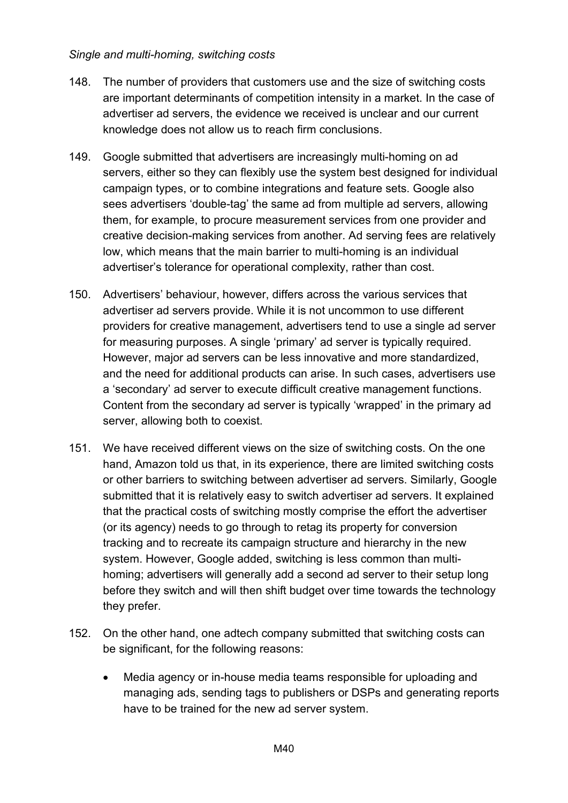#### *Single and multi-homing, switching costs*

- 148. The number of providers that customers use and the size of switching costs are important determinants of competition intensity in a market. In the case of advertiser ad servers, the evidence we received is unclear and our current knowledge does not allow us to reach firm conclusions.
- 149. Google submitted that advertisers are increasingly multi-homing on ad servers, either so they can flexibly use the system best designed for individual campaign types, or to combine integrations and feature sets. Google also sees advertisers 'double-tag' the same ad from multiple ad servers, allowing them, for example, to procure measurement services from one provider and creative decision-making services from another. Ad serving fees are relatively low, which means that the main barrier to multi-homing is an individual advertiser's tolerance for operational complexity, rather than cost.
- 150. Advertisers' behaviour, however, differs across the various services that advertiser ad servers provide. While it is not uncommon to use different providers for creative management, advertisers tend to use a single ad server for measuring purposes. A single 'primary' ad server is typically required. However, major ad servers can be less innovative and more standardized, and the need for additional products can arise. In such cases, advertisers use a 'secondary' ad server to execute difficult creative management functions. Content from the secondary ad server is typically 'wrapped' in the primary ad server, allowing both to coexist.
- 151. We have received different views on the size of switching costs. On the one hand, Amazon told us that, in its experience, there are limited switching costs or other barriers to switching between advertiser ad servers. Similarly, Google submitted that it is relatively easy to switch advertiser ad servers. It explained that the practical costs of switching mostly comprise the effort the advertiser (or its agency) needs to go through to retag its property for conversion tracking and to recreate its campaign structure and hierarchy in the new system. However, Google added, switching is less common than multihoming; advertisers will generally add a second ad server to their setup long before they switch and will then shift budget over time towards the technology they prefer.
- 152. On the other hand, one adtech company submitted that switching costs can be significant, for the following reasons:
	- Media agency or in-house media teams responsible for uploading and managing ads, sending tags to publishers or DSPs and generating reports have to be trained for the new ad server system.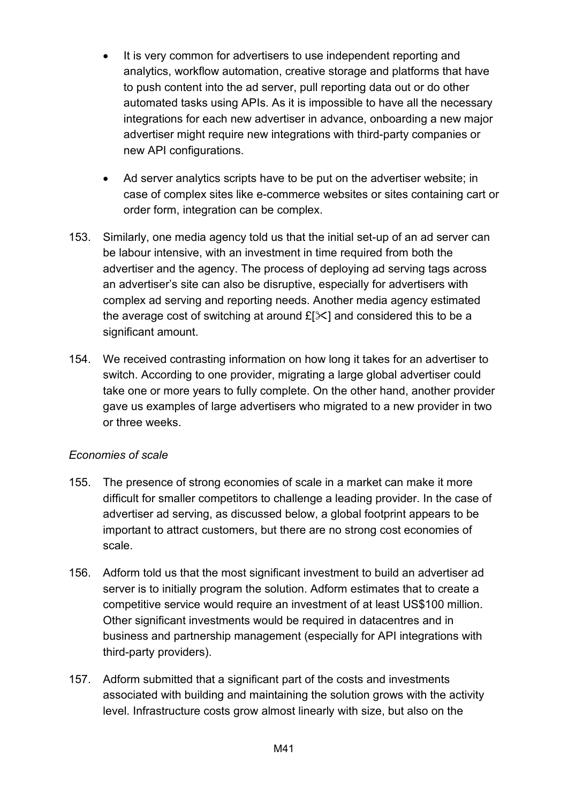- It is very common for advertisers to use independent reporting and analytics, workflow automation, creative storage and platforms that have to push content into the ad server, pull reporting data out or do other automated tasks using APIs. As it is impossible to have all the necessary integrations for each new advertiser in advance, onboarding a new major advertiser might require new integrations with third-party companies or new API configurations.
- Ad server analytics scripts have to be put on the advertiser website; in case of complex sites like e-commerce websites or sites containing cart or order form, integration can be complex.
- 153. Similarly, one media agency told us that the initial set-up of an ad server can be labour intensive, with an investment in time required from both the advertiser and the agency. The process of deploying ad serving tags across an advertiser's site can also be disruptive, especially for advertisers with complex ad serving and reporting needs. Another media agency estimated the average cost of switching at around  $E[\mathcal{K}]$  and considered this to be a significant amount.
- 154. We received contrasting information on how long it takes for an advertiser to switch. According to one provider, migrating a large global advertiser could take one or more years to fully complete. On the other hand, another provider gave us examples of large advertisers who migrated to a new provider in two or three weeks.

## *Economies of scale*

- 155. The presence of strong economies of scale in a market can make it more difficult for smaller competitors to challenge a leading provider. In the case of advertiser ad serving, as discussed below, a global footprint appears to be important to attract customers, but there are no strong cost economies of scale.
- 156. Adform told us that the most significant investment to build an advertiser ad server is to initially program the solution. Adform estimates that to create a competitive service would require an investment of at least US\$100 million. Other significant investments would be required in datacentres and in business and partnership management (especially for API integrations with third-party providers).
- 157. Adform submitted that a significant part of the costs and investments associated with building and maintaining the solution grows with the activity level. Infrastructure costs grow almost linearly with size, but also on the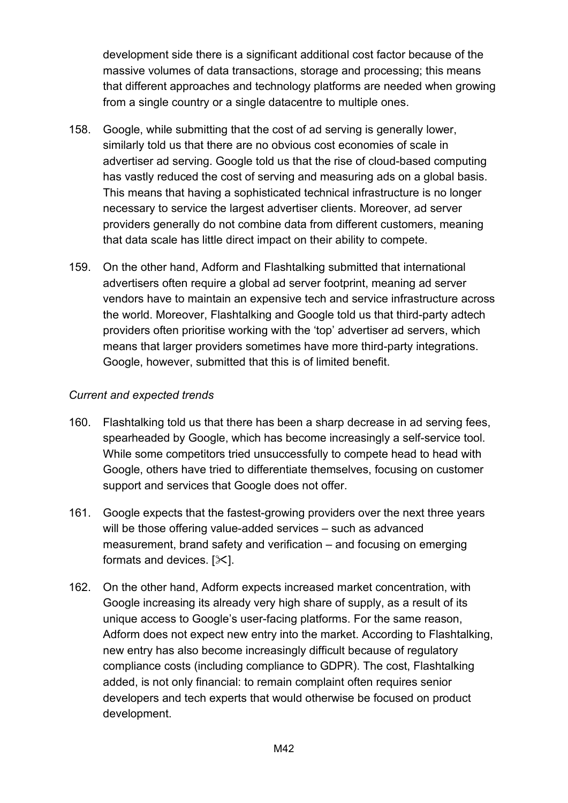development side there is a significant additional cost factor because of the massive volumes of data transactions, storage and processing; this means that different approaches and technology platforms are needed when growing from a single country or a single datacentre to multiple ones.

- 158. Google, while submitting that the cost of ad serving is generally lower, similarly told us that there are no obvious cost economies of scale in advertiser ad serving. Google told us that the rise of cloud-based computing has vastly reduced the cost of serving and measuring ads on a global basis. This means that having a sophisticated technical infrastructure is no longer necessary to service the largest advertiser clients. Moreover, ad server providers generally do not combine data from different customers, meaning that data scale has little direct impact on their ability to compete.
- 159. On the other hand, Adform and Flashtalking submitted that international advertisers often require a global ad server footprint, meaning ad server vendors have to maintain an expensive tech and service infrastructure across the world. Moreover, Flashtalking and Google told us that third-party adtech providers often prioritise working with the 'top' advertiser ad servers, which means that larger providers sometimes have more third-party integrations. Google, however, submitted that this is of limited benefit.

## *Current and expected trends*

- 160. Flashtalking told us that there has been a sharp decrease in ad serving fees, spearheaded by Google, which has become increasingly a self-service tool. While some competitors tried unsuccessfully to compete head to head with Google, others have tried to differentiate themselves, focusing on customer support and services that Google does not offer.
- 161. Google expects that the fastest-growing providers over the next three years will be those offering value-added services – such as advanced measurement, brand safety and verification – and focusing on emerging formats and devices.  $[\times]$ .
- 162. On the other hand, Adform expects increased market concentration, with Google increasing its already very high share of supply, as a result of its unique access to Google's user-facing platforms. For the same reason, Adform does not expect new entry into the market. According to Flashtalking, new entry has also become increasingly difficult because of regulatory compliance costs (including compliance to GDPR). The cost, Flashtalking added, is not only financial: to remain complaint often requires senior developers and tech experts that would otherwise be focused on product development.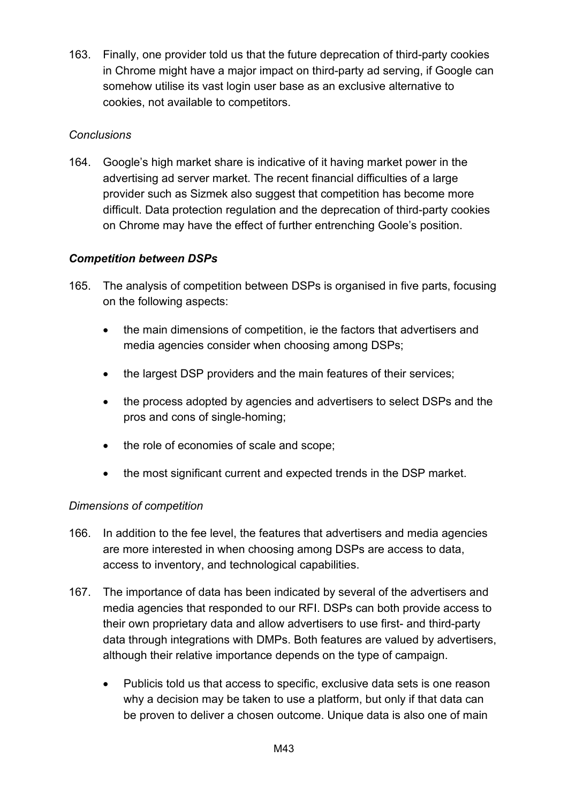163. Finally, one provider told us that the future deprecation of third-party cookies in Chrome might have a major impact on third-party ad serving, if Google can somehow utilise its vast login user base as an exclusive alternative to cookies, not available to competitors.

## *Conclusions*

164. Google's high market share is indicative of it having market power in the advertising ad server market. The recent financial difficulties of a large provider such as Sizmek also suggest that competition has become more difficult. Data protection regulation and the deprecation of third-party cookies on Chrome may have the effect of further entrenching Goole's position.

## *Competition between DSPs*

- 165. The analysis of competition between DSPs is organised in five parts, focusing on the following aspects:
	- the main dimensions of competition, ie the factors that advertisers and media agencies consider when choosing among DSPs;
	- the largest DSP providers and the main features of their services;
	- the process adopted by agencies and advertisers to select DSPs and the pros and cons of single-homing;
	- the role of economies of scale and scope;
	- the most significant current and expected trends in the DSP market.

## *Dimensions of competition*

- 166. In addition to the fee level, the features that advertisers and media agencies are more interested in when choosing among DSPs are access to data, access to inventory, and technological capabilities.
- 167. The importance of data has been indicated by several of the advertisers and media agencies that responded to our RFI. DSPs can both provide access to their own proprietary data and allow advertisers to use first- and third-party data through integrations with DMPs. Both features are valued by advertisers, although their relative importance depends on the type of campaign.
	- Publicis told us that access to specific, exclusive data sets is one reason why a decision may be taken to use a platform, but only if that data can be proven to deliver a chosen outcome. Unique data is also one of main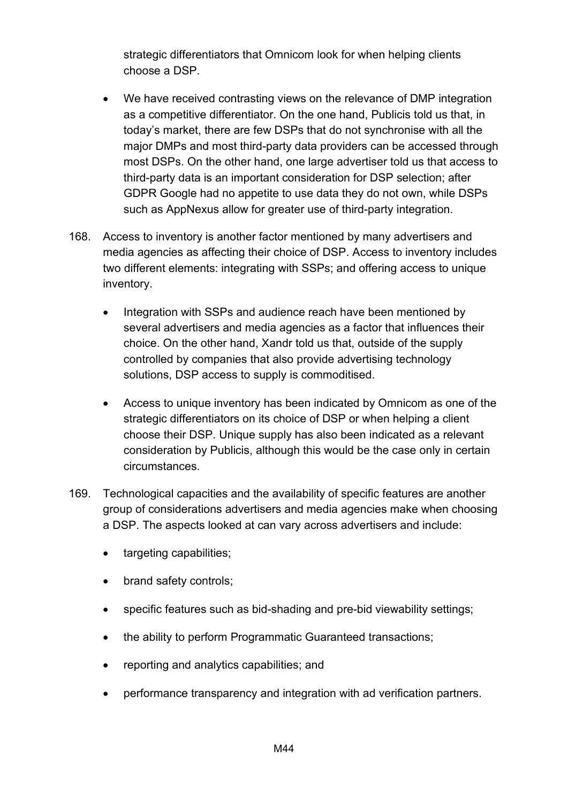strategic differentiators that Omnicom look for when helping clients choose a DSP.

- We have received contrasting views on the relevance of DMP integration as a competitive differentiator. On the one hand, Publicis told us that, in today's market, there are few DSPs that do not synchronise with all the major DMPs and most third-party data providers can be accessed through most DSPs. On the other hand, one large advertiser told us that access to third-party data is an important consideration for DSP selection; after GDPR Google had no appetite to use data they do not own, while DSPs such as AppNexus allow for greater use of third-party integration.
- 168. Access to inventory is another factor mentioned by many advertisers and media agencies as affecting their choice of DSP. Access to inventory includes two different elements: integrating with SSPs; and offering access to unique inventory.
	- Integration with SSPs and audience reach have been mentioned by several advertisers and media agencies as a factor that influences their choice. On the other hand, Xandr told us that, outside of the supply controlled by companies that also provide advertising technology solutions, DSP access to supply is commoditised.
	- Access to unique inventory has been indicated by Omnicom as one of the strategic differentiators on its choice of DSP or when helping a client choose their DSP. Unique supply has also been indicated as a relevant consideration by Publicis, although this would be the case only in certain circumstances.
- 169. Technological capacities and the availability of specific features are another group of considerations advertisers and media agencies make when choosing a DSP. The aspects looked at can vary across advertisers and include:
	- targeting capabilities;
	- brand safety controls;
	- specific features such as bid-shading and pre-bid viewability settings;
	- the ability to perform Programmatic Guaranteed transactions;
	- reporting and analytics capabilities; and
	- performance transparency and integration with ad verification partners.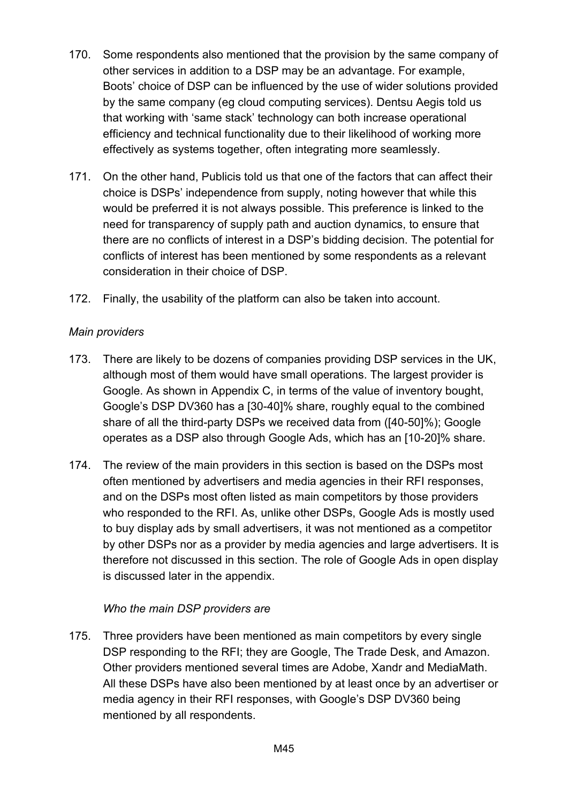- 170. Some respondents also mentioned that the provision by the same company of other services in addition to a DSP may be an advantage. For example, Boots' choice of DSP can be influenced by the use of wider solutions provided by the same company (eg cloud computing services). Dentsu Aegis told us that working with 'same stack' technology can both increase operational efficiency and technical functionality due to their likelihood of working more effectively as systems together, often integrating more seamlessly.
- 171. On the other hand, Publicis told us that one of the factors that can affect their choice is DSPs' independence from supply, noting however that while this would be preferred it is not always possible. This preference is linked to the need for transparency of supply path and auction dynamics, to ensure that there are no conflicts of interest in a DSP's bidding decision. The potential for conflicts of interest has been mentioned by some respondents as a relevant consideration in their choice of DSP.
- 172. Finally, the usability of the platform can also be taken into account.

## *Main providers*

- 173. There are likely to be dozens of companies providing DSP services in the UK, although most of them would have small operations. The largest provider is Google. As shown in Appendix C, in terms of the value of inventory bought, Google's DSP DV360 has a [30-40]% share, roughly equal to the combined share of all the third-party DSPs we received data from ([40-50]%); Google operates as a DSP also through Google Ads, which has an [10-20]% share.
- 174. The review of the main providers in this section is based on the DSPs most often mentioned by advertisers and media agencies in their RFI responses, and on the DSPs most often listed as main competitors by those providers who responded to the RFI. As, unlike other DSPs, Google Ads is mostly used to buy display ads by small advertisers, it was not mentioned as a competitor by other DSPs nor as a provider by media agencies and large advertisers. It is therefore not discussed in this section. The role of Google Ads in open display is discussed later in the appendix.

## *Who the main DSP providers are*

175. Three providers have been mentioned as main competitors by every single DSP responding to the RFI; they are Google, The Trade Desk, and Amazon. Other providers mentioned several times are Adobe, Xandr and MediaMath. All these DSPs have also been mentioned by at least once by an advertiser or media agency in their RFI responses, with Google's DSP DV360 being mentioned by all respondents.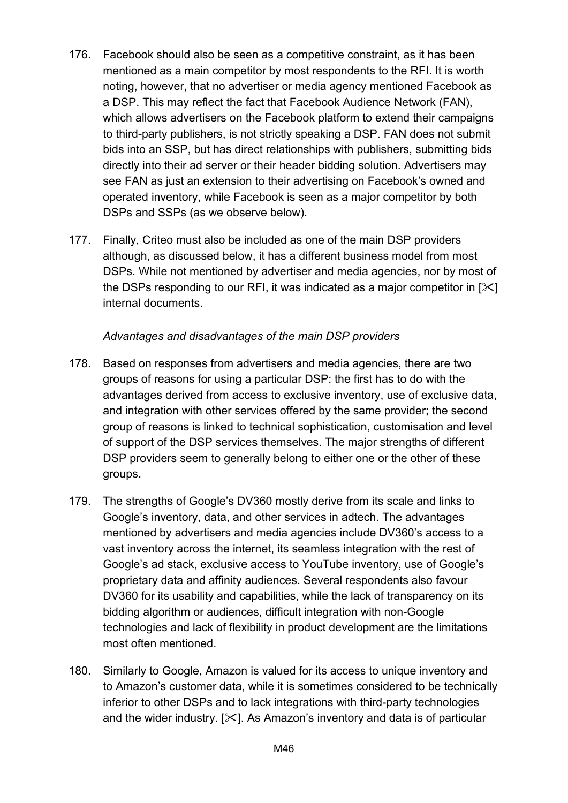- 176. Facebook should also be seen as a competitive constraint, as it has been mentioned as a main competitor by most respondents to the RFI. It is worth noting, however, that no advertiser or media agency mentioned Facebook as a DSP. This may reflect the fact that Facebook Audience Network (FAN), which allows advertisers on the Facebook platform to extend their campaigns to third-party publishers, is not strictly speaking a DSP. FAN does not submit bids into an SSP, but has direct relationships with publishers, submitting bids directly into their ad server or their header bidding solution. Advertisers may see FAN as just an extension to their advertising on Facebook's owned and operated inventory, while Facebook is seen as a major competitor by both DSPs and SSPs (as we observe below).
- 177. Finally, Criteo must also be included as one of the main DSP providers although, as discussed below, it has a different business model from most DSPs. While not mentioned by advertiser and media agencies, nor by most of the DSPs responding to our RFI, it was indicated as a major competitor in  $[\times]$ internal documents.

#### *Advantages and disadvantages of the main DSP providers*

- 178. Based on responses from advertisers and media agencies, there are two groups of reasons for using a particular DSP: the first has to do with the advantages derived from access to exclusive inventory, use of exclusive data, and integration with other services offered by the same provider; the second group of reasons is linked to technical sophistication, customisation and level of support of the DSP services themselves. The major strengths of different DSP providers seem to generally belong to either one or the other of these groups.
- 179. The strengths of Google's DV360 mostly derive from its scale and links to Google's inventory, data, and other services in adtech. The advantages mentioned by advertisers and media agencies include DV360's access to a vast inventory across the internet, its seamless integration with the rest of Google's ad stack, exclusive access to YouTube inventory, use of Google's proprietary data and affinity audiences. Several respondents also favour DV360 for its usability and capabilities, while the lack of transparency on its bidding algorithm or audiences, difficult integration with non-Google technologies and lack of flexibility in product development are the limitations most often mentioned.
- 180. Similarly to Google, Amazon is valued for its access to unique inventory and to Amazon's customer data, while it is sometimes considered to be technically inferior to other DSPs and to lack integrations with third-party technologies and the wider industry.  $[\times]$ . As Amazon's inventory and data is of particular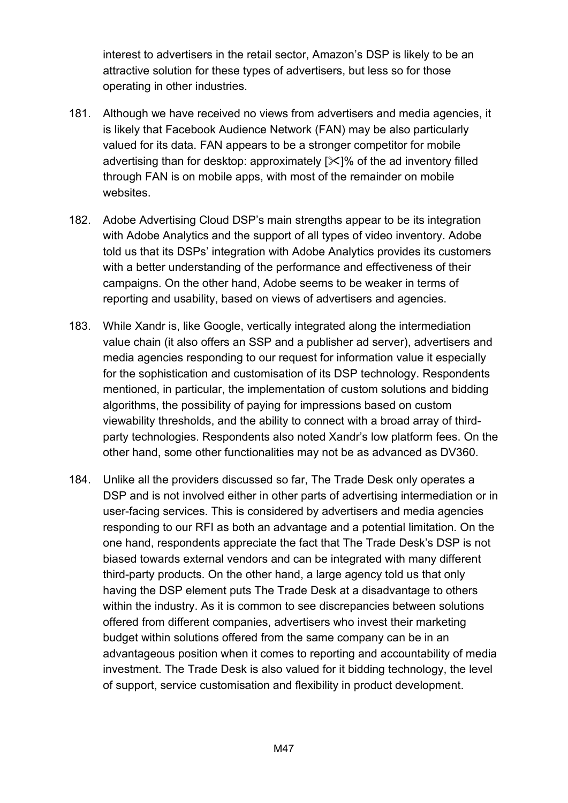interest to advertisers in the retail sector, Amazon's DSP is likely to be an attractive solution for these types of advertisers, but less so for those operating in other industries.

- 181. Although we have received no views from advertisers and media agencies, it is likely that Facebook Audience Network (FAN) may be also particularly valued for its data. FAN appears to be a stronger competitor for mobile advertising than for desktop: approximately  $[\frac{1}{2}]$ % of the ad inventory filled through FAN is on mobile apps, with most of the remainder on mobile websites.
- 182. Adobe Advertising Cloud DSP's main strengths appear to be its integration with Adobe Analytics and the support of all types of video inventory. Adobe told us that its DSPs' integration with Adobe Analytics provides its customers with a better understanding of the performance and effectiveness of their campaigns. On the other hand, Adobe seems to be weaker in terms of reporting and usability, based on views of advertisers and agencies.
- 183. While Xandr is, like Google, vertically integrated along the intermediation value chain (it also offers an SSP and a publisher ad server), advertisers and media agencies responding to our request for information value it especially for the sophistication and customisation of its DSP technology. Respondents mentioned, in particular, the implementation of custom solutions and bidding algorithms, the possibility of paying for impressions based on custom viewability thresholds, and the ability to connect with a broad array of thirdparty technologies. Respondents also noted Xandr's low platform fees. On the other hand, some other functionalities may not be as advanced as DV360.
- 184. Unlike all the providers discussed so far, The Trade Desk only operates a DSP and is not involved either in other parts of advertising intermediation or in user-facing services. This is considered by advertisers and media agencies responding to our RFI as both an advantage and a potential limitation. On the one hand, respondents appreciate the fact that The Trade Desk's DSP is not biased towards external vendors and can be integrated with many different third-party products. On the other hand, a large agency told us that only having the DSP element puts The Trade Desk at a disadvantage to others within the industry. As it is common to see discrepancies between solutions offered from different companies, advertisers who invest their marketing budget within solutions offered from the same company can be in an advantageous position when it comes to reporting and accountability of media investment. The Trade Desk is also valued for it bidding technology, the level of support, service customisation and flexibility in product development.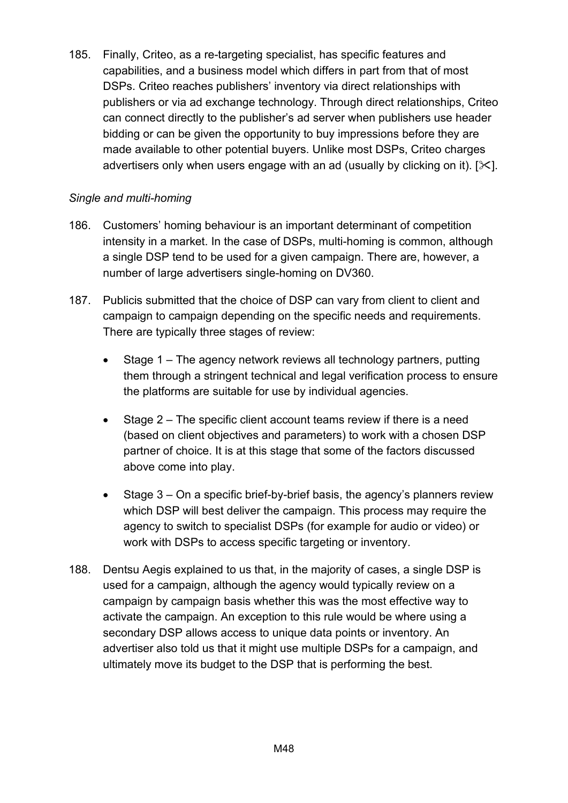185. Finally, Criteo, as a re-targeting specialist, has specific features and capabilities, and a business model which differs in part from that of most DSPs. Criteo reaches publishers' inventory via direct relationships with publishers or via ad exchange technology. Through direct relationships, Criteo can connect directly to the publisher's ad server when publishers use header bidding or can be given the opportunity to buy impressions before they are made available to other potential buyers. Unlike most DSPs, Criteo charges advertisers only when users engage with an ad (usually by clicking on it).  $[\times]$ .

## *Single and multi-homing*

- 186. Customers' homing behaviour is an important determinant of competition intensity in a market. In the case of DSPs, multi-homing is common, although a single DSP tend to be used for a given campaign. There are, however, a number of large advertisers single-homing on DV360.
- 187. Publicis submitted that the choice of DSP can vary from client to client and campaign to campaign depending on the specific needs and requirements. There are typically three stages of review:
	- Stage 1 The agency network reviews all technology partners, putting them through a stringent technical and legal verification process to ensure the platforms are suitable for use by individual agencies.
	- Stage 2 The specific client account teams review if there is a need (based on client objectives and parameters) to work with a chosen DSP partner of choice. It is at this stage that some of the factors discussed above come into play.
	- Stage 3 On a specific brief-by-brief basis, the agency's planners review which DSP will best deliver the campaign. This process may require the agency to switch to specialist DSPs (for example for audio or video) or work with DSPs to access specific targeting or inventory.
- 188. Dentsu Aegis explained to us that, in the majority of cases, a single DSP is used for a campaign, although the agency would typically review on a campaign by campaign basis whether this was the most effective way to activate the campaign. An exception to this rule would be where using a secondary DSP allows access to unique data points or inventory. An advertiser also told us that it might use multiple DSPs for a campaign, and ultimately move its budget to the DSP that is performing the best.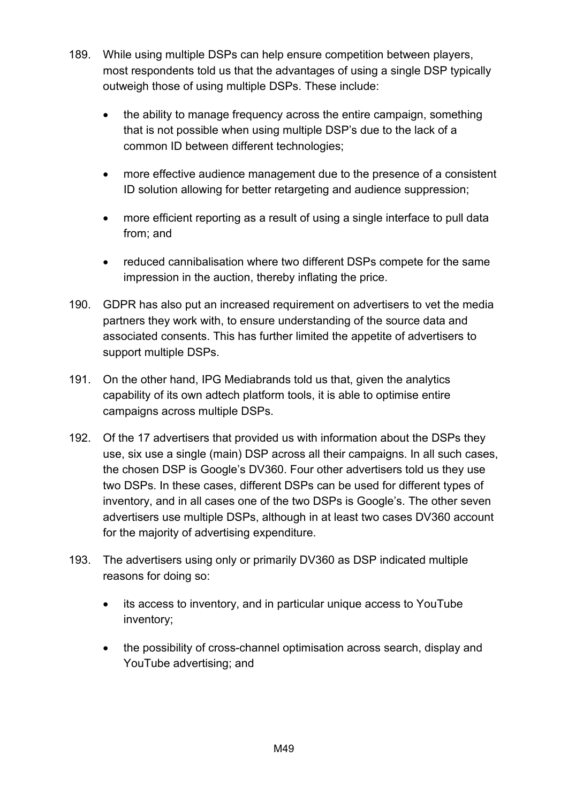- 189. While using multiple DSPs can help ensure competition between players, most respondents told us that the advantages of using a single DSP typically outweigh those of using multiple DSPs. These include:
	- the ability to manage frequency across the entire campaign, something that is not possible when using multiple DSP's due to the lack of a common ID between different technologies;
	- more effective audience management due to the presence of a consistent ID solution allowing for better retargeting and audience suppression;
	- more efficient reporting as a result of using a single interface to pull data from; and
	- reduced cannibalisation where two different DSPs compete for the same impression in the auction, thereby inflating the price.
- 190. GDPR has also put an increased requirement on advertisers to vet the media partners they work with, to ensure understanding of the source data and associated consents. This has further limited the appetite of advertisers to support multiple DSPs.
- 191. On the other hand, IPG Mediabrands told us that, given the analytics capability of its own adtech platform tools, it is able to optimise entire campaigns across multiple DSPs.
- 192. Of the 17 advertisers that provided us with information about the DSPs they use, six use a single (main) DSP across all their campaigns. In all such cases, the chosen DSP is Google's DV360. Four other advertisers told us they use two DSPs. In these cases, different DSPs can be used for different types of inventory, and in all cases one of the two DSPs is Google's. The other seven advertisers use multiple DSPs, although in at least two cases DV360 account for the majority of advertising expenditure.
- 193. The advertisers using only or primarily DV360 as DSP indicated multiple reasons for doing so:
	- its access to inventory, and in particular unique access to YouTube inventory;
	- the possibility of cross-channel optimisation across search, display and YouTube advertising; and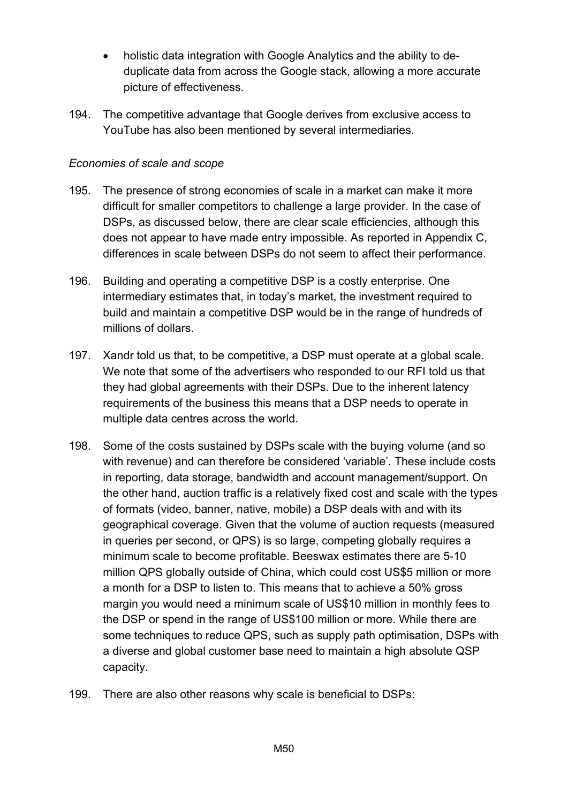- holistic data integration with Google Analytics and the ability to deduplicate data from across the Google stack, allowing a more accurate picture of effectiveness.
- 194. The competitive advantage that Google derives from exclusive access to YouTube has also been mentioned by several intermediaries.

### *Economies of scale and scope*

- 195. The presence of strong economies of scale in a market can make it more difficult for smaller competitors to challenge a large provider. In the case of DSPs, as discussed below, there are clear scale efficiencies, although this does not appear to have made entry impossible. As reported in Appendix C, differences in scale between DSPs do not seem to affect their performance.
- 196. Building and operating a competitive DSP is a costly enterprise. One intermediary estimates that, in today's market, the investment required to build and maintain a competitive DSP would be in the range of hundreds of millions of dollars.
- 197. Xandr told us that, to be competitive, a DSP must operate at a global scale. We note that some of the advertisers who responded to our RFI told us that they had global agreements with their DSPs. Due to the inherent latency requirements of the business this means that a DSP needs to operate in multiple data centres across the world.
- 198. Some of the costs sustained by DSPs scale with the buying volume (and so with revenue) and can therefore be considered 'variable'. These include costs in reporting, data storage, bandwidth and account management/support. On the other hand, auction traffic is a relatively fixed cost and scale with the types of formats (video, banner, native, mobile) a DSP deals with and with its geographical coverage. Given that the volume of auction requests (measured in queries per second, or QPS) is so large, competing globally requires a minimum scale to become profitable. Beeswax estimates there are 5-10 million QPS globally outside of China, which could cost US\$5 million or more a month for a DSP to listen to. This means that to achieve a 50% gross margin you would need a minimum scale of US\$10 million in monthly fees to the DSP or spend in the range of US\$100 million or more. While there are some techniques to reduce QPS, such as supply path optimisation, DSPs with a diverse and global customer base need to maintain a high absolute QSP capacity.
- 199. There are also other reasons why scale is beneficial to DSPs: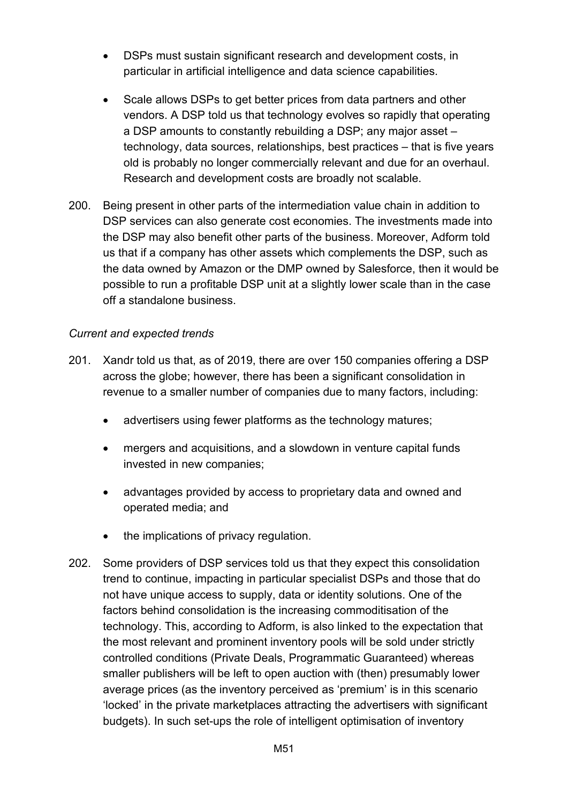- DSPs must sustain significant research and development costs, in particular in artificial intelligence and data science capabilities.
- Scale allows DSPs to get better prices from data partners and other vendors. A DSP told us that technology evolves so rapidly that operating a DSP amounts to constantly rebuilding a DSP; any major asset – technology, data sources, relationships, best practices – that is five years old is probably no longer commercially relevant and due for an overhaul. Research and development costs are broadly not scalable.
- 200. Being present in other parts of the intermediation value chain in addition to DSP services can also generate cost economies. The investments made into the DSP may also benefit other parts of the business. Moreover, Adform told us that if a company has other assets which complements the DSP, such as the data owned by Amazon or the DMP owned by Salesforce, then it would be possible to run a profitable DSP unit at a slightly lower scale than in the case off a standalone business.

#### *Current and expected trends*

- 201. Xandr told us that, as of 2019, there are over 150 companies offering a DSP across the globe; however, there has been a significant consolidation in revenue to a smaller number of companies due to many factors, including:
	- advertisers using fewer platforms as the technology matures;
	- mergers and acquisitions, and a slowdown in venture capital funds invested in new companies;
	- advantages provided by access to proprietary data and owned and operated media; and
	- the implications of privacy regulation.
- 202. Some providers of DSP services told us that they expect this consolidation trend to continue, impacting in particular specialist DSPs and those that do not have unique access to supply, data or identity solutions. One of the factors behind consolidation is the increasing commoditisation of the technology. This, according to Adform, is also linked to the expectation that the most relevant and prominent inventory pools will be sold under strictly controlled conditions (Private Deals, Programmatic Guaranteed) whereas smaller publishers will be left to open auction with (then) presumably lower average prices (as the inventory perceived as 'premium' is in this scenario 'locked' in the private marketplaces attracting the advertisers with significant budgets). In such set-ups the role of intelligent optimisation of inventory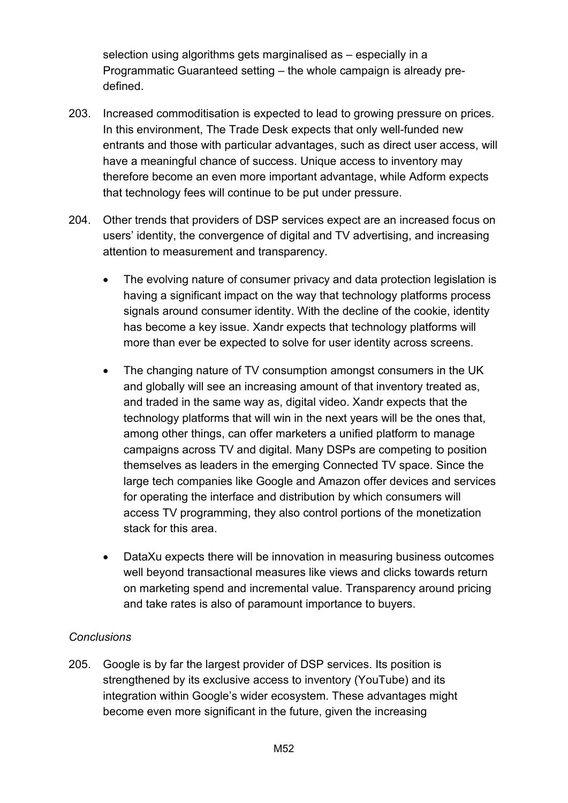selection using algorithms gets marginalised as – especially in a Programmatic Guaranteed setting – the whole campaign is already predefined.

- 203. Increased commoditisation is expected to lead to growing pressure on prices. In this environment, The Trade Desk expects that only well-funded new entrants and those with particular advantages, such as direct user access, will have a meaningful chance of success. Unique access to inventory may therefore become an even more important advantage, while Adform expects that technology fees will continue to be put under pressure.
- 204. Other trends that providers of DSP services expect are an increased focus on users' identity, the convergence of digital and TV advertising, and increasing attention to measurement and transparency.
	- The evolving nature of consumer privacy and data protection legislation is having a significant impact on the way that technology platforms process signals around consumer identity. With the decline of the cookie, identity has become a key issue. Xandr expects that technology platforms will more than ever be expected to solve for user identity across screens.
	- The changing nature of TV consumption amongst consumers in the UK and globally will see an increasing amount of that inventory treated as, and traded in the same way as, digital video. Xandr expects that the technology platforms that will win in the next years will be the ones that, among other things, can offer marketers a unified platform to manage campaigns across TV and digital. Many DSPs are competing to position themselves as leaders in the emerging Connected TV space. Since the large tech companies like Google and Amazon offer devices and services for operating the interface and distribution by which consumers will access TV programming, they also control portions of the monetization stack for this area.
	- DataXu expects there will be innovation in measuring business outcomes well beyond transactional measures like views and clicks towards return on marketing spend and incremental value. Transparency around pricing and take rates is also of paramount importance to buyers.

## *Conclusions*

205. Google is by far the largest provider of DSP services. Its position is strengthened by its exclusive access to inventory (YouTube) and its integration within Google's wider ecosystem. These advantages might become even more significant in the future, given the increasing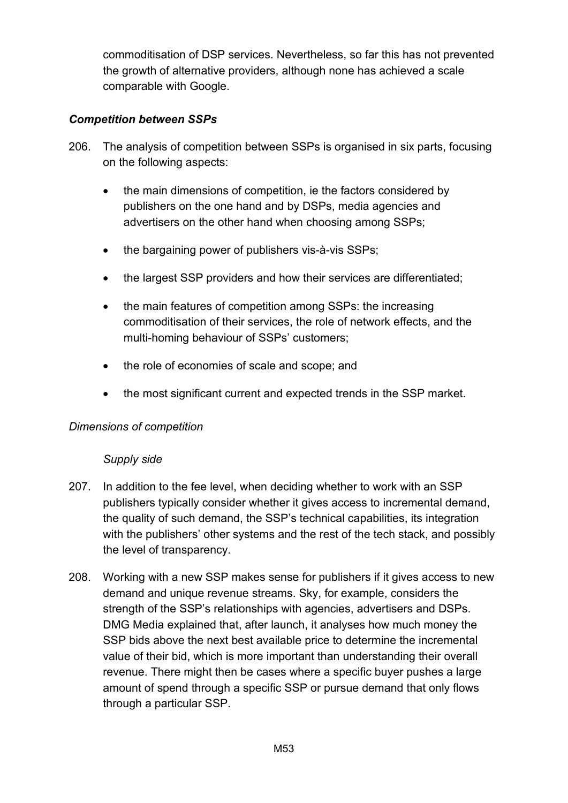commoditisation of DSP services. Nevertheless, so far this has not prevented the growth of alternative providers, although none has achieved a scale comparable with Google.

## *Competition between SSPs*

- 206. The analysis of competition between SSPs is organised in six parts, focusing on the following aspects:
	- the main dimensions of competition, ie the factors considered by publishers on the one hand and by DSPs, media agencies and advertisers on the other hand when choosing among SSPs;
	- the bargaining power of publishers vis-à-vis SSPs;
	- the largest SSP providers and how their services are differentiated:
	- the main features of competition among SSPs: the increasing commoditisation of their services, the role of network effects, and the multi-homing behaviour of SSPs' customers;
	- the role of economies of scale and scope; and
	- the most significant current and expected trends in the SSP market.

## *Dimensions of competition*

## *Supply side*

- 207. In addition to the fee level, when deciding whether to work with an SSP publishers typically consider whether it gives access to incremental demand, the quality of such demand, the SSP's technical capabilities, its integration with the publishers' other systems and the rest of the tech stack, and possibly the level of transparency.
- 208. Working with a new SSP makes sense for publishers if it gives access to new demand and unique revenue streams. Sky, for example, considers the strength of the SSP's relationships with agencies, advertisers and DSPs. DMG Media explained that, after launch, it analyses how much money the SSP bids above the next best available price to determine the incremental value of their bid, which is more important than understanding their overall revenue. There might then be cases where a specific buyer pushes a large amount of spend through a specific SSP or pursue demand that only flows through a particular SSP.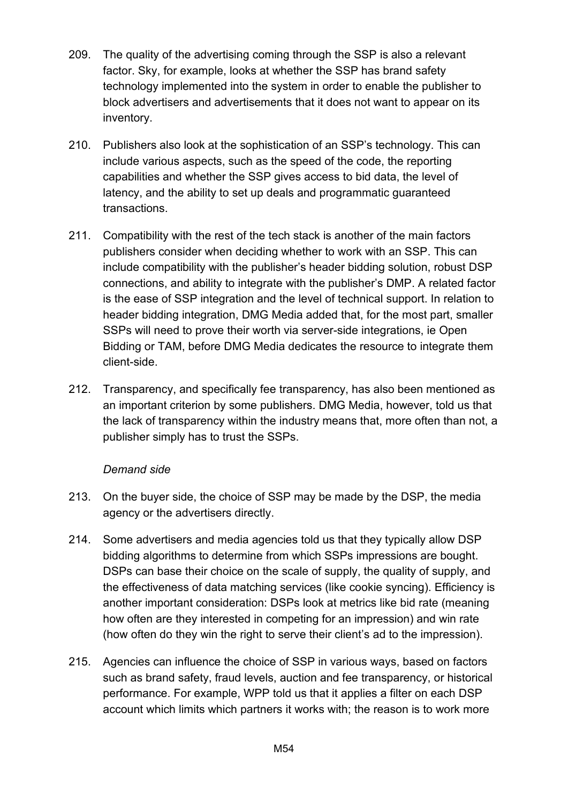- 209. The quality of the advertising coming through the SSP is also a relevant factor. Sky, for example, looks at whether the SSP has brand safety technology implemented into the system in order to enable the publisher to block advertisers and advertisements that it does not want to appear on its inventory.
- 210. Publishers also look at the sophistication of an SSP's technology. This can include various aspects, such as the speed of the code, the reporting capabilities and whether the SSP gives access to bid data, the level of latency, and the ability to set up deals and programmatic guaranteed transactions.
- 211. Compatibility with the rest of the tech stack is another of the main factors publishers consider when deciding whether to work with an SSP. This can include compatibility with the publisher's header bidding solution, robust DSP connections, and ability to integrate with the publisher's DMP. A related factor is the ease of SSP integration and the level of technical support. In relation to header bidding integration, DMG Media added that, for the most part, smaller SSPs will need to prove their worth via server-side integrations, ie Open Bidding or TAM, before DMG Media dedicates the resource to integrate them client-side.
- 212. Transparency, and specifically fee transparency, has also been mentioned as an important criterion by some publishers. DMG Media, however, told us that the lack of transparency within the industry means that, more often than not, a publisher simply has to trust the SSPs.

## *Demand side*

- 213. On the buyer side, the choice of SSP may be made by the DSP, the media agency or the advertisers directly.
- 214. Some advertisers and media agencies told us that they typically allow DSP bidding algorithms to determine from which SSPs impressions are bought. DSPs can base their choice on the scale of supply, the quality of supply, and the effectiveness of data matching services (like cookie syncing). Efficiency is another important consideration: DSPs look at metrics like bid rate (meaning how often are they interested in competing for an impression) and win rate (how often do they win the right to serve their client's ad to the impression).
- 215. Agencies can influence the choice of SSP in various ways, based on factors such as brand safety, fraud levels, auction and fee transparency, or historical performance. For example, WPP told us that it applies a filter on each DSP account which limits which partners it works with; the reason is to work more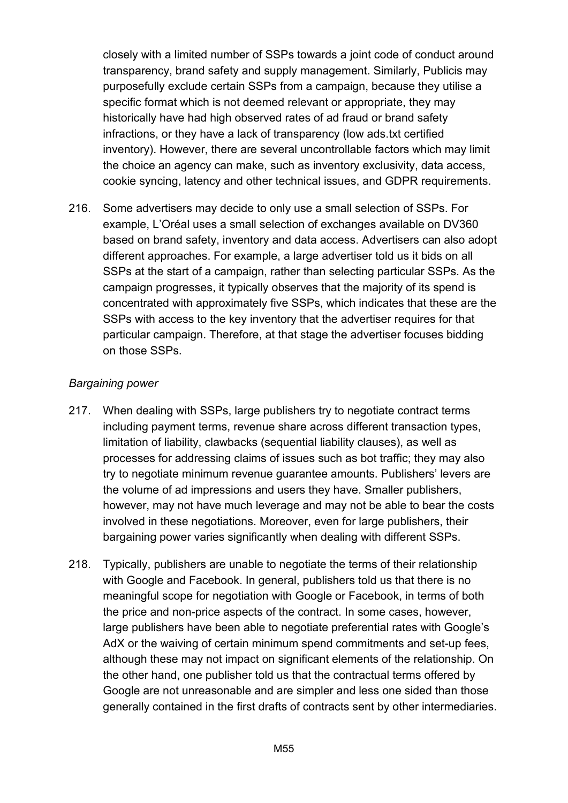closely with a limited number of SSPs towards a joint code of conduct around transparency, brand safety and supply management. Similarly, Publicis may purposefully exclude certain SSPs from a campaign, because they utilise a specific format which is not deemed relevant or appropriate, they may historically have had high observed rates of ad fraud or brand safety infractions, or they have a lack of transparency (low ads.txt certified inventory). However, there are several uncontrollable factors which may limit the choice an agency can make, such as inventory exclusivity, data access, cookie syncing, latency and other technical issues, and GDPR requirements.

216. Some advertisers may decide to only use a small selection of SSPs. For example, L'Oréal uses a small selection of exchanges available on DV360 based on brand safety, inventory and data access. Advertisers can also adopt different approaches. For example, a large advertiser told us it bids on all SSPs at the start of a campaign, rather than selecting particular SSPs. As the campaign progresses, it typically observes that the majority of its spend is concentrated with approximately five SSPs, which indicates that these are the SSPs with access to the key inventory that the advertiser requires for that particular campaign. Therefore, at that stage the advertiser focuses bidding on those SSPs.

## *Bargaining power*

- 217. When dealing with SSPs, large publishers try to negotiate contract terms including payment terms, revenue share across different transaction types, limitation of liability, clawbacks (sequential liability clauses), as well as processes for addressing claims of issues such as bot traffic; they may also try to negotiate minimum revenue guarantee amounts. Publishers' levers are the volume of ad impressions and users they have. Smaller publishers, however, may not have much leverage and may not be able to bear the costs involved in these negotiations. Moreover, even for large publishers, their bargaining power varies significantly when dealing with different SSPs.
- 218. Typically, publishers are unable to negotiate the terms of their relationship with Google and Facebook. In general, publishers told us that there is no meaningful scope for negotiation with Google or Facebook, in terms of both the price and non-price aspects of the contract. In some cases, however, large publishers have been able to negotiate preferential rates with Google's AdX or the waiving of certain minimum spend commitments and set-up fees, although these may not impact on significant elements of the relationship. On the other hand, one publisher told us that the contractual terms offered by Google are not unreasonable and are simpler and less one sided than those generally contained in the first drafts of contracts sent by other intermediaries.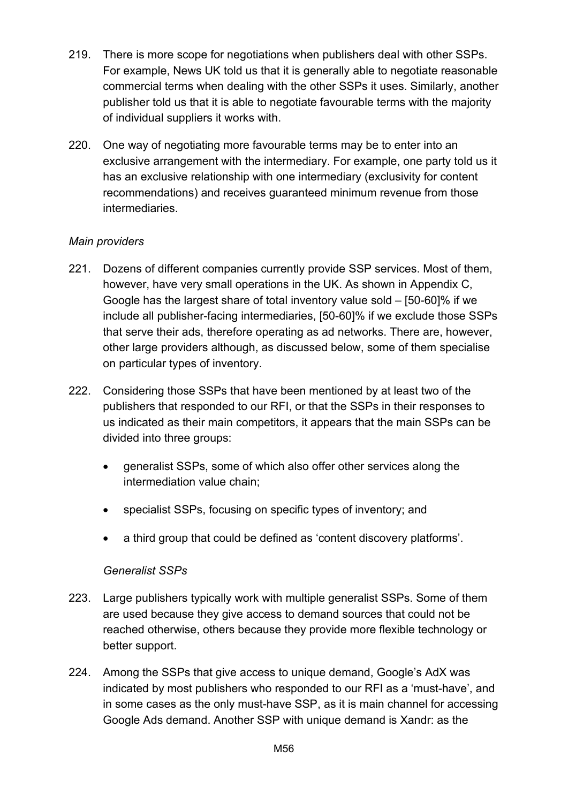- 219. There is more scope for negotiations when publishers deal with other SSPs. For example, News UK told us that it is generally able to negotiate reasonable commercial terms when dealing with the other SSPs it uses. Similarly, another publisher told us that it is able to negotiate favourable terms with the majority of individual suppliers it works with.
- 220. One way of negotiating more favourable terms may be to enter into an exclusive arrangement with the intermediary. For example, one party told us it has an exclusive relationship with one intermediary (exclusivity for content recommendations) and receives guaranteed minimum revenue from those intermediaries.

## *Main providers*

- 221. Dozens of different companies currently provide SSP services. Most of them, however, have very small operations in the UK. As shown in Appendix C, Google has the largest share of total inventory value sold – [50-60]% if we include all publisher-facing intermediaries, [50-60]% if we exclude those SSPs that serve their ads, therefore operating as ad networks. There are, however, other large providers although, as discussed below, some of them specialise on particular types of inventory.
- 222. Considering those SSPs that have been mentioned by at least two of the publishers that responded to our RFI, or that the SSPs in their responses to us indicated as their main competitors, it appears that the main SSPs can be divided into three groups:
	- generalist SSPs, some of which also offer other services along the intermediation value chain;
	- specialist SSPs, focusing on specific types of inventory; and
	- a third group that could be defined as 'content discovery platforms'.

## *Generalist SSPs*

- 223. Large publishers typically work with multiple generalist SSPs. Some of them are used because they give access to demand sources that could not be reached otherwise, others because they provide more flexible technology or better support.
- 224. Among the SSPs that give access to unique demand, Google's AdX was indicated by most publishers who responded to our RFI as a 'must-have', and in some cases as the only must-have SSP, as it is main channel for accessing Google Ads demand. Another SSP with unique demand is Xandr: as the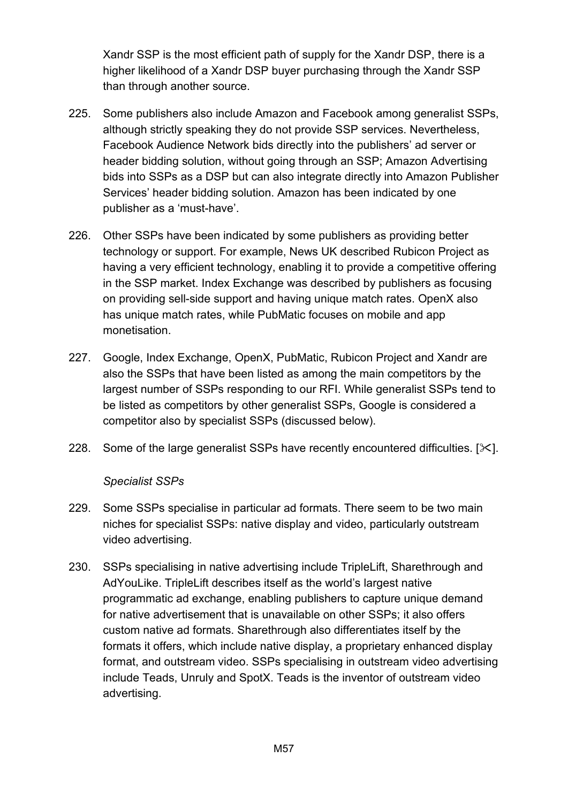Xandr SSP is the most efficient path of supply for the Xandr DSP, there is a higher likelihood of a Xandr DSP buyer purchasing through the Xandr SSP than through another source.

- 225. Some publishers also include Amazon and Facebook among generalist SSPs, although strictly speaking they do not provide SSP services. Nevertheless, Facebook Audience Network bids directly into the publishers' ad server or header bidding solution, without going through an SSP; Amazon Advertising bids into SSPs as a DSP but can also integrate directly into Amazon Publisher Services' header bidding solution. Amazon has been indicated by one publisher as a 'must-have'.
- 226. Other SSPs have been indicated by some publishers as providing better technology or support. For example, News UK described Rubicon Project as having a very efficient technology, enabling it to provide a competitive offering in the SSP market. Index Exchange was described by publishers as focusing on providing sell-side support and having unique match rates. OpenX also has unique match rates, while PubMatic focuses on mobile and app monetisation.
- 227. Google, Index Exchange, OpenX, PubMatic, Rubicon Project and Xandr are also the SSPs that have been listed as among the main competitors by the largest number of SSPs responding to our RFI. While generalist SSPs tend to be listed as competitors by other generalist SSPs, Google is considered a competitor also by specialist SSPs (discussed below).
- 228. Some of the large generalist SSPs have recently encountered difficulties.  $[\times]$ .

#### *Specialist SSPs*

- 229. Some SSPs specialise in particular ad formats. There seem to be two main niches for specialist SSPs: native display and video, particularly outstream video advertising.
- 230. SSPs specialising in native advertising include TripleLift, Sharethrough and AdYouLike. TripleLift describes itself as the world's largest native programmatic ad exchange, enabling publishers to capture unique demand for native advertisement that is unavailable on other SSPs; it also offers custom native ad formats. Sharethrough also differentiates itself by the formats it offers, which include native display, a proprietary enhanced display format, and outstream video. SSPs specialising in outstream video advertising include Teads, Unruly and SpotX. Teads is the inventor of outstream video advertising.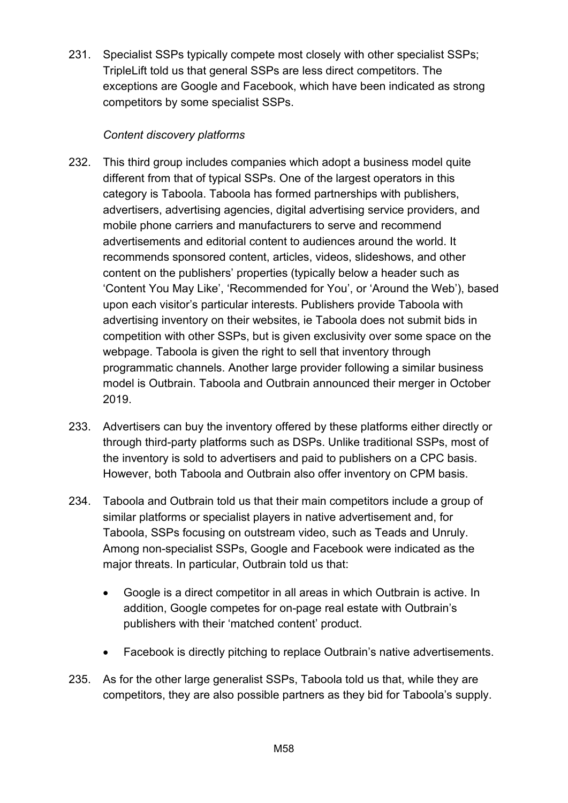231. Specialist SSPs typically compete most closely with other specialist SSPs; TripleLift told us that general SSPs are less direct competitors. The exceptions are Google and Facebook, which have been indicated as strong competitors by some specialist SSPs.

## *Content discovery platforms*

- 232. This third group includes companies which adopt a business model quite different from that of typical SSPs. One of the largest operators in this category is Taboola. Taboola has formed partnerships with publishers, advertisers, advertising agencies, digital advertising service providers, and mobile phone carriers and manufacturers to serve and recommend advertisements and editorial content to audiences around the world. It recommends sponsored content, articles, videos, slideshows, and other content on the publishers' properties (typically below a header such as 'Content You May Like', 'Recommended for You', or 'Around the Web'), based upon each visitor's particular interests. Publishers provide Taboola with advertising inventory on their websites, ie Taboola does not submit bids in competition with other SSPs, but is given exclusivity over some space on the webpage. Taboola is given the right to sell that inventory through programmatic channels. Another large provider following a similar business model is Outbrain. Taboola and Outbrain announced their merger in October 2019.
- 233. Advertisers can buy the inventory offered by these platforms either directly or through third-party platforms such as DSPs. Unlike traditional SSPs, most of the inventory is sold to advertisers and paid to publishers on a CPC basis. However, both Taboola and Outbrain also offer inventory on CPM basis.
- 234. Taboola and Outbrain told us that their main competitors include a group of similar platforms or specialist players in native advertisement and, for Taboola, SSPs focusing on outstream video, such as Teads and Unruly. Among non-specialist SSPs, Google and Facebook were indicated as the major threats. In particular, Outbrain told us that:
	- Google is a direct competitor in all areas in which Outbrain is active. In addition, Google competes for on-page real estate with Outbrain's publishers with their 'matched content' product.
	- Facebook is directly pitching to replace Outbrain's native advertisements.
- 235. As for the other large generalist SSPs, Taboola told us that, while they are competitors, they are also possible partners as they bid for Taboola's supply.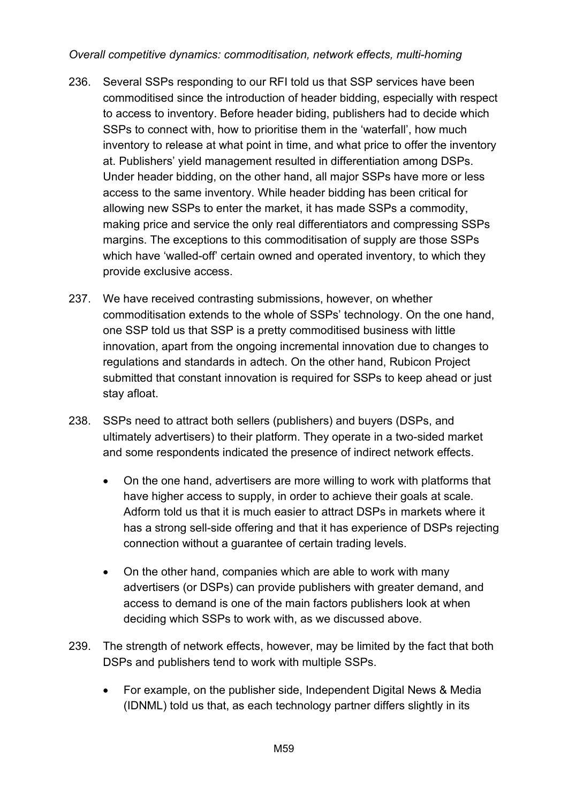## *Overall competitive dynamics: commoditisation, network effects, multi-homing*

- 236. Several SSPs responding to our RFI told us that SSP services have been commoditised since the introduction of header bidding, especially with respect to access to inventory. Before header biding, publishers had to decide which SSPs to connect with, how to prioritise them in the 'waterfall', how much inventory to release at what point in time, and what price to offer the inventory at. Publishers' yield management resulted in differentiation among DSPs. Under header bidding, on the other hand, all major SSPs have more or less access to the same inventory. While header bidding has been critical for allowing new SSPs to enter the market, it has made SSPs a commodity, making price and service the only real differentiators and compressing SSPs margins. The exceptions to this commoditisation of supply are those SSPs which have 'walled-off' certain owned and operated inventory, to which they provide exclusive access.
- 237. We have received contrasting submissions, however, on whether commoditisation extends to the whole of SSPs' technology. On the one hand, one SSP told us that SSP is a pretty commoditised business with little innovation, apart from the ongoing incremental innovation due to changes to regulations and standards in adtech. On the other hand, Rubicon Project submitted that constant innovation is required for SSPs to keep ahead or just stay afloat.
- 238. SSPs need to attract both sellers (publishers) and buyers (DSPs, and ultimately advertisers) to their platform. They operate in a two-sided market and some respondents indicated the presence of indirect network effects.
	- On the one hand, advertisers are more willing to work with platforms that have higher access to supply, in order to achieve their goals at scale. Adform told us that it is much easier to attract DSPs in markets where it has a strong sell-side offering and that it has experience of DSPs rejecting connection without a guarantee of certain trading levels.
	- On the other hand, companies which are able to work with many advertisers (or DSPs) can provide publishers with greater demand, and access to demand is one of the main factors publishers look at when deciding which SSPs to work with, as we discussed above.
- 239. The strength of network effects, however, may be limited by the fact that both DSPs and publishers tend to work with multiple SSPs.
	- For example, on the publisher side, Independent Digital News & Media (IDNML) told us that, as each technology partner differs slightly in its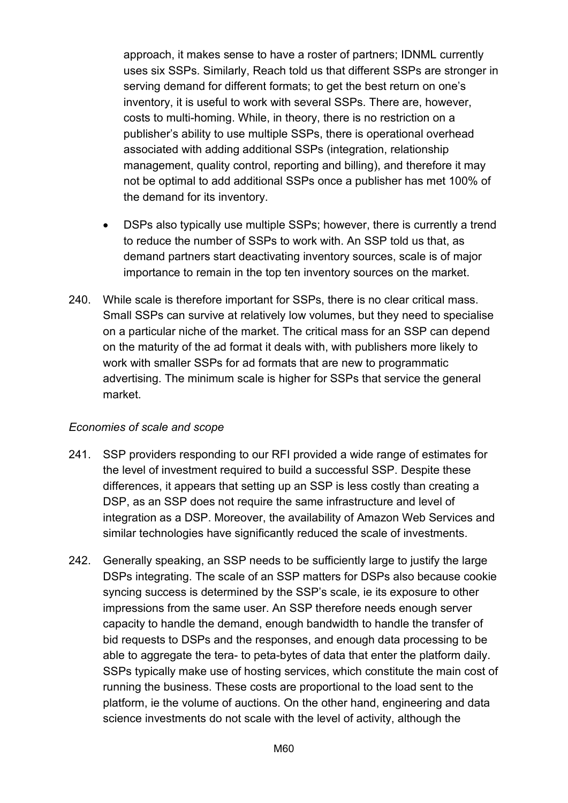approach, it makes sense to have a roster of partners; IDNML currently uses six SSPs. Similarly, Reach told us that different SSPs are stronger in serving demand for different formats; to get the best return on one's inventory, it is useful to work with several SSPs. There are, however, costs to multi-homing. While, in theory, there is no restriction on a publisher's ability to use multiple SSPs, there is operational overhead associated with adding additional SSPs (integration, relationship management, quality control, reporting and billing), and therefore it may not be optimal to add additional SSPs once a publisher has met 100% of the demand for its inventory.

- DSPs also typically use multiple SSPs; however, there is currently a trend to reduce the number of SSPs to work with. An SSP told us that, as demand partners start deactivating inventory sources, scale is of major importance to remain in the top ten inventory sources on the market.
- 240. While scale is therefore important for SSPs, there is no clear critical mass. Small SSPs can survive at relatively low volumes, but they need to specialise on a particular niche of the market. The critical mass for an SSP can depend on the maturity of the ad format it deals with, with publishers more likely to work with smaller SSPs for ad formats that are new to programmatic advertising. The minimum scale is higher for SSPs that service the general market.

#### *Economies of scale and scope*

- 241. SSP providers responding to our RFI provided a wide range of estimates for the level of investment required to build a successful SSP. Despite these differences, it appears that setting up an SSP is less costly than creating a DSP, as an SSP does not require the same infrastructure and level of integration as a DSP. Moreover, the availability of Amazon Web Services and similar technologies have significantly reduced the scale of investments.
- 242. Generally speaking, an SSP needs to be sufficiently large to justify the large DSPs integrating. The scale of an SSP matters for DSPs also because cookie syncing success is determined by the SSP's scale, ie its exposure to other impressions from the same user. An SSP therefore needs enough server capacity to handle the demand, enough bandwidth to handle the transfer of bid requests to DSPs and the responses, and enough data processing to be able to aggregate the tera- to peta-bytes of data that enter the platform daily. SSPs typically make use of hosting services, which constitute the main cost of running the business. These costs are proportional to the load sent to the platform, ie the volume of auctions. On the other hand, engineering and data science investments do not scale with the level of activity, although the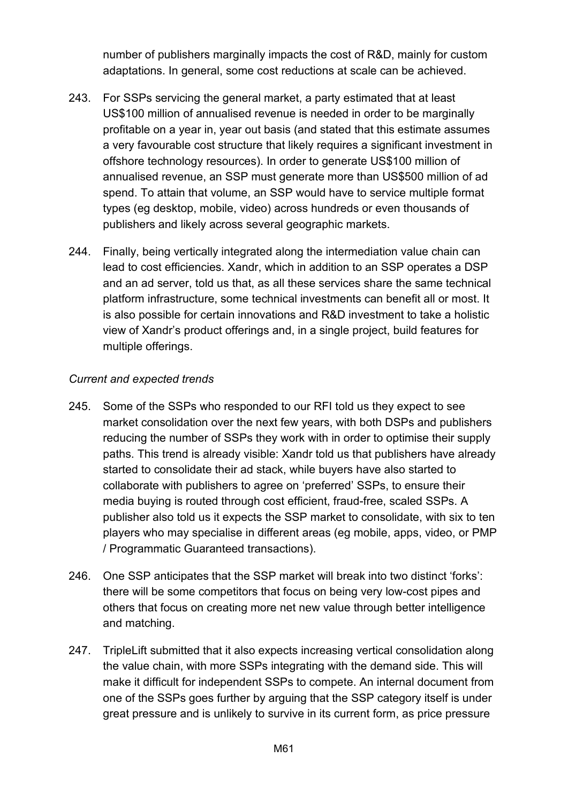number of publishers marginally impacts the cost of R&D, mainly for custom adaptations. In general, some cost reductions at scale can be achieved.

- 243. For SSPs servicing the general market, a party estimated that at least US\$100 million of annualised revenue is needed in order to be marginally profitable on a year in, year out basis (and stated that this estimate assumes a very favourable cost structure that likely requires a significant investment in offshore technology resources). In order to generate US\$100 million of annualised revenue, an SSP must generate more than US\$500 million of ad spend. To attain that volume, an SSP would have to service multiple format types (eg desktop, mobile, video) across hundreds or even thousands of publishers and likely across several geographic markets.
- 244. Finally, being vertically integrated along the intermediation value chain can lead to cost efficiencies. Xandr, which in addition to an SSP operates a DSP and an ad server, told us that, as all these services share the same technical platform infrastructure, some technical investments can benefit all or most. It is also possible for certain innovations and R&D investment to take a holistic view of Xandr's product offerings and, in a single project, build features for multiple offerings.

## *Current and expected trends*

- 245. Some of the SSPs who responded to our RFI told us they expect to see market consolidation over the next few years, with both DSPs and publishers reducing the number of SSPs they work with in order to optimise their supply paths. This trend is already visible: Xandr told us that publishers have already started to consolidate their ad stack, while buyers have also started to collaborate with publishers to agree on 'preferred' SSPs, to ensure their media buying is routed through cost efficient, fraud-free, scaled SSPs. A publisher also told us it expects the SSP market to consolidate, with six to ten players who may specialise in different areas (eg mobile, apps, video, or PMP / Programmatic Guaranteed transactions).
- 246. One SSP anticipates that the SSP market will break into two distinct 'forks': there will be some competitors that focus on being very low-cost pipes and others that focus on creating more net new value through better intelligence and matching.
- 247. TripleLift submitted that it also expects increasing vertical consolidation along the value chain, with more SSPs integrating with the demand side. This will make it difficult for independent SSPs to compete. An internal document from one of the SSPs goes further by arguing that the SSP category itself is under great pressure and is unlikely to survive in its current form, as price pressure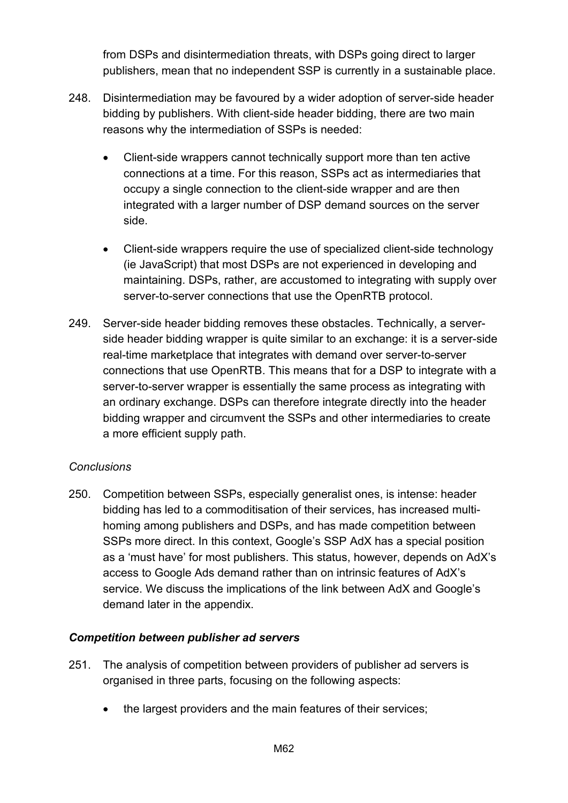from DSPs and disintermediation threats, with DSPs going direct to larger publishers, mean that no independent SSP is currently in a sustainable place.

- 248. Disintermediation may be favoured by a wider adoption of server-side header bidding by publishers. With client-side header bidding, there are two main reasons why the intermediation of SSPs is needed:
	- Client-side wrappers cannot technically support more than ten active connections at a time. For this reason, SSPs act as intermediaries that occupy a single connection to the client-side wrapper and are then integrated with a larger number of DSP demand sources on the server side.
	- Client-side wrappers require the use of specialized client-side technology (ie JavaScript) that most DSPs are not experienced in developing and maintaining. DSPs, rather, are accustomed to integrating with supply over server-to-server connections that use the OpenRTB protocol.
- 249. Server-side header bidding removes these obstacles. Technically, a serverside header bidding wrapper is quite similar to an exchange: it is a server-side real-time marketplace that integrates with demand over server-to-server connections that use OpenRTB. This means that for a DSP to integrate with a server-to-server wrapper is essentially the same process as integrating with an ordinary exchange. DSPs can therefore integrate directly into the header bidding wrapper and circumvent the SSPs and other intermediaries to create a more efficient supply path.

## *Conclusions*

250. Competition between SSPs, especially generalist ones, is intense: header bidding has led to a commoditisation of their services, has increased multihoming among publishers and DSPs, and has made competition between SSPs more direct. In this context, Google's SSP AdX has a special position as a 'must have' for most publishers. This status, however, depends on AdX's access to Google Ads demand rather than on intrinsic features of AdX's service. We discuss the implications of the link between AdX and Google's demand later in the appendix.

## *Competition between publisher ad servers*

- 251. The analysis of competition between providers of publisher ad servers is organised in three parts, focusing on the following aspects:
	- the largest providers and the main features of their services;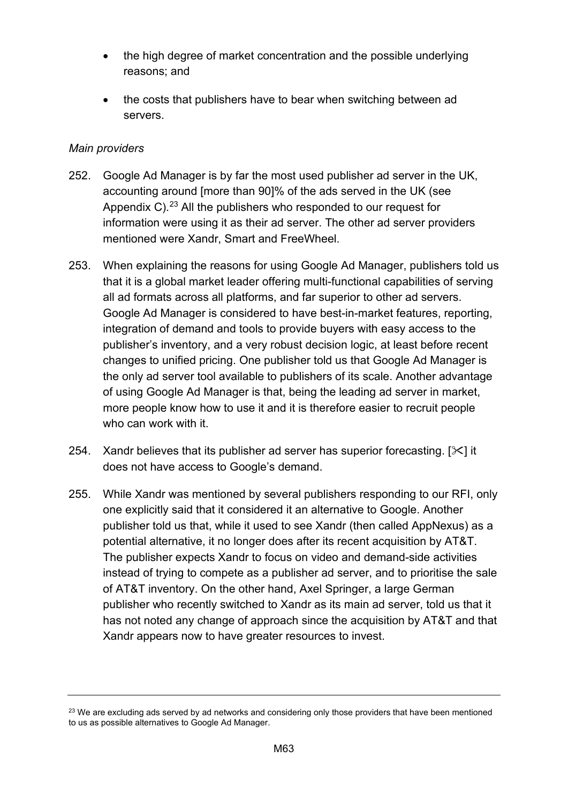- the high degree of market concentration and the possible underlying reasons; and
- the costs that publishers have to bear when switching between ad servers.

## *Main providers*

- 252. Google Ad Manager is by far the most used publisher ad server in the UK, accounting around [more than 90]% of the ads served in the UK (see Appendix C). $^{23}$  $^{23}$  $^{23}$  All the publishers who responded to our request for information were using it as their ad server. The other ad server providers mentioned were Xandr, Smart and FreeWheel.
- 253. When explaining the reasons for using Google Ad Manager, publishers told us that it is a global market leader offering multi-functional capabilities of serving all ad formats across all platforms, and far superior to other ad servers. Google Ad Manager is considered to have best-in-market features, reporting, integration of demand and tools to provide buyers with easy access to the publisher's inventory, and a very robust decision logic, at least before recent changes to unified pricing. One publisher told us that Google Ad Manager is the only ad server tool available to publishers of its scale. Another advantage of using Google Ad Manager is that, being the leading ad server in market, more people know how to use it and it is therefore easier to recruit people who can work with it.
- 254. Xandr believes that its publisher ad server has superior forecasting.  $[\times]$  it does not have access to Google's demand.
- 255. While Xandr was mentioned by several publishers responding to our RFI, only one explicitly said that it considered it an alternative to Google. Another publisher told us that, while it used to see Xandr (then called AppNexus) as a potential alternative, it no longer does after its recent acquisition by AT&T. The publisher expects Xandr to focus on video and demand-side activities instead of trying to compete as a publisher ad server, and to prioritise the sale of AT&T inventory. On the other hand, Axel Springer, a large German publisher who recently switched to Xandr as its main ad server, told us that it has not noted any change of approach since the acquisition by AT&T and that Xandr appears now to have greater resources to invest.

<span id="page-62-0"></span><sup>&</sup>lt;sup>23</sup> We are excluding ads served by ad networks and considering only those providers that have been mentioned to us as possible alternatives to Google Ad Manager.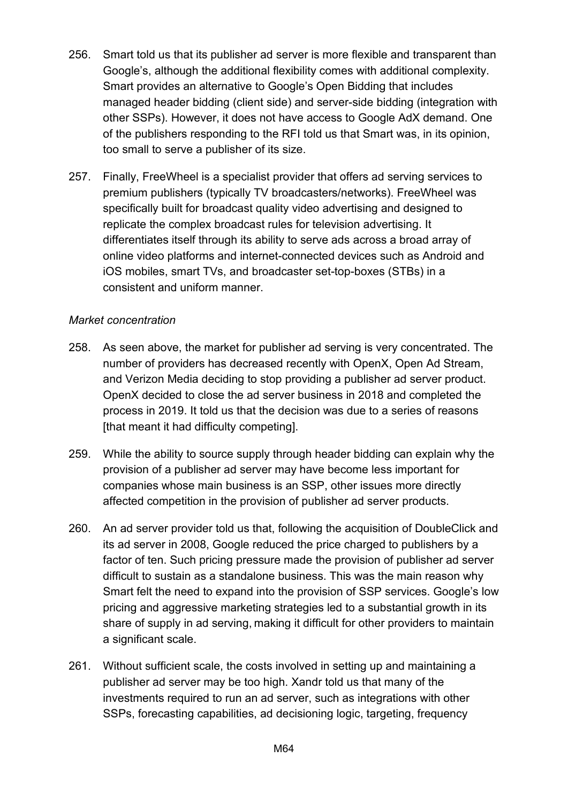- 256. Smart told us that its publisher ad server is more flexible and transparent than Google's, although the additional flexibility comes with additional complexity. Smart provides an alternative to Google's Open Bidding that includes managed header bidding (client side) and server-side bidding (integration with other SSPs). However, it does not have access to Google AdX demand. One of the publishers responding to the RFI told us that Smart was, in its opinion, too small to serve a publisher of its size.
- 257. Finally, FreeWheel is a specialist provider that offers ad serving services to premium publishers (typically TV broadcasters/networks). FreeWheel was specifically built for broadcast quality video advertising and designed to replicate the complex broadcast rules for television advertising. It differentiates itself through its ability to serve ads across a broad array of online video platforms and internet-connected devices such as Android and iOS mobiles, smart TVs, and broadcaster set-top-boxes (STBs) in a consistent and uniform manner.

#### *Market concentration*

- 258. As seen above, the market for publisher ad serving is very concentrated. The number of providers has decreased recently with OpenX, Open Ad Stream, and Verizon Media deciding to stop providing a publisher ad server product. OpenX decided to close the ad server business in 2018 and completed the process in 2019. It told us that the decision was due to a series of reasons [that meant it had difficulty competing].
- 259. While the ability to source supply through header bidding can explain why the provision of a publisher ad server may have become less important for companies whose main business is an SSP, other issues more directly affected competition in the provision of publisher ad server products.
- 260. An ad server provider told us that, following the acquisition of DoubleClick and its ad server in 2008, Google reduced the price charged to publishers by a factor of ten. Such pricing pressure made the provision of publisher ad server difficult to sustain as a standalone business. This was the main reason why Smart felt the need to expand into the provision of SSP services. Google's low pricing and aggressive marketing strategies led to a substantial growth in its share of supply in ad serving, making it difficult for other providers to maintain a significant scale.
- 261. Without sufficient scale, the costs involved in setting up and maintaining a publisher ad server may be too high. Xandr told us that many of the investments required to run an ad server, such as integrations with other SSPs, forecasting capabilities, ad decisioning logic, targeting, frequency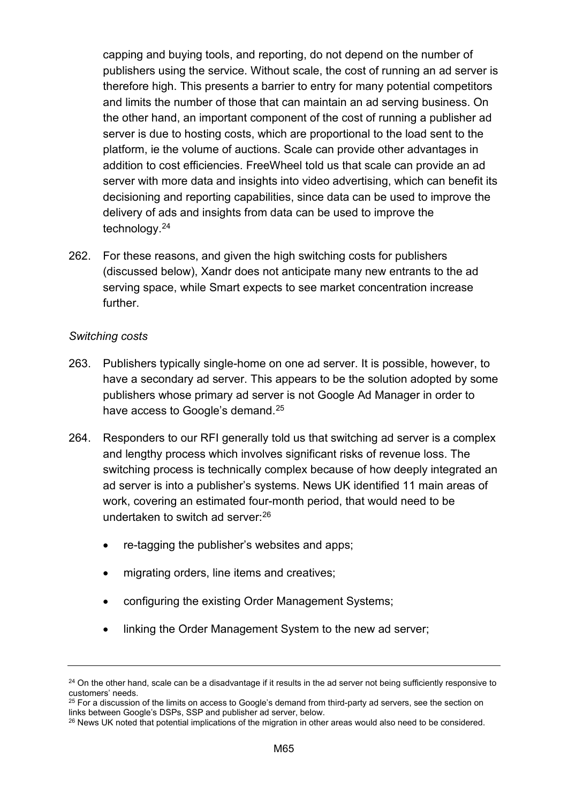capping and buying tools, and reporting, do not depend on the number of publishers using the service. Without scale, the cost of running an ad server is therefore high. This presents a barrier to entry for many potential competitors and limits the number of those that can maintain an ad serving business. On the other hand, an important component of the cost of running a publisher ad server is due to hosting costs, which are proportional to the load sent to the platform, ie the volume of auctions. Scale can provide other advantages in addition to cost efficiencies. FreeWheel told us that scale can provide an ad server with more data and insights into video advertising, which can benefit its decisioning and reporting capabilities, since data can be used to improve the delivery of ads and insights from data can be used to improve the technology.[24](#page-64-0)

262. For these reasons, and given the high switching costs for publishers (discussed below), Xandr does not anticipate many new entrants to the ad serving space, while Smart expects to see market concentration increase further.

#### *Switching costs*

- 263. Publishers typically single-home on one ad server. It is possible, however, to have a secondary ad server. This appears to be the solution adopted by some publishers whose primary ad server is not Google Ad Manager in order to have access to Google's demand.<sup>[25](#page-64-1)</sup>
- 264. Responders to our RFI generally told us that switching ad server is a complex and lengthy process which involves significant risks of revenue loss. The switching process is technically complex because of how deeply integrated an ad server is into a publisher's systems. News UK identified 11 main areas of work, covering an estimated four-month period, that would need to be undertaken to switch ad server: [26](#page-64-2)
	- re-tagging the publisher's websites and apps;
	- migrating orders, line items and creatives;
	- configuring the existing Order Management Systems;
	- linking the Order Management System to the new ad server;

<span id="page-64-0"></span><sup>&</sup>lt;sup>24</sup> On the other hand, scale can be a disadvantage if it results in the ad server not being sufficiently responsive to customers' needs.

<span id="page-64-1"></span><sup>&</sup>lt;sup>25</sup> For a discussion of the limits on access to Google's demand from third-party ad servers, see the section on links between Google's DSPs, SSP and publisher ad server, below.<br><sup>26</sup> News UK noted that potential implications of the migration in other areas would also need to be considered.

<span id="page-64-2"></span>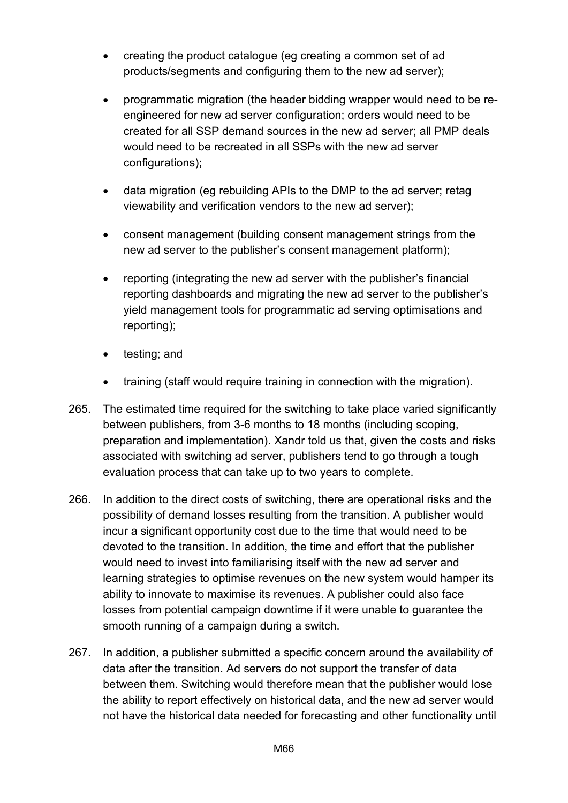- creating the product catalogue (eg creating a common set of ad products/segments and configuring them to the new ad server);
- programmatic migration (the header bidding wrapper would need to be reengineered for new ad server configuration; orders would need to be created for all SSP demand sources in the new ad server; all PMP deals would need to be recreated in all SSPs with the new ad server configurations):
- data migration (eg rebuilding APIs to the DMP to the ad server; retag viewability and verification vendors to the new ad server);
- consent management (building consent management strings from the new ad server to the publisher's consent management platform);
- reporting (integrating the new ad server with the publisher's financial reporting dashboards and migrating the new ad server to the publisher's yield management tools for programmatic ad serving optimisations and reporting);
- testing; and
- training (staff would require training in connection with the migration).
- 265. The estimated time required for the switching to take place varied significantly between publishers, from 3-6 months to 18 months (including scoping, preparation and implementation). Xandr told us that, given the costs and risks associated with switching ad server, publishers tend to go through a tough evaluation process that can take up to two years to complete.
- 266. In addition to the direct costs of switching, there are operational risks and the possibility of demand losses resulting from the transition. A publisher would incur a significant opportunity cost due to the time that would need to be devoted to the transition. In addition, the time and effort that the publisher would need to invest into familiarising itself with the new ad server and learning strategies to optimise revenues on the new system would hamper its ability to innovate to maximise its revenues. A publisher could also face losses from potential campaign downtime if it were unable to guarantee the smooth running of a campaign during a switch.
- 267. In addition, a publisher submitted a specific concern around the availability of data after the transition. Ad servers do not support the transfer of data between them. Switching would therefore mean that the publisher would lose the ability to report effectively on historical data, and the new ad server would not have the historical data needed for forecasting and other functionality until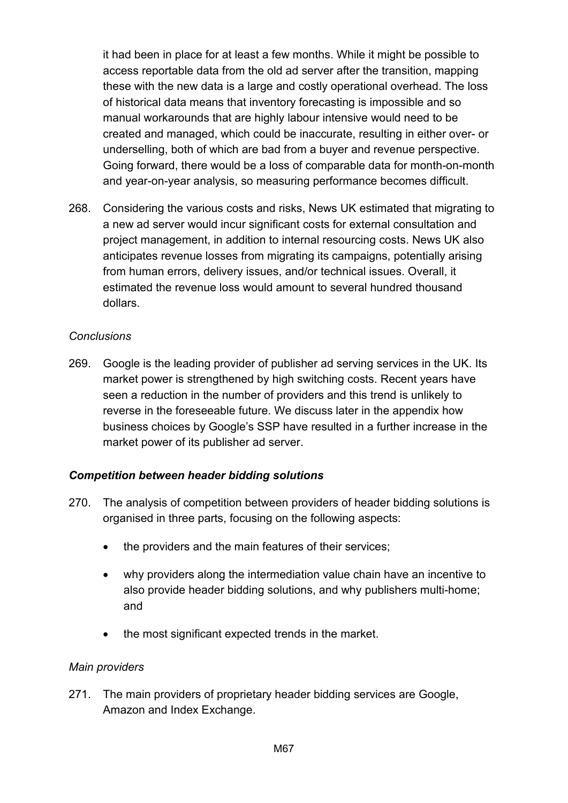it had been in place for at least a few months. While it might be possible to access reportable data from the old ad server after the transition, mapping these with the new data is a large and costly operational overhead. The loss of historical data means that inventory forecasting is impossible and so manual workarounds that are highly labour intensive would need to be created and managed, which could be inaccurate, resulting in either over- or underselling, both of which are bad from a buyer and revenue perspective. Going forward, there would be a loss of comparable data for month-on-month and year-on-year analysis, so measuring performance becomes difficult.

268. Considering the various costs and risks, News UK estimated that migrating to a new ad server would incur significant costs for external consultation and project management, in addition to internal resourcing costs. News UK also anticipates revenue losses from migrating its campaigns, potentially arising from human errors, delivery issues, and/or technical issues. Overall, it estimated the revenue loss would amount to several hundred thousand dollars.

#### *Conclusions*

269. Google is the leading provider of publisher ad serving services in the UK. Its market power is strengthened by high switching costs. Recent years have seen a reduction in the number of providers and this trend is unlikely to reverse in the foreseeable future. We discuss later in the appendix how business choices by Google's SSP have resulted in a further increase in the market power of its publisher ad server.

## *Competition between header bidding solutions*

- 270. The analysis of competition between providers of header bidding solutions is organised in three parts, focusing on the following aspects:
	- the providers and the main features of their services;
	- why providers along the intermediation value chain have an incentive to also provide header bidding solutions, and why publishers multi-home; and
	- the most significant expected trends in the market.

#### *Main providers*

271. The main providers of proprietary header bidding services are Google, Amazon and Index Exchange.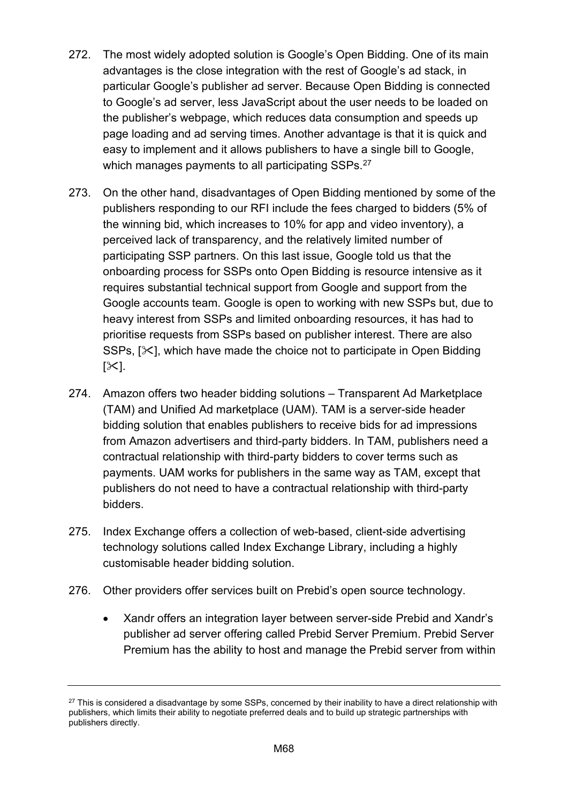- 272. The most widely adopted solution is Google's Open Bidding. One of its main advantages is the close integration with the rest of Google's ad stack, in particular Google's publisher ad server. Because Open Bidding is connected to Google's ad server, less JavaScript about the user needs to be loaded on the publisher's webpage, which reduces data consumption and speeds up page loading and ad serving times. Another advantage is that it is quick and easy to implement and it allows publishers to have a single bill to Google, which manages payments to all participating SSPs.<sup>27</sup>
- 273. On the other hand, disadvantages of Open Bidding mentioned by some of the publishers responding to our RFI include the fees charged to bidders (5% of the winning bid, which increases to 10% for app and video inventory), a perceived lack of transparency, and the relatively limited number of participating SSP partners. On this last issue, Google told us that the onboarding process for SSPs onto Open Bidding is resource intensive as it requires substantial technical support from Google and support from the Google accounts team. Google is open to working with new SSPs but, due to heavy interest from SSPs and limited onboarding resources, it has had to prioritise requests from SSPs based on publisher interest. There are also SSPs,  $[\times]$ , which have made the choice not to participate in Open Bidding  $[\times]$ .
- 274. Amazon offers two header bidding solutions Transparent Ad Marketplace (TAM) and Unified Ad marketplace (UAM). TAM is a server-side header bidding solution that enables publishers to receive bids for ad impressions from Amazon advertisers and third-party bidders. In TAM, publishers need a contractual relationship with third-party bidders to cover terms such as payments. UAM works for publishers in the same way as TAM, except that publishers do not need to have a contractual relationship with third-party bidders.
- 275. Index Exchange offers a collection of web-based, client-side advertising technology solutions called Index Exchange Library, including a highly customisable header bidding solution.
- 276. Other providers offer services built on Prebid's open source technology.
	- Xandr offers an integration layer between server-side Prebid and Xandr's publisher ad server offering called Prebid Server Premium. Prebid Server Premium has the ability to host and manage the Prebid server from within

<span id="page-67-0"></span><sup>&</sup>lt;sup>27</sup> This is considered a disadvantage by some SSPs, concerned by their inability to have a direct relationship with publishers, which limits their ability to negotiate preferred deals and to build up strategic partnerships with publishers directly.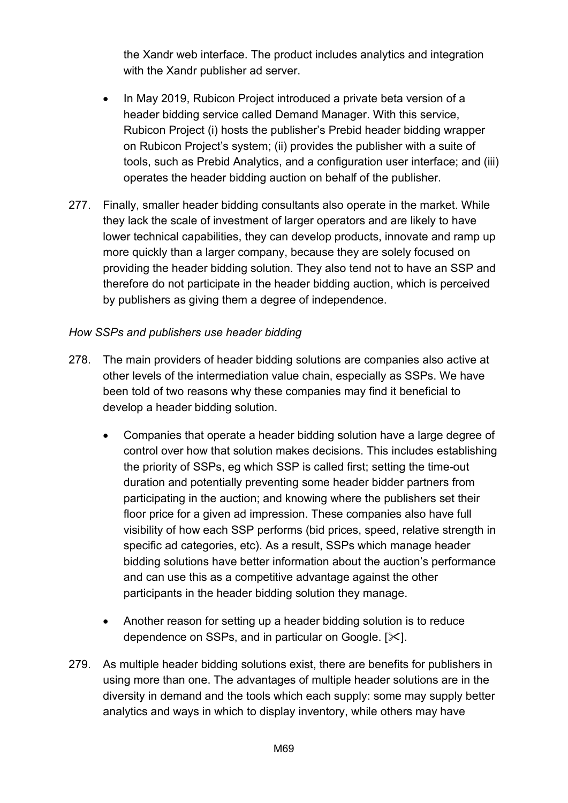the Xandr web interface. The product includes analytics and integration with the Xandr publisher ad server.

- In May 2019, Rubicon Project introduced a private beta version of a header bidding service called Demand Manager. With this service, Rubicon Project (i) hosts the publisher's Prebid header bidding wrapper on Rubicon Project's system; (ii) provides the publisher with a suite of tools, such as Prebid Analytics, and a configuration user interface; and (iii) operates the header bidding auction on behalf of the publisher.
- 277. Finally, smaller header bidding consultants also operate in the market. While they lack the scale of investment of larger operators and are likely to have lower technical capabilities, they can develop products, innovate and ramp up more quickly than a larger company, because they are solely focused on providing the header bidding solution. They also tend not to have an SSP and therefore do not participate in the header bidding auction, which is perceived by publishers as giving them a degree of independence.

#### *How SSPs and publishers use header bidding*

- 278. The main providers of header bidding solutions are companies also active at other levels of the intermediation value chain, especially as SSPs. We have been told of two reasons why these companies may find it beneficial to develop a header bidding solution.
	- Companies that operate a header bidding solution have a large degree of control over how that solution makes decisions. This includes establishing the priority of SSPs, eg which SSP is called first; setting the time-out duration and potentially preventing some header bidder partners from participating in the auction; and knowing where the publishers set their floor price for a given ad impression. These companies also have full visibility of how each SSP performs (bid prices, speed, relative strength in specific ad categories, etc). As a result, SSPs which manage header bidding solutions have better information about the auction's performance and can use this as a competitive advantage against the other participants in the header bidding solution they manage.
	- Another reason for setting up a header bidding solution is to reduce dependence on SSPs, and in particular on Google. [ $\angle$ ].
- 279. As multiple header bidding solutions exist, there are benefits for publishers in using more than one. The advantages of multiple header solutions are in the diversity in demand and the tools which each supply: some may supply better analytics and ways in which to display inventory, while others may have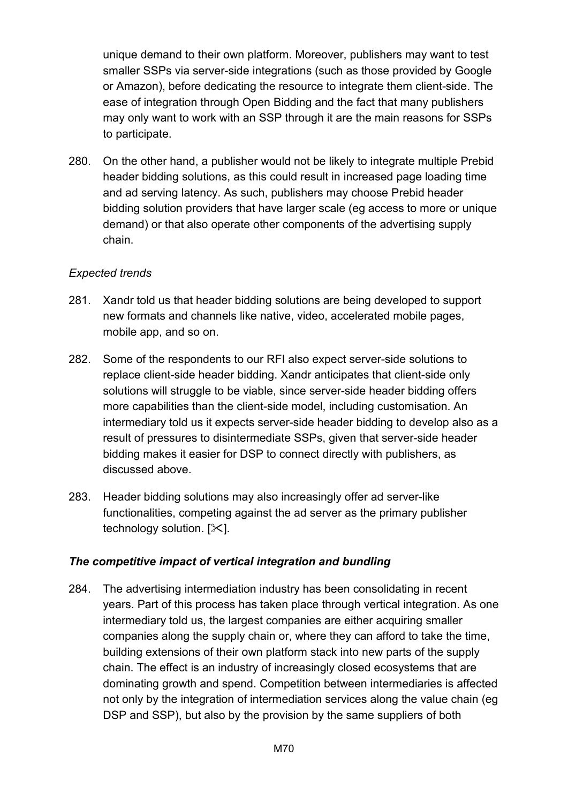unique demand to their own platform. Moreover, publishers may want to test smaller SSPs via server-side integrations (such as those provided by Google or Amazon), before dedicating the resource to integrate them client-side. The ease of integration through Open Bidding and the fact that many publishers may only want to work with an SSP through it are the main reasons for SSPs to participate.

280. On the other hand, a publisher would not be likely to integrate multiple Prebid header bidding solutions, as this could result in increased page loading time and ad serving latency. As such, publishers may choose Prebid header bidding solution providers that have larger scale (eg access to more or unique demand) or that also operate other components of the advertising supply chain.

## *Expected trends*

- 281. Xandr told us that header bidding solutions are being developed to support new formats and channels like native, video, accelerated mobile pages, mobile app, and so on.
- 282. Some of the respondents to our RFI also expect server-side solutions to replace client-side header bidding. Xandr anticipates that client-side only solutions will struggle to be viable, since server-side header bidding offers more capabilities than the client-side model, including customisation. An intermediary told us it expects server-side header bidding to develop also as a result of pressures to disintermediate SSPs, given that server-side header bidding makes it easier for DSP to connect directly with publishers, as discussed above.
- 283. Header bidding solutions may also increasingly offer ad server-like functionalities, competing against the ad server as the primary publisher technology solution.  $[\times]$ .

## *The competitive impact of vertical integration and bundling*

284. The advertising intermediation industry has been consolidating in recent years. Part of this process has taken place through vertical integration. As one intermediary told us, the largest companies are either acquiring smaller companies along the supply chain or, where they can afford to take the time, building extensions of their own platform stack into new parts of the supply chain. The effect is an industry of increasingly closed ecosystems that are dominating growth and spend. Competition between intermediaries is affected not only by the integration of intermediation services along the value chain (eg DSP and SSP), but also by the provision by the same suppliers of both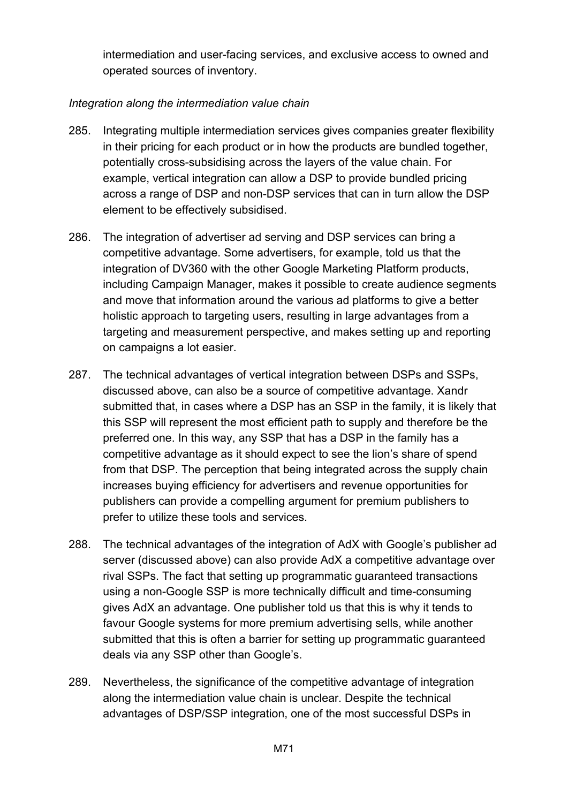intermediation and user-facing services, and exclusive access to owned and operated sources of inventory.

## *Integration along the intermediation value chain*

- 285. Integrating multiple intermediation services gives companies greater flexibility in their pricing for each product or in how the products are bundled together, potentially cross-subsidising across the layers of the value chain. For example, vertical integration can allow a DSP to provide bundled pricing across a range of DSP and non-DSP services that can in turn allow the DSP element to be effectively subsidised.
- 286. The integration of advertiser ad serving and DSP services can bring a competitive advantage. Some advertisers, for example, told us that the integration of DV360 with the other Google Marketing Platform products, including Campaign Manager, makes it possible to create audience segments and move that information around the various ad platforms to give a better holistic approach to targeting users, resulting in large advantages from a targeting and measurement perspective, and makes setting up and reporting on campaigns a lot easier.
- 287. The technical advantages of vertical integration between DSPs and SSPs, discussed above, can also be a source of competitive advantage. Xandr submitted that, in cases where a DSP has an SSP in the family, it is likely that this SSP will represent the most efficient path to supply and therefore be the preferred one. In this way, any SSP that has a DSP in the family has a competitive advantage as it should expect to see the lion's share of spend from that DSP. The perception that being integrated across the supply chain increases buying efficiency for advertisers and revenue opportunities for publishers can provide a compelling argument for premium publishers to prefer to utilize these tools and services.
- 288. The technical advantages of the integration of AdX with Google's publisher ad server (discussed above) can also provide AdX a competitive advantage over rival SSPs. The fact that setting up programmatic guaranteed transactions using a non-Google SSP is more technically difficult and time-consuming gives AdX an advantage. One publisher told us that this is why it tends to favour Google systems for more premium advertising sells, while another submitted that this is often a barrier for setting up programmatic guaranteed deals via any SSP other than Google's.
- 289. Nevertheless, the significance of the competitive advantage of integration along the intermediation value chain is unclear. Despite the technical advantages of DSP/SSP integration, one of the most successful DSPs in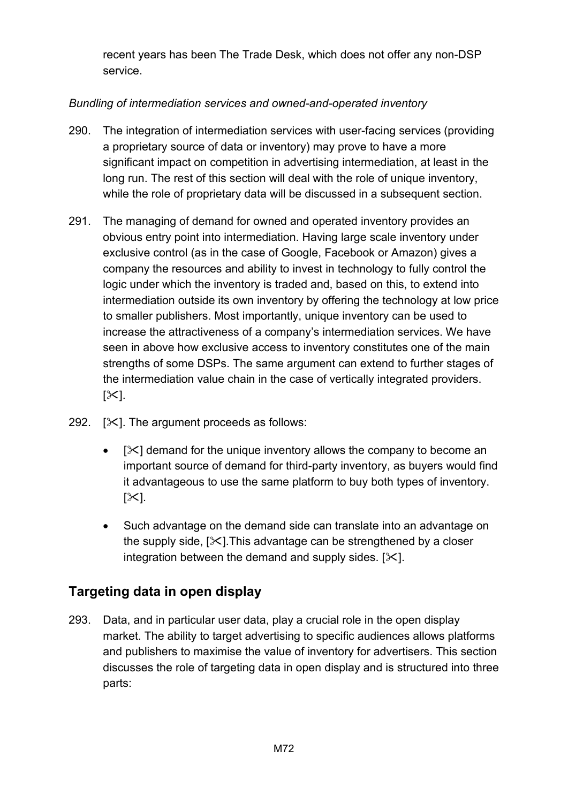recent years has been The Trade Desk, which does not offer any non-DSP service.

## *Bundling of intermediation services and owned-and-operated inventory*

- 290. The integration of intermediation services with user-facing services (providing a proprietary source of data or inventory) may prove to have a more significant impact on competition in advertising intermediation, at least in the long run. The rest of this section will deal with the role of unique inventory, while the role of proprietary data will be discussed in a subsequent section.
- 291. The managing of demand for owned and operated inventory provides an obvious entry point into intermediation. Having large scale inventory under exclusive control (as in the case of Google, Facebook or Amazon) gives a company the resources and ability to invest in technology to fully control the logic under which the inventory is traded and, based on this, to extend into intermediation outside its own inventory by offering the technology at low price to smaller publishers. Most importantly, unique inventory can be used to increase the attractiveness of a company's intermediation services. We have seen in above how exclusive access to inventory constitutes one of the main strengths of some DSPs. The same argument can extend to further stages of the intermediation value chain in the case of vertically integrated providers.  $[\times]$ .
- 292.  $[\times]$ . The argument proceeds as follows:
	- $\bullet$  [ $\ge$ ] demand for the unique inventory allows the company to become an important source of demand for third-party inventory, as buyers would find it advantageous to use the same platform to buy both types of inventory.  $[\times]$ .
	- Such advantage on the demand side can translate into an advantage on the supply side,  $[\times]$ . This advantage can be strengthened by a closer integration between the demand and supply sides.  $[\times]$ .

# **Targeting data in open display**

293. Data, and in particular user data, play a crucial role in the open display market. The ability to target advertising to specific audiences allows platforms and publishers to maximise the value of inventory for advertisers. This section discusses the role of targeting data in open display and is structured into three parts: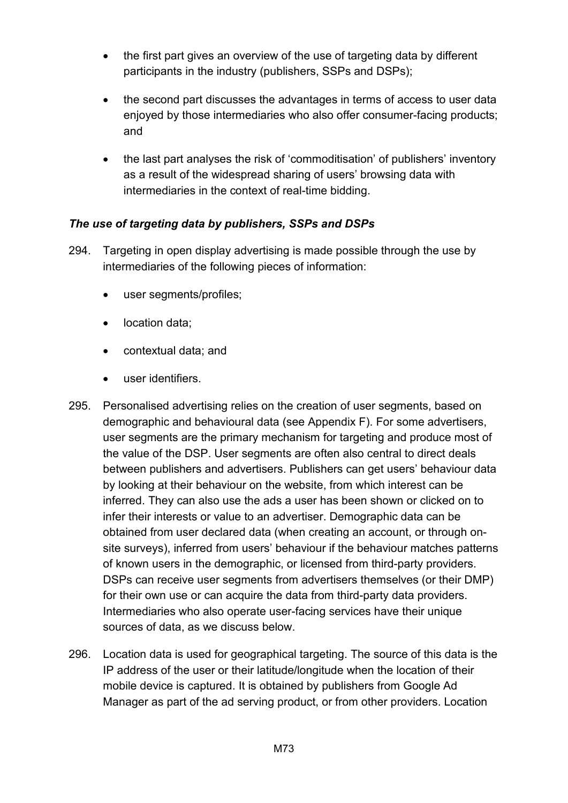- the first part gives an overview of the use of targeting data by different participants in the industry (publishers, SSPs and DSPs);
- the second part discusses the advantages in terms of access to user data enjoyed by those intermediaries who also offer consumer-facing products; and
- the last part analyses the risk of 'commoditisation' of publishers' inventory as a result of the widespread sharing of users' browsing data with intermediaries in the context of real-time bidding.

## *The use of targeting data by publishers, SSPs and DSPs*

- 294. Targeting in open display advertising is made possible through the use by intermediaries of the following pieces of information:
	- user segments/profiles;
	- location data;
	- contextual data; and
	- user identifiers.
- 295. Personalised advertising relies on the creation of user segments, based on demographic and behavioural data (see Appendix F). For some advertisers, user segments are the primary mechanism for targeting and produce most of the value of the DSP. User segments are often also central to direct deals between publishers and advertisers. Publishers can get users' behaviour data by looking at their behaviour on the website, from which interest can be inferred. They can also use the ads a user has been shown or clicked on to infer their interests or value to an advertiser. Demographic data can be obtained from user declared data (when creating an account, or through onsite surveys), inferred from users' behaviour if the behaviour matches patterns of known users in the demographic, or licensed from third-party providers. DSPs can receive user segments from advertisers themselves (or their DMP) for their own use or can acquire the data from third-party data providers. Intermediaries who also operate user-facing services have their unique sources of data, as we discuss below.
- 296. Location data is used for geographical targeting. The source of this data is the IP address of the user or their latitude/longitude when the location of their mobile device is captured. It is obtained by publishers from Google Ad Manager as part of the ad serving product, or from other providers. Location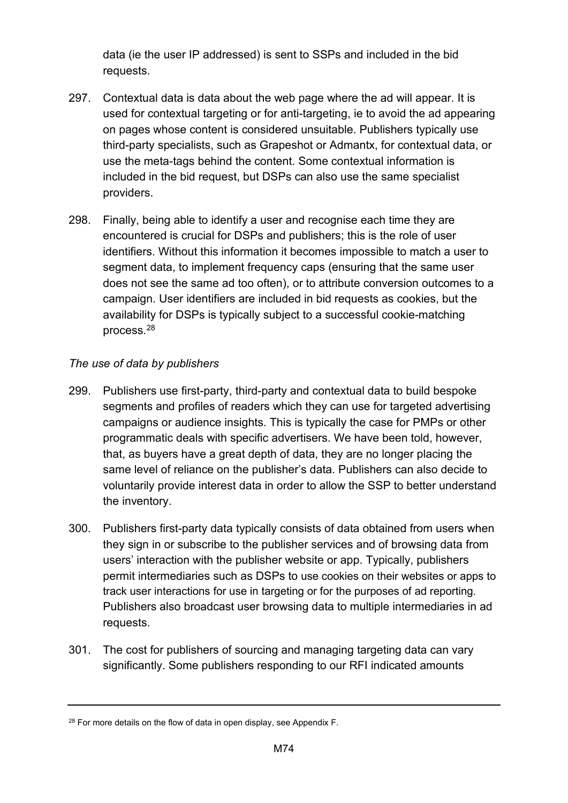data (ie the user IP addressed) is sent to SSPs and included in the bid requests.

- 297. Contextual data is data about the web page where the ad will appear. It is used for contextual targeting or for anti-targeting, ie to avoid the ad appearing on pages whose content is considered unsuitable. Publishers typically use third-party specialists, such as Grapeshot or Admantx, for contextual data, or use the meta-tags behind the content. Some contextual information is included in the bid request, but DSPs can also use the same specialist providers.
- 298. Finally, being able to identify a user and recognise each time they are encountered is crucial for DSPs and publishers; this is the role of user identifiers. Without this information it becomes impossible to match a user to segment data, to implement frequency caps (ensuring that the same user does not see the same ad too often), or to attribute conversion outcomes to a campaign. User identifiers are included in bid requests as cookies, but the availability for DSPs is typically subject to a successful cookie-matching process.[28](#page-73-0)

## *The use of data by publishers*

- 299. Publishers use first-party, third-party and contextual data to build bespoke segments and profiles of readers which they can use for targeted advertising campaigns or audience insights. This is typically the case for PMPs or other programmatic deals with specific advertisers. We have been told, however, that, as buyers have a great depth of data, they are no longer placing the same level of reliance on the publisher's data. Publishers can also decide to voluntarily provide interest data in order to allow the SSP to better understand the inventory.
- 300. Publishers first-party data typically consists of data obtained from users when they sign in or subscribe to the publisher services and of browsing data from users' interaction with the publisher website or app. Typically, publishers permit intermediaries such as DSPs to use cookies on their websites or apps to track user interactions for use in targeting or for the purposes of ad reporting. Publishers also broadcast user browsing data to multiple intermediaries in ad requests.
- 301. The cost for publishers of sourcing and managing targeting data can vary significantly. Some publishers responding to our RFI indicated amounts

<span id="page-73-0"></span> $28$  For more details on the flow of data in open display, see Appendix F.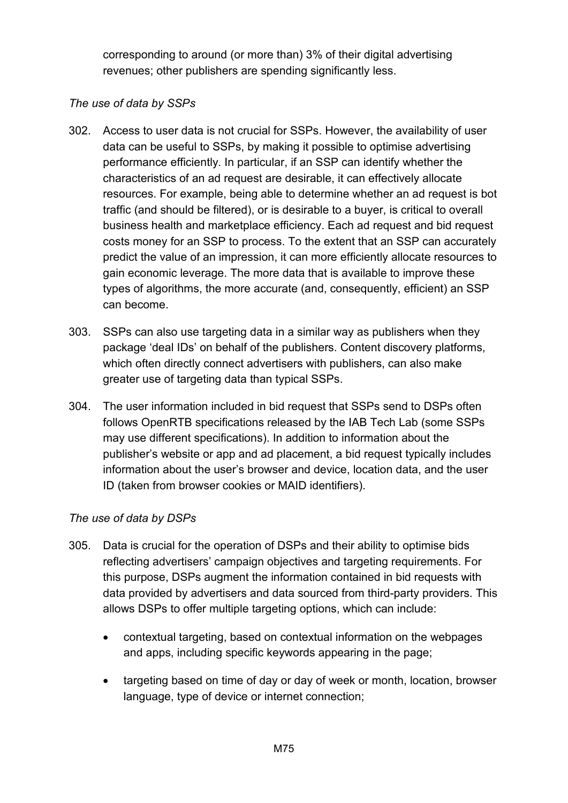corresponding to around (or more than) 3% of their digital advertising revenues; other publishers are spending significantly less.

## *The use of data by SSPs*

- 302. Access to user data is not crucial for SSPs. However, the availability of user data can be useful to SSPs, by making it possible to optimise advertising performance efficiently. In particular, if an SSP can identify whether the characteristics of an ad request are desirable, it can effectively allocate resources. For example, being able to determine whether an ad request is bot traffic (and should be filtered), or is desirable to a buyer, is critical to overall business health and marketplace efficiency. Each ad request and bid request costs money for an SSP to process. To the extent that an SSP can accurately predict the value of an impression, it can more efficiently allocate resources to gain economic leverage. The more data that is available to improve these types of algorithms, the more accurate (and, consequently, efficient) an SSP can become.
- 303. SSPs can also use targeting data in a similar way as publishers when they package 'deal IDs' on behalf of the publishers. Content discovery platforms, which often directly connect advertisers with publishers, can also make greater use of targeting data than typical SSPs.
- 304. The user information included in bid request that SSPs send to DSPs often follows OpenRTB specifications released by the IAB Tech Lab (some SSPs may use different specifications). In addition to information about the publisher's website or app and ad placement, a bid request typically includes information about the user's browser and device, location data, and the user ID (taken from browser cookies or MAID identifiers).

## *The use of data by DSPs*

- 305. Data is crucial for the operation of DSPs and their ability to optimise bids reflecting advertisers' campaign objectives and targeting requirements. For this purpose, DSPs augment the information contained in bid requests with data provided by advertisers and data sourced from third-party providers. This allows DSPs to offer multiple targeting options, which can include:
	- contextual targeting, based on contextual information on the webpages and apps, including specific keywords appearing in the page;
	- targeting based on time of day or day of week or month, location, browser language, type of device or internet connection;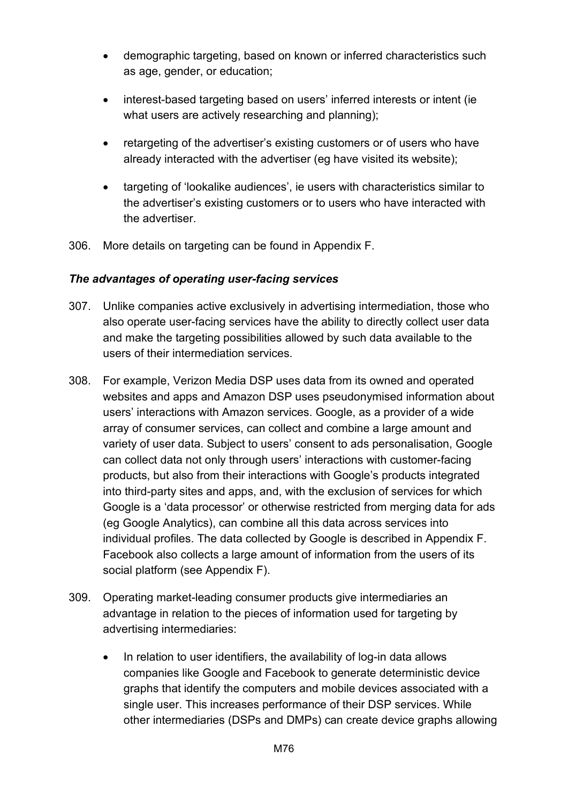- demographic targeting, based on known or inferred characteristics such as age, gender, or education;
- interest-based targeting based on users' inferred interests or intent (ie what users are actively researching and planning);
- retargeting of the advertiser's existing customers or of users who have already interacted with the advertiser (eg have visited its website);
- targeting of 'lookalike audiences', ie users with characteristics similar to the advertiser's existing customers or to users who have interacted with the advertiser.
- 306. More details on targeting can be found in Appendix F.

## *The advantages of operating user-facing services*

- 307. Unlike companies active exclusively in advertising intermediation, those who also operate user-facing services have the ability to directly collect user data and make the targeting possibilities allowed by such data available to the users of their intermediation services.
- 308. For example, Verizon Media DSP uses data from its owned and operated websites and apps and Amazon DSP uses pseudonymised information about users' interactions with Amazon services. Google, as a provider of a wide array of consumer services, can collect and combine a large amount and variety of user data. Subject to users' consent to ads personalisation, Google can collect data not only through users' interactions with customer-facing products, but also from their interactions with Google's products integrated into third-party sites and apps, and, with the exclusion of services for which Google is a 'data processor' or otherwise restricted from merging data for ads (eg Google Analytics), can combine all this data across services into individual profiles. The data collected by Google is described in Appendix F. Facebook also collects a large amount of information from the users of its social platform (see Appendix F).
- 309. Operating market-leading consumer products give intermediaries an advantage in relation to the pieces of information used for targeting by advertising intermediaries:
	- In relation to user identifiers, the availability of log-in data allows companies like Google and Facebook to generate deterministic device graphs that identify the computers and mobile devices associated with a single user. This increases performance of their DSP services. While other intermediaries (DSPs and DMPs) can create device graphs allowing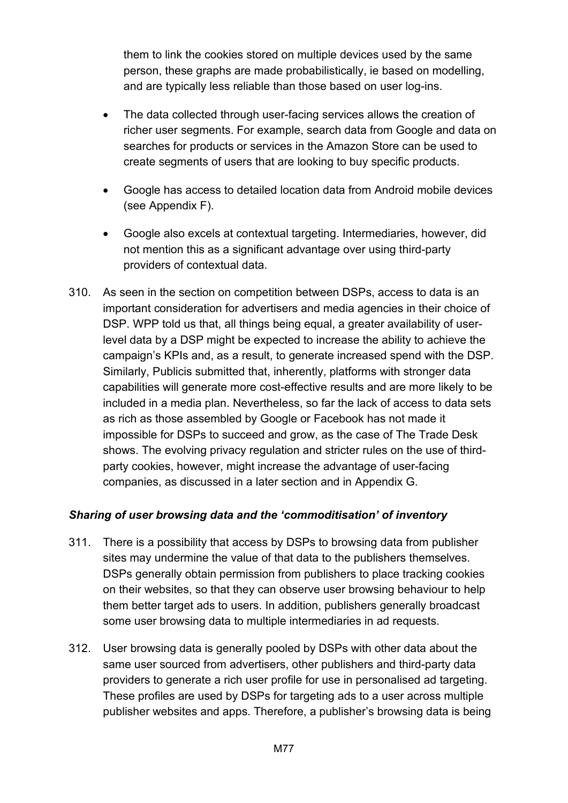them to link the cookies stored on multiple devices used by the same person, these graphs are made probabilistically, ie based on modelling, and are typically less reliable than those based on user log-ins.

- The data collected through user-facing services allows the creation of richer user segments. For example, search data from Google and data on searches for products or services in the Amazon Store can be used to create segments of users that are looking to buy specific products.
- Google has access to detailed location data from Android mobile devices (see Appendix F).
- Google also excels at contextual targeting. Intermediaries, however, did not mention this as a significant advantage over using third-party providers of contextual data.
- 310. As seen in the section on competition between DSPs, access to data is an important consideration for advertisers and media agencies in their choice of DSP. WPP told us that, all things being equal, a greater availability of userlevel data by a DSP might be expected to increase the ability to achieve the campaign's KPIs and, as a result, to generate increased spend with the DSP. Similarly, Publicis submitted that, inherently, platforms with stronger data capabilities will generate more cost-effective results and are more likely to be included in a media plan. Nevertheless, so far the lack of access to data sets as rich as those assembled by Google or Facebook has not made it impossible for DSPs to succeed and grow, as the case of The Trade Desk shows. The evolving privacy regulation and stricter rules on the use of thirdparty cookies, however, might increase the advantage of user-facing companies, as discussed in a later section and in Appendix G.

## *Sharing of user browsing data and the 'commoditisation' of inventory*

- 311. There is a possibility that access by DSPs to browsing data from publisher sites may undermine the value of that data to the publishers themselves. DSPs generally obtain permission from publishers to place tracking cookies on their websites, so that they can observe user browsing behaviour to help them better target ads to users. In addition, publishers generally broadcast some user browsing data to multiple intermediaries in ad requests.
- 312. User browsing data is generally pooled by DSPs with other data about the same user sourced from advertisers, other publishers and third-party data providers to generate a rich user profile for use in personalised ad targeting. These profiles are used by DSPs for targeting ads to a user across multiple publisher websites and apps. Therefore, a publisher's browsing data is being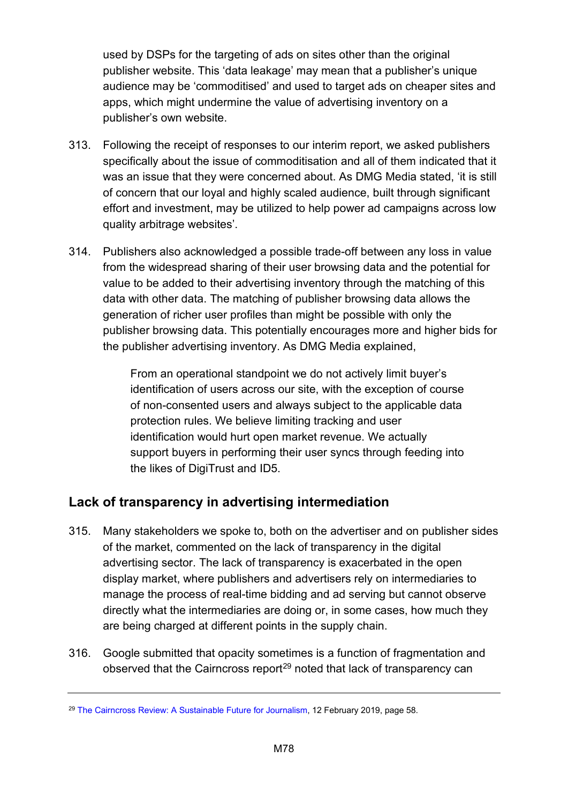used by DSPs for the targeting of ads on sites other than the original publisher website. This 'data leakage' may mean that a publisher's unique audience may be 'commoditised' and used to target ads on cheaper sites and apps, which might undermine the value of advertising inventory on a publisher's own website.

- 313. Following the receipt of responses to our interim report, we asked publishers specifically about the issue of commoditisation and all of them indicated that it was an issue that they were concerned about. As DMG Media stated, 'it is still of concern that our loyal and highly scaled audience, built through significant effort and investment, may be utilized to help power ad campaigns across low quality arbitrage websites'.
- 314. Publishers also acknowledged a possible trade-off between any loss in value from the widespread sharing of their user browsing data and the potential for value to be added to their advertising inventory through the matching of this data with other data. The matching of publisher browsing data allows the generation of richer user profiles than might be possible with only the publisher browsing data. This potentially encourages more and higher bids for the publisher advertising inventory. As DMG Media explained,

From an operational standpoint we do not actively limit buyer's identification of users across our site, with the exception of course of non-consented users and always subject to the applicable data protection rules. We believe limiting tracking and user identification would hurt open market revenue. We actually support buyers in performing their user syncs through feeding into the likes of DigiTrust and ID5.

# **Lack of transparency in advertising intermediation**

- 315. Many stakeholders we spoke to, both on the advertiser and on publisher sides of the market, commented on the lack of transparency in the digital advertising sector. The lack of transparency is exacerbated in the open display market, where publishers and advertisers rely on intermediaries to manage the process of real-time bidding and ad serving but cannot observe directly what the intermediaries are doing or, in some cases, how much they are being charged at different points in the supply chain.
- 316. Google submitted that opacity sometimes is a function of fragmentation and observed that the Cairncross report<sup>[29](#page-77-0)</sup> noted that lack of transparency can

<span id="page-77-0"></span><sup>&</sup>lt;sup>29</sup> [The Cairncross Review: A Sustainable Future for Journalism,](https://assets.publishing.service.gov.uk/government/uploads/system/uploads/attachment_data/file/779882/021919_DCMS_Cairncross_Review_.pdf) 12 February 2019, page 58.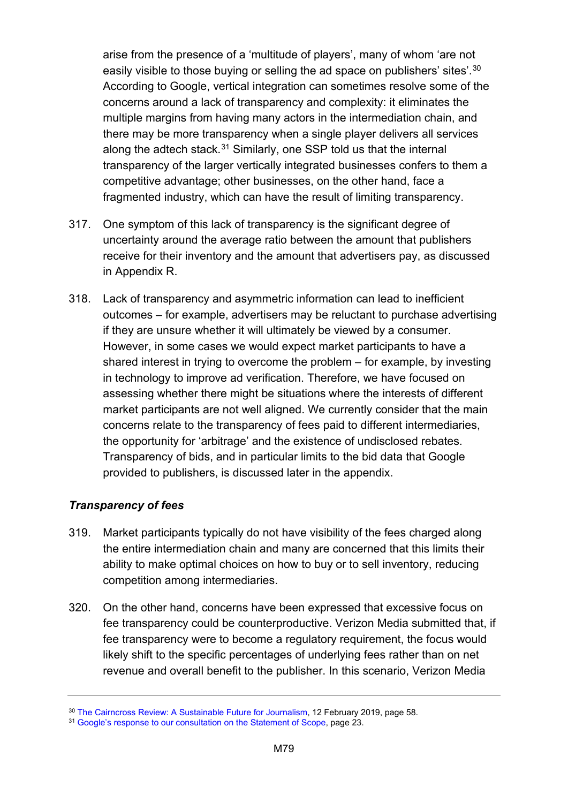arise from the presence of a 'multitude of players', many of whom 'are not easily visible to those buying or selling the ad space on publishers' sites'.[30](#page-78-0) According to Google, vertical integration can sometimes resolve some of the concerns around a lack of transparency and complexity: it eliminates the multiple margins from having many actors in the intermediation chain, and there may be more transparency when a single player delivers all services along the adtech stack. $31$  Similarly, one SSP told us that the internal transparency of the larger vertically integrated businesses confers to them a competitive advantage; other businesses, on the other hand, face a fragmented industry, which can have the result of limiting transparency.

- 317. One symptom of this lack of transparency is the significant degree of uncertainty around the average ratio between the amount that publishers receive for their inventory and the amount that advertisers pay, as discussed in Appendix R.
- 318. Lack of transparency and asymmetric information can lead to inefficient outcomes – for example, advertisers may be reluctant to purchase advertising if they are unsure whether it will ultimately be viewed by a consumer. However, in some cases we would expect market participants to have a shared interest in trying to overcome the problem – for example, by investing in technology to improve ad verification. Therefore, we have focused on assessing whether there might be situations where the interests of different market participants are not well aligned. We currently consider that the main concerns relate to the transparency of fees paid to different intermediaries, the opportunity for 'arbitrage' and the existence of undisclosed rebates. Transparency of bids, and in particular limits to the bid data that Google provided to publishers, is discussed later in the appendix.

## *Transparency of fees*

- 319. Market participants typically do not have visibility of the fees charged along the entire intermediation chain and many are concerned that this limits their ability to make optimal choices on how to buy or to sell inventory, reducing competition among intermediaries.
- 320. On the other hand, concerns have been expressed that excessive focus on fee transparency could be counterproductive. Verizon Media submitted that, if fee transparency were to become a regulatory requirement, the focus would likely shift to the specific percentages of underlying fees rather than on net revenue and overall benefit to the publisher. In this scenario, Verizon Media

<span id="page-78-0"></span><sup>30</sup> [The Cairncross Review: A Sustainable Future for Journalism,](https://assets.publishing.service.gov.uk/government/uploads/system/uploads/attachment_data/file/779882/021919_DCMS_Cairncross_Review_.pdf) 12 February 2019, page 58.

<span id="page-78-1"></span><sup>&</sup>lt;sup>31</sup> [Google's response to our consultation on the Statement of Scope,](https://assets.publishing.service.gov.uk/media/5d78ba3540f0b61c7a66407c/190802_Google_-_Response_to_SoS__Non-confidential_.pdf) page 23.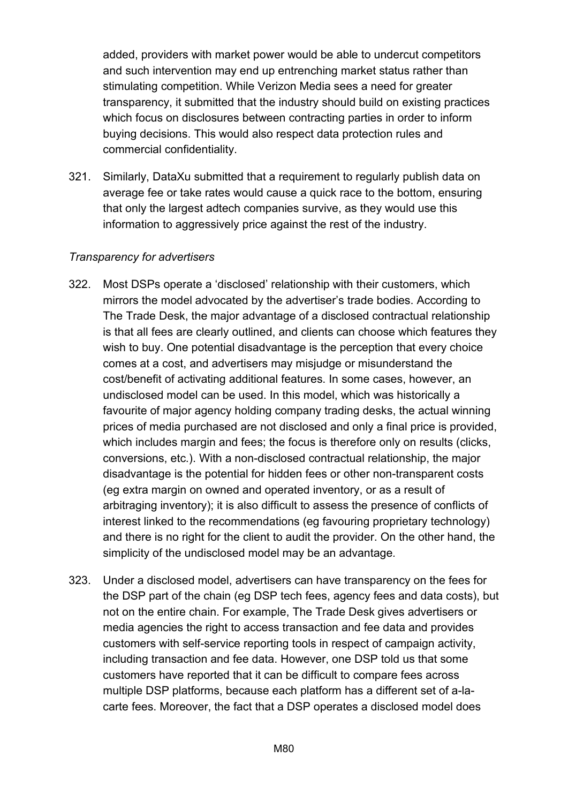added, providers with market power would be able to undercut competitors and such intervention may end up entrenching market status rather than stimulating competition. While Verizon Media sees a need for greater transparency, it submitted that the industry should build on existing practices which focus on disclosures between contracting parties in order to inform buying decisions. This would also respect data protection rules and commercial confidentiality.

321. Similarly, DataXu submitted that a requirement to regularly publish data on average fee or take rates would cause a quick race to the bottom, ensuring that only the largest adtech companies survive, as they would use this information to aggressively price against the rest of the industry.

#### *Transparency for advertisers*

- 322. Most DSPs operate a 'disclosed' relationship with their customers, which mirrors the model advocated by the advertiser's trade bodies. According to The Trade Desk, the major advantage of a disclosed contractual relationship is that all fees are clearly outlined, and clients can choose which features they wish to buy. One potential disadvantage is the perception that every choice comes at a cost, and advertisers may misjudge or misunderstand the cost/benefit of activating additional features. In some cases, however, an undisclosed model can be used. In this model, which was historically a favourite of major agency holding company trading desks, the actual winning prices of media purchased are not disclosed and only a final price is provided, which includes margin and fees; the focus is therefore only on results (clicks, conversions, etc.). With a non-disclosed contractual relationship, the major disadvantage is the potential for hidden fees or other non-transparent costs (eg extra margin on owned and operated inventory, or as a result of arbitraging inventory); it is also difficult to assess the presence of conflicts of interest linked to the recommendations (eg favouring proprietary technology) and there is no right for the client to audit the provider. On the other hand, the simplicity of the undisclosed model may be an advantage*.*
- 323. Under a disclosed model, advertisers can have transparency on the fees for the DSP part of the chain (eg DSP tech fees, agency fees and data costs), but not on the entire chain. For example, The Trade Desk gives advertisers or media agencies the right to access transaction and fee data and provides customers with self-service reporting tools in respect of campaign activity, including transaction and fee data. However, one DSP told us that some customers have reported that it can be difficult to compare fees across multiple DSP platforms, because each platform has a different set of a-lacarte fees. Moreover, the fact that a DSP operates a disclosed model does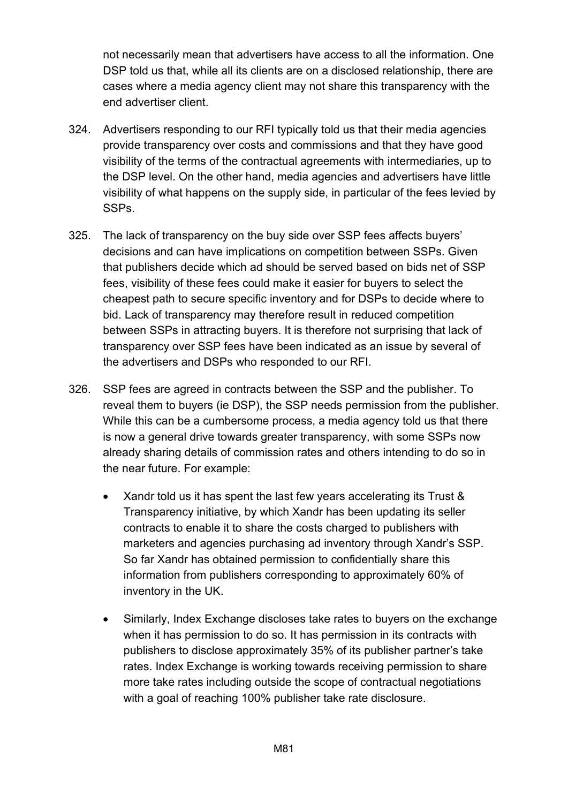not necessarily mean that advertisers have access to all the information. One DSP told us that, while all its clients are on a disclosed relationship, there are cases where a media agency client may not share this transparency with the end advertiser client.

- 324. Advertisers responding to our RFI typically told us that their media agencies provide transparency over costs and commissions and that they have good visibility of the terms of the contractual agreements with intermediaries, up to the DSP level. On the other hand, media agencies and advertisers have little visibility of what happens on the supply side, in particular of the fees levied by SSPs.
- 325. The lack of transparency on the buy side over SSP fees affects buyers' decisions and can have implications on competition between SSPs. Given that publishers decide which ad should be served based on bids net of SSP fees, visibility of these fees could make it easier for buyers to select the cheapest path to secure specific inventory and for DSPs to decide where to bid. Lack of transparency may therefore result in reduced competition between SSPs in attracting buyers. It is therefore not surprising that lack of transparency over SSP fees have been indicated as an issue by several of the advertisers and DSPs who responded to our RFI.
- 326. SSP fees are agreed in contracts between the SSP and the publisher. To reveal them to buyers (ie DSP), the SSP needs permission from the publisher. While this can be a cumbersome process, a media agency told us that there is now a general drive towards greater transparency, with some SSPs now already sharing details of commission rates and others intending to do so in the near future. For example:
	- Xandr told us it has spent the last few years accelerating its Trust & Transparency initiative, by which Xandr has been updating its seller contracts to enable it to share the costs charged to publishers with marketers and agencies purchasing ad inventory through Xandr's SSP. So far Xandr has obtained permission to confidentially share this information from publishers corresponding to approximately 60% of inventory in the UK.
	- Similarly, Index Exchange discloses take rates to buyers on the exchange when it has permission to do so. It has permission in its contracts with publishers to disclose approximately 35% of its publisher partner's take rates. Index Exchange is working towards receiving permission to share more take rates including outside the scope of contractual negotiations with a goal of reaching 100% publisher take rate disclosure.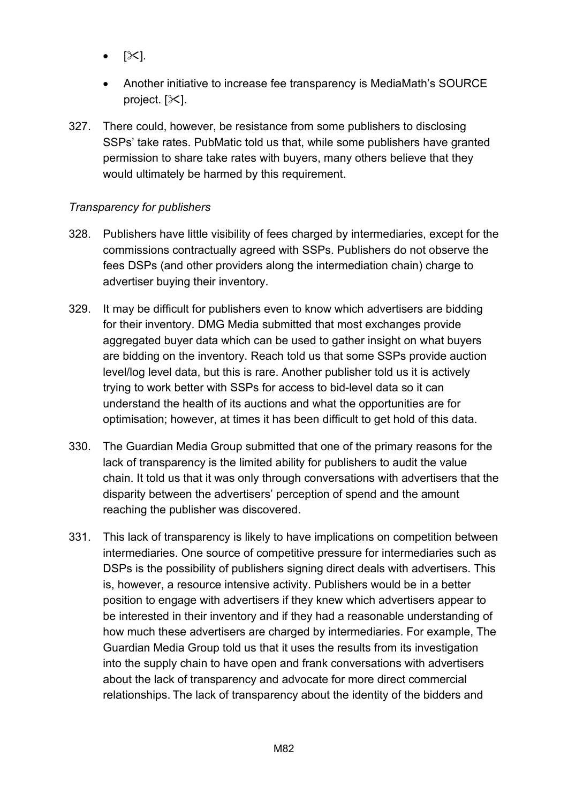- $|\mathbb{X}|$ .
- Another initiative to increase fee transparency is MediaMath's SOURCE project.  $[\times]$ .
- 327. There could, however, be resistance from some publishers to disclosing SSPs' take rates. PubMatic told us that, while some publishers have granted permission to share take rates with buyers, many others believe that they would ultimately be harmed by this requirement.

## *Transparency for publishers*

- 328. Publishers have little visibility of fees charged by intermediaries, except for the commissions contractually agreed with SSPs. Publishers do not observe the fees DSPs (and other providers along the intermediation chain) charge to advertiser buying their inventory.
- 329. It may be difficult for publishers even to know which advertisers are bidding for their inventory. DMG Media submitted that most exchanges provide aggregated buyer data which can be used to gather insight on what buyers are bidding on the inventory. Reach told us that some SSPs provide auction level/log level data, but this is rare. Another publisher told us it is actively trying to work better with SSPs for access to bid-level data so it can understand the health of its auctions and what the opportunities are for optimisation; however, at times it has been difficult to get hold of this data.
- 330. The Guardian Media Group submitted that one of the primary reasons for the lack of transparency is the limited ability for publishers to audit the value chain. It told us that it was only through conversations with advertisers that the disparity between the advertisers' perception of spend and the amount reaching the publisher was discovered.
- 331. This lack of transparency is likely to have implications on competition between intermediaries. One source of competitive pressure for intermediaries such as DSPs is the possibility of publishers signing direct deals with advertisers. This is, however, a resource intensive activity. Publishers would be in a better position to engage with advertisers if they knew which advertisers appear to be interested in their inventory and if they had a reasonable understanding of how much these advertisers are charged by intermediaries. For example, The Guardian Media Group told us that it uses the results from its investigation into the supply chain to have open and frank conversations with advertisers about the lack of transparency and advocate for more direct commercial relationships. The lack of transparency about the identity of the bidders and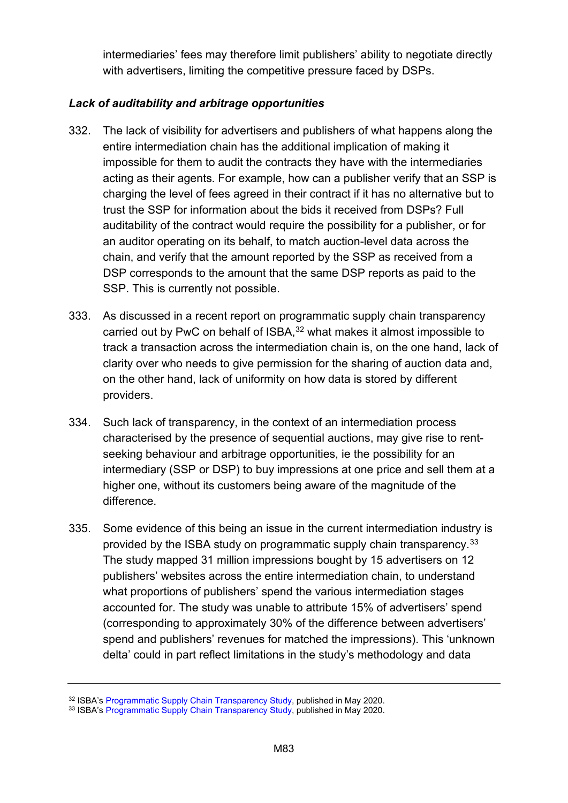intermediaries' fees may therefore limit publishers' ability to negotiate directly with advertisers, limiting the competitive pressure faced by DSPs.

## *Lack of auditability and arbitrage opportunities*

- 332. The lack of visibility for advertisers and publishers of what happens along the entire intermediation chain has the additional implication of making it impossible for them to audit the contracts they have with the intermediaries acting as their agents. For example, how can a publisher verify that an SSP is charging the level of fees agreed in their contract if it has no alternative but to trust the SSP for information about the bids it received from DSPs? Full auditability of the contract would require the possibility for a publisher, or for an auditor operating on its behalf, to match auction-level data across the chain, and verify that the amount reported by the SSP as received from a DSP corresponds to the amount that the same DSP reports as paid to the SSP. This is currently not possible.
- 333. As discussed in a recent report on programmatic supply chain transparency carried out by PwC on behalf of ISBA,<sup>[32](#page-82-0)</sup> what makes it almost impossible to track a transaction across the intermediation chain is, on the one hand, lack of clarity over who needs to give permission for the sharing of auction data and, on the other hand, lack of uniformity on how data is stored by different providers.
- 334. Such lack of transparency, in the context of an intermediation process characterised by the presence of sequential auctions, may give rise to rentseeking behaviour and arbitrage opportunities, ie the possibility for an intermediary (SSP or DSP) to buy impressions at one price and sell them at a higher one, without its customers being aware of the magnitude of the difference.
- 335. Some evidence of this being an issue in the current intermediation industry is provided by the ISBA study on programmatic supply chain transparency.<sup>[33](#page-82-1)</sup> The study mapped 31 million impressions bought by 15 advertisers on 12 publishers' websites across the entire intermediation chain, to understand what proportions of publishers' spend the various intermediation stages accounted for. The study was unable to attribute 15% of advertisers' spend (corresponding to approximately 30% of the difference between advertisers' spend and publishers' revenues for matched the impressions). This 'unknown delta' could in part reflect limitations in the study's methodology and data

<span id="page-82-0"></span><sup>&</sup>lt;sup>32</sup> ISBA'[s Programmatic Supply Chain Transparency Study,](https://www.isba.org.uk/knowledge/digital-media/programmatic-supply-chain-transparency-study/) published in May 2020.

<span id="page-82-1"></span><sup>33</sup> ISBA'[s Programmatic Supply Chain Transparency Study,](https://www.isba.org.uk/knowledge/digital-media/programmatic-supply-chain-transparency-study/) published in May 2020.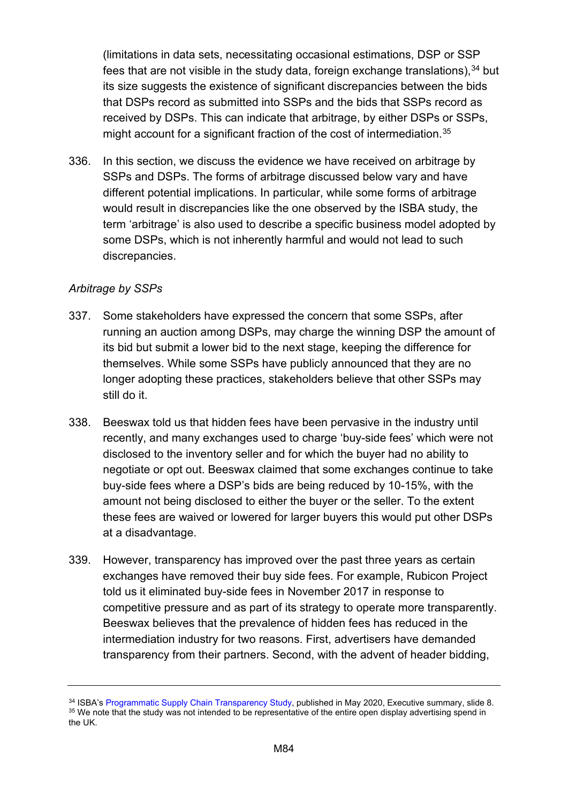(limitations in data sets, necessitating occasional estimations, DSP or SSP fees that are not visible in the study data, foreign exchange translations),  $34$  but its size suggests the existence of significant discrepancies between the bids that DSPs record as submitted into SSPs and the bids that SSPs record as received by DSPs. This can indicate that arbitrage, by either DSPs or SSPs, might account for a significant fraction of the cost of intermediation.<sup>[35](#page-83-1)</sup>

336. In this section, we discuss the evidence we have received on arbitrage by SSPs and DSPs. The forms of arbitrage discussed below vary and have different potential implications. In particular, while some forms of arbitrage would result in discrepancies like the one observed by the ISBA study, the term 'arbitrage' is also used to describe a specific business model adopted by some DSPs, which is not inherently harmful and would not lead to such discrepancies.

## *Arbitrage by SSPs*

- 337. Some stakeholders have expressed the concern that some SSPs, after running an auction among DSPs, may charge the winning DSP the amount of its bid but submit a lower bid to the next stage, keeping the difference for themselves. While some SSPs have publicly announced that they are no longer adopting these practices, stakeholders believe that other SSPs may still do it.
- 338. Beeswax told us that hidden fees have been pervasive in the industry until recently, and many exchanges used to charge 'buy-side fees' which were not disclosed to the inventory seller and for which the buyer had no ability to negotiate or opt out. Beeswax claimed that some exchanges continue to take buy-side fees where a DSP's bids are being reduced by 10-15%, with the amount not being disclosed to either the buyer or the seller. To the extent these fees are waived or lowered for larger buyers this would put other DSPs at a disadvantage.
- 339. However, transparency has improved over the past three years as certain exchanges have removed their buy side fees. For example, Rubicon Project told us it eliminated buy-side fees in November 2017 in response to competitive pressure and as part of its strategy to operate more transparently. Beeswax believes that the prevalence of hidden fees has reduced in the intermediation industry for two reasons. First, advertisers have demanded transparency from their partners. Second, with the advent of header bidding,

<span id="page-83-1"></span><span id="page-83-0"></span><sup>&</sup>lt;sup>34</sup> ISBA'[s Programmatic Supply Chain Transparency Study,](https://www.isba.org.uk/knowledge/digital-media/programmatic-supply-chain-transparency-study/) published in May 2020, Executive summary, slide 8. <sup>35</sup> We note that the study was not intended to be representative of the entire open display advertising spend in the UK.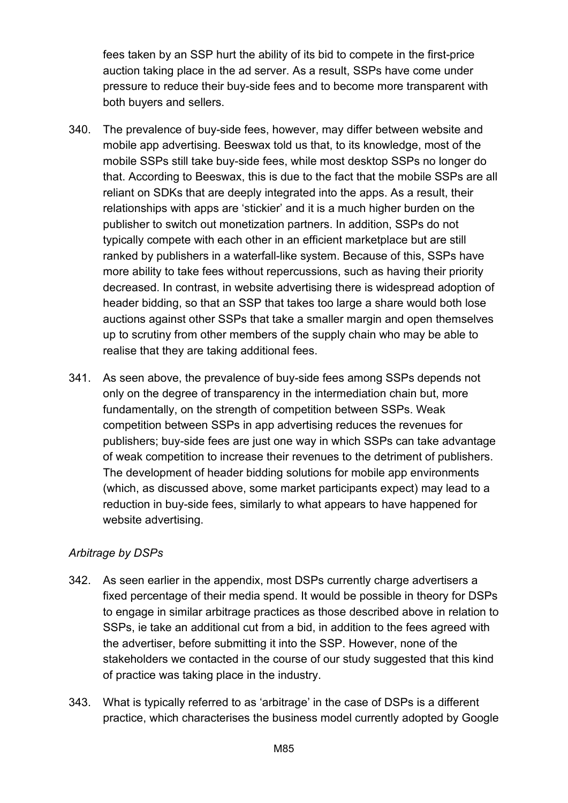fees taken by an SSP hurt the ability of its bid to compete in the first-price auction taking place in the ad server. As a result, SSPs have come under pressure to reduce their buy-side fees and to become more transparent with both buyers and sellers.

- 340. The prevalence of buy-side fees, however, may differ between website and mobile app advertising. Beeswax told us that, to its knowledge, most of the mobile SSPs still take buy-side fees, while most desktop SSPs no longer do that. According to Beeswax, this is due to the fact that the mobile SSPs are all reliant on SDKs that are deeply integrated into the apps. As a result, their relationships with apps are 'stickier' and it is a much higher burden on the publisher to switch out monetization partners. In addition, SSPs do not typically compete with each other in an efficient marketplace but are still ranked by publishers in a waterfall-like system. Because of this, SSPs have more ability to take fees without repercussions, such as having their priority decreased. In contrast, in website advertising there is widespread adoption of header bidding, so that an SSP that takes too large a share would both lose auctions against other SSPs that take a smaller margin and open themselves up to scrutiny from other members of the supply chain who may be able to realise that they are taking additional fees.
- 341. As seen above, the prevalence of buy-side fees among SSPs depends not only on the degree of transparency in the intermediation chain but, more fundamentally, on the strength of competition between SSPs. Weak competition between SSPs in app advertising reduces the revenues for publishers; buy-side fees are just one way in which SSPs can take advantage of weak competition to increase their revenues to the detriment of publishers. The development of header bidding solutions for mobile app environments (which, as discussed above, some market participants expect) may lead to a reduction in buy-side fees, similarly to what appears to have happened for website advertising.

## *Arbitrage by DSPs*

- 342. As seen earlier in the appendix, most DSPs currently charge advertisers a fixed percentage of their media spend. It would be possible in theory for DSPs to engage in similar arbitrage practices as those described above in relation to SSPs, ie take an additional cut from a bid, in addition to the fees agreed with the advertiser, before submitting it into the SSP. However, none of the stakeholders we contacted in the course of our study suggested that this kind of practice was taking place in the industry.
- 343. What is typically referred to as 'arbitrage' in the case of DSPs is a different practice, which characterises the business model currently adopted by Google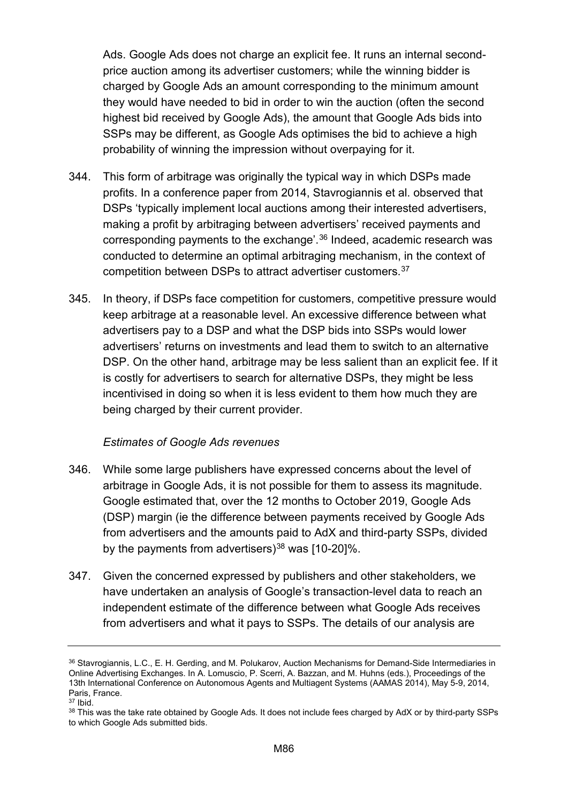Ads. Google Ads does not charge an explicit fee. It runs an internal secondprice auction among its advertiser customers; while the winning bidder is charged by Google Ads an amount corresponding to the minimum amount they would have needed to bid in order to win the auction (often the second highest bid received by Google Ads), the amount that Google Ads bids into SSPs may be different, as Google Ads optimises the bid to achieve a high probability of winning the impression without overpaying for it.

- 344. This form of arbitrage was originally the typical way in which DSPs made profits. In a conference paper from 2014, Stavrogiannis et al. observed that DSPs 'typically implement local auctions among their interested advertisers, making a profit by arbitraging between advertisers' received payments and corresponding payments to the exchange'.[36](#page-85-0) Indeed, academic research was conducted to determine an optimal arbitraging mechanism, in the context of competition between DSPs to attract advertiser customers.[37](#page-85-1)
- 345. In theory, if DSPs face competition for customers, competitive pressure would keep arbitrage at a reasonable level. An excessive difference between what advertisers pay to a DSP and what the DSP bids into SSPs would lower advertisers' returns on investments and lead them to switch to an alternative DSP. On the other hand, arbitrage may be less salient than an explicit fee. If it is costly for advertisers to search for alternative DSPs, they might be less incentivised in doing so when it is less evident to them how much they are being charged by their current provider.

#### *Estimates of Google Ads revenues*

- 346. While some large publishers have expressed concerns about the level of arbitrage in Google Ads, it is not possible for them to assess its magnitude. Google estimated that, over the 12 months to October 2019, Google Ads (DSP) margin (ie the difference between payments received by Google Ads from advertisers and the amounts paid to AdX and third-party SSPs, divided by the payments from advertisers) $38$  was [10-20]%.
- 347. Given the concerned expressed by publishers and other stakeholders, we have undertaken an analysis of Google's transaction-level data to reach an independent estimate of the difference between what Google Ads receives from advertisers and what it pays to SSPs. The details of our analysis are

<span id="page-85-0"></span><sup>36</sup> Stavrogiannis, L.C., E. H. Gerding, and M. Polukarov, Auction Mechanisms for Demand-Side Intermediaries in Online Advertising Exchanges. In A. Lomuscio, P. Scerri, A. Bazzan, and M. Huhns (eds.), Proceedings of the 13th International Conference on Autonomous Agents and Multiagent Systems (AAMAS 2014), May 5-9, 2014, Paris, France.

<span id="page-85-1"></span><sup>37</sup> Ibid.

<span id="page-85-2"></span><sup>38</sup> This was the take rate obtained by Google Ads. It does not include fees charged by AdX or by third-party SSPs to which Google Ads submitted bids.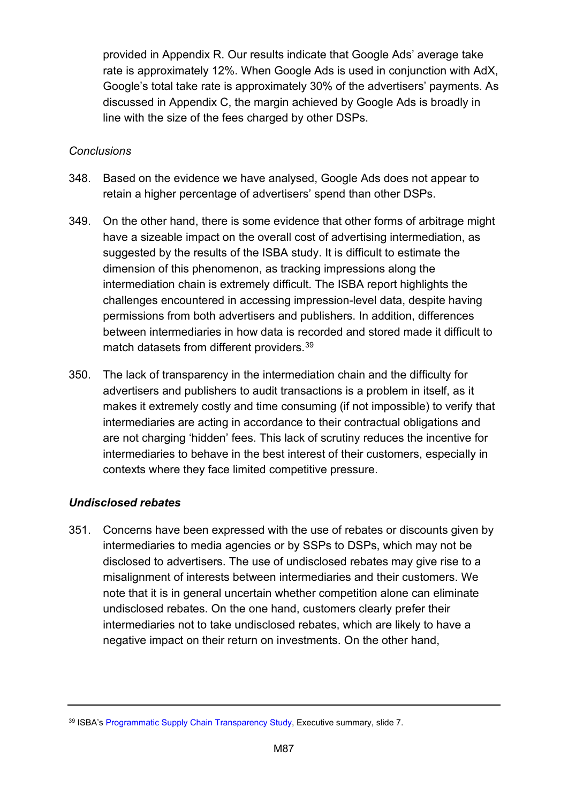provided in Appendix R. Our results indicate that Google Ads' average take rate is approximately 12%. When Google Ads is used in conjunction with AdX, Google's total take rate is approximately 30% of the advertisers' payments. As discussed in Appendix C, the margin achieved by Google Ads is broadly in line with the size of the fees charged by other DSPs.

## *Conclusions*

- 348. Based on the evidence we have analysed, Google Ads does not appear to retain a higher percentage of advertisers' spend than other DSPs.
- 349. On the other hand, there is some evidence that other forms of arbitrage might have a sizeable impact on the overall cost of advertising intermediation, as suggested by the results of the ISBA study. It is difficult to estimate the dimension of this phenomenon, as tracking impressions along the intermediation chain is extremely difficult. The ISBA report highlights the challenges encountered in accessing impression-level data, despite having permissions from both advertisers and publishers. In addition, differences between intermediaries in how data is recorded and stored made it difficult to match datasets from different providers. [39](#page-86-0)
- 350. The lack of transparency in the intermediation chain and the difficulty for advertisers and publishers to audit transactions is a problem in itself, as it makes it extremely costly and time consuming (if not impossible) to verify that intermediaries are acting in accordance to their contractual obligations and are not charging 'hidden' fees. This lack of scrutiny reduces the incentive for intermediaries to behave in the best interest of their customers, especially in contexts where they face limited competitive pressure.

## *Undisclosed rebates*

351. Concerns have been expressed with the use of rebates or discounts given by intermediaries to media agencies or by SSPs to DSPs, which may not be disclosed to advertisers. The use of undisclosed rebates may give rise to a misalignment of interests between intermediaries and their customers. We note that it is in general uncertain whether competition alone can eliminate undisclosed rebates. On the one hand, customers clearly prefer their intermediaries not to take undisclosed rebates, which are likely to have a negative impact on their return on investments. On the other hand,

<span id="page-86-0"></span><sup>&</sup>lt;sup>39</sup> ISBA'[s Programmatic Supply Chain Transparency Study,](https://www.isba.org.uk/knowledge/digital-media/programmatic-supply-chain-transparency-study/) Executive summary, slide 7.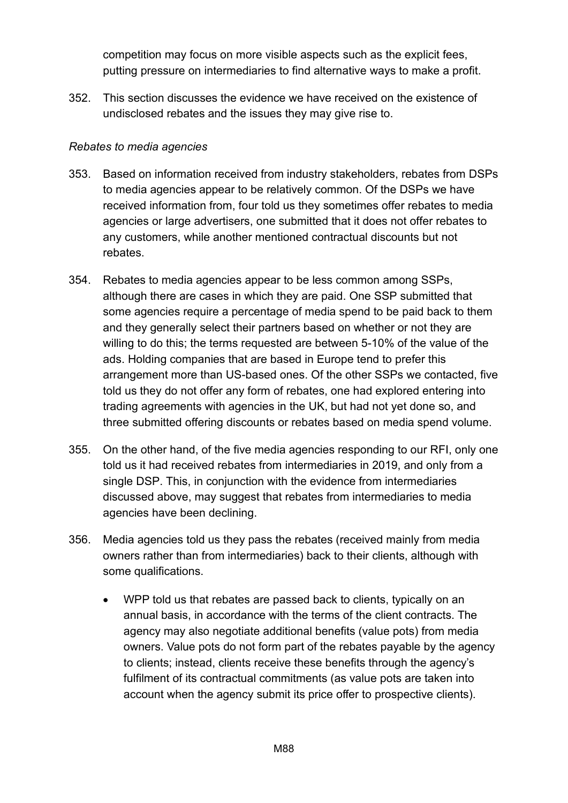competition may focus on more visible aspects such as the explicit fees, putting pressure on intermediaries to find alternative ways to make a profit.

352. This section discusses the evidence we have received on the existence of undisclosed rebates and the issues they may give rise to.

#### *Rebates to media agencies*

- 353. Based on information received from industry stakeholders, rebates from DSPs to media agencies appear to be relatively common. Of the DSPs we have received information from, four told us they sometimes offer rebates to media agencies or large advertisers, one submitted that it does not offer rebates to any customers, while another mentioned contractual discounts but not rebates.
- 354. Rebates to media agencies appear to be less common among SSPs, although there are cases in which they are paid. One SSP submitted that some agencies require a percentage of media spend to be paid back to them and they generally select their partners based on whether or not they are willing to do this; the terms requested are between 5-10% of the value of the ads. Holding companies that are based in Europe tend to prefer this arrangement more than US-based ones. Of the other SSPs we contacted, five told us they do not offer any form of rebates, one had explored entering into trading agreements with agencies in the UK, but had not yet done so, and three submitted offering discounts or rebates based on media spend volume.
- 355. On the other hand, of the five media agencies responding to our RFI, only one told us it had received rebates from intermediaries in 2019, and only from a single DSP. This, in conjunction with the evidence from intermediaries discussed above, may suggest that rebates from intermediaries to media agencies have been declining.
- 356. Media agencies told us they pass the rebates (received mainly from media owners rather than from intermediaries) back to their clients, although with some qualifications.
	- WPP told us that rebates are passed back to clients, typically on an annual basis, in accordance with the terms of the client contracts. The agency may also negotiate additional benefits (value pots) from media owners. Value pots do not form part of the rebates payable by the agency to clients; instead, clients receive these benefits through the agency's fulfilment of its contractual commitments (as value pots are taken into account when the agency submit its price offer to prospective clients).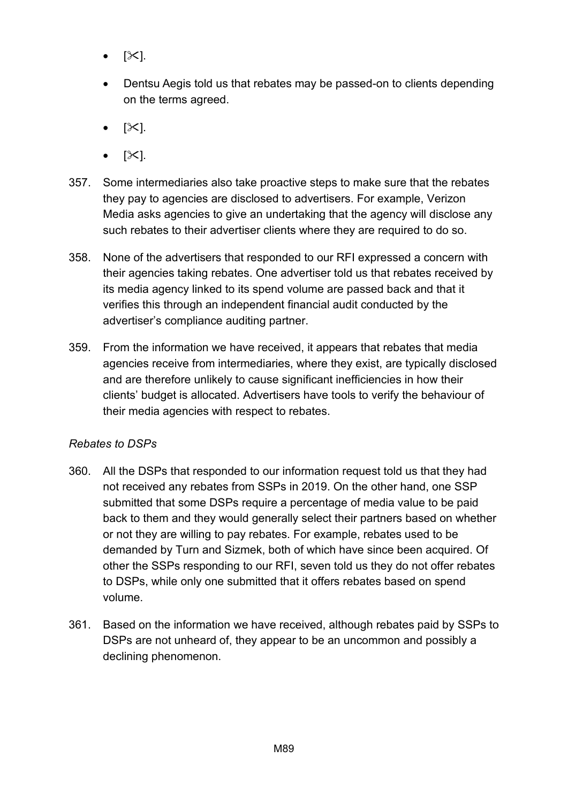- $[\times]$ .
- Dentsu Aegis told us that rebates may be passed-on to clients depending on the terms agreed.
- $[\mathbb{X}].$
- $|\mathcal{X}|$ .
- 357. Some intermediaries also take proactive steps to make sure that the rebates they pay to agencies are disclosed to advertisers. For example, Verizon Media asks agencies to give an undertaking that the agency will disclose any such rebates to their advertiser clients where they are required to do so.
- 358. None of the advertisers that responded to our RFI expressed a concern with their agencies taking rebates. One advertiser told us that rebates received by its media agency linked to its spend volume are passed back and that it verifies this through an independent financial audit conducted by the advertiser's compliance auditing partner.
- 359. From the information we have received, it appears that rebates that media agencies receive from intermediaries, where they exist, are typically disclosed and are therefore unlikely to cause significant inefficiencies in how their clients' budget is allocated. Advertisers have tools to verify the behaviour of their media agencies with respect to rebates.

## *Rebates to DSPs*

- 360. All the DSPs that responded to our information request told us that they had not received any rebates from SSPs in 2019. On the other hand, one SSP submitted that some DSPs require a percentage of media value to be paid back to them and they would generally select their partners based on whether or not they are willing to pay rebates. For example, rebates used to be demanded by Turn and Sizmek, both of which have since been acquired. Of other the SSPs responding to our RFI, seven told us they do not offer rebates to DSPs, while only one submitted that it offers rebates based on spend volume.
- 361. Based on the information we have received, although rebates paid by SSPs to DSPs are not unheard of, they appear to be an uncommon and possibly a declining phenomenon.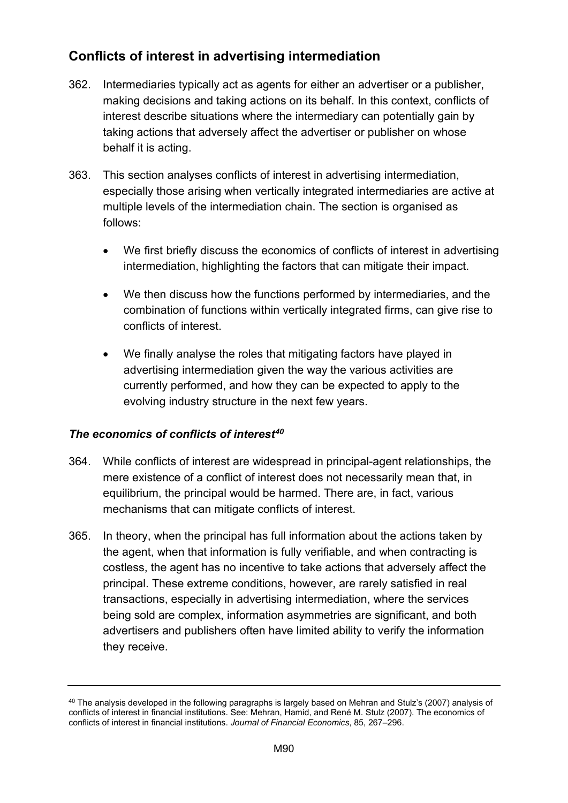# **Conflicts of interest in advertising intermediation**

- 362. Intermediaries typically act as agents for either an advertiser or a publisher, making decisions and taking actions on its behalf. In this context, conflicts of interest describe situations where the intermediary can potentially gain by taking actions that adversely affect the advertiser or publisher on whose behalf it is acting.
- 363. This section analyses conflicts of interest in advertising intermediation, especially those arising when vertically integrated intermediaries are active at multiple levels of the intermediation chain. The section is organised as follows:
	- We first briefly discuss the economics of conflicts of interest in advertising intermediation, highlighting the factors that can mitigate their impact.
	- We then discuss how the functions performed by intermediaries, and the combination of functions within vertically integrated firms, can give rise to conflicts of interest.
	- We finally analyse the roles that mitigating factors have played in advertising intermediation given the way the various activities are currently performed, and how they can be expected to apply to the evolving industry structure in the next few years.

## *The economics of conflicts of interest[40](#page-89-0)*

- 364. While conflicts of interest are widespread in principal-agent relationships, the mere existence of a conflict of interest does not necessarily mean that, in equilibrium, the principal would be harmed. There are, in fact, various mechanisms that can mitigate conflicts of interest.
- 365. In theory, when the principal has full information about the actions taken by the agent, when that information is fully verifiable, and when contracting is costless, the agent has no incentive to take actions that adversely affect the principal. These extreme conditions, however, are rarely satisfied in real transactions, especially in advertising intermediation, where the services being sold are complex, information asymmetries are significant, and both advertisers and publishers often have limited ability to verify the information they receive.

<span id="page-89-0"></span><sup>&</sup>lt;sup>40</sup> The analysis developed in the following paragraphs is largely based on Mehran and Stulz's (2007) analysis of conflicts of interest in financial institutions. See: Mehran, Hamid, and René M. Stulz (2007). The economics of conflicts of interest in financial institutions. *Journal of Financial Economics*, 85, 267–296.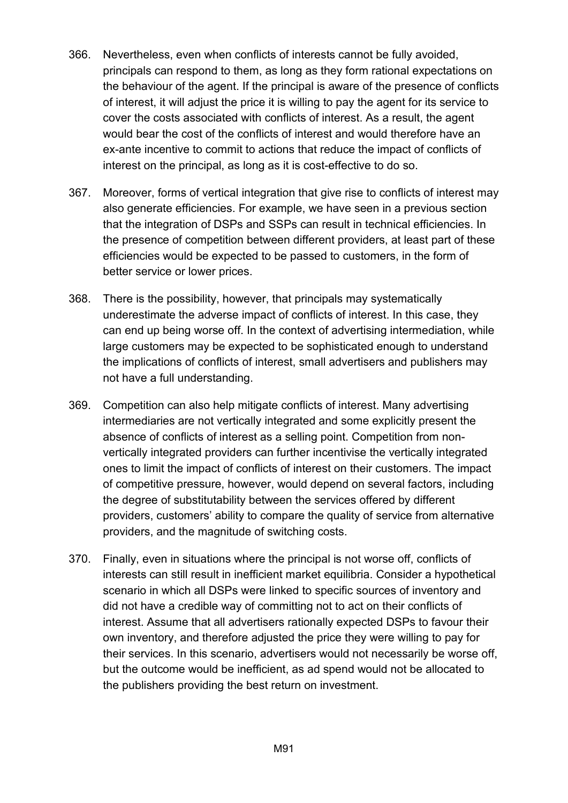- 366. Nevertheless, even when conflicts of interests cannot be fully avoided, principals can respond to them, as long as they form rational expectations on the behaviour of the agent. If the principal is aware of the presence of conflicts of interest, it will adjust the price it is willing to pay the agent for its service to cover the costs associated with conflicts of interest. As a result, the agent would bear the cost of the conflicts of interest and would therefore have an ex-ante incentive to commit to actions that reduce the impact of conflicts of interest on the principal, as long as it is cost-effective to do so.
- 367. Moreover, forms of vertical integration that give rise to conflicts of interest may also generate efficiencies. For example, we have seen in a previous section that the integration of DSPs and SSPs can result in technical efficiencies. In the presence of competition between different providers, at least part of these efficiencies would be expected to be passed to customers, in the form of better service or lower prices.
- 368. There is the possibility, however, that principals may systematically underestimate the adverse impact of conflicts of interest. In this case, they can end up being worse off. In the context of advertising intermediation, while large customers may be expected to be sophisticated enough to understand the implications of conflicts of interest, small advertisers and publishers may not have a full understanding.
- 369. Competition can also help mitigate conflicts of interest. Many advertising intermediaries are not vertically integrated and some explicitly present the absence of conflicts of interest as a selling point. Competition from nonvertically integrated providers can further incentivise the vertically integrated ones to limit the impact of conflicts of interest on their customers. The impact of competitive pressure, however, would depend on several factors, including the degree of substitutability between the services offered by different providers, customers' ability to compare the quality of service from alternative providers, and the magnitude of switching costs.
- 370. Finally, even in situations where the principal is not worse off, conflicts of interests can still result in inefficient market equilibria. Consider a hypothetical scenario in which all DSPs were linked to specific sources of inventory and did not have a credible way of committing not to act on their conflicts of interest. Assume that all advertisers rationally expected DSPs to favour their own inventory, and therefore adjusted the price they were willing to pay for their services. In this scenario, advertisers would not necessarily be worse off, but the outcome would be inefficient, as ad spend would not be allocated to the publishers providing the best return on investment.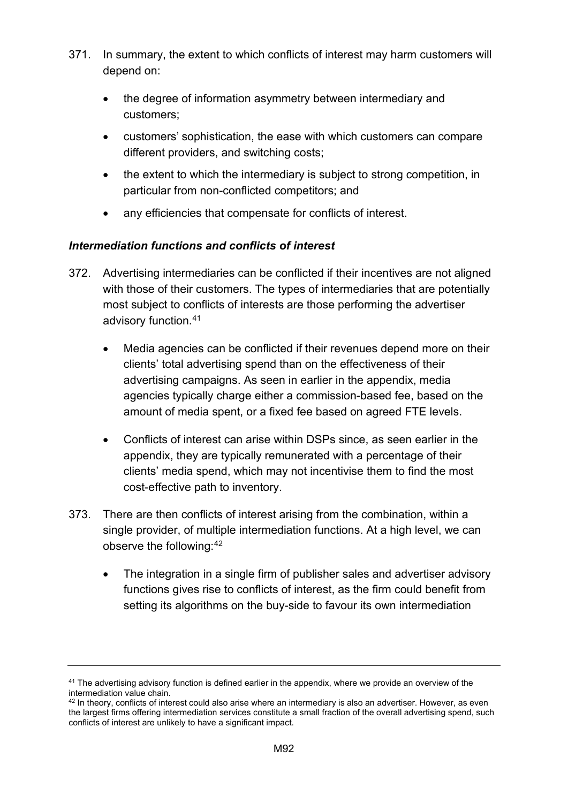- 371. In summary, the extent to which conflicts of interest may harm customers will depend on:
	- the degree of information asymmetry between intermediary and customers;
	- customers' sophistication, the ease with which customers can compare different providers, and switching costs;
	- the extent to which the intermediary is subject to strong competition, in particular from non-conflicted competitors; and
	- any efficiencies that compensate for conflicts of interest.

## *Intermediation functions and conflicts of interest*

- 372. Advertising intermediaries can be conflicted if their incentives are not aligned with those of their customers. The types of intermediaries that are potentially most subject to conflicts of interests are those performing the advertiser advisory function.[41](#page-91-0) 
	- Media agencies can be conflicted if their revenues depend more on their clients' total advertising spend than on the effectiveness of their advertising campaigns. As seen in earlier in the appendix, media agencies typically charge either a commission-based fee, based on the amount of media spent, or a fixed fee based on agreed FTE levels.
	- Conflicts of interest can arise within DSPs since, as seen earlier in the appendix, they are typically remunerated with a percentage of their clients' media spend, which may not incentivise them to find the most cost-effective path to inventory.
- 373. There are then conflicts of interest arising from the combination, within a single provider, of multiple intermediation functions. At a high level, we can observe the following:[42](#page-91-1) 
	- The integration in a single firm of publisher sales and advertiser advisory functions gives rise to conflicts of interest, as the firm could benefit from setting its algorithms on the buy-side to favour its own intermediation

<span id="page-91-0"></span> $41$  The advertising advisory function is defined earlier in the appendix, where we provide an overview of the intermediation value chain.

<span id="page-91-1"></span> $42$  In theory, conflicts of interest could also arise where an intermediary is also an advertiser. However, as even the largest firms offering intermediation services constitute a small fraction of the overall advertising spend, such conflicts of interest are unlikely to have a significant impact.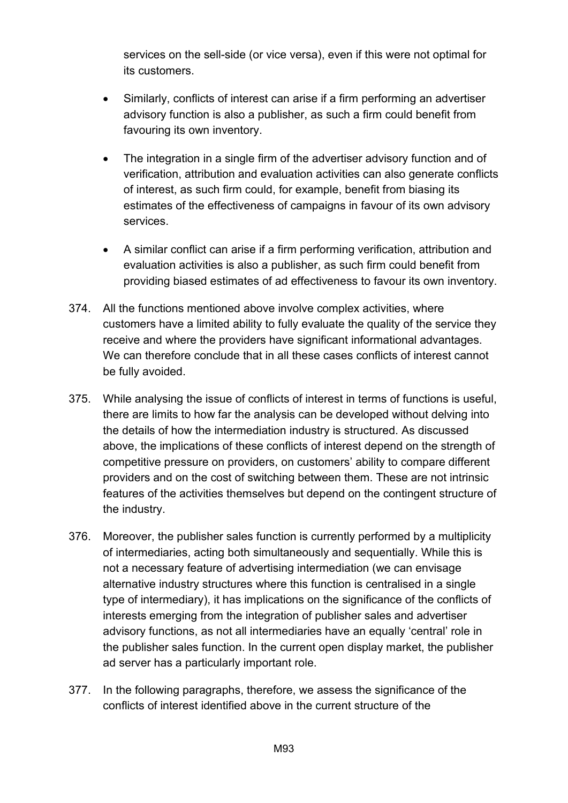services on the sell-side (or vice versa), even if this were not optimal for its customers.

- Similarly, conflicts of interest can arise if a firm performing an advertiser advisory function is also a publisher, as such a firm could benefit from favouring its own inventory.
- The integration in a single firm of the advertiser advisory function and of verification, attribution and evaluation activities can also generate conflicts of interest, as such firm could, for example, benefit from biasing its estimates of the effectiveness of campaigns in favour of its own advisory services.
- A similar conflict can arise if a firm performing verification, attribution and evaluation activities is also a publisher, as such firm could benefit from providing biased estimates of ad effectiveness to favour its own inventory.
- 374. All the functions mentioned above involve complex activities, where customers have a limited ability to fully evaluate the quality of the service they receive and where the providers have significant informational advantages. We can therefore conclude that in all these cases conflicts of interest cannot be fully avoided.
- 375. While analysing the issue of conflicts of interest in terms of functions is useful, there are limits to how far the analysis can be developed without delving into the details of how the intermediation industry is structured. As discussed above, the implications of these conflicts of interest depend on the strength of competitive pressure on providers, on customers' ability to compare different providers and on the cost of switching between them. These are not intrinsic features of the activities themselves but depend on the contingent structure of the industry.
- 376. Moreover, the publisher sales function is currently performed by a multiplicity of intermediaries, acting both simultaneously and sequentially. While this is not a necessary feature of advertising intermediation (we can envisage alternative industry structures where this function is centralised in a single type of intermediary), it has implications on the significance of the conflicts of interests emerging from the integration of publisher sales and advertiser advisory functions, as not all intermediaries have an equally 'central' role in the publisher sales function. In the current open display market, the publisher ad server has a particularly important role.
- 377. In the following paragraphs, therefore, we assess the significance of the conflicts of interest identified above in the current structure of the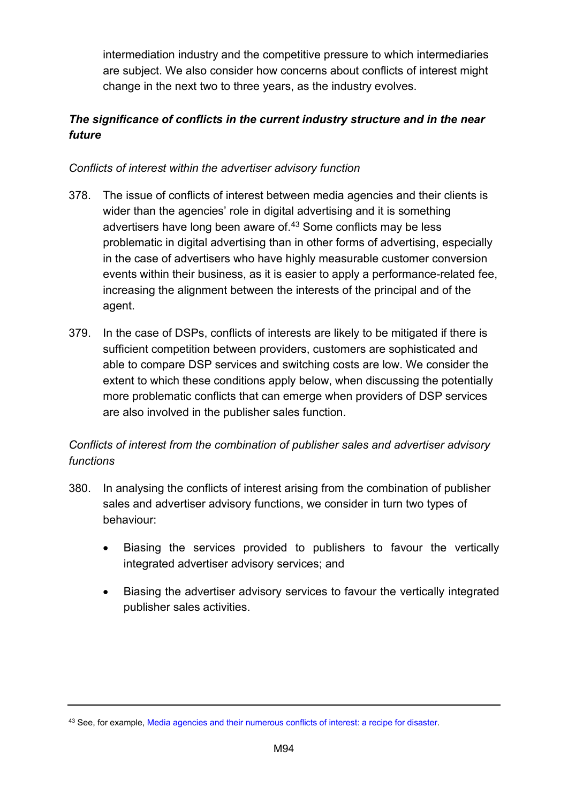intermediation industry and the competitive pressure to which intermediaries are subject. We also consider how concerns about conflicts of interest might change in the next two to three years, as the industry evolves.

# *The significance of conflicts in the current industry structure and in the near future*

## *Conflicts of interest within the advertiser advisory function*

- 378. The issue of conflicts of interest between media agencies and their clients is wider than the agencies' role in digital advertising and it is something advertisers have long been aware of.<sup>[43](#page-93-0)</sup> Some conflicts may be less problematic in digital advertising than in other forms of advertising, especially in the case of advertisers who have highly measurable customer conversion events within their business, as it is easier to apply a performance-related fee, increasing the alignment between the interests of the principal and of the agent.
- 379. In the case of DSPs, conflicts of interests are likely to be mitigated if there is sufficient competition between providers, customers are sophisticated and able to compare DSP services and switching costs are low. We consider the extent to which these conditions apply below, when discussing the potentially more problematic conflicts that can emerge when providers of DSP services are also involved in the publisher sales function.

## *Conflicts of interest from the combination of publisher sales and advertiser advisory functions*

- 380. In analysing the conflicts of interest arising from the combination of publisher sales and advertiser advisory functions, we consider in turn two types of behaviour:
	- Biasing the services provided to publishers to favour the vertically integrated advertiser advisory services; and
	- Biasing the advertiser advisory services to favour the vertically integrated publisher sales activities.

<span id="page-93-0"></span><sup>43</sup> See, for example, [Media agencies and their numerous conflicts of interest: a recipe for disaster.](https://mumbrella.com.au/media-agencies-conflicts-of-interest-a-recipe-for-disaster-398244)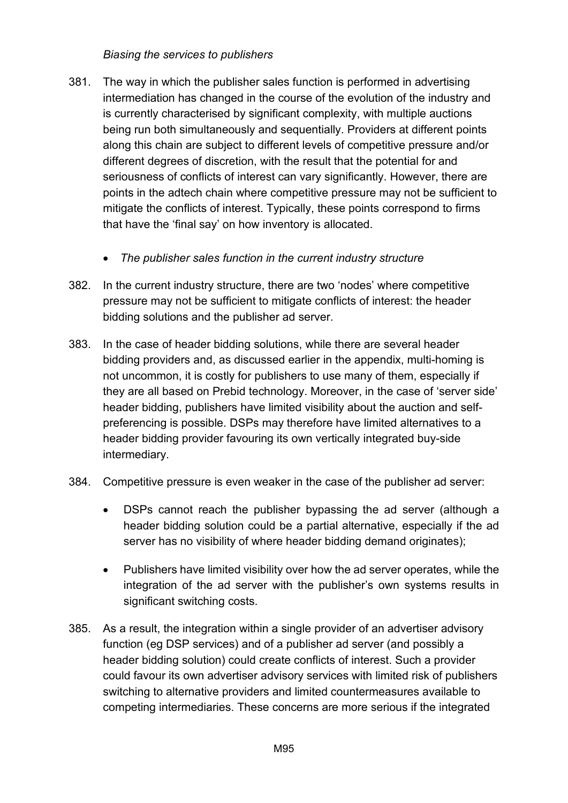#### *Biasing the services to publishers*

- 381. The way in which the publisher sales function is performed in advertising intermediation has changed in the course of the evolution of the industry and is currently characterised by significant complexity, with multiple auctions being run both simultaneously and sequentially. Providers at different points along this chain are subject to different levels of competitive pressure and/or different degrees of discretion, with the result that the potential for and seriousness of conflicts of interest can vary significantly. However, there are points in the adtech chain where competitive pressure may not be sufficient to mitigate the conflicts of interest. Typically, these points correspond to firms that have the 'final say' on how inventory is allocated.
	- *The publisher sales function in the current industry structure*
- 382. In the current industry structure, there are two 'nodes' where competitive pressure may not be sufficient to mitigate conflicts of interest: the header bidding solutions and the publisher ad server.
- 383. In the case of header bidding solutions, while there are several header bidding providers and, as discussed earlier in the appendix, multi-homing is not uncommon, it is costly for publishers to use many of them, especially if they are all based on Prebid technology. Moreover, in the case of 'server side' header bidding, publishers have limited visibility about the auction and selfpreferencing is possible. DSPs may therefore have limited alternatives to a header bidding provider favouring its own vertically integrated buy-side intermediary.
- 384. Competitive pressure is even weaker in the case of the publisher ad server:
	- DSPs cannot reach the publisher bypassing the ad server (although a header bidding solution could be a partial alternative, especially if the ad server has no visibility of where header bidding demand originates);
	- Publishers have limited visibility over how the ad server operates, while the integration of the ad server with the publisher's own systems results in significant switching costs.
- 385. As a result, the integration within a single provider of an advertiser advisory function (eg DSP services) and of a publisher ad server (and possibly a header bidding solution) could create conflicts of interest. Such a provider could favour its own advertiser advisory services with limited risk of publishers switching to alternative providers and limited countermeasures available to competing intermediaries. These concerns are more serious if the integrated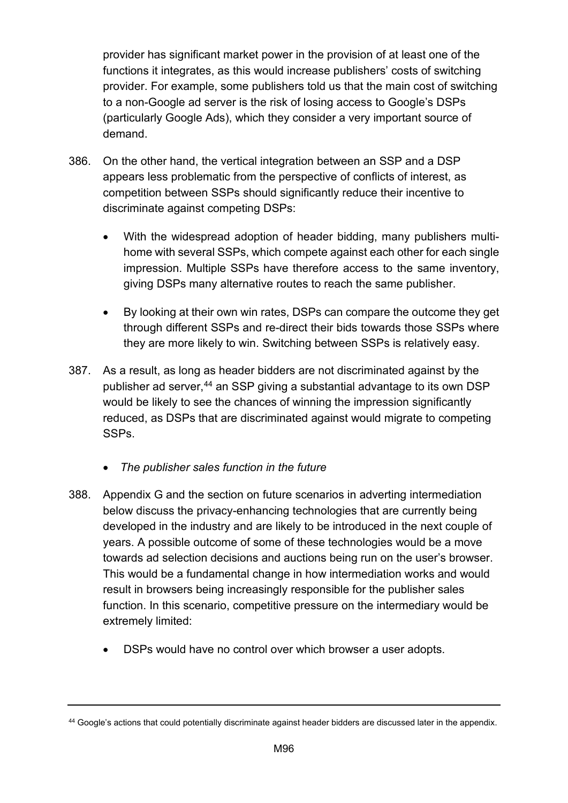provider has significant market power in the provision of at least one of the functions it integrates, as this would increase publishers' costs of switching provider. For example, some publishers told us that the main cost of switching to a non-Google ad server is the risk of losing access to Google's DSPs (particularly Google Ads), which they consider a very important source of demand.

- 386. On the other hand, the vertical integration between an SSP and a DSP appears less problematic from the perspective of conflicts of interest, as competition between SSPs should significantly reduce their incentive to discriminate against competing DSPs:
	- With the widespread adoption of header bidding, many publishers multihome with several SSPs, which compete against each other for each single impression. Multiple SSPs have therefore access to the same inventory, giving DSPs many alternative routes to reach the same publisher.
	- By looking at their own win rates, DSPs can compare the outcome they get through different SSPs and re-direct their bids towards those SSPs where they are more likely to win. Switching between SSPs is relatively easy.
- 387. As a result, as long as header bidders are not discriminated against by the publisher ad server, [44](#page-95-0) an SSP giving a substantial advantage to its own DSP would be likely to see the chances of winning the impression significantly reduced, as DSPs that are discriminated against would migrate to competing SSPs.
	- *The publisher sales function in the future*
- 388. Appendix G and the section on future scenarios in adverting intermediation below discuss the privacy-enhancing technologies that are currently being developed in the industry and are likely to be introduced in the next couple of years. A possible outcome of some of these technologies would be a move towards ad selection decisions and auctions being run on the user's browser. This would be a fundamental change in how intermediation works and would result in browsers being increasingly responsible for the publisher sales function. In this scenario, competitive pressure on the intermediary would be extremely limited:
	- DSPs would have no control over which browser a user adopts.

<span id="page-95-0"></span><sup>44</sup> Google's actions that could potentially discriminate against header bidders are discussed later in the appendix.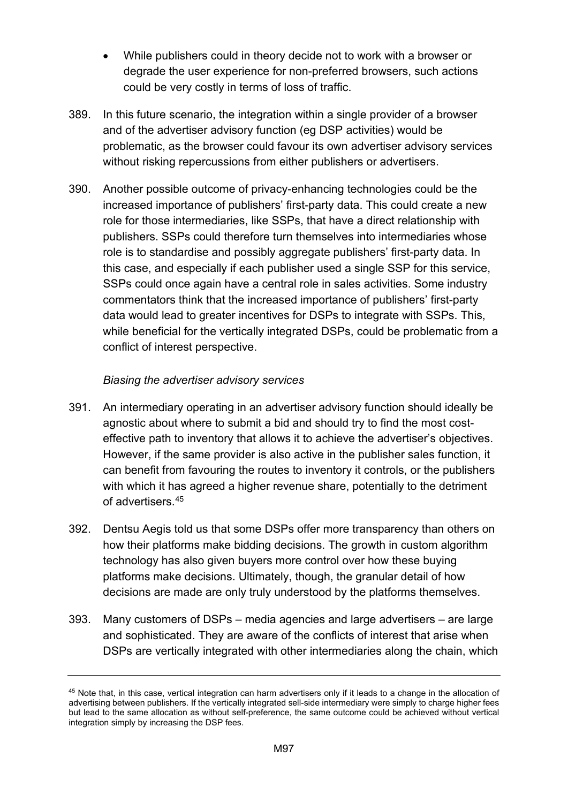- While publishers could in theory decide not to work with a browser or degrade the user experience for non-preferred browsers, such actions could be very costly in terms of loss of traffic.
- 389. In this future scenario, the integration within a single provider of a browser and of the advertiser advisory function (eg DSP activities) would be problematic, as the browser could favour its own advertiser advisory services without risking repercussions from either publishers or advertisers.
- 390. Another possible outcome of privacy-enhancing technologies could be the increased importance of publishers' first-party data. This could create a new role for those intermediaries, like SSPs, that have a direct relationship with publishers. SSPs could therefore turn themselves into intermediaries whose role is to standardise and possibly aggregate publishers' first-party data. In this case, and especially if each publisher used a single SSP for this service, SSPs could once again have a central role in sales activities. Some industry commentators think that the increased importance of publishers' first-party data would lead to greater incentives for DSPs to integrate with SSPs. This, while beneficial for the vertically integrated DSPs, could be problematic from a conflict of interest perspective.

## *Biasing the advertiser advisory services*

- 391. An intermediary operating in an advertiser advisory function should ideally be agnostic about where to submit a bid and should try to find the most costeffective path to inventory that allows it to achieve the advertiser's objectives. However, if the same provider is also active in the publisher sales function, it can benefit from favouring the routes to inventory it controls, or the publishers with which it has agreed a higher revenue share, potentially to the detriment of advertisers.[45](#page-96-0)
- 392. Dentsu Aegis told us that some DSPs offer more transparency than others on how their platforms make bidding decisions. The growth in custom algorithm technology has also given buyers more control over how these buying platforms make decisions. Ultimately, though, the granular detail of how decisions are made are only truly understood by the platforms themselves.
- 393. Many customers of DSPs media agencies and large advertisers are large and sophisticated. They are aware of the conflicts of interest that arise when DSPs are vertically integrated with other intermediaries along the chain, which

<span id="page-96-0"></span><sup>45</sup> Note that, in this case, vertical integration can harm advertisers only if it leads to a change in the allocation of advertising between publishers. If the vertically integrated sell-side intermediary were simply to charge higher fees but lead to the same allocation as without self-preference, the same outcome could be achieved without vertical integration simply by increasing the DSP fees.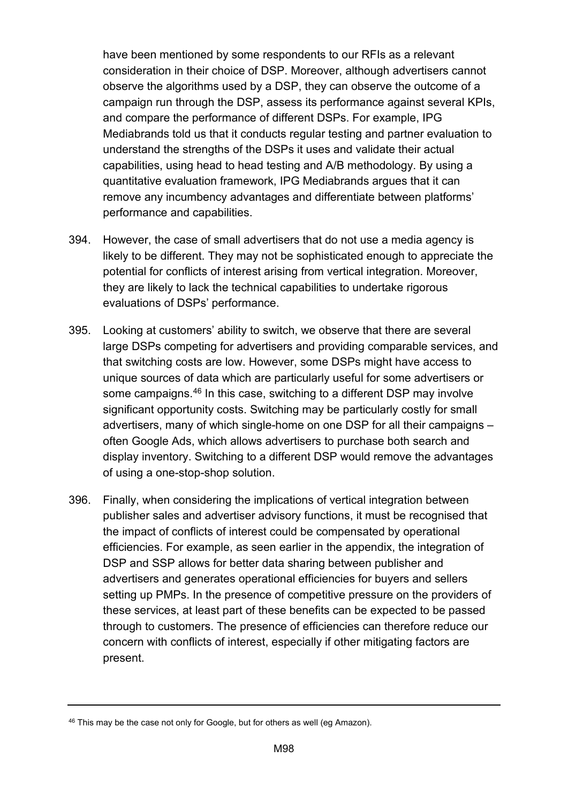have been mentioned by some respondents to our RFIs as a relevant consideration in their choice of DSP. Moreover, although advertisers cannot observe the algorithms used by a DSP, they can observe the outcome of a campaign run through the DSP, assess its performance against several KPIs, and compare the performance of different DSPs. For example, IPG Mediabrands told us that it conducts regular testing and partner evaluation to understand the strengths of the DSPs it uses and validate their actual capabilities, using head to head testing and A/B methodology. By using a quantitative evaluation framework, IPG Mediabrands argues that it can remove any incumbency advantages and differentiate between platforms' performance and capabilities.

- 394. However, the case of small advertisers that do not use a media agency is likely to be different. They may not be sophisticated enough to appreciate the potential for conflicts of interest arising from vertical integration. Moreover, they are likely to lack the technical capabilities to undertake rigorous evaluations of DSPs' performance.
- 395. Looking at customers' ability to switch, we observe that there are several large DSPs competing for advertisers and providing comparable services, and that switching costs are low. However, some DSPs might have access to unique sources of data which are particularly useful for some advertisers or some campaigns.[46](#page-97-0) In this case, switching to a different DSP may involve significant opportunity costs. Switching may be particularly costly for small advertisers, many of which single-home on one DSP for all their campaigns – often Google Ads, which allows advertisers to purchase both search and display inventory. Switching to a different DSP would remove the advantages of using a one-stop-shop solution.
- 396. Finally, when considering the implications of vertical integration between publisher sales and advertiser advisory functions, it must be recognised that the impact of conflicts of interest could be compensated by operational efficiencies. For example, as seen earlier in the appendix, the integration of DSP and SSP allows for better data sharing between publisher and advertisers and generates operational efficiencies for buyers and sellers setting up PMPs. In the presence of competitive pressure on the providers of these services, at least part of these benefits can be expected to be passed through to customers. The presence of efficiencies can therefore reduce our concern with conflicts of interest, especially if other mitigating factors are present.

<span id="page-97-0"></span><sup>&</sup>lt;sup>46</sup> This may be the case not only for Google, but for others as well (eg Amazon).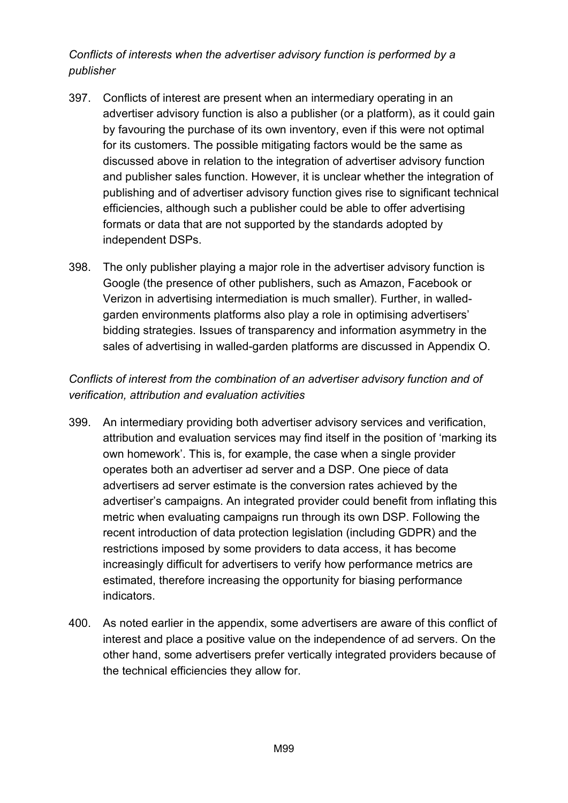*Conflicts of interests when the advertiser advisory function is performed by a publisher*

- 397. Conflicts of interest are present when an intermediary operating in an advertiser advisory function is also a publisher (or a platform), as it could gain by favouring the purchase of its own inventory, even if this were not optimal for its customers. The possible mitigating factors would be the same as discussed above in relation to the integration of advertiser advisory function and publisher sales function. However, it is unclear whether the integration of publishing and of advertiser advisory function gives rise to significant technical efficiencies, although such a publisher could be able to offer advertising formats or data that are not supported by the standards adopted by independent DSPs.
- 398. The only publisher playing a major role in the advertiser advisory function is Google (the presence of other publishers, such as Amazon, Facebook or Verizon in advertising intermediation is much smaller). Further, in walledgarden environments platforms also play a role in optimising advertisers' bidding strategies. Issues of transparency and information asymmetry in the sales of advertising in walled-garden platforms are discussed in Appendix O.

## *Conflicts of interest from the combination of an advertiser advisory function and of verification, attribution and evaluation activities*

- 399. An intermediary providing both advertiser advisory services and verification, attribution and evaluation services may find itself in the position of 'marking its own homework'. This is, for example, the case when a single provider operates both an advertiser ad server and a DSP. One piece of data advertisers ad server estimate is the conversion rates achieved by the advertiser's campaigns. An integrated provider could benefit from inflating this metric when evaluating campaigns run through its own DSP. Following the recent introduction of data protection legislation (including GDPR) and the restrictions imposed by some providers to data access, it has become increasingly difficult for advertisers to verify how performance metrics are estimated, therefore increasing the opportunity for biasing performance indicators.
- 400. As noted earlier in the appendix, some advertisers are aware of this conflict of interest and place a positive value on the independence of ad servers. On the other hand, some advertisers prefer vertically integrated providers because of the technical efficiencies they allow for.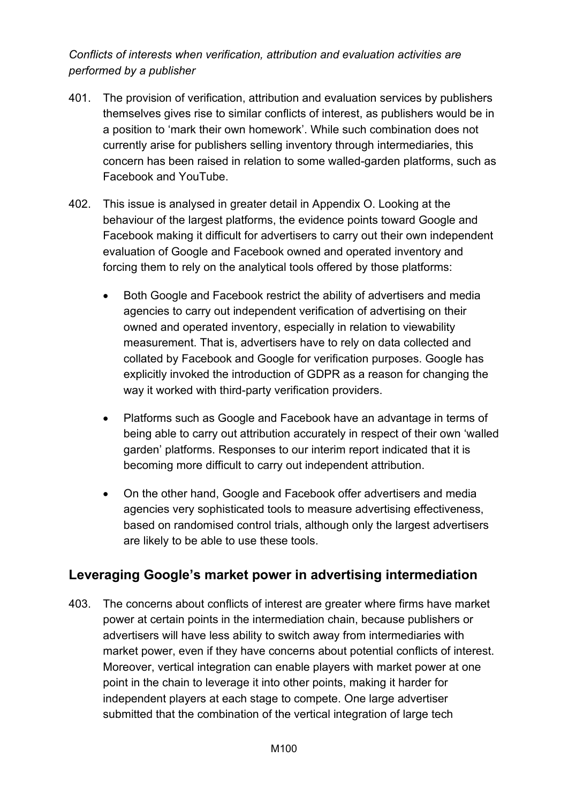*Conflicts of interests when verification, attribution and evaluation activities are performed by a publisher*

- 401. The provision of verification, attribution and evaluation services by publishers themselves gives rise to similar conflicts of interest, as publishers would be in a position to 'mark their own homework'. While such combination does not currently arise for publishers selling inventory through intermediaries, this concern has been raised in relation to some walled-garden platforms, such as Facebook and YouTube.
- 402. This issue is analysed in greater detail in Appendix O. Looking at the behaviour of the largest platforms, the evidence points toward Google and Facebook making it difficult for advertisers to carry out their own independent evaluation of Google and Facebook owned and operated inventory and forcing them to rely on the analytical tools offered by those platforms:
	- Both Google and Facebook restrict the ability of advertisers and media agencies to carry out independent verification of advertising on their owned and operated inventory, especially in relation to viewability measurement. That is, advertisers have to rely on data collected and collated by Facebook and Google for verification purposes. Google has explicitly invoked the introduction of GDPR as a reason for changing the way it worked with third-party verification providers.
	- Platforms such as Google and Facebook have an advantage in terms of being able to carry out attribution accurately in respect of their own 'walled garden' platforms. Responses to our interim report indicated that it is becoming more difficult to carry out independent attribution.
	- On the other hand, Google and Facebook offer advertisers and media agencies very sophisticated tools to measure advertising effectiveness, based on randomised control trials, although only the largest advertisers are likely to be able to use these tools.

# **Leveraging Google's market power in advertising intermediation**

403. The concerns about conflicts of interest are greater where firms have market power at certain points in the intermediation chain, because publishers or advertisers will have less ability to switch away from intermediaries with market power, even if they have concerns about potential conflicts of interest. Moreover, vertical integration can enable players with market power at one point in the chain to leverage it into other points, making it harder for independent players at each stage to compete. One large advertiser submitted that the combination of the vertical integration of large tech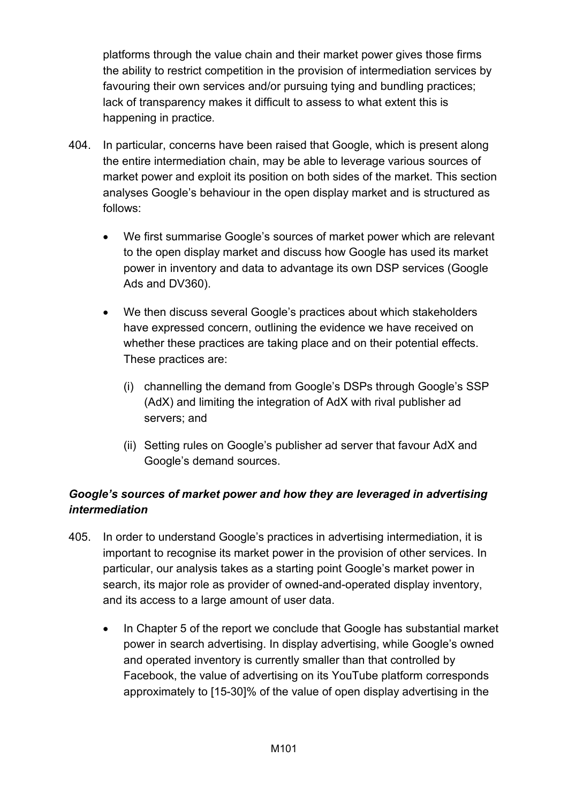platforms through the value chain and their market power gives those firms the ability to restrict competition in the provision of intermediation services by favouring their own services and/or pursuing tying and bundling practices; lack of transparency makes it difficult to assess to what extent this is happening in practice.

- 404. In particular, concerns have been raised that Google, which is present along the entire intermediation chain, may be able to leverage various sources of market power and exploit its position on both sides of the market. This section analyses Google's behaviour in the open display market and is structured as follows:
	- We first summarise Google's sources of market power which are relevant to the open display market and discuss how Google has used its market power in inventory and data to advantage its own DSP services (Google Ads and DV360).
	- We then discuss several Google's practices about which stakeholders have expressed concern, outlining the evidence we have received on whether these practices are taking place and on their potential effects. These practices are:
		- (i) channelling the demand from Google's DSPs through Google's SSP (AdX) and limiting the integration of AdX with rival publisher ad servers; and
		- (ii) Setting rules on Google's publisher ad server that favour AdX and Google's demand sources.

# *Google's sources of market power and how they are leveraged in advertising intermediation*

- 405. In order to understand Google's practices in advertising intermediation, it is important to recognise its market power in the provision of other services. In particular, our analysis takes as a starting point Google's market power in search, its major role as provider of owned-and-operated display inventory, and its access to a large amount of user data.
	- In Chapter 5 of the report we conclude that Google has substantial market power in search advertising. In display advertising, while Google's owned and operated inventory is currently smaller than that controlled by Facebook, the value of advertising on its YouTube platform corresponds approximately to [15-30]% of the value of open display advertising in the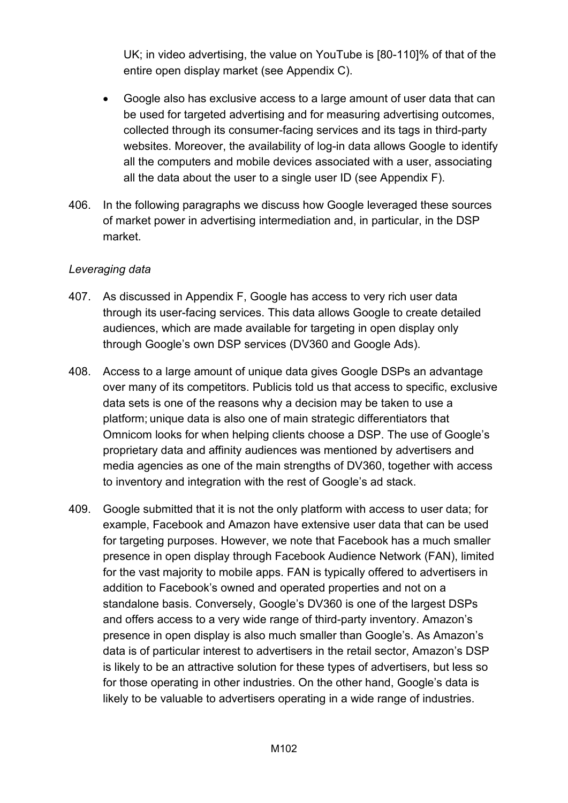UK; in video advertising, the value on YouTube is [80-110]% of that of the entire open display market (see Appendix C).

- Google also has exclusive access to a large amount of user data that can be used for targeted advertising and for measuring advertising outcomes, collected through its consumer-facing services and its tags in third-party websites. Moreover, the availability of log-in data allows Google to identify all the computers and mobile devices associated with a user, associating all the data about the user to a single user ID (see Appendix F).
- 406. In the following paragraphs we discuss how Google leveraged these sources of market power in advertising intermediation and, in particular, in the DSP market.

#### *Leveraging data*

- 407. As discussed in Appendix F, Google has access to very rich user data through its user-facing services. This data allows Google to create detailed audiences, which are made available for targeting in open display only through Google's own DSP services (DV360 and Google Ads).
- 408. Access to a large amount of unique data gives Google DSPs an advantage over many of its competitors. Publicis told us that access to specific, exclusive data sets is one of the reasons why a decision may be taken to use a platform; unique data is also one of main strategic differentiators that Omnicom looks for when helping clients choose a DSP. The use of Google's proprietary data and affinity audiences was mentioned by advertisers and media agencies as one of the main strengths of DV360, together with access to inventory and integration with the rest of Google's ad stack.
- 409. Google submitted that it is not the only platform with access to user data; for example, Facebook and Amazon have extensive user data that can be used for targeting purposes. However, we note that Facebook has a much smaller presence in open display through Facebook Audience Network (FAN), limited for the vast majority to mobile apps. FAN is typically offered to advertisers in addition to Facebook's owned and operated properties and not on a standalone basis. Conversely, Google's DV360 is one of the largest DSPs and offers access to a very wide range of third-party inventory. Amazon's presence in open display is also much smaller than Google's. As Amazon's data is of particular interest to advertisers in the retail sector, Amazon's DSP is likely to be an attractive solution for these types of advertisers, but less so for those operating in other industries. On the other hand, Google's data is likely to be valuable to advertisers operating in a wide range of industries.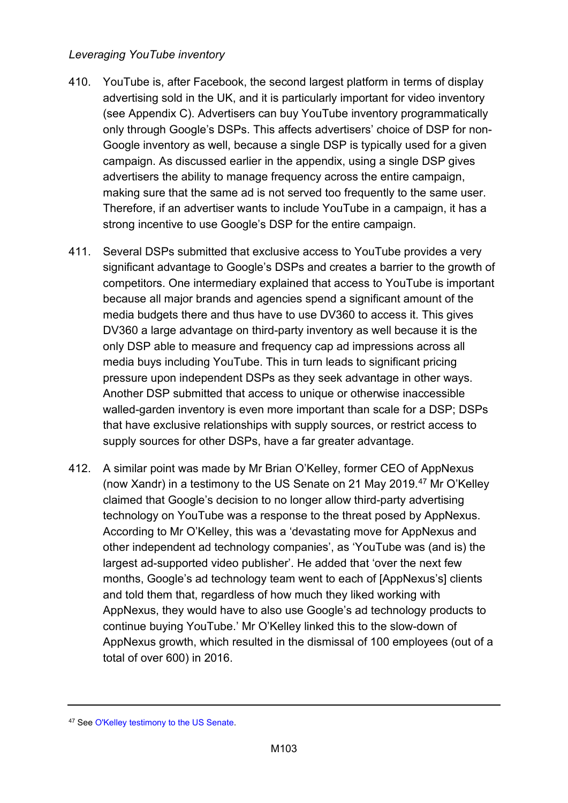## *Leveraging YouTube inventory*

- 410. YouTube is, after Facebook, the second largest platform in terms of display advertising sold in the UK, and it is particularly important for video inventory (see Appendix C). Advertisers can buy YouTube inventory programmatically only through Google's DSPs. This affects advertisers' choice of DSP for non-Google inventory as well, because a single DSP is typically used for a given campaign. As discussed earlier in the appendix, using a single DSP gives advertisers the ability to manage frequency across the entire campaign, making sure that the same ad is not served too frequently to the same user. Therefore, if an advertiser wants to include YouTube in a campaign, it has a strong incentive to use Google's DSP for the entire campaign.
- 411. Several DSPs submitted that exclusive access to YouTube provides a very significant advantage to Google's DSPs and creates a barrier to the growth of competitors. One intermediary explained that access to YouTube is important because all major brands and agencies spend a significant amount of the media budgets there and thus have to use DV360 to access it. This gives DV360 a large advantage on third-party inventory as well because it is the only DSP able to measure and frequency cap ad impressions across all media buys including YouTube. This in turn leads to significant pricing pressure upon independent DSPs as they seek advantage in other ways. Another DSP submitted that access to unique or otherwise inaccessible walled-garden inventory is even more important than scale for a DSP; DSPs that have exclusive relationships with supply sources, or restrict access to supply sources for other DSPs, have a far greater advantage.
- 412. A similar point was made by Mr Brian O'Kelley, former CEO of AppNexus (now Xandr) in a testimony to the US Senate on 21 May 2019.<sup>[47](#page-102-0)</sup> Mr O'Kelley claimed that Google's decision to no longer allow third-party advertising technology on YouTube was a response to the threat posed by AppNexus. According to Mr O'Kelley, this was a 'devastating move for AppNexus and other independent ad technology companies', as 'YouTube was (and is) the largest ad-supported video publisher'. He added that 'over the next few months, Google's ad technology team went to each of [AppNexus's] clients and told them that, regardless of how much they liked working with AppNexus, they would have to also use Google's ad technology products to continue buying YouTube.' Mr O'Kelley linked this to the slow-down of AppNexus growth, which resulted in the dismissal of 100 employees (out of a total of over 600) in 2016.

<span id="page-102-0"></span><sup>47</sup> Se[e O'Kelley testimony to the US Senate.](https://www.judiciary.senate.gov/imo/media/doc/O)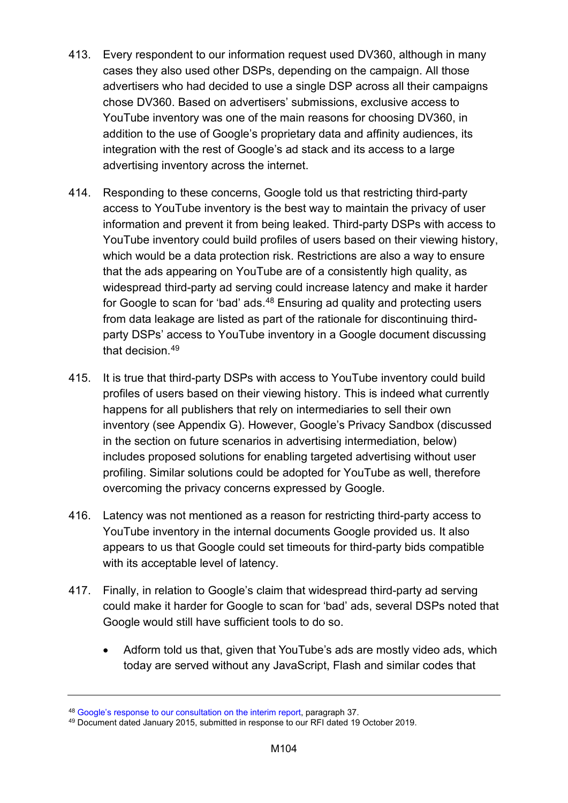- 413. Every respondent to our information request used DV360, although in many cases they also used other DSPs, depending on the campaign. All those advertisers who had decided to use a single DSP across all their campaigns chose DV360. Based on advertisers' submissions, exclusive access to YouTube inventory was one of the main reasons for choosing DV360, in addition to the use of Google's proprietary data and affinity audiences, its integration with the rest of Google's ad stack and its access to a large advertising inventory across the internet.
- 414. Responding to these concerns, Google told us that restricting third-party access to YouTube inventory is the best way to maintain the privacy of user information and prevent it from being leaked. Third-party DSPs with access to YouTube inventory could build profiles of users based on their viewing history, which would be a data protection risk. Restrictions are also a way to ensure that the ads appearing on YouTube are of a consistently high quality, as widespread third-party ad serving could increase latency and make it harder for Google to scan for 'bad' ads.<sup>[48](#page-103-0)</sup> Ensuring ad quality and protecting users from data leakage are listed as part of the rationale for discontinuing thirdparty DSPs' access to YouTube inventory in a Google document discussing that decision. [49](#page-103-1)
- 415. It is true that third-party DSPs with access to YouTube inventory could build profiles of users based on their viewing history. This is indeed what currently happens for all publishers that rely on intermediaries to sell their own inventory (see Appendix G). However, Google's Privacy Sandbox (discussed in the section on future scenarios in advertising intermediation, below) includes proposed solutions for enabling targeted advertising without user profiling. Similar solutions could be adopted for YouTube as well, therefore overcoming the privacy concerns expressed by Google.
- 416. Latency was not mentioned as a reason for restricting third-party access to YouTube inventory in the internal documents Google provided us. It also appears to us that Google could set timeouts for third-party bids compatible with its acceptable level of latency.
- 417. Finally, in relation to Google's claim that widespread third-party ad serving could make it harder for Google to scan for 'bad' ads, several DSPs noted that Google would still have sufficient tools to do so.
	- Adform told us that, given that YouTube's ads are mostly video ads, which today are served without any JavaScript, Flash and similar codes that

<span id="page-103-0"></span><sup>48</sup> [Google's response to our consultation on the interim report,](https://assets.publishing.service.gov.uk/media/5e8c8290d3bf7f1fb7b91c2c/200212_Google_response_to_interim_report.pdf) paragraph 37.

<span id="page-103-1"></span><sup>49</sup> Document dated January 2015, submitted in response to our RFI dated 19 October 2019.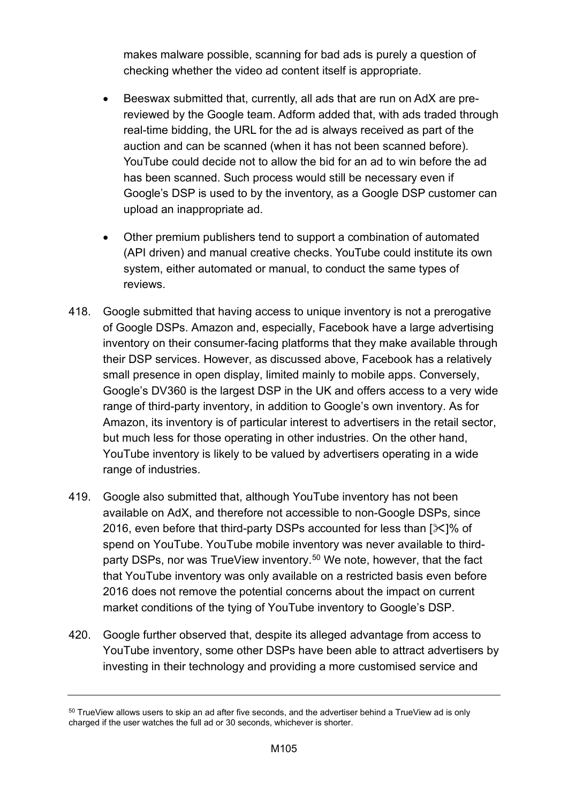makes malware possible, scanning for bad ads is purely a question of checking whether the video ad content itself is appropriate.

- Beeswax submitted that, currently, all ads that are run on AdX are prereviewed by the Google team. Adform added that, with ads traded through real-time bidding, the URL for the ad is always received as part of the auction and can be scanned (when it has not been scanned before). YouTube could decide not to allow the bid for an ad to win before the ad has been scanned. Such process would still be necessary even if Google's DSP is used to by the inventory, as a Google DSP customer can upload an inappropriate ad.
- Other premium publishers tend to support a combination of automated (API driven) and manual creative checks. YouTube could institute its own system, either automated or manual, to conduct the same types of reviews.
- 418. Google submitted that having access to unique inventory is not a prerogative of Google DSPs. Amazon and, especially, Facebook have a large advertising inventory on their consumer-facing platforms that they make available through their DSP services. However, as discussed above, Facebook has a relatively small presence in open display, limited mainly to mobile apps. Conversely, Google's DV360 is the largest DSP in the UK and offers access to a very wide range of third-party inventory, in addition to Google's own inventory. As for Amazon, its inventory is of particular interest to advertisers in the retail sector, but much less for those operating in other industries. On the other hand, YouTube inventory is likely to be valued by advertisers operating in a wide range of industries.
- 419. Google also submitted that, although YouTube inventory has not been available on AdX, and therefore not accessible to non-Google DSPs, since 2016, even before that third-party DSPs accounted for less than  $[\times]$ % of spend on YouTube. YouTube mobile inventory was never available to thirdparty DSPs, nor was TrueView inventory. [50](#page-104-0) We note, however, that the fact that YouTube inventory was only available on a restricted basis even before 2016 does not remove the potential concerns about the impact on current market conditions of the tying of YouTube inventory to Google's DSP.
- 420. Google further observed that, despite its alleged advantage from access to YouTube inventory, some other DSPs have been able to attract advertisers by investing in their technology and providing a more customised service and

<span id="page-104-0"></span><sup>&</sup>lt;sup>50</sup> TrueView allows users to skip an ad after five seconds, and the advertiser behind a TrueView ad is only charged if the user watches the full ad or 30 seconds, whichever is shorter.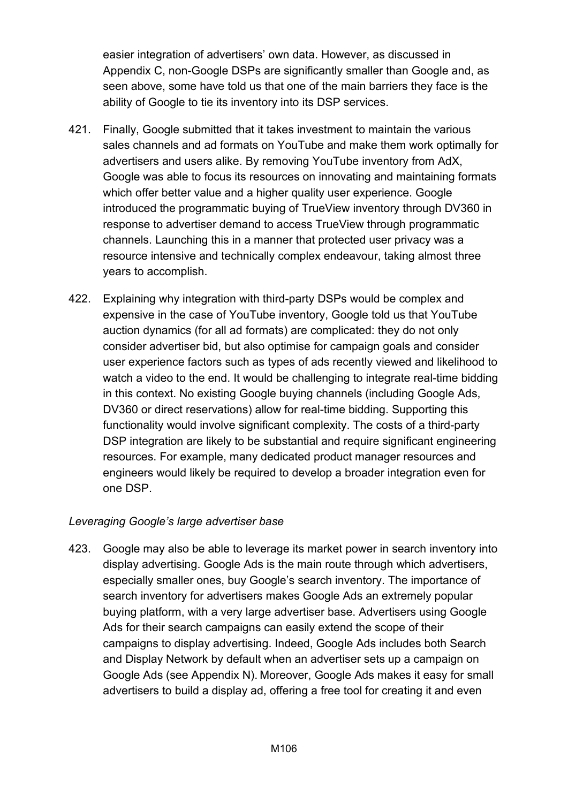easier integration of advertisers' own data. However, as discussed in Appendix C, non-Google DSPs are significantly smaller than Google and, as seen above, some have told us that one of the main barriers they face is the ability of Google to tie its inventory into its DSP services.

- 421. Finally, Google submitted that it takes investment to maintain the various sales channels and ad formats on YouTube and make them work optimally for advertisers and users alike. By removing YouTube inventory from AdX, Google was able to focus its resources on innovating and maintaining formats which offer better value and a higher quality user experience. Google introduced the programmatic buying of TrueView inventory through DV360 in response to advertiser demand to access TrueView through programmatic channels. Launching this in a manner that protected user privacy was a resource intensive and technically complex endeavour, taking almost three years to accomplish.
- 422. Explaining why integration with third-party DSPs would be complex and expensive in the case of YouTube inventory, Google told us that YouTube auction dynamics (for all ad formats) are complicated: they do not only consider advertiser bid, but also optimise for campaign goals and consider user experience factors such as types of ads recently viewed and likelihood to watch a video to the end. It would be challenging to integrate real-time bidding in this context. No existing Google buying channels (including Google Ads, DV360 or direct reservations) allow for real-time bidding. Supporting this functionality would involve significant complexity. The costs of a third-party DSP integration are likely to be substantial and require significant engineering resources. For example, many dedicated product manager resources and engineers would likely be required to develop a broader integration even for one DSP.

## *Leveraging Google's large advertiser base*

423. Google may also be able to leverage its market power in search inventory into display advertising. Google Ads is the main route through which advertisers, especially smaller ones, buy Google's search inventory. The importance of search inventory for advertisers makes Google Ads an extremely popular buying platform, with a very large advertiser base. Advertisers using Google Ads for their search campaigns can easily extend the scope of their campaigns to display advertising. Indeed, Google Ads includes both Search and Display Network by default when an advertiser sets up a campaign on Google Ads (see Appendix N). Moreover, Google Ads makes it easy for small advertisers to build a display ad, offering a free tool for creating it and even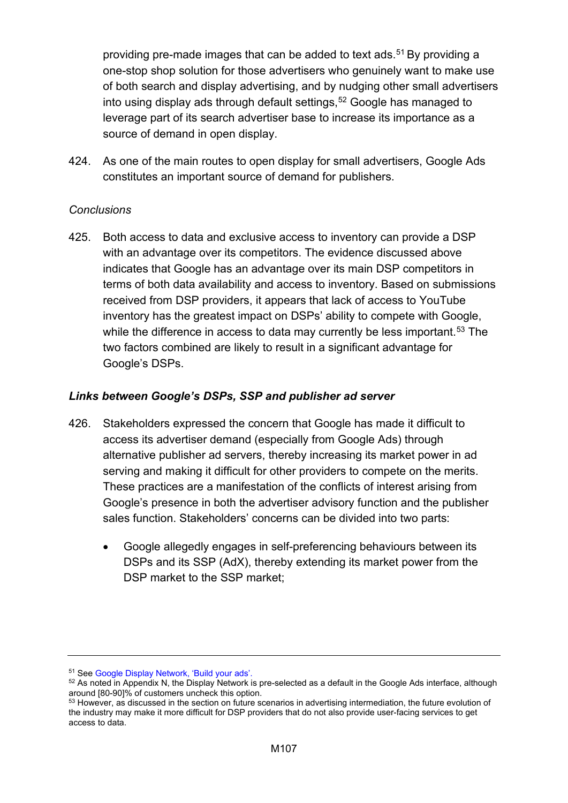providing pre-made images that can be added to text ads.<sup>51</sup> By providing a one-stop shop solution for those advertisers who genuinely want to make use of both search and display advertising, and by nudging other small advertisers into using display ads through default settings, [52](#page-106-1) Google has managed to leverage part of its search advertiser base to increase its importance as a source of demand in open display.

424. As one of the main routes to open display for small advertisers, Google Ads constitutes an important source of demand for publishers.

## *Conclusions*

425. Both access to data and exclusive access to inventory can provide a DSP with an advantage over its competitors. The evidence discussed above indicates that Google has an advantage over its main DSP competitors in terms of both data availability and access to inventory. Based on submissions received from DSP providers, it appears that lack of access to YouTube inventory has the greatest impact on DSPs' ability to compete with Google, while the difference in access to data may currently be less important.<sup>[53](#page-106-2)</sup> The two factors combined are likely to result in a significant advantage for Google's DSPs.

## *Links between Google's DSPs, SSP and publisher ad server*

- 426. Stakeholders expressed the concern that Google has made it difficult to access its advertiser demand (especially from Google Ads) through alternative publisher ad servers, thereby increasing its market power in ad serving and making it difficult for other providers to compete on the merits. These practices are a manifestation of the conflicts of interest arising from Google's presence in both the advertiser advisory function and the publisher sales function. Stakeholders' concerns can be divided into two parts:
	- Google allegedly engages in self-preferencing behaviours between its DSPs and its SSP (AdX), thereby extending its market power from the DSP market to the SSP market;

<span id="page-106-1"></span><span id="page-106-0"></span><sup>&</sup>lt;sup>51</sup> See Google Display Network, 'Build your ads'.<br><sup>52</sup> As noted in Appendix N, the Display Network is pre-selected as a default in the Google Ads interface, although<br>around [80-90]% of customers uncheck this option.

<span id="page-106-2"></span><sup>53</sup> However, as discussed in the section on future scenarios in advertising intermediation, the future evolution of the industry may make it more difficult for DSP providers that do not also provide user-facing services to get access to data.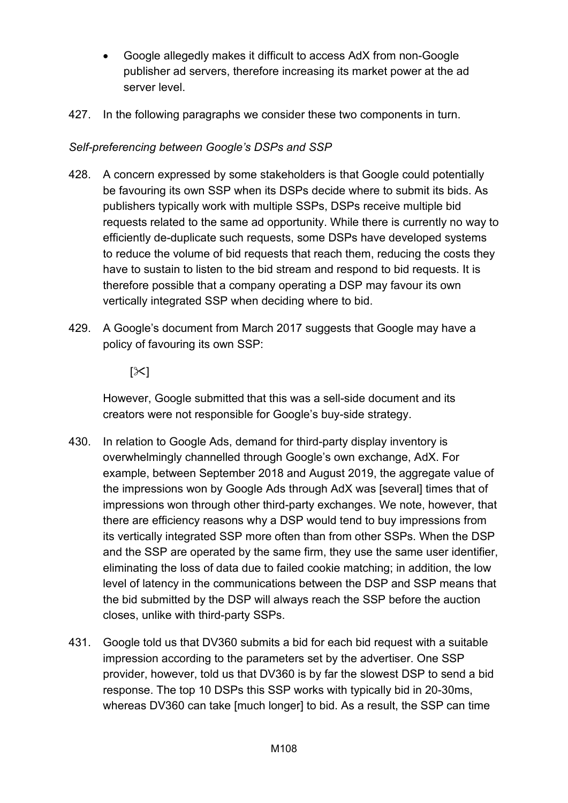- Google allegedly makes it difficult to access AdX from non-Google publisher ad servers, therefore increasing its market power at the ad server level.
- 427. In the following paragraphs we consider these two components in turn.

## *Self-preferencing between Google's DSPs and SSP*

- 428. A concern expressed by some stakeholders is that Google could potentially be favouring its own SSP when its DSPs decide where to submit its bids. As publishers typically work with multiple SSPs, DSPs receive multiple bid requests related to the same ad opportunity. While there is currently no way to efficiently de-duplicate such requests, some DSPs have developed systems to reduce the volume of bid requests that reach them, reducing the costs they have to sustain to listen to the bid stream and respond to bid requests. It is therefore possible that a company operating a DSP may favour its own vertically integrated SSP when deciding where to bid.
- 429. A Google's document from March 2017 suggests that Google may have a policy of favouring its own SSP:

 $[\times]$ 

However, Google submitted that this was a sell-side document and its creators were not responsible for Google's buy-side strategy.

- 430. In relation to Google Ads, demand for third-party display inventory is overwhelmingly channelled through Google's own exchange, AdX. For example, between September 2018 and August 2019, the aggregate value of the impressions won by Google Ads through AdX was [several] times that of impressions won through other third-party exchanges. We note, however, that there are efficiency reasons why a DSP would tend to buy impressions from its vertically integrated SSP more often than from other SSPs. When the DSP and the SSP are operated by the same firm, they use the same user identifier, eliminating the loss of data due to failed cookie matching; in addition, the low level of latency in the communications between the DSP and SSP means that the bid submitted by the DSP will always reach the SSP before the auction closes, unlike with third-party SSPs.
- 431. Google told us that DV360 submits a bid for each bid request with a suitable impression according to the parameters set by the advertiser. One SSP provider, however, told us that DV360 is by far the slowest DSP to send a bid response. The top 10 DSPs this SSP works with typically bid in 20-30ms, whereas DV360 can take [much longer] to bid. As a result, the SSP can time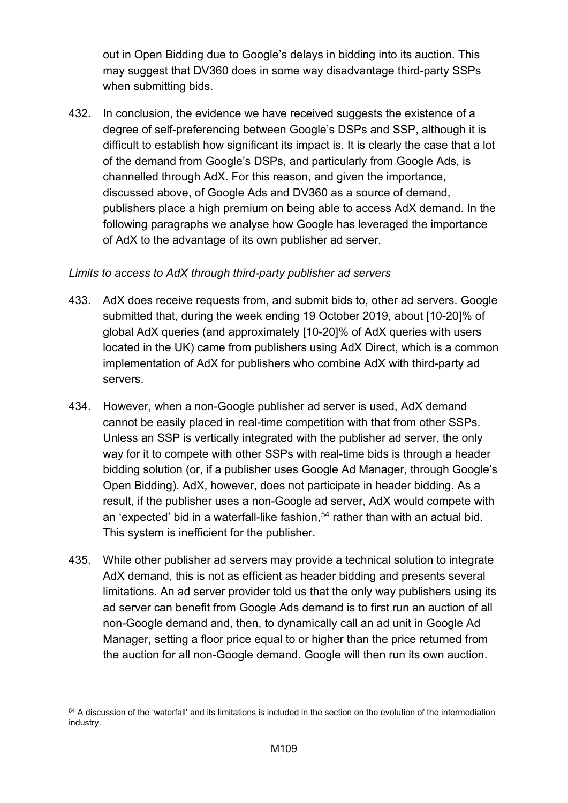out in Open Bidding due to Google's delays in bidding into its auction. This may suggest that DV360 does in some way disadvantage third-party SSPs when submitting bids.

432. In conclusion, the evidence we have received suggests the existence of a degree of self-preferencing between Google's DSPs and SSP, although it is difficult to establish how significant its impact is. It is clearly the case that a lot of the demand from Google's DSPs, and particularly from Google Ads, is channelled through AdX. For this reason, and given the importance, discussed above, of Google Ads and DV360 as a source of demand, publishers place a high premium on being able to access AdX demand. In the following paragraphs we analyse how Google has leveraged the importance of AdX to the advantage of its own publisher ad server.

# *Limits to access to AdX through third-party publisher ad servers*

- 433. AdX does receive requests from, and submit bids to, other ad servers. Google submitted that, during the week ending 19 October 2019, about [10-20]% of global AdX queries (and approximately [10-20]% of AdX queries with users located in the UK) came from publishers using AdX Direct, which is a common implementation of AdX for publishers who combine AdX with third-party ad servers.
- 434. However, when a non-Google publisher ad server is used, AdX demand cannot be easily placed in real-time competition with that from other SSPs. Unless an SSP is vertically integrated with the publisher ad server, the only way for it to compete with other SSPs with real-time bids is through a header bidding solution (or, if a publisher uses Google Ad Manager, through Google's Open Bidding). AdX, however, does not participate in header bidding. As a result, if the publisher uses a non-Google ad server, AdX would compete with an 'expected' bid in a waterfall-like fashion,<sup>[54](#page-108-0)</sup> rather than with an actual bid. This system is inefficient for the publisher.
- 435. While other publisher ad servers may provide a technical solution to integrate AdX demand, this is not as efficient as header bidding and presents several limitations. An ad server provider told us that the only way publishers using its ad server can benefit from Google Ads demand is to first run an auction of all non-Google demand and, then, to dynamically call an ad unit in Google Ad Manager, setting a floor price equal to or higher than the price returned from the auction for all non-Google demand. Google will then run its own auction.

<span id="page-108-0"></span><sup>&</sup>lt;sup>54</sup> A discussion of the 'waterfall' and its limitations is included in the section on the evolution of the intermediation industry.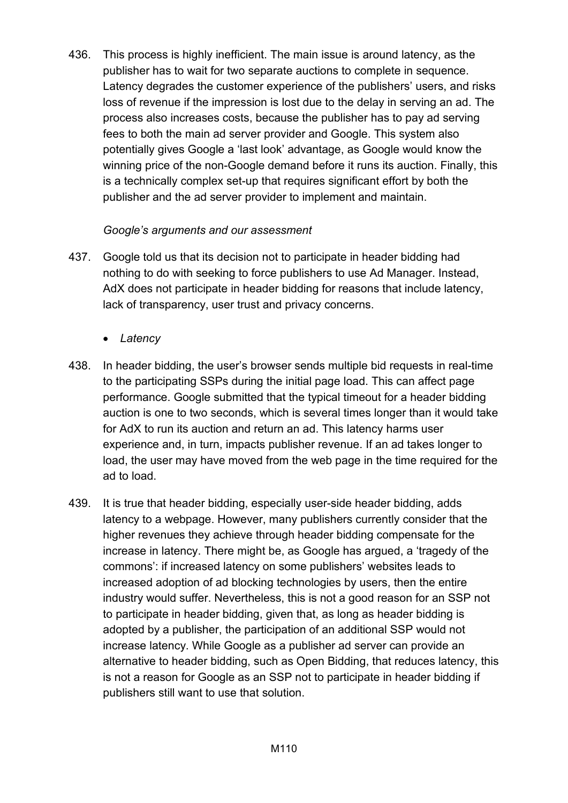436. This process is highly inefficient. The main issue is around latency, as the publisher has to wait for two separate auctions to complete in sequence. Latency degrades the customer experience of the publishers' users, and risks loss of revenue if the impression is lost due to the delay in serving an ad. The process also increases costs, because the publisher has to pay ad serving fees to both the main ad server provider and Google. This system also potentially gives Google a 'last look' advantage, as Google would know the winning price of the non-Google demand before it runs its auction. Finally, this is a technically complex set-up that requires significant effort by both the publisher and the ad server provider to implement and maintain.

# *Google's arguments and our assessment*

- 437. Google told us that its decision not to participate in header bidding had nothing to do with seeking to force publishers to use Ad Manager. Instead, AdX does not participate in header bidding for reasons that include latency, lack of transparency, user trust and privacy concerns.
	- *Latency*
- 438. In header bidding, the user's browser sends multiple bid requests in real-time to the participating SSPs during the initial page load. This can affect page performance. Google submitted that the typical timeout for a header bidding auction is one to two seconds, which is several times longer than it would take for AdX to run its auction and return an ad. This latency harms user experience and, in turn, impacts publisher revenue. If an ad takes longer to load, the user may have moved from the web page in the time required for the ad to load.
- 439. It is true that header bidding, especially user-side header bidding, adds latency to a webpage. However, many publishers currently consider that the higher revenues they achieve through header bidding compensate for the increase in latency. There might be, as Google has argued, a 'tragedy of the commons': if increased latency on some publishers' websites leads to increased adoption of ad blocking technologies by users, then the entire industry would suffer. Nevertheless, this is not a good reason for an SSP not to participate in header bidding, given that, as long as header bidding is adopted by a publisher, the participation of an additional SSP would not increase latency. While Google as a publisher ad server can provide an alternative to header bidding, such as Open Bidding, that reduces latency, this is not a reason for Google as an SSP not to participate in header bidding if publishers still want to use that solution.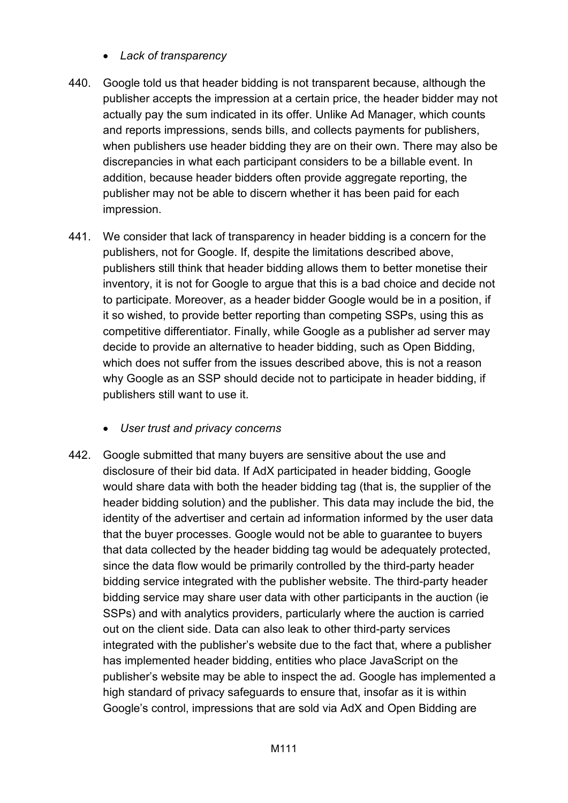- *Lack of transparency*
- 440. Google told us that header bidding is not transparent because, although the publisher accepts the impression at a certain price, the header bidder may not actually pay the sum indicated in its offer. Unlike Ad Manager, which counts and reports impressions, sends bills, and collects payments for publishers, when publishers use header bidding they are on their own. There may also be discrepancies in what each participant considers to be a billable event. In addition, because header bidders often provide aggregate reporting, the publisher may not be able to discern whether it has been paid for each impression.
- 441. We consider that lack of transparency in header bidding is a concern for the publishers, not for Google. If, despite the limitations described above, publishers still think that header bidding allows them to better monetise their inventory, it is not for Google to argue that this is a bad choice and decide not to participate. Moreover, as a header bidder Google would be in a position, if it so wished, to provide better reporting than competing SSPs, using this as competitive differentiator. Finally, while Google as a publisher ad server may decide to provide an alternative to header bidding, such as Open Bidding, which does not suffer from the issues described above, this is not a reason why Google as an SSP should decide not to participate in header bidding, if publishers still want to use it.
	- *User trust and privacy concerns*
- 442. Google submitted that many buyers are sensitive about the use and disclosure of their bid data. If AdX participated in header bidding, Google would share data with both the header bidding tag (that is, the supplier of the header bidding solution) and the publisher. This data may include the bid, the identity of the advertiser and certain ad information informed by the user data that the buyer processes. Google would not be able to guarantee to buyers that data collected by the header bidding tag would be adequately protected, since the data flow would be primarily controlled by the third-party header bidding service integrated with the publisher website. The third-party header bidding service may share user data with other participants in the auction (ie SSPs) and with analytics providers, particularly where the auction is carried out on the client side. Data can also leak to other third-party services integrated with the publisher's website due to the fact that, where a publisher has implemented header bidding, entities who place JavaScript on the publisher's website may be able to inspect the ad. Google has implemented a high standard of privacy safeguards to ensure that, insofar as it is within Google's control, impressions that are sold via AdX and Open Bidding are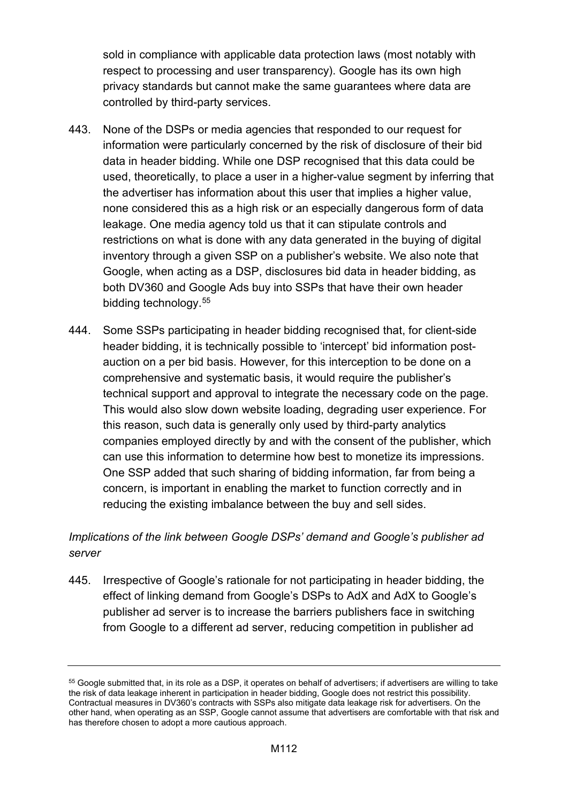sold in compliance with applicable data protection laws (most notably with respect to processing and user transparency). Google has its own high privacy standards but cannot make the same guarantees where data are controlled by third-party services.

- 443. None of the DSPs or media agencies that responded to our request for information were particularly concerned by the risk of disclosure of their bid data in header bidding. While one DSP recognised that this data could be used, theoretically, to place a user in a higher-value segment by inferring that the advertiser has information about this user that implies a higher value, none considered this as a high risk or an especially dangerous form of data leakage. One media agency told us that it can stipulate controls and restrictions on what is done with any data generated in the buying of digital inventory through a given SSP on a publisher's website. We also note that Google, when acting as a DSP, disclosures bid data in header bidding, as both DV360 and Google Ads buy into SSPs that have their own header bidding technology. [55](#page-111-0)
- 444. Some SSPs participating in header bidding recognised that, for client-side header bidding, it is technically possible to 'intercept' bid information postauction on a per bid basis. However, for this interception to be done on a comprehensive and systematic basis, it would require the publisher's technical support and approval to integrate the necessary code on the page. This would also slow down website loading, degrading user experience. For this reason, such data is generally only used by third-party analytics companies employed directly by and with the consent of the publisher, which can use this information to determine how best to monetize its impressions. One SSP added that such sharing of bidding information, far from being a concern, is important in enabling the market to function correctly and in reducing the existing imbalance between the buy and sell sides.

# *Implications of the link between Google DSPs' demand and Google's publisher ad server*

445. Irrespective of Google's rationale for not participating in header bidding, the effect of linking demand from Google's DSPs to AdX and AdX to Google's publisher ad server is to increase the barriers publishers face in switching from Google to a different ad server, reducing competition in publisher ad

<span id="page-111-0"></span><sup>55</sup> Google submitted that, in its role as a DSP, it operates on behalf of advertisers; if advertisers are willing to take the risk of data leakage inherent in participation in header bidding, Google does not restrict this possibility. Contractual measures in DV360's contracts with SSPs also mitigate data leakage risk for advertisers. On the other hand, when operating as an SSP, Google cannot assume that advertisers are comfortable with that risk and has therefore chosen to adopt a more cautious approach.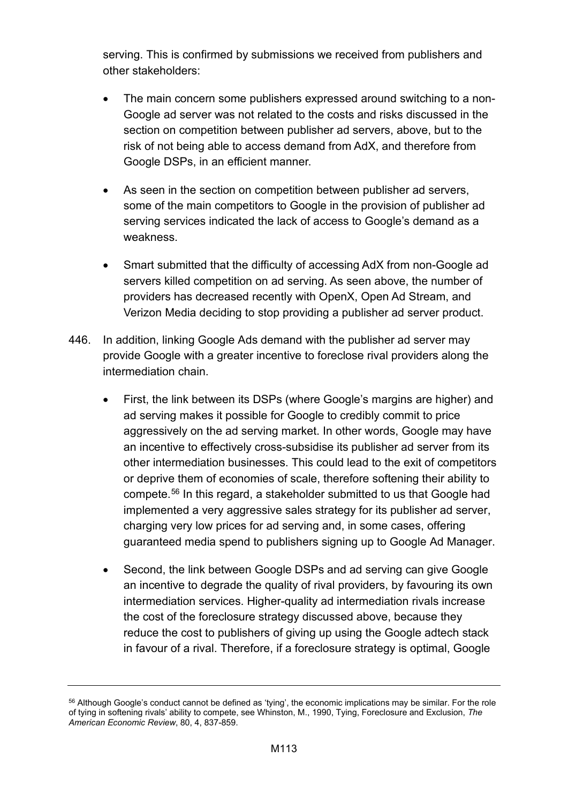serving. This is confirmed by submissions we received from publishers and other stakeholders:

- The main concern some publishers expressed around switching to a non-Google ad server was not related to the costs and risks discussed in the section on competition between publisher ad servers, above, but to the risk of not being able to access demand from AdX, and therefore from Google DSPs, in an efficient manner.
- As seen in the section on competition between publisher ad servers, some of the main competitors to Google in the provision of publisher ad serving services indicated the lack of access to Google's demand as a weakness.
- Smart submitted that the difficulty of accessing AdX from non-Google ad servers killed competition on ad serving. As seen above, the number of providers has decreased recently with OpenX, Open Ad Stream, and Verizon Media deciding to stop providing a publisher ad server product.
- 446. In addition, linking Google Ads demand with the publisher ad server may provide Google with a greater incentive to foreclose rival providers along the intermediation chain.
	- First, the link between its DSPs (where Google's margins are higher) and ad serving makes it possible for Google to credibly commit to price aggressively on the ad serving market. In other words, Google may have an incentive to effectively cross-subsidise its publisher ad server from its other intermediation businesses. This could lead to the exit of competitors or deprive them of economies of scale, therefore softening their ability to compete.[56](#page-112-0) In this regard, a stakeholder submitted to us that Google had implemented a very aggressive sales strategy for its publisher ad server, charging very low prices for ad serving and, in some cases, offering guaranteed media spend to publishers signing up to Google Ad Manager.
	- Second, the link between Google DSPs and ad serving can give Google an incentive to degrade the quality of rival providers, by favouring its own intermediation services. Higher-quality ad intermediation rivals increase the cost of the foreclosure strategy discussed above, because they reduce the cost to publishers of giving up using the Google adtech stack in favour of a rival. Therefore, if a foreclosure strategy is optimal, Google

<span id="page-112-0"></span><sup>&</sup>lt;sup>56</sup> Although Google's conduct cannot be defined as 'tying', the economic implications may be similar. For the role of tying in softening rivals' ability to compete, see Whinston, M., 1990, Tying, Foreclosure and Exclusion, *The American Economic Review*, 80, 4, 837-859.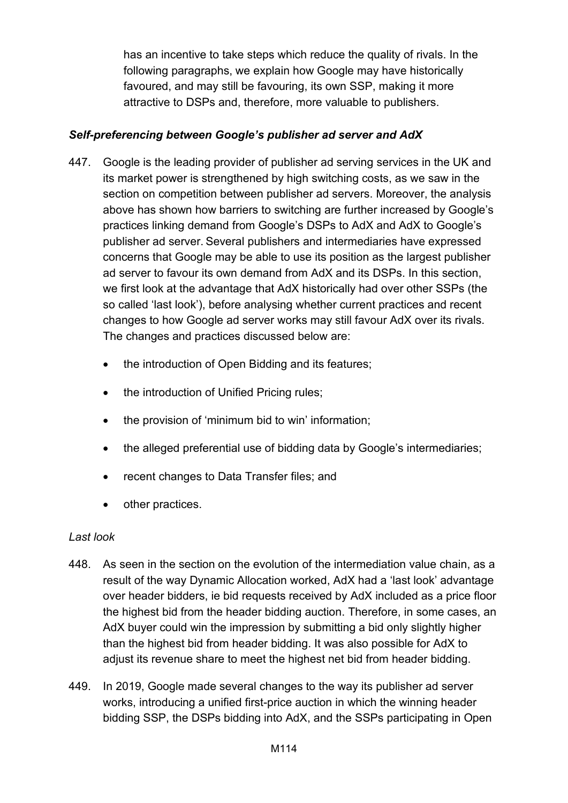has an incentive to take steps which reduce the quality of rivals. In the following paragraphs, we explain how Google may have historically favoured, and may still be favouring, its own SSP, making it more attractive to DSPs and, therefore, more valuable to publishers.

# *Self-preferencing between Google's publisher ad server and AdX*

- 447. Google is the leading provider of publisher ad serving services in the UK and its market power is strengthened by high switching costs, as we saw in the section on competition between publisher ad servers. Moreover, the analysis above has shown how barriers to switching are further increased by Google's practices linking demand from Google's DSPs to AdX and AdX to Google's publisher ad server. Several publishers and intermediaries have expressed concerns that Google may be able to use its position as the largest publisher ad server to favour its own demand from AdX and its DSPs. In this section, we first look at the advantage that AdX historically had over other SSPs (the so called 'last look'), before analysing whether current practices and recent changes to how Google ad server works may still favour AdX over its rivals. The changes and practices discussed below are:
	- the introduction of Open Bidding and its features;
	- the introduction of Unified Pricing rules;
	- the provision of 'minimum bid to win' information;
	- the alleged preferential use of bidding data by Google's intermediaries;
	- recent changes to Data Transfer files; and
	- other practices.

## *Last look*

- 448. As seen in the section on the evolution of the intermediation value chain, as a result of the way Dynamic Allocation worked, AdX had a 'last look' advantage over header bidders, ie bid requests received by AdX included as a price floor the highest bid from the header bidding auction. Therefore, in some cases, an AdX buyer could win the impression by submitting a bid only slightly higher than the highest bid from header bidding. It was also possible for AdX to adjust its revenue share to meet the highest net bid from header bidding.
- 449. In 2019, Google made several changes to the way its publisher ad server works, introducing a unified first-price auction in which the winning header bidding SSP, the DSPs bidding into AdX, and the SSPs participating in Open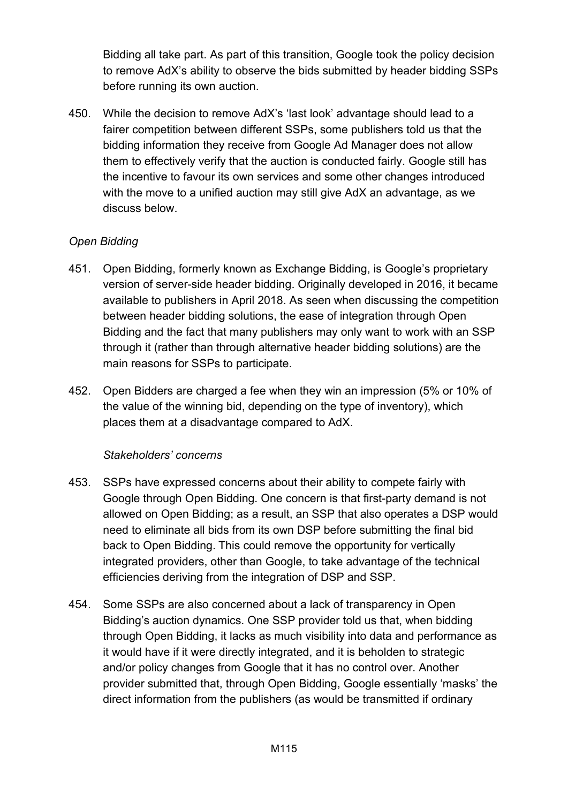Bidding all take part. As part of this transition, Google took the policy decision to remove AdX's ability to observe the bids submitted by header bidding SSPs before running its own auction.

450. While the decision to remove AdX's 'last look' advantage should lead to a fairer competition between different SSPs, some publishers told us that the bidding information they receive from Google Ad Manager does not allow them to effectively verify that the auction is conducted fairly. Google still has the incentive to favour its own services and some other changes introduced with the move to a unified auction may still give AdX an advantage, as we discuss below.

# *Open Bidding*

- 451. Open Bidding, formerly known as Exchange Bidding, is Google's proprietary version of server-side header bidding. Originally developed in 2016, it became available to publishers in April 2018. As seen when discussing the competition between header bidding solutions, the ease of integration through Open Bidding and the fact that many publishers may only want to work with an SSP through it (rather than through alternative header bidding solutions) are the main reasons for SSPs to participate.
- 452. Open Bidders are charged a fee when they win an impression (5% or 10% of the value of the winning bid, depending on the type of inventory), which places them at a disadvantage compared to AdX.

## *Stakeholders' concerns*

- 453. SSPs have expressed concerns about their ability to compete fairly with Google through Open Bidding. One concern is that first-party demand is not allowed on Open Bidding; as a result, an SSP that also operates a DSP would need to eliminate all bids from its own DSP before submitting the final bid back to Open Bidding. This could remove the opportunity for vertically integrated providers, other than Google, to take advantage of the technical efficiencies deriving from the integration of DSP and SSP.
- 454. Some SSPs are also concerned about a lack of transparency in Open Bidding's auction dynamics. One SSP provider told us that, when bidding through Open Bidding, it lacks as much visibility into data and performance as it would have if it were directly integrated, and it is beholden to strategic and/or policy changes from Google that it has no control over. Another provider submitted that, through Open Bidding, Google essentially 'masks' the direct information from the publishers (as would be transmitted if ordinary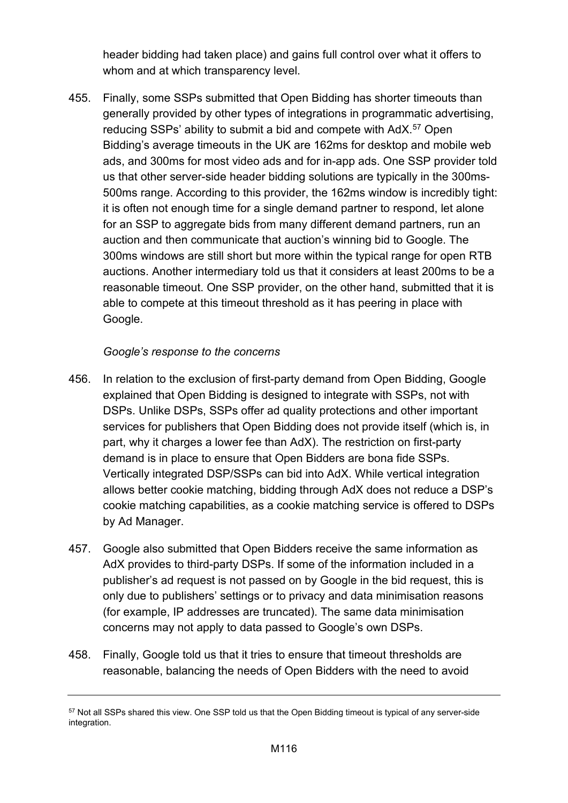header bidding had taken place) and gains full control over what it offers to whom and at which transparency level.

455. Finally, some SSPs submitted that Open Bidding has shorter timeouts than generally provided by other types of integrations in programmatic advertising, reducing SSPs' ability to submit a bid and compete with AdX.<sup>[57](#page-115-0)</sup> Open Bidding's average timeouts in the UK are 162ms for desktop and mobile web ads, and 300ms for most video ads and for in-app ads. One SSP provider told us that other server-side header bidding solutions are typically in the 300ms-500ms range. According to this provider, the 162ms window is incredibly tight: it is often not enough time for a single demand partner to respond, let alone for an SSP to aggregate bids from many different demand partners, run an auction and then communicate that auction's winning bid to Google. The 300ms windows are still short but more within the typical range for open RTB auctions. Another intermediary told us that it considers at least 200ms to be a reasonable timeout. One SSP provider, on the other hand, submitted that it is able to compete at this timeout threshold as it has peering in place with Google.

## *Google's response to the concerns*

- 456. In relation to the exclusion of first-party demand from Open Bidding, Google explained that Open Bidding is designed to integrate with SSPs, not with DSPs. Unlike DSPs, SSPs offer ad quality protections and other important services for publishers that Open Bidding does not provide itself (which is, in part, why it charges a lower fee than AdX). The restriction on first-party demand is in place to ensure that Open Bidders are bona fide SSPs. Vertically integrated DSP/SSPs can bid into AdX. While vertical integration allows better cookie matching, bidding through AdX does not reduce a DSP's cookie matching capabilities, as a cookie matching service is offered to DSPs by Ad Manager.
- 457. Google also submitted that Open Bidders receive the same information as AdX provides to third-party DSPs. If some of the information included in a publisher's ad request is not passed on by Google in the bid request, this is only due to publishers' settings or to privacy and data minimisation reasons (for example, IP addresses are truncated). The same data minimisation concerns may not apply to data passed to Google's own DSPs.
- 458. Finally, Google told us that it tries to ensure that timeout thresholds are reasonable, balancing the needs of Open Bidders with the need to avoid

<span id="page-115-0"></span><sup>57</sup> Not all SSPs shared this view. One SSP told us that the Open Bidding timeout is typical of any server-side integration.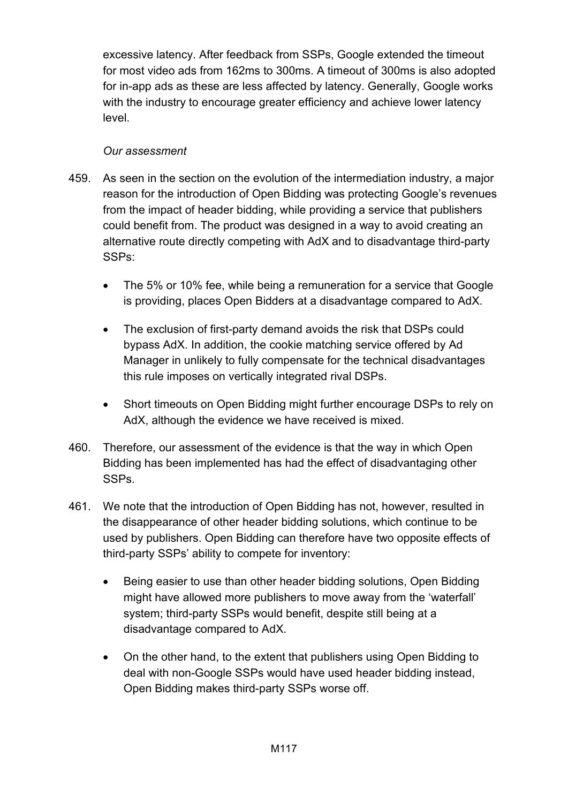excessive latency. After feedback from SSPs, Google extended the timeout for most video ads from 162ms to 300ms. A timeout of 300ms is also adopted for in-app ads as these are less affected by latency. Generally, Google works with the industry to encourage greater efficiency and achieve lower latency level.

## *Our assessment*

- 459. As seen in the section on the evolution of the intermediation industry, a major reason for the introduction of Open Bidding was protecting Google's revenues from the impact of header bidding, while providing a service that publishers could benefit from. The product was designed in a way to avoid creating an alternative route directly competing with AdX and to disadvantage third-party SSPs:
	- The 5% or 10% fee, while being a remuneration for a service that Google is providing, places Open Bidders at a disadvantage compared to AdX.
	- The exclusion of first-party demand avoids the risk that DSPs could bypass AdX. In addition, the cookie matching service offered by Ad Manager in unlikely to fully compensate for the technical disadvantages this rule imposes on vertically integrated rival DSPs.
	- Short timeouts on Open Bidding might further encourage DSPs to rely on AdX, although the evidence we have received is mixed.
- 460. Therefore, our assessment of the evidence is that the way in which Open Bidding has been implemented has had the effect of disadvantaging other SSPs.
- 461. We note that the introduction of Open Bidding has not, however, resulted in the disappearance of other header bidding solutions, which continue to be used by publishers. Open Bidding can therefore have two opposite effects of third-party SSPs' ability to compete for inventory:
	- Being easier to use than other header bidding solutions, Open Bidding might have allowed more publishers to move away from the 'waterfall' system; third-party SSPs would benefit, despite still being at a disadvantage compared to AdX.
	- On the other hand, to the extent that publishers using Open Bidding to deal with non-Google SSPs would have used header bidding instead, Open Bidding makes third-party SSPs worse off.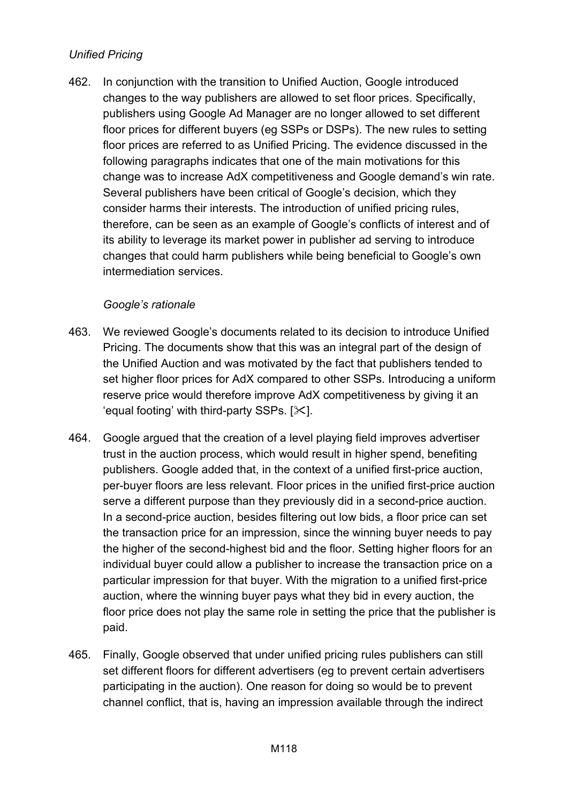# *Unified Pricing*

462. In conjunction with the transition to Unified Auction, Google introduced changes to the way publishers are allowed to set floor prices. Specifically, publishers using Google Ad Manager are no longer allowed to set different floor prices for different buyers (eg SSPs or DSPs). The new rules to setting floor prices are referred to as Unified Pricing. The evidence discussed in the following paragraphs indicates that one of the main motivations for this change was to increase AdX competitiveness and Google demand's win rate. Several publishers have been critical of Google's decision, which they consider harms their interests. The introduction of unified pricing rules, therefore, can be seen as an example of Google's conflicts of interest and of its ability to leverage its market power in publisher ad serving to introduce changes that could harm publishers while being beneficial to Google's own intermediation services.

#### *Google's rationale*

- 463. We reviewed Google's documents related to its decision to introduce Unified Pricing. The documents show that this was an integral part of the design of the Unified Auction and was motivated by the fact that publishers tended to set higher floor prices for AdX compared to other SSPs. Introducing a uniform reserve price would therefore improve AdX competitiveness by giving it an 'equal footing' with third-party SSPs.  $[\times]$ .
- 464. Google argued that the creation of a level playing field improves advertiser trust in the auction process, which would result in higher spend, benefiting publishers. Google added that, in the context of a unified first-price auction, per-buyer floors are less relevant. Floor prices in the unified first-price auction serve a different purpose than they previously did in a second-price auction. In a second-price auction, besides filtering out low bids, a floor price can set the transaction price for an impression, since the winning buyer needs to pay the higher of the second-highest bid and the floor. Setting higher floors for an individual buyer could allow a publisher to increase the transaction price on a particular impression for that buyer. With the migration to a unified first-price auction, where the winning buyer pays what they bid in every auction, the floor price does not play the same role in setting the price that the publisher is paid.
- 465. Finally, Google observed that under unified pricing rules publishers can still set different floors for different advertisers (eg to prevent certain advertisers participating in the auction). One reason for doing so would be to prevent channel conflict, that is, having an impression available through the indirect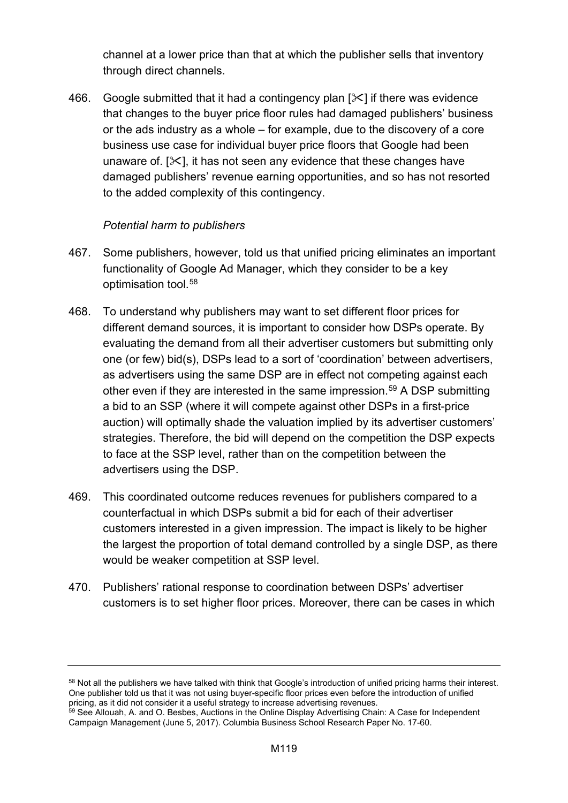channel at a lower price than that at which the publisher sells that inventory through direct channels.

466. Google submitted that it had a contingency plan  $[\times]$  if there was evidence that changes to the buyer price floor rules had damaged publishers' business or the ads industry as a whole – for example, due to the discovery of a core business use case for individual buyer price floors that Google had been unaware of.  $[\mathcal{K}]$ , it has not seen any evidence that these changes have damaged publishers' revenue earning opportunities, and so has not resorted to the added complexity of this contingency.

#### *Potential harm to publishers*

- 467. Some publishers, however, told us that unified pricing eliminates an important functionality of Google Ad Manager, which they consider to be a key optimisation tool.[58](#page-118-0)
- 468. To understand why publishers may want to set different floor prices for different demand sources, it is important to consider how DSPs operate. By evaluating the demand from all their advertiser customers but submitting only one (or few) bid(s), DSPs lead to a sort of 'coordination' between advertisers, as advertisers using the same DSP are in effect not competing against each other even if they are interested in the same impression.<sup>59</sup> A DSP submitting a bid to an SSP (where it will compete against other DSPs in a first-price auction) will optimally shade the valuation implied by its advertiser customers' strategies. Therefore, the bid will depend on the competition the DSP expects to face at the SSP level, rather than on the competition between the advertisers using the DSP.
- 469. This coordinated outcome reduces revenues for publishers compared to a counterfactual in which DSPs submit a bid for each of their advertiser customers interested in a given impression. The impact is likely to be higher the largest the proportion of total demand controlled by a single DSP, as there would be weaker competition at SSP level.
- 470. Publishers' rational response to coordination between DSPs' advertiser customers is to set higher floor prices. Moreover, there can be cases in which

<span id="page-118-0"></span><sup>58</sup> Not all the publishers we have talked with think that Google's introduction of unified pricing harms their interest. One publisher told us that it was not using buyer-specific floor prices even before the introduction of unified pricing, as it did not consider it a useful strategy to increase advertising revenues.

<span id="page-118-1"></span> $^{59}$  See Allouah, A. and O. Besbes, Auctions in the Online Display Advertising Chain: A Case for Independent Campaign Management (June 5, 2017). Columbia Business School Research Paper No. 17-60.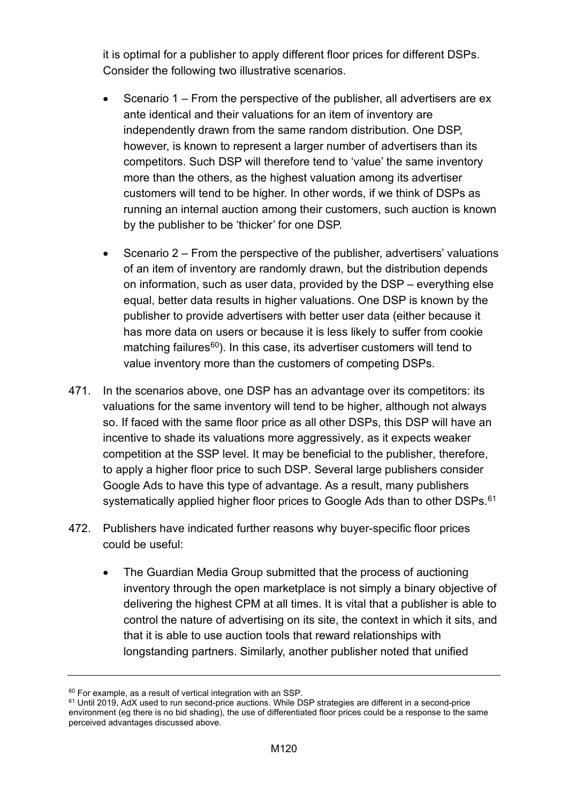it is optimal for a publisher to apply different floor prices for different DSPs. Consider the following two illustrative scenarios.

- Scenario 1 From the perspective of the publisher, all advertisers are ex ante identical and their valuations for an item of inventory are independently drawn from the same random distribution. One DSP, however, is known to represent a larger number of advertisers than its competitors. Such DSP will therefore tend to 'value' the same inventory more than the others, as the highest valuation among its advertiser customers will tend to be higher. In other words, if we think of DSPs as running an internal auction among their customers, such auction is known by the publisher to be 'thicker' for one DSP.
- Scenario 2 From the perspective of the publisher, advertisers' valuations of an item of inventory are randomly drawn, but the distribution depends on information, such as user data, provided by the DSP – everything else equal, better data results in higher valuations. One DSP is known by the publisher to provide advertisers with better user data (either because it has more data on users or because it is less likely to suffer from cookie matching failures $60$ ). In this case, its advertiser customers will tend to value inventory more than the customers of competing DSPs.
- 471. In the scenarios above, one DSP has an advantage over its competitors: its valuations for the same inventory will tend to be higher, although not always so. If faced with the same floor price as all other DSPs, this DSP will have an incentive to shade its valuations more aggressively, as it expects weaker competition at the SSP level. It may be beneficial to the publisher, therefore, to apply a higher floor price to such DSP. Several large publishers consider Google Ads to have this type of advantage. As a result, many publishers systematically applied higher floor prices to Google Ads than to other DSPs.<sup>[61](#page-119-1)</sup>
- 472. Publishers have indicated further reasons why buyer-specific floor prices could be useful:
	- The Guardian Media Group submitted that the process of auctioning inventory through the open marketplace is not simply a binary objective of delivering the highest CPM at all times. It is vital that a publisher is able to control the nature of advertising on its site, the context in which it sits, and that it is able to use auction tools that reward relationships with longstanding partners. Similarly, another publisher noted that unified

<span id="page-119-0"></span> $60$  For example, as a result of vertical integration with an SSP.

<span id="page-119-1"></span><sup>&</sup>lt;sup>61</sup> Until 2019, AdX used to run second-price auctions. While DSP strategies are different in a second-price environment (eg there is no bid shading), the use of differentiated floor prices could be a response to the same perceived advantages discussed above.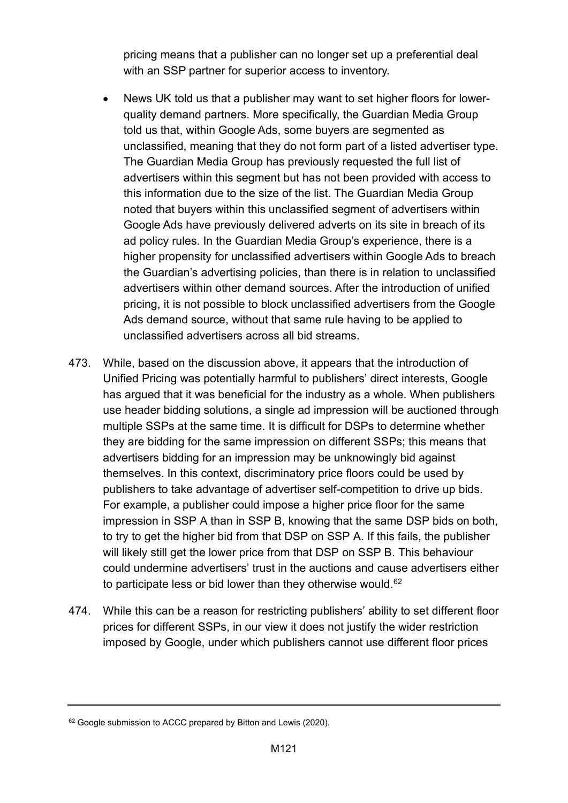pricing means that a publisher can no longer set up a preferential deal with an SSP partner for superior access to inventory.

- News UK told us that a publisher may want to set higher floors for lowerquality demand partners. More specifically, the Guardian Media Group told us that, within Google Ads, some buyers are segmented as unclassified, meaning that they do not form part of a listed advertiser type. The Guardian Media Group has previously requested the full list of advertisers within this segment but has not been provided with access to this information due to the size of the list. The Guardian Media Group noted that buyers within this unclassified segment of advertisers within Google Ads have previously delivered adverts on its site in breach of its ad policy rules. In the Guardian Media Group's experience, there is a higher propensity for unclassified advertisers within Google Ads to breach the Guardian's advertising policies, than there is in relation to unclassified advertisers within other demand sources. After the introduction of unified pricing, it is not possible to block unclassified advertisers from the Google Ads demand source, without that same rule having to be applied to unclassified advertisers across all bid streams.
- 473. While, based on the discussion above, it appears that the introduction of Unified Pricing was potentially harmful to publishers' direct interests, Google has argued that it was beneficial for the industry as a whole. When publishers use header bidding solutions, a single ad impression will be auctioned through multiple SSPs at the same time. It is difficult for DSPs to determine whether they are bidding for the same impression on different SSPs; this means that advertisers bidding for an impression may be unknowingly bid against themselves. In this context, discriminatory price floors could be used by publishers to take advantage of advertiser self-competition to drive up bids. For example, a publisher could impose a higher price floor for the same impression in SSP A than in SSP B, knowing that the same DSP bids on both, to try to get the higher bid from that DSP on SSP A. If this fails, the publisher will likely still get the lower price from that DSP on SSP B. This behaviour could undermine advertisers' trust in the auctions and cause advertisers either to participate less or bid lower than they otherwise would.<sup>[62](#page-120-0)</sup>
- 474. While this can be a reason for restricting publishers' ability to set different floor prices for different SSPs, in our view it does not justify the wider restriction imposed by Google, under which publishers cannot use different floor prices

<span id="page-120-0"></span><sup>&</sup>lt;sup>62</sup> Google submission to ACCC prepared by Bitton and Lewis (2020).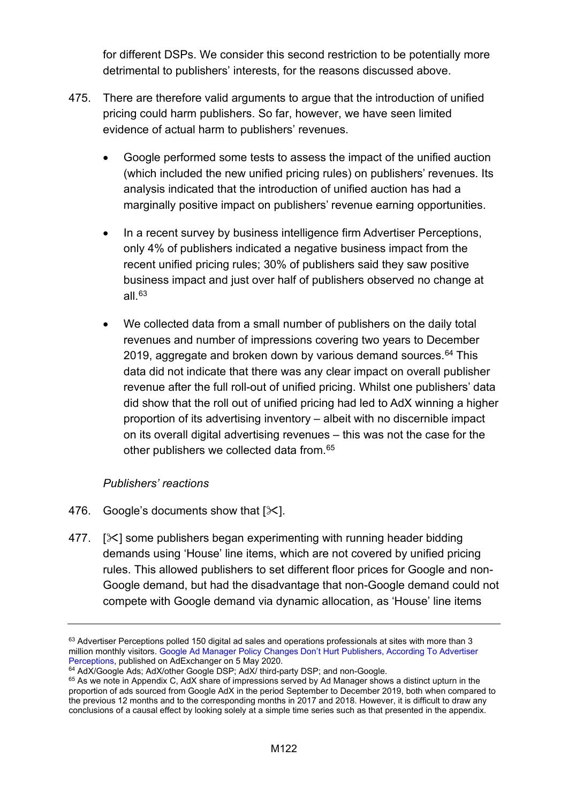for different DSPs. We consider this second restriction to be potentially more detrimental to publishers' interests, for the reasons discussed above.

- 475. There are therefore valid arguments to argue that the introduction of unified pricing could harm publishers. So far, however, we have seen limited evidence of actual harm to publishers' revenues.
	- Google performed some tests to assess the impact of the unified auction (which included the new unified pricing rules) on publishers' revenues. Its analysis indicated that the introduction of unified auction has had a marginally positive impact on publishers' revenue earning opportunities.
	- In a recent survey by business intelligence firm Advertiser Perceptions, only 4% of publishers indicated a negative business impact from the recent unified pricing rules; 30% of publishers said they saw positive business impact and just over half of publishers observed no change at all. $63$
	- We collected data from a small number of publishers on the daily total revenues and number of impressions covering two years to December 2019, aggregate and broken down by various demand sources. [64](#page-121-1) This data did not indicate that there was any clear impact on overall publisher revenue after the full roll-out of unified pricing. Whilst one publishers' data did show that the roll out of unified pricing had led to AdX winning a higher proportion of its advertising inventory – albeit with no discernible impact on its overall digital advertising revenues – this was not the case for the other publishers we collected data from.[65](#page-121-2)

## *Publishers' reactions*

- 476. Google's documents show that  $[\times]$ .
- 477.  $[\times]$  some publishers began experimenting with running header bidding demands using 'House' line items, which are not covered by unified pricing rules. This allowed publishers to set different floor prices for Google and non-Google demand, but had the disadvantage that non-Google demand could not compete with Google demand via dynamic allocation, as 'House' line items

<span id="page-121-0"></span><sup>63</sup> Advertiser Perceptions polled 150 digital ad sales and operations professionals at sites with more than 3 million monthly visitors. [Google Ad Manager Policy Changes Don't Hurt Publishers, According To Advertiser](https://www.adexchanger.com/platforms/google-ad-manager-policy-changes-dont-hurt-publishers-according-to-advertiser-perceptions/)  [Perceptions,](https://www.adexchanger.com/platforms/google-ad-manager-policy-changes-dont-hurt-publishers-according-to-advertiser-perceptions/) published on AdExchanger on 5 May 2020.

<span id="page-121-1"></span><sup>&</sup>lt;sup>64</sup> AdX/Google Ads; AdX/other Google DSP; AdX/ third-party DSP; and non-Google.

<span id="page-121-2"></span><sup>&</sup>lt;sup>65</sup> As we note in Appendix C, AdX share of impressions served by Ad Manager shows a distinct upturn in the proportion of ads sourced from Google AdX in the period September to December 2019, both when compared to the previous 12 months and to the corresponding months in 2017 and 2018. However, it is difficult to draw any conclusions of a causal effect by looking solely at a simple time series such as that presented in the appendix.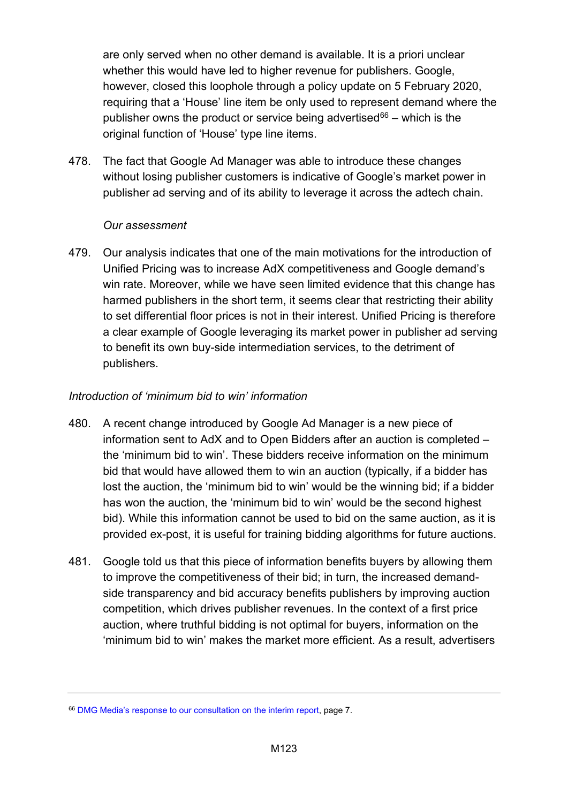are only served when no other demand is available. It is a priori unclear whether this would have led to higher revenue for publishers. Google, however, closed this loophole through a policy update on 5 February 2020, requiring that a 'House' line item be only used to represent demand where the publisher owns the product or service being advertised $66 66 -$  which is the original function of 'House' type line items.

478. The fact that Google Ad Manager was able to introduce these changes without losing publisher customers is indicative of Google's market power in publisher ad serving and of its ability to leverage it across the adtech chain.

#### *Our assessment*

479. Our analysis indicates that one of the main motivations for the introduction of Unified Pricing was to increase AdX competitiveness and Google demand's win rate. Moreover, while we have seen limited evidence that this change has harmed publishers in the short term, it seems clear that restricting their ability to set differential floor prices is not in their interest. Unified Pricing is therefore a clear example of Google leveraging its market power in publisher ad serving to benefit its own buy-side intermediation services, to the detriment of publishers.

#### *Introduction of 'minimum bid to win' information*

- 480. A recent change introduced by Google Ad Manager is a new piece of information sent to AdX and to Open Bidders after an auction is completed – the 'minimum bid to win'. These bidders receive information on the minimum bid that would have allowed them to win an auction (typically, if a bidder has lost the auction, the 'minimum bid to win' would be the winning bid; if a bidder has won the auction, the 'minimum bid to win' would be the second highest bid). While this information cannot be used to bid on the same auction, as it is provided ex-post, it is useful for training bidding algorithms for future auctions.
- 481. Google told us that this piece of information benefits buyers by allowing them to improve the competitiveness of their bid; in turn, the increased demandside transparency and bid accuracy benefits publishers by improving auction competition, which drives publisher revenues. In the context of a first price auction, where truthful bidding is not optimal for buyers, information on the 'minimum bid to win' makes the market more efficient. As a result, advertisers

<span id="page-122-0"></span><sup>66</sup> [DMG Media's response to our consultation on the interim report,](https://assets.publishing.service.gov.uk/media/5e8c80dbd3bf7f1fbbe1e30c/200219-_DMG_Media_Interim_Report_Response_-_Non-Confidential_Version.pdf) page 7.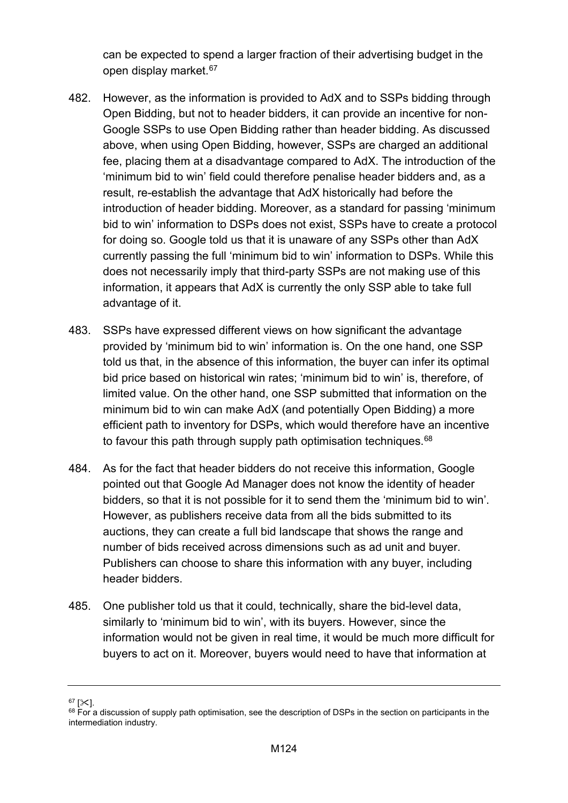can be expected to spend a larger fraction of their advertising budget in the open display market.<sup>[67](#page-123-0)</sup>

- 482. However, as the information is provided to AdX and to SSPs bidding through Open Bidding, but not to header bidders, it can provide an incentive for non-Google SSPs to use Open Bidding rather than header bidding. As discussed above, when using Open Bidding, however, SSPs are charged an additional fee, placing them at a disadvantage compared to AdX. The introduction of the 'minimum bid to win' field could therefore penalise header bidders and, as a result, re-establish the advantage that AdX historically had before the introduction of header bidding. Moreover, as a standard for passing 'minimum bid to win' information to DSPs does not exist, SSPs have to create a protocol for doing so. Google told us that it is unaware of any SSPs other than AdX currently passing the full 'minimum bid to win' information to DSPs. While this does not necessarily imply that third-party SSPs are not making use of this information, it appears that AdX is currently the only SSP able to take full advantage of it.
- 483. SSPs have expressed different views on how significant the advantage provided by 'minimum bid to win' information is. On the one hand, one SSP told us that, in the absence of this information, the buyer can infer its optimal bid price based on historical win rates; 'minimum bid to win' is, therefore, of limited value. On the other hand, one SSP submitted that information on the minimum bid to win can make AdX (and potentially Open Bidding) a more efficient path to inventory for DSPs, which would therefore have an incentive to favour this path through supply path optimisation techniques.<sup>68</sup>
- 484. As for the fact that header bidders do not receive this information, Google pointed out that Google Ad Manager does not know the identity of header bidders, so that it is not possible for it to send them the 'minimum bid to win'. However, as publishers receive data from all the bids submitted to its auctions, they can create a full bid landscape that shows the range and number of bids received across dimensions such as ad unit and buyer. Publishers can choose to share this information with any buyer, including header bidders.
- 485. One publisher told us that it could, technically, share the bid-level data, similarly to 'minimum bid to win', with its buyers. However, since the information would not be given in real time, it would be much more difficult for buyers to act on it. Moreover, buyers would need to have that information at

<span id="page-123-0"></span> $67$  [ $\times$ ].

<span id="page-123-1"></span> $68$  For a discussion of supply path optimisation, see the description of DSPs in the section on participants in the intermediation industry.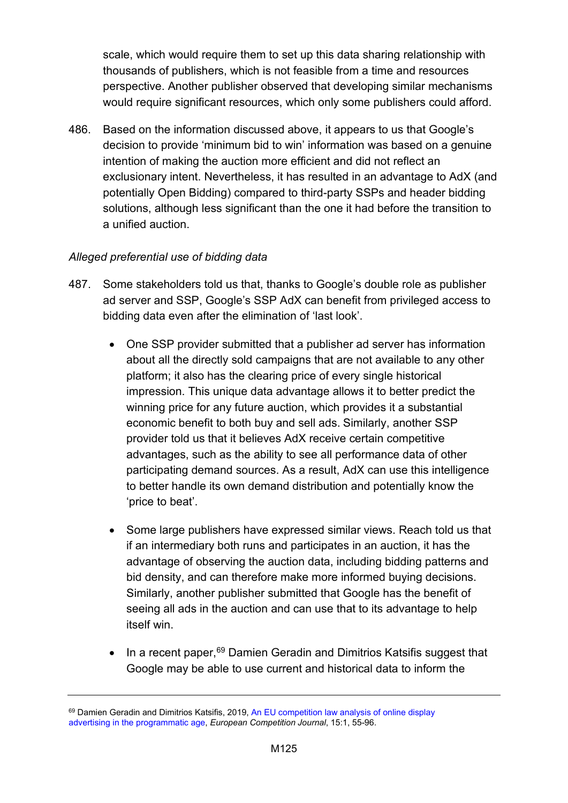scale, which would require them to set up this data sharing relationship with thousands of publishers, which is not feasible from a time and resources perspective. Another publisher observed that developing similar mechanisms would require significant resources, which only some publishers could afford.

486. Based on the information discussed above, it appears to us that Google's decision to provide 'minimum bid to win' information was based on a genuine intention of making the auction more efficient and did not reflect an exclusionary intent. Nevertheless, it has resulted in an advantage to AdX (and potentially Open Bidding) compared to third-party SSPs and header bidding solutions, although less significant than the one it had before the transition to a unified auction.

# *Alleged preferential use of bidding data*

- 487. Some stakeholders told us that, thanks to Google's double role as publisher ad server and SSP, Google's SSP AdX can benefit from privileged access to bidding data even after the elimination of 'last look'.
	- One SSP provider submitted that a publisher ad server has information about all the directly sold campaigns that are not available to any other platform; it also has the clearing price of every single historical impression. This unique data advantage allows it to better predict the winning price for any future auction, which provides it a substantial economic benefit to both buy and sell ads. Similarly, another SSP provider told us that it believes AdX receive certain competitive advantages, such as the ability to see all performance data of other participating demand sources. As a result, AdX can use this intelligence to better handle its own demand distribution and potentially know the 'price to beat'.
	- Some large publishers have expressed similar views. Reach told us that if an intermediary both runs and participates in an auction, it has the advantage of observing the auction data, including bidding patterns and bid density, and can therefore make more informed buying decisions. Similarly, another publisher submitted that Google has the benefit of seeing all ads in the auction and can use that to its advantage to help itself win.
	- In a recent paper, <sup>[69](#page-124-0)</sup> Damien Geradin and Dimitrios Katsifis suggest that Google may be able to use current and historical data to inform the

<span id="page-124-0"></span><sup>&</sup>lt;sup>69</sup> Damien Geradin and Dimitrios Katsifis, 2019, [An EU competition law analysis of online display](https://www.tandfonline.com/doi/full/10.1080/17441056.2019.1574440) [advertising in the programmatic age,](https://www.tandfonline.com/doi/full/10.1080/17441056.2019.1574440) *European Competition Journal*, 15:1, 55-96.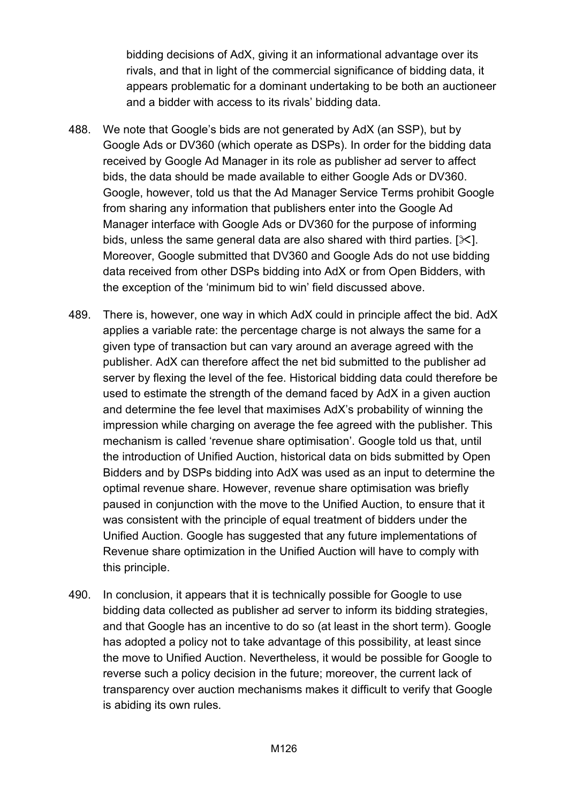bidding decisions of AdX, giving it an informational advantage over its rivals, and that in light of the commercial significance of bidding data, it appears problematic for a dominant undertaking to be both an auctioneer and a bidder with access to its rivals' bidding data.

- 488. We note that Google's bids are not generated by AdX (an SSP), but by Google Ads or DV360 (which operate as DSPs). In order for the bidding data received by Google Ad Manager in its role as publisher ad server to affect bids, the data should be made available to either Google Ads or DV360. Google, however, told us that the Ad Manager Service Terms prohibit Google from sharing any information that publishers enter into the Google Ad Manager interface with Google Ads or DV360 for the purpose of informing bids, unless the same general data are also shared with third parties. [ $\angle$ ]. Moreover, Google submitted that DV360 and Google Ads do not use bidding data received from other DSPs bidding into AdX or from Open Bidders, with the exception of the 'minimum bid to win' field discussed above.
- 489. There is, however, one way in which AdX could in principle affect the bid. AdX applies a variable rate: the percentage charge is not always the same for a given type of transaction but can vary around an average agreed with the publisher. AdX can therefore affect the net bid submitted to the publisher ad server by flexing the level of the fee. Historical bidding data could therefore be used to estimate the strength of the demand faced by AdX in a given auction and determine the fee level that maximises AdX's probability of winning the impression while charging on average the fee agreed with the publisher. This mechanism is called 'revenue share optimisation'. Google told us that, until the introduction of Unified Auction, historical data on bids submitted by Open Bidders and by DSPs bidding into AdX was used as an input to determine the optimal revenue share. However, revenue share optimisation was briefly paused in conjunction with the move to the Unified Auction, to ensure that it was consistent with the principle of equal treatment of bidders under the Unified Auction. Google has suggested that any future implementations of Revenue share optimization in the Unified Auction will have to comply with this principle.
- 490. In conclusion, it appears that it is technically possible for Google to use bidding data collected as publisher ad server to inform its bidding strategies, and that Google has an incentive to do so (at least in the short term). Google has adopted a policy not to take advantage of this possibility, at least since the move to Unified Auction. Nevertheless, it would be possible for Google to reverse such a policy decision in the future; moreover, the current lack of transparency over auction mechanisms makes it difficult to verify that Google is abiding its own rules.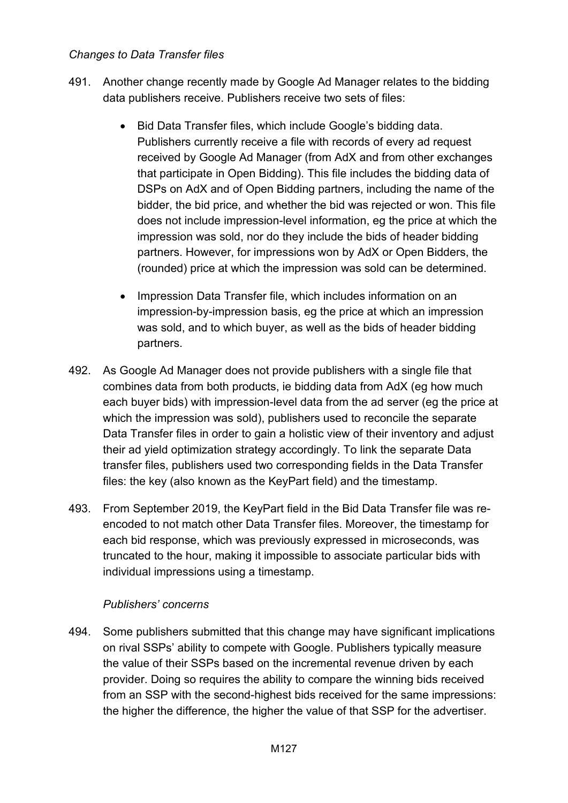#### *Changes to Data Transfer files*

- 491. Another change recently made by Google Ad Manager relates to the bidding data publishers receive. Publishers receive two sets of files:
	- Bid Data Transfer files, which include Google's bidding data. Publishers currently receive a file with records of every ad request received by Google Ad Manager (from AdX and from other exchanges that participate in Open Bidding). This file includes the bidding data of DSPs on AdX and of Open Bidding partners, including the name of the bidder, the bid price, and whether the bid was rejected or won. This file does not include impression-level information, eg the price at which the impression was sold, nor do they include the bids of header bidding partners. However, for impressions won by AdX or Open Bidders, the (rounded) price at which the impression was sold can be determined.
	- Impression Data Transfer file, which includes information on an impression-by-impression basis, eg the price at which an impression was sold, and to which buyer, as well as the bids of header bidding partners.
- 492. As Google Ad Manager does not provide publishers with a single file that combines data from both products, ie bidding data from AdX (eg how much each buyer bids) with impression-level data from the ad server (eg the price at which the impression was sold), publishers used to reconcile the separate Data Transfer files in order to gain a holistic view of their inventory and adjust their ad yield optimization strategy accordingly. To link the separate Data transfer files, publishers used two corresponding fields in the Data Transfer files: the key (also known as the KeyPart field) and the timestamp.
- 493. From September 2019, the KeyPart field in the Bid Data Transfer file was reencoded to not match other Data Transfer files. Moreover, the timestamp for each bid response, which was previously expressed in microseconds, was truncated to the hour, making it impossible to associate particular bids with individual impressions using a timestamp.

## *Publishers' concerns*

494. Some publishers submitted that this change may have significant implications on rival SSPs' ability to compete with Google. Publishers typically measure the value of their SSPs based on the incremental revenue driven by each provider. Doing so requires the ability to compare the winning bids received from an SSP with the second-highest bids received for the same impressions: the higher the difference, the higher the value of that SSP for the advertiser.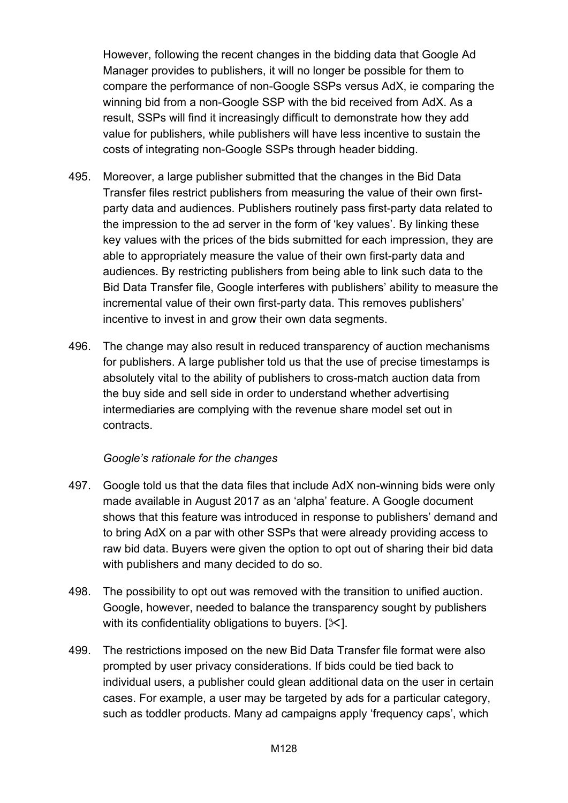However, following the recent changes in the bidding data that Google Ad Manager provides to publishers, it will no longer be possible for them to compare the performance of non-Google SSPs versus AdX, ie comparing the winning bid from a non-Google SSP with the bid received from AdX. As a result, SSPs will find it increasingly difficult to demonstrate how they add value for publishers, while publishers will have less incentive to sustain the costs of integrating non-Google SSPs through header bidding.

- 495. Moreover, a large publisher submitted that the changes in the Bid Data Transfer files restrict publishers from measuring the value of their own firstparty data and audiences. Publishers routinely pass first-party data related to the impression to the ad server in the form of 'key values'. By linking these key values with the prices of the bids submitted for each impression, they are able to appropriately measure the value of their own first-party data and audiences. By restricting publishers from being able to link such data to the Bid Data Transfer file, Google interferes with publishers' ability to measure the incremental value of their own first-party data. This removes publishers' incentive to invest in and grow their own data segments.
- 496. The change may also result in reduced transparency of auction mechanisms for publishers. A large publisher told us that the use of precise timestamps is absolutely vital to the ability of publishers to cross-match auction data from the buy side and sell side in order to understand whether advertising intermediaries are complying with the revenue share model set out in contracts.

#### *Google's rationale for the changes*

- 497. Google told us that the data files that include AdX non-winning bids were only made available in August 2017 as an 'alpha' feature. A Google document shows that this feature was introduced in response to publishers' demand and to bring AdX on a par with other SSPs that were already providing access to raw bid data. Buyers were given the option to opt out of sharing their bid data with publishers and many decided to do so.
- 498. The possibility to opt out was removed with the transition to unified auction. Google, however, needed to balance the transparency sought by publishers with its confidentiality obligations to buyers.  $[\times]$ .
- 499. The restrictions imposed on the new Bid Data Transfer file format were also prompted by user privacy considerations. If bids could be tied back to individual users, a publisher could glean additional data on the user in certain cases. For example, a user may be targeted by ads for a particular category, such as toddler products. Many ad campaigns apply 'frequency caps', which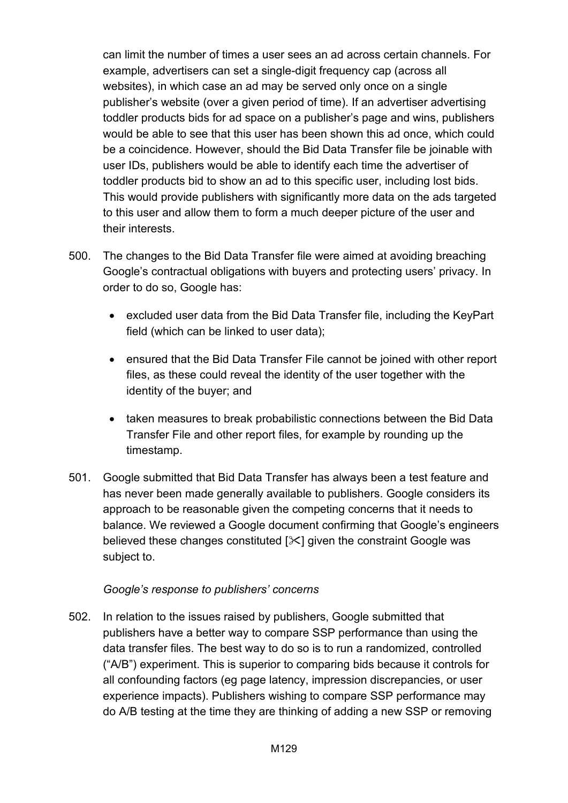can limit the number of times a user sees an ad across certain channels. For example, advertisers can set a single-digit frequency cap (across all websites), in which case an ad may be served only once on a single publisher's website (over a given period of time). If an advertiser advertising toddler products bids for ad space on a publisher's page and wins, publishers would be able to see that this user has been shown this ad once, which could be a coincidence. However, should the Bid Data Transfer file be joinable with user IDs, publishers would be able to identify each time the advertiser of toddler products bid to show an ad to this specific user, including lost bids. This would provide publishers with significantly more data on the ads targeted to this user and allow them to form a much deeper picture of the user and their interests.

- 500. The changes to the Bid Data Transfer file were aimed at avoiding breaching Google's contractual obligations with buyers and protecting users' privacy. In order to do so, Google has:
	- excluded user data from the Bid Data Transfer file, including the KeyPart field (which can be linked to user data);
	- ensured that the Bid Data Transfer File cannot be joined with other report files, as these could reveal the identity of the user together with the identity of the buyer; and
	- taken measures to break probabilistic connections between the Bid Data Transfer File and other report files, for example by rounding up the timestamp.
- 501. Google submitted that Bid Data Transfer has always been a test feature and has never been made generally available to publishers. Google considers its approach to be reasonable given the competing concerns that it needs to balance. We reviewed a Google document confirming that Google's engineers believed these changes constituted  $[\times]$  given the constraint Google was subject to.

## *Google's response to publishers' concerns*

502. In relation to the issues raised by publishers, Google submitted that publishers have a better way to compare SSP performance than using the data transfer files. The best way to do so is to run a randomized, controlled ("A/B") experiment. This is superior to comparing bids because it controls for all confounding factors (eg page latency, impression discrepancies, or user experience impacts). Publishers wishing to compare SSP performance may do A/B testing at the time they are thinking of adding a new SSP or removing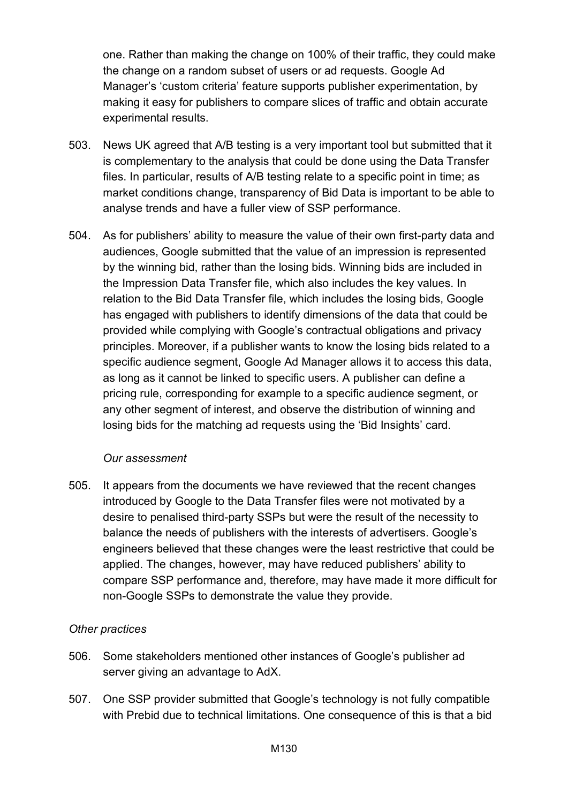one. Rather than making the change on 100% of their traffic, they could make the change on a random subset of users or ad requests. Google Ad Manager's 'custom criteria' feature supports publisher experimentation, by making it easy for publishers to compare slices of traffic and obtain accurate experimental results.

- 503. News UK agreed that A/B testing is a very important tool but submitted that it is complementary to the analysis that could be done using the Data Transfer files. In particular, results of A/B testing relate to a specific point in time; as market conditions change, transparency of Bid Data is important to be able to analyse trends and have a fuller view of SSP performance.
- 504. As for publishers' ability to measure the value of their own first-party data and audiences, Google submitted that the value of an impression is represented by the winning bid, rather than the losing bids. Winning bids are included in the Impression Data Transfer file, which also includes the key values. In relation to the Bid Data Transfer file, which includes the losing bids, Google has engaged with publishers to identify dimensions of the data that could be provided while complying with Google's contractual obligations and privacy principles. Moreover, if a publisher wants to know the losing bids related to a specific audience segment, Google Ad Manager allows it to access this data, as long as it cannot be linked to specific users. A publisher can define a pricing rule, corresponding for example to a specific audience segment, or any other segment of interest, and observe the distribution of winning and losing bids for the matching ad requests using the 'Bid Insights' card.

#### *Our assessment*

505. It appears from the documents we have reviewed that the recent changes introduced by Google to the Data Transfer files were not motivated by a desire to penalised third-party SSPs but were the result of the necessity to balance the needs of publishers with the interests of advertisers. Google's engineers believed that these changes were the least restrictive that could be applied. The changes, however, may have reduced publishers' ability to compare SSP performance and, therefore, may have made it more difficult for non-Google SSPs to demonstrate the value they provide.

#### *Other practices*

- 506. Some stakeholders mentioned other instances of Google's publisher ad server giving an advantage to AdX.
- 507. One SSP provider submitted that Google's technology is not fully compatible with Prebid due to technical limitations. One consequence of this is that a bid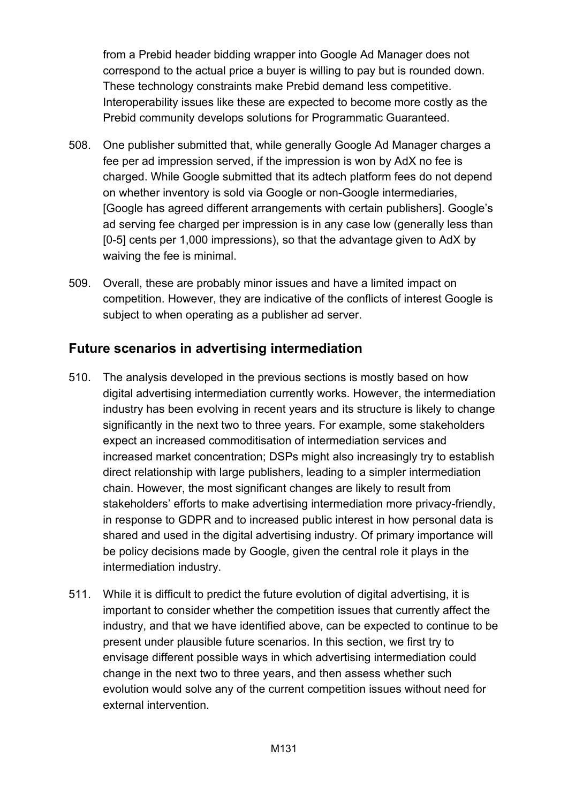from a Prebid header bidding wrapper into Google Ad Manager does not correspond to the actual price a buyer is willing to pay but is rounded down. These technology constraints make Prebid demand less competitive. Interoperability issues like these are expected to become more costly as the Prebid community develops solutions for Programmatic Guaranteed.

- 508. One publisher submitted that, while generally Google Ad Manager charges a fee per ad impression served, if the impression is won by AdX no fee is charged. While Google submitted that its adtech platform fees do not depend on whether inventory is sold via Google or non-Google intermediaries, [Google has agreed different arrangements with certain publishers]. Google's ad serving fee charged per impression is in any case low (generally less than [0-5] cents per 1,000 impressions), so that the advantage given to AdX by waiving the fee is minimal.
- 509. Overall, these are probably minor issues and have a limited impact on competition. However, they are indicative of the conflicts of interest Google is subject to when operating as a publisher ad server.

# **Future scenarios in advertising intermediation**

- 510. The analysis developed in the previous sections is mostly based on how digital advertising intermediation currently works. However, the intermediation industry has been evolving in recent years and its structure is likely to change significantly in the next two to three years. For example, some stakeholders expect an increased commoditisation of intermediation services and increased market concentration; DSPs might also increasingly try to establish direct relationship with large publishers, leading to a simpler intermediation chain. However, the most significant changes are likely to result from stakeholders' efforts to make advertising intermediation more privacy-friendly, in response to GDPR and to increased public interest in how personal data is shared and used in the digital advertising industry. Of primary importance will be policy decisions made by Google, given the central role it plays in the intermediation industry.
- 511. While it is difficult to predict the future evolution of digital advertising, it is important to consider whether the competition issues that currently affect the industry, and that we have identified above, can be expected to continue to be present under plausible future scenarios. In this section, we first try to envisage different possible ways in which advertising intermediation could change in the next two to three years, and then assess whether such evolution would solve any of the current competition issues without need for external intervention.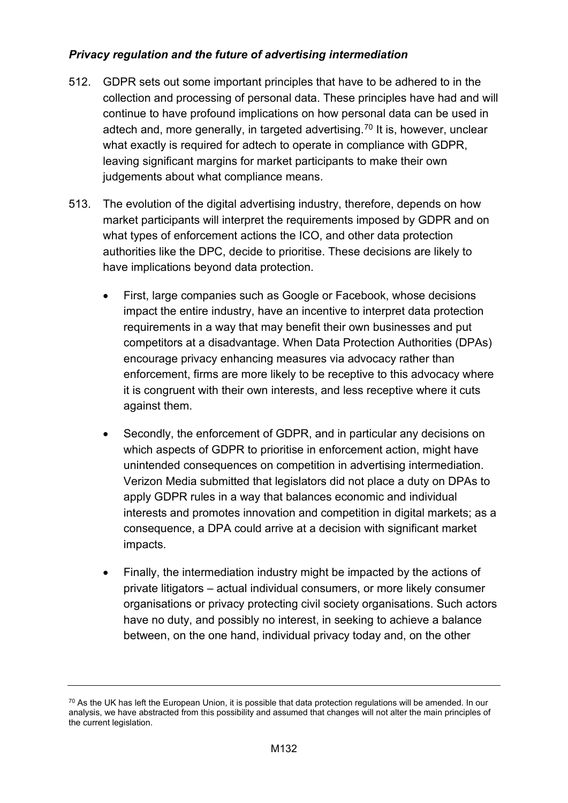# *Privacy regulation and the future of advertising intermediation*

- 512. GDPR sets out some important principles that have to be adhered to in the collection and processing of personal data. These principles have had and will continue to have profound implications on how personal data can be used in adtech and, more generally, in targeted advertising.[70](#page-131-0) It is, however, unclear what exactly is required for adtech to operate in compliance with GDPR, leaving significant margins for market participants to make their own judgements about what compliance means.
- 513. The evolution of the digital advertising industry, therefore, depends on how market participants will interpret the requirements imposed by GDPR and on what types of enforcement actions the ICO, and other data protection authorities like the DPC, decide to prioritise. These decisions are likely to have implications beyond data protection.
	- First, large companies such as Google or Facebook, whose decisions impact the entire industry, have an incentive to interpret data protection requirements in a way that may benefit their own businesses and put competitors at a disadvantage. When Data Protection Authorities (DPAs) encourage privacy enhancing measures via advocacy rather than enforcement, firms are more likely to be receptive to this advocacy where it is congruent with their own interests, and less receptive where it cuts against them.
	- Secondly, the enforcement of GDPR, and in particular any decisions on which aspects of GDPR to prioritise in enforcement action, might have unintended consequences on competition in advertising intermediation. Verizon Media submitted that legislators did not place a duty on DPAs to apply GDPR rules in a way that balances economic and individual interests and promotes innovation and competition in digital markets; as a consequence, a DPA could arrive at a decision with significant market impacts.
	- Finally, the intermediation industry might be impacted by the actions of private litigators – actual individual consumers, or more likely consumer organisations or privacy protecting civil society organisations. Such actors have no duty, and possibly no interest, in seeking to achieve a balance between, on the one hand, individual privacy today and, on the other

<span id="page-131-0"></span> $70$  As the UK has left the European Union, it is possible that data protection regulations will be amended. In our analysis, we have abstracted from this possibility and assumed that changes will not alter the main principles of the current legislation.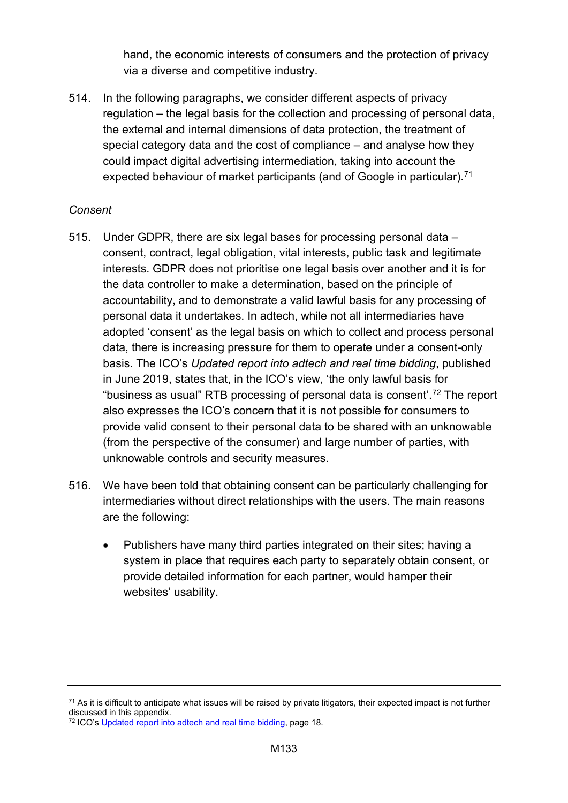hand, the economic interests of consumers and the protection of privacy via a diverse and competitive industry.

514. In the following paragraphs, we consider different aspects of privacy regulation – the legal basis for the collection and processing of personal data, the external and internal dimensions of data protection, the treatment of special category data and the cost of compliance – and analyse how they could impact digital advertising intermediation, taking into account the expected behaviour of market participants (and of Google in particular).<sup>[71](#page-132-0)</sup>

#### *Consent*

- 515. Under GDPR, there are six legal bases for processing personal data consent, contract, legal obligation, vital interests, public task and legitimate interests. GDPR does not prioritise one legal basis over another and it is for the data controller to make a determination, based on the principle of accountability, and to demonstrate a valid lawful basis for any processing of personal data it undertakes. In adtech, while not all intermediaries have adopted 'consent' as the legal basis on which to collect and process personal data, there is increasing pressure for them to operate under a consent-only basis. The ICO's *Updated report into adtech and real time bidding*, published in June 2019, states that, in the ICO's view, 'the only lawful basis for "business as usual" RTB processing of personal data is consent'.[72](#page-132-1) The report also expresses the ICO's concern that it is not possible for consumers to provide valid consent to their personal data to be shared with an unknowable (from the perspective of the consumer) and large number of parties, with unknowable controls and security measures.
- 516. We have been told that obtaining consent can be particularly challenging for intermediaries without direct relationships with the users. The main reasons are the following:
	- Publishers have many third parties integrated on their sites; having a system in place that requires each party to separately obtain consent, or provide detailed information for each partner, would hamper their websites' usability.

<span id="page-132-0"></span> $71$  As it is difficult to anticipate what issues will be raised by private litigators, their expected impact is not further discussed in this appendix.

<span id="page-132-1"></span><sup>72</sup> ICO's [Updated report into adtech and real time bidding,](https://ico.org.uk/media/about-the-ico/documents/2615156/adtech-real-time-bidding-report-201906.pdf) page 18.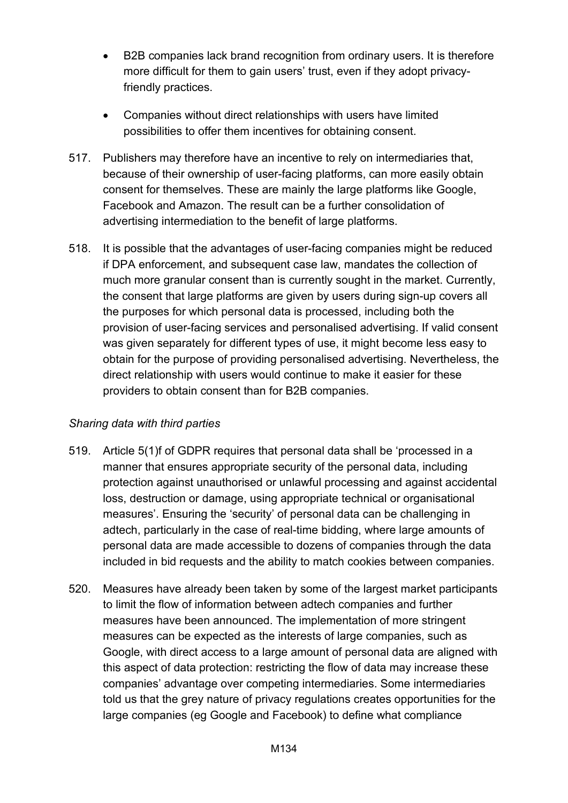- B2B companies lack brand recognition from ordinary users. It is therefore more difficult for them to gain users' trust, even if they adopt privacyfriendly practices.
- Companies without direct relationships with users have limited possibilities to offer them incentives for obtaining consent.
- 517. Publishers may therefore have an incentive to rely on intermediaries that, because of their ownership of user-facing platforms, can more easily obtain consent for themselves. These are mainly the large platforms like Google, Facebook and Amazon. The result can be a further consolidation of advertising intermediation to the benefit of large platforms.
- 518. It is possible that the advantages of user-facing companies might be reduced if DPA enforcement, and subsequent case law, mandates the collection of much more granular consent than is currently sought in the market. Currently, the consent that large platforms are given by users during sign-up covers all the purposes for which personal data is processed, including both the provision of user-facing services and personalised advertising. If valid consent was given separately for different types of use, it might become less easy to obtain for the purpose of providing personalised advertising. Nevertheless, the direct relationship with users would continue to make it easier for these providers to obtain consent than for B2B companies.

## *Sharing data with third parties*

- 519. Article 5(1)f of GDPR requires that personal data shall be 'processed in a manner that ensures appropriate security of the personal data, including protection against unauthorised or unlawful processing and against accidental loss, destruction or damage, using appropriate technical or organisational measures'. Ensuring the 'security' of personal data can be challenging in adtech, particularly in the case of real-time bidding, where large amounts of personal data are made accessible to dozens of companies through the data included in bid requests and the ability to match cookies between companies.
- 520. Measures have already been taken by some of the largest market participants to limit the flow of information between adtech companies and further measures have been announced. The implementation of more stringent measures can be expected as the interests of large companies, such as Google, with direct access to a large amount of personal data are aligned with this aspect of data protection: restricting the flow of data may increase these companies' advantage over competing intermediaries. Some intermediaries told us that the grey nature of privacy regulations creates opportunities for the large companies (eg Google and Facebook) to define what compliance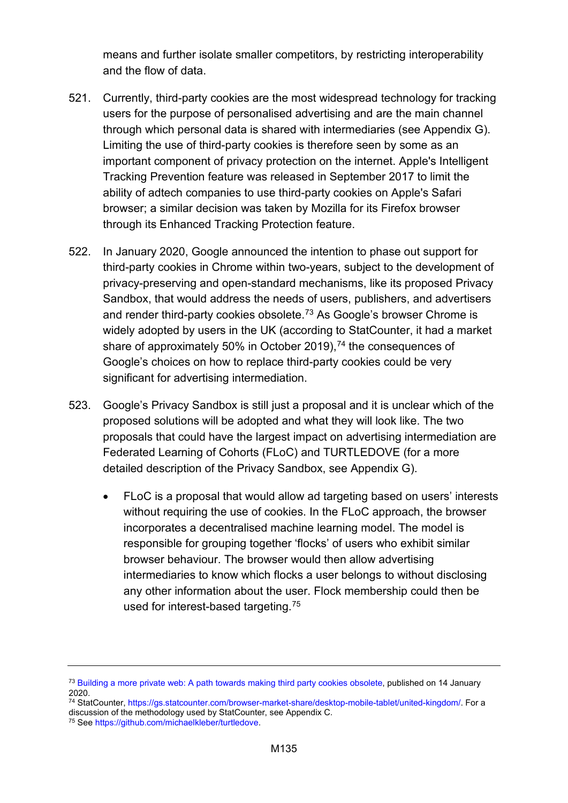means and further isolate smaller competitors, by restricting interoperability and the flow of data.

- 521. Currently, third-party cookies are the most widespread technology for tracking users for the purpose of personalised advertising and are the main channel through which personal data is shared with intermediaries (see Appendix G). Limiting the use of third-party cookies is therefore seen by some as an important component of privacy protection on the internet. Apple's Intelligent Tracking Prevention feature was released in September 2017 to limit the ability of adtech companies to use third-party cookies on Apple's Safari browser; a similar decision was taken by Mozilla for its Firefox browser through its Enhanced Tracking Protection feature.
- 522. In January 2020, Google announced the intention to phase out support for third-party cookies in Chrome within two-years, subject to the development of privacy-preserving and open-standard mechanisms, like its proposed Privacy Sandbox, that would address the needs of users, publishers, and advertisers and render third-party cookies obsolete.[73](#page-134-0) As Google's browser Chrome is widely adopted by users in the UK (according to StatCounter, it had a market share of approximately 50% in October 2019), $^{74}$  $^{74}$  $^{74}$  the consequences of Google's choices on how to replace third-party cookies could be very significant for advertising intermediation.
- 523. Google's Privacy Sandbox is still just a proposal and it is unclear which of the proposed solutions will be adopted and what they will look like. The two proposals that could have the largest impact on advertising intermediation are Federated Learning of Cohorts (FLoC) and TURTLEDOVE (for a more detailed description of the Privacy Sandbox, see Appendix G).
	- FLoC is a proposal that would allow ad targeting based on users' interests without requiring the use of cookies. In the FLoC approach, the browser incorporates a decentralised machine learning model. The model is responsible for grouping together 'flocks' of users who exhibit similar browser behaviour. The browser would then allow advertising intermediaries to know which flocks a user belongs to without disclosing any other information about the user. Flock membership could then be used for interest-based targeting.[75](#page-134-2)

<span id="page-134-0"></span><sup>&</sup>lt;sup>73</sup> [Building a more private web: A path towards](https://blog.chromium.org/2020/01/building-more-private-web-path-towards.html) making third party cookies obsolete, published on 14 January 2020.

<span id="page-134-1"></span><sup>74</sup> StatCounter, [https://gs.statcounter.com/browser-market-share/desktop-mobile-tablet/united-kingdom/.](https://gs.statcounter.com/browser-market-share/desktop-mobile-tablet/united-kingdom/) For a discussion of the methodology used by StatCounter, see Appendix C.

<span id="page-134-2"></span><sup>75</sup> Se[e https://github.com/michaelkleber/turtledove.](https://github.com/michaelkleber/turtledove)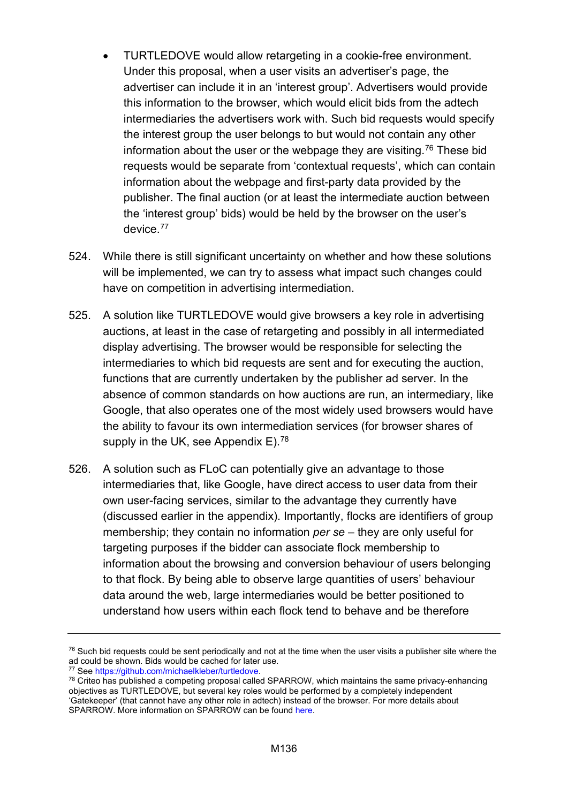- TURTLEDOVE would allow retargeting in a cookie-free environment. Under this proposal, when a user visits an advertiser's page, the advertiser can include it in an 'interest group'. Advertisers would provide this information to the browser, which would elicit bids from the adtech intermediaries the advertisers work with. Such bid requests would specify the interest group the user belongs to but would not contain any other information about the user or the webpage they are visiting.<sup>[76](#page-135-0)</sup> These bid requests would be separate from 'contextual requests', which can contain information about the webpage and first-party data provided by the publisher. The final auction (or at least the intermediate auction between the 'interest group' bids) would be held by the browser on the user's device.[77](#page-135-1)
- 524. While there is still significant uncertainty on whether and how these solutions will be implemented, we can try to assess what impact such changes could have on competition in advertising intermediation.
- 525. A solution like TURTLEDOVE would give browsers a key role in advertising auctions, at least in the case of retargeting and possibly in all intermediated display advertising. The browser would be responsible for selecting the intermediaries to which bid requests are sent and for executing the auction, functions that are currently undertaken by the publisher ad server. In the absence of common standards on how auctions are run, an intermediary, like Google, that also operates one of the most widely used browsers would have the ability to favour its own intermediation services (for browser shares of supply in the UK, see Appendix E).<sup>[78](#page-135-2)</sup>
- 526. A solution such as FLoC can potentially give an advantage to those intermediaries that, like Google, have direct access to user data from their own user-facing services, similar to the advantage they currently have (discussed earlier in the appendix). Importantly, flocks are identifiers of group membership; they contain no information *per se* – they are only useful for targeting purposes if the bidder can associate flock membership to information about the browsing and conversion behaviour of users belonging to that flock. By being able to observe large quantities of users' behaviour data around the web, large intermediaries would be better positioned to understand how users within each flock tend to behave and be therefore

<span id="page-135-0"></span> $76$  Such bid requests could be sent periodically and not at the time when the user visits a publisher site where the ad could be shown. Bids would be cached for later use.<br><sup>77</sup> See https://github.com/michaelkleber/turtledove.

<span id="page-135-1"></span>

<span id="page-135-2"></span> $78$  Criteo has published a competing proposal called SPARROW, which maintains the same privacy-enhancing objectives as TURTLEDOVE, but several key roles would be performed by a completely independent 'Gatekeeper' (that cannot have any other role in adtech) instead of the browser. For more details about SPARROW. More information on SPARROW can be foun[d here.](https://github.com/BasileLeparmentier/SPARROW)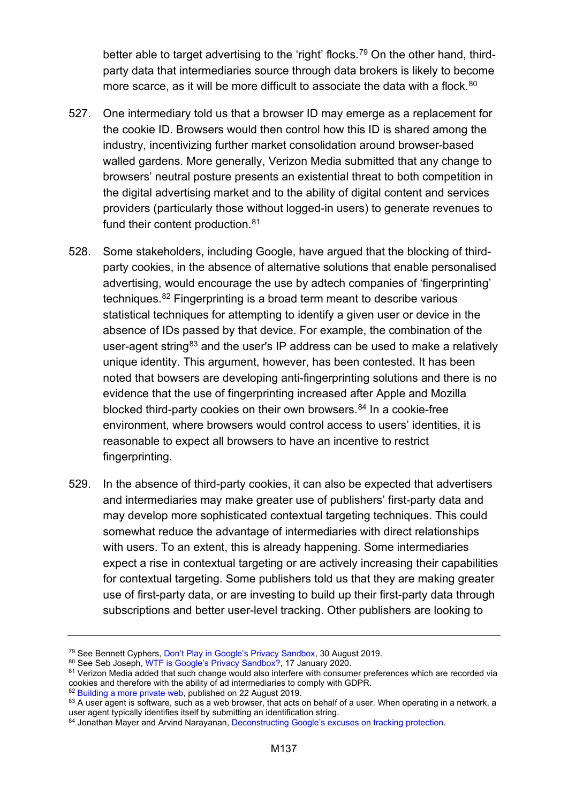better able to target advertising to the 'right' flocks.<sup>[79](#page-136-0)</sup> On the other hand, thirdparty data that intermediaries source through data brokers is likely to become more scarce, as it will be more difficult to associate the data with a flock. [80](#page-136-1)

- 527. One intermediary told us that a browser ID may emerge as a replacement for the cookie ID. Browsers would then control how this ID is shared among the industry, incentivizing further market consolidation around browser-based walled gardens. More generally, Verizon Media submitted that any change to browsers' neutral posture presents an existential threat to both competition in the digital advertising market and to the ability of digital content and services providers (particularly those without logged-in users) to generate revenues to fund their content production.<sup>81</sup>
- 528. Some stakeholders, including Google, have argued that the blocking of thirdparty cookies, in the absence of alternative solutions that enable personalised advertising, would encourage the use by adtech companies of 'fingerprinting' techniques.[82](#page-136-3) Fingerprinting is a broad term meant to describe various statistical techniques for attempting to identify a given user or device in the absence of IDs passed by that device. For example, the combination of the user-agent string<sup>[83](#page-136-4)</sup> and the user's IP address can be used to make a relatively unique identity. This argument, however, has been contested. It has been noted that bowsers are developing anti-fingerprinting solutions and there is no evidence that the use of fingerprinting increased after Apple and Mozilla blocked third-party cookies on their own browsers. $84$  In a cookie-free environment, where browsers would control access to users' identities, it is reasonable to expect all browsers to have an incentive to restrict fingerprinting.
- 529. In the absence of third-party cookies, it can also be expected that advertisers and intermediaries may make greater use of publishers' first-party data and may develop more sophisticated contextual targeting techniques. This could somewhat reduce the advantage of intermediaries with direct relationships with users. To an extent, this is already happening. Some intermediaries expect a rise in contextual targeting or are actively increasing their capabilities for contextual targeting. Some publishers told us that they are making greater use of first-party data, or are investing to build up their first-party data through subscriptions and better user-level tracking. Other publishers are looking to

<span id="page-136-0"></span><sup>79</sup> See Bennett Cyphers[, Don't Play in Google's Privacy Sandbox,](https://www.eff.org/deeplinks/2019/08/dont-play-googles-privacy-sandbox-1) 30 August 2019.

<span id="page-136-1"></span><sup>80</sup> See Seb Joseph, [WTF is Google's Privacy Sandbox?,](https://digiday.com/marketing/wtf-googles-privacy-sandbox/) 17 January 2020.

<span id="page-136-2"></span><sup>81</sup> Verizon Media added that such change would also interfere with consumer preferences which are recorded via cookies and therefore with the ability of ad intermediaries to comply with GDPR.

<span id="page-136-4"></span><span id="page-136-3"></span><sup>&</sup>lt;sup>82</sup> [Building a more private web,](https://www.blog.google/products/chrome/building-a-more-private-web/) published on 22 August 2019. 83 A user agent is software, such as a web browser, that acts on behalf of a user. When operating in a network, a user agent typically identifies itself by submitting an identification string.

<span id="page-136-5"></span><sup>84</sup> Jonathan Mayer and Arvind Narayanan, [Deconstructing Google's excuses on tracking protection.](https://freedom-to-tinker.com/2019/08/23/deconstructing-googles-excuses-on-tracking-protection/)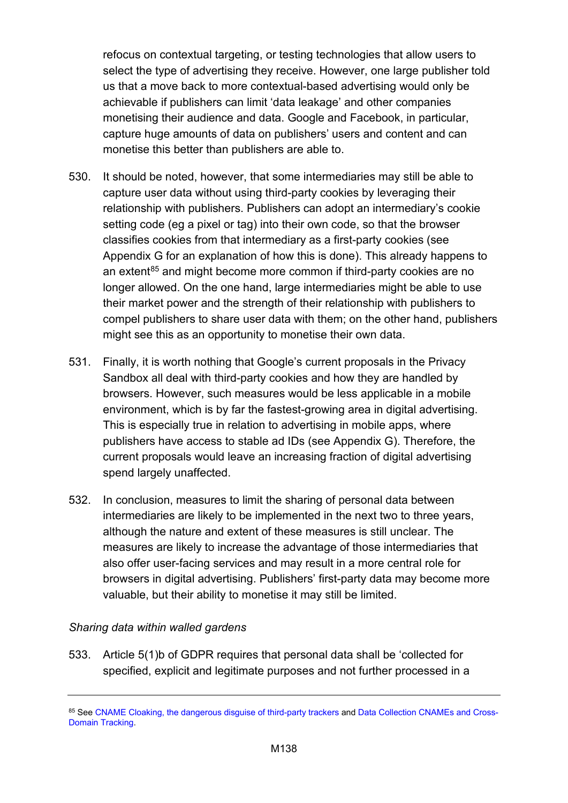refocus on contextual targeting, or testing technologies that allow users to select the type of advertising they receive. However, one large publisher told us that a move back to more contextual-based advertising would only be achievable if publishers can limit 'data leakage' and other companies monetising their audience and data. Google and Facebook, in particular, capture huge amounts of data on publishers' users and content and can monetise this better than publishers are able to.

- 530. It should be noted, however, that some intermediaries may still be able to capture user data without using third-party cookies by leveraging their relationship with publishers. Publishers can adopt an intermediary's cookie setting code (eg a pixel or tag) into their own code, so that the browser classifies cookies from that intermediary as a first-party cookies (see Appendix G for an explanation of how this is done). This already happens to an extent<sup>[85](#page-137-0)</sup> and might become more common if third-party cookies are no longer allowed. On the one hand, large intermediaries might be able to use their market power and the strength of their relationship with publishers to compel publishers to share user data with them; on the other hand, publishers might see this as an opportunity to monetise their own data.
- 531. Finally, it is worth nothing that Google's current proposals in the Privacy Sandbox all deal with third-party cookies and how they are handled by browsers. However, such measures would be less applicable in a mobile environment, which is by far the fastest-growing area in digital advertising. This is especially true in relation to advertising in mobile apps, where publishers have access to stable ad IDs (see Appendix G). Therefore, the current proposals would leave an increasing fraction of digital advertising spend largely unaffected.
- 532. In conclusion, measures to limit the sharing of personal data between intermediaries are likely to be implemented in the next two to three years, although the nature and extent of these measures is still unclear. The measures are likely to increase the advantage of those intermediaries that also offer user-facing services and may result in a more central role for browsers in digital advertising. Publishers' first-party data may become more valuable, but their ability to monetise it may still be limited.

#### *Sharing data within walled gardens*

533. Article 5(1)b of GDPR requires that personal data shall be 'collected for specified, explicit and legitimate purposes and not further processed in a

<span id="page-137-0"></span><sup>85</sup> Se[e CNAME Cloaking, the dangerous disguise of third-party trackers](https://medium.com/nextdns/cname-cloaking-the-dangerous-disguise-of-third-party-trackers-195205dc522a) an[d Data Collection CNAMEs and Cross-](https://docs.adobe.com/content/help/en/id-service/using/reference/analytics-reference/cname.html)[Domain Tracking.](https://docs.adobe.com/content/help/en/id-service/using/reference/analytics-reference/cname.html)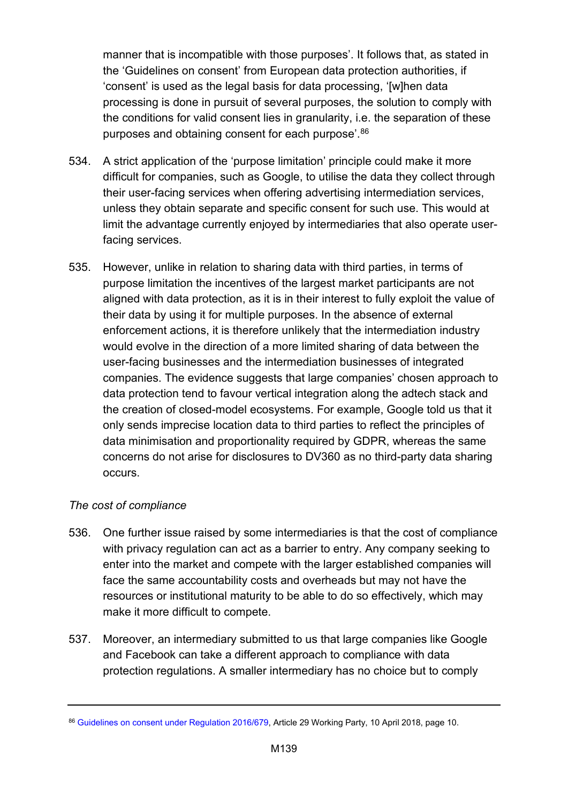manner that is incompatible with those purposes'. It follows that, as stated in the 'Guidelines on consent' from European data protection authorities, if 'consent' is used as the legal basis for data processing, '[w]hen data processing is done in pursuit of several purposes, the solution to comply with the conditions for valid consent lies in granularity, i.e. the separation of these purposes and obtaining consent for each purpose'.[86](#page-138-0)

- 534. A strict application of the 'purpose limitation' principle could make it more difficult for companies, such as Google, to utilise the data they collect through their user-facing services when offering advertising intermediation services, unless they obtain separate and specific consent for such use. This would at limit the advantage currently enjoyed by intermediaries that also operate userfacing services.
- 535. However, unlike in relation to sharing data with third parties, in terms of purpose limitation the incentives of the largest market participants are not aligned with data protection, as it is in their interest to fully exploit the value of their data by using it for multiple purposes. In the absence of external enforcement actions, it is therefore unlikely that the intermediation industry would evolve in the direction of a more limited sharing of data between the user-facing businesses and the intermediation businesses of integrated companies. The evidence suggests that large companies' chosen approach to data protection tend to favour vertical integration along the adtech stack and the creation of closed-model ecosystems. For example, Google told us that it only sends imprecise location data to third parties to reflect the principles of data minimisation and proportionality required by GDPR, whereas the same concerns do not arise for disclosures to DV360 as no third-party data sharing occurs.

## *The cost of compliance*

- 536. One further issue raised by some intermediaries is that the cost of compliance with privacy regulation can act as a barrier to entry. Any company seeking to enter into the market and compete with the larger established companies will face the same accountability costs and overheads but may not have the resources or institutional maturity to be able to do so effectively, which may make it more difficult to compete.
- 537. Moreover, an intermediary submitted to us that large companies like Google and Facebook can take a different approach to compliance with data protection regulations. A smaller intermediary has no choice but to comply

<span id="page-138-0"></span><sup>86</sup> [Guidelines on consent under Regulation 2016/679,](https://ec.europa.eu/newsroom/article29/item-detail.cfm?item_id=623051) Article 29 Working Party, 10 April 2018, page 10.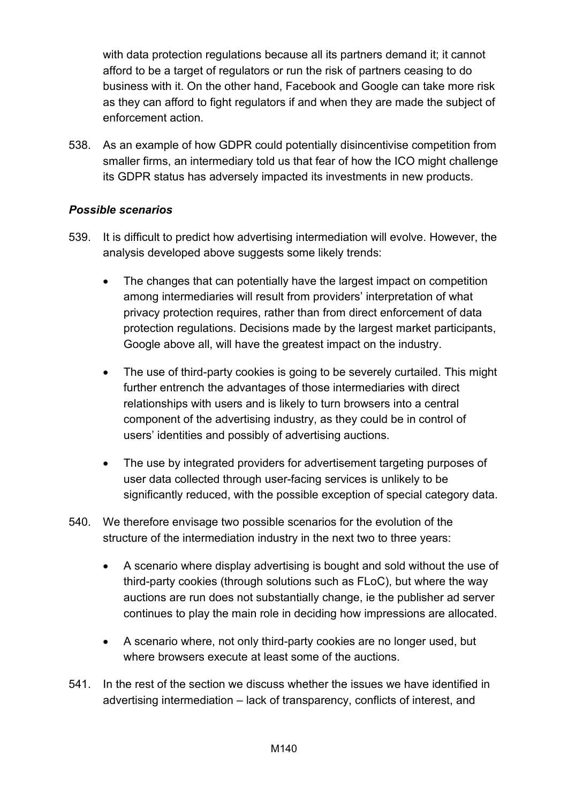with data protection regulations because all its partners demand it; it cannot afford to be a target of regulators or run the risk of partners ceasing to do business with it. On the other hand, Facebook and Google can take more risk as they can afford to fight regulators if and when they are made the subject of enforcement action.

538. As an example of how GDPR could potentially disincentivise competition from smaller firms, an intermediary told us that fear of how the ICO might challenge its GDPR status has adversely impacted its investments in new products.

## *Possible scenarios*

- 539. It is difficult to predict how advertising intermediation will evolve. However, the analysis developed above suggests some likely trends:
	- The changes that can potentially have the largest impact on competition among intermediaries will result from providers' interpretation of what privacy protection requires, rather than from direct enforcement of data protection regulations. Decisions made by the largest market participants, Google above all, will have the greatest impact on the industry.
	- The use of third-party cookies is going to be severely curtailed. This might further entrench the advantages of those intermediaries with direct relationships with users and is likely to turn browsers into a central component of the advertising industry, as they could be in control of users' identities and possibly of advertising auctions.
	- The use by integrated providers for advertisement targeting purposes of user data collected through user-facing services is unlikely to be significantly reduced, with the possible exception of special category data.
- 540. We therefore envisage two possible scenarios for the evolution of the structure of the intermediation industry in the next two to three years:
	- A scenario where display advertising is bought and sold without the use of third-party cookies (through solutions such as FLoC), but where the way auctions are run does not substantially change, ie the publisher ad server continues to play the main role in deciding how impressions are allocated.
	- A scenario where, not only third-party cookies are no longer used, but where browsers execute at least some of the auctions.
- 541. In the rest of the section we discuss whether the issues we have identified in advertising intermediation – lack of transparency, conflicts of interest, and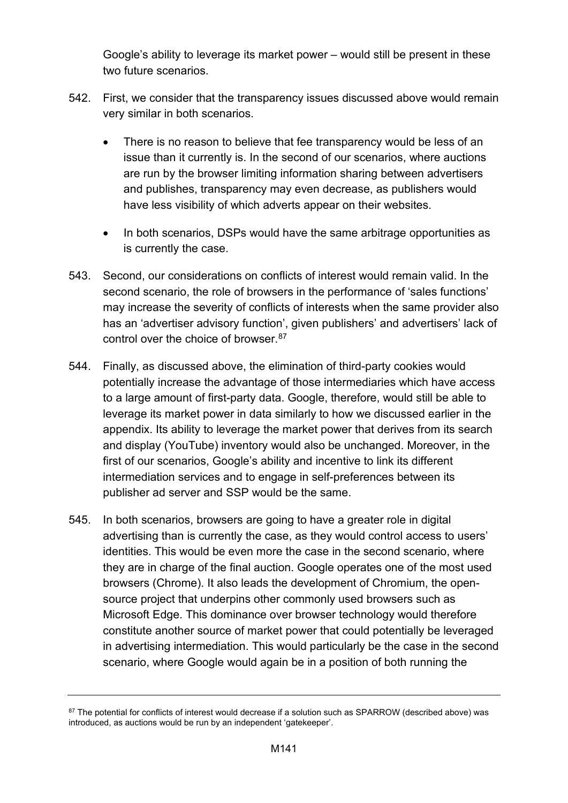Google's ability to leverage its market power – would still be present in these two future scenarios.

- 542. First, we consider that the transparency issues discussed above would remain very similar in both scenarios.
	- There is no reason to believe that fee transparency would be less of an issue than it currently is. In the second of our scenarios, where auctions are run by the browser limiting information sharing between advertisers and publishes, transparency may even decrease, as publishers would have less visibility of which adverts appear on their websites.
	- In both scenarios, DSPs would have the same arbitrage opportunities as is currently the case.
- 543. Second, our considerations on conflicts of interest would remain valid. In the second scenario, the role of browsers in the performance of 'sales functions' may increase the severity of conflicts of interests when the same provider also has an 'advertiser advisory function', given publishers' and advertisers' lack of control over the choice of browser. [87](#page-140-0)
- 544. Finally, as discussed above, the elimination of third-party cookies would potentially increase the advantage of those intermediaries which have access to a large amount of first-party data. Google, therefore, would still be able to leverage its market power in data similarly to how we discussed earlier in the appendix. Its ability to leverage the market power that derives from its search and display (YouTube) inventory would also be unchanged. Moreover, in the first of our scenarios, Google's ability and incentive to link its different intermediation services and to engage in self-preferences between its publisher ad server and SSP would be the same.
- 545. In both scenarios, browsers are going to have a greater role in digital advertising than is currently the case, as they would control access to users' identities. This would be even more the case in the second scenario, where they are in charge of the final auction. Google operates one of the most used browsers (Chrome). It also leads the development of Chromium, the opensource project that underpins other commonly used browsers such as Microsoft Edge. This dominance over browser technology would therefore constitute another source of market power that could potentially be leveraged in advertising intermediation. This would particularly be the case in the second scenario, where Google would again be in a position of both running the

<span id="page-140-0"></span><sup>87</sup> The potential for conflicts of interest would decrease if a solution such as SPARROW (described above) was introduced, as auctions would be run by an independent 'gatekeeper'.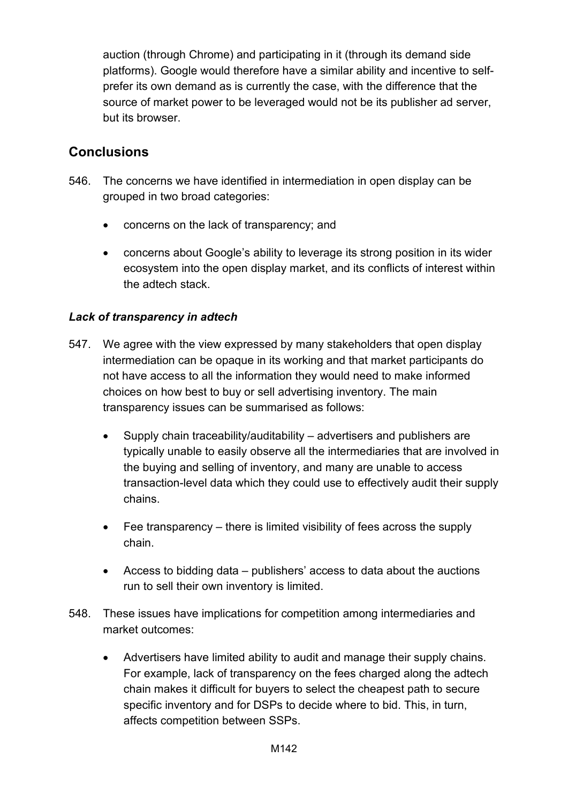auction (through Chrome) and participating in it (through its demand side platforms). Google would therefore have a similar ability and incentive to selfprefer its own demand as is currently the case, with the difference that the source of market power to be leveraged would not be its publisher ad server, but its browser.

# **Conclusions**

- 546. The concerns we have identified in intermediation in open display can be grouped in two broad categories:
	- concerns on the lack of transparency; and
	- concerns about Google's ability to leverage its strong position in its wider ecosystem into the open display market, and its conflicts of interest within the adtech stack.

# *Lack of transparency in adtech*

- 547. We agree with the view expressed by many stakeholders that open display intermediation can be opaque in its working and that market participants do not have access to all the information they would need to make informed choices on how best to buy or sell advertising inventory. The main transparency issues can be summarised as follows:
	- Supply chain traceability/auditability advertisers and publishers are typically unable to easily observe all the intermediaries that are involved in the buying and selling of inventory, and many are unable to access transaction-level data which they could use to effectively audit their supply chains.
	- Fee transparency there is limited visibility of fees across the supply chain.
	- Access to bidding data publishers' access to data about the auctions run to sell their own inventory is limited.
- 548. These issues have implications for competition among intermediaries and market outcomes:
	- Advertisers have limited ability to audit and manage their supply chains. For example, lack of transparency on the fees charged along the adtech chain makes it difficult for buyers to select the cheapest path to secure specific inventory and for DSPs to decide where to bid. This, in turn, affects competition between SSPs.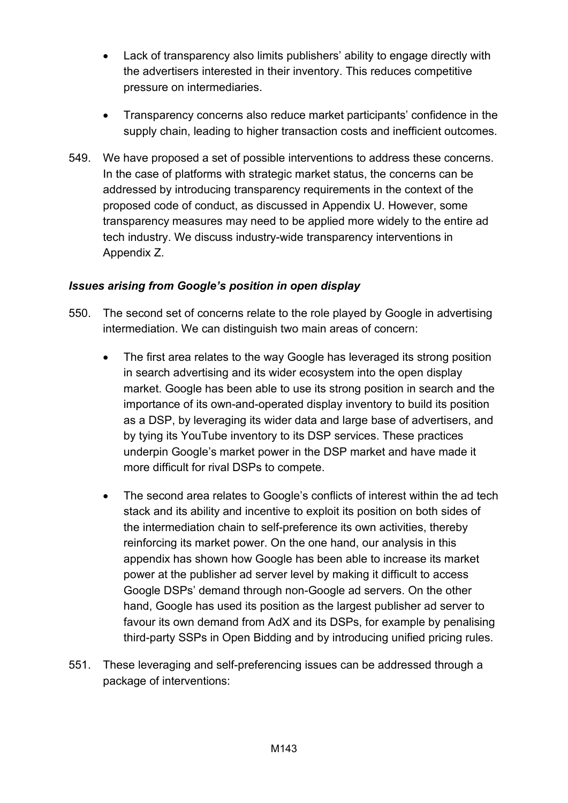- Lack of transparency also limits publishers' ability to engage directly with the advertisers interested in their inventory. This reduces competitive pressure on intermediaries.
- Transparency concerns also reduce market participants' confidence in the supply chain, leading to higher transaction costs and inefficient outcomes.
- 549. We have proposed a set of possible interventions to address these concerns. In the case of platforms with strategic market status, the concerns can be addressed by introducing transparency requirements in the context of the proposed code of conduct, as discussed in Appendix U. However, some transparency measures may need to be applied more widely to the entire ad tech industry. We discuss industry-wide transparency interventions in Appendix Z.

# *Issues arising from Google's position in open display*

- 550. The second set of concerns relate to the role played by Google in advertising intermediation. We can distinguish two main areas of concern:
	- The first area relates to the way Google has leveraged its strong position in search advertising and its wider ecosystem into the open display market. Google has been able to use its strong position in search and the importance of its own-and-operated display inventory to build its position as a DSP, by leveraging its wider data and large base of advertisers, and by tying its YouTube inventory to its DSP services. These practices underpin Google's market power in the DSP market and have made it more difficult for rival DSPs to compete.
	- The second area relates to Google's conflicts of interest within the ad tech stack and its ability and incentive to exploit its position on both sides of the intermediation chain to self-preference its own activities, thereby reinforcing its market power. On the one hand, our analysis in this appendix has shown how Google has been able to increase its market power at the publisher ad server level by making it difficult to access Google DSPs' demand through non-Google ad servers. On the other hand, Google has used its position as the largest publisher ad server to favour its own demand from AdX and its DSPs, for example by penalising third-party SSPs in Open Bidding and by introducing unified pricing rules.
- 551. These leveraging and self-preferencing issues can be addressed through a package of interventions: